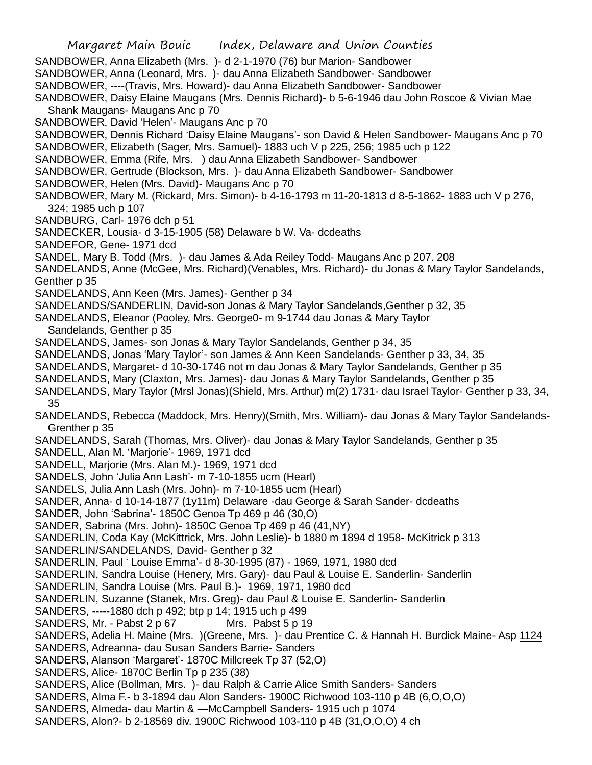SANDBOWER, Anna Elizabeth (Mrs. )- d 2-1-1970 (76) bur Marion- Sandbower

SANDBOWER, Anna (Leonard, Mrs. )- dau Anna Elizabeth Sandbower- Sandbower

SANDBOWER, ----(Travis, Mrs. Howard)- dau Anna Elizabeth Sandbower- Sandbower

SANDBOWER, Daisy Elaine Maugans (Mrs. Dennis Richard)- b 5-6-1946 dau John Roscoe & Vivian Mae Shank Maugans- Maugans Anc p 70

- SANDBOWER, David 'Helen'- Maugans Anc p 70
- SANDBOWER, Dennis Richard 'Daisy Elaine Maugans'- son David & Helen Sandbower- Maugans Anc p 70
- SANDBOWER, Elizabeth (Sager, Mrs. Samuel)- 1883 uch V p 225, 256; 1985 uch p 122
- SANDBOWER, Emma (Rife, Mrs. ) dau Anna Elizabeth Sandbower- Sandbower
- SANDBOWER, Gertrude (Blockson, Mrs. )- dau Anna Elizabeth Sandbower- Sandbower
- SANDBOWER, Helen (Mrs. David)- Maugans Anc p 70
- SANDBOWER, Mary M. (Rickard, Mrs. Simon)- b 4-16-1793 m 11-20-1813 d 8-5-1862- 1883 uch V p 276, 324; 1985 uch p 107
- SANDBURG, Carl- 1976 dch p 51
- SANDECKER, Lousia- d 3-15-1905 (58) Delaware b W. Va- dcdeaths
- SANDEFOR, Gene- 1971 dcd
- SANDEL, Mary B. Todd (Mrs. )- dau James & Ada Reiley Todd- Maugans Anc p 207. 208
- SANDELANDS, Anne (McGee, Mrs. Richard)(Venables, Mrs. Richard)- du Jonas & Mary Taylor Sandelands, Genther p 35
- SANDELANDS, Ann Keen (Mrs. James)- Genther p 34
- SANDELANDS/SANDERLIN, David-son Jonas & Mary Taylor Sandelands,Genther p 32, 35
- SANDELANDS, Eleanor (Pooley, Mrs. George0- m 9-1744 dau Jonas & Mary Taylor

Sandelands, Genther p 35

- SANDELANDS, James- son Jonas & Mary Taylor Sandelands, Genther p 34, 35
- SANDELANDS, Jonas 'Mary Taylor'- son James & Ann Keen Sandelands- Genther p 33, 34, 35
- SANDELANDS, Margaret- d 10-30-1746 not m dau Jonas & Mary Taylor Sandelands, Genther p 35
- SANDELANDS, Mary (Claxton, Mrs. James)- dau Jonas & Mary Taylor Sandelands, Genther p 35
- SANDELANDS, Mary Taylor (Mrsl Jonas)(Shield, Mrs. Arthur) m(2) 1731- dau Israel Taylor- Genther p 33, 34, 35
- SANDELANDS, Rebecca (Maddock, Mrs. Henry)(Smith, Mrs. William)- dau Jonas & Mary Taylor Sandelands-Grenther p 35
- SANDELANDS, Sarah (Thomas, Mrs. Oliver)- dau Jonas & Mary Taylor Sandelands, Genther p 35
- SANDELL, Alan M. 'Marjorie'- 1969, 1971 dcd
- SANDELL, Marjorie (Mrs. Alan M.)- 1969, 1971 dcd
- SANDELS, John 'Julia Ann Lash'- m 7-10-1855 ucm (Hearl)
- SANDELS, Julia Ann Lash (Mrs. John)- m 7-10-1855 ucm (Hearl)
- SANDER, Anna- d 10-14-1877 (1y11m) Delaware -dau George & Sarah Sander- dcdeaths
- SANDER, John 'Sabrina'- 1850C Genoa Tp 469 p 46 (30,O)
- SANDER, Sabrina (Mrs. John)- 1850C Genoa Tp 469 p 46 (41,NY)
- SANDERLIN, Coda Kay (McKittrick, Mrs. John Leslie)- b 1880 m 1894 d 1958- McKitrick p 313
- SANDERLIN/SANDELANDS, David- Genther p 32
- SANDERLIN, Paul ' Louise Emma'- d 8-30-1995 (87) 1969, 1971, 1980 dcd
- SANDERLIN, Sandra Louise (Henery, Mrs. Gary)- dau Paul & Louise E. Sanderlin- Sanderlin
- SANDERLIN, Sandra Louise (Mrs. Paul B.)- 1969, 1971, 1980 dcd
- SANDERLIN, Suzanne (Stanek, Mrs. Greg)- dau Paul & Louise E. Sanderlin- Sanderlin
- SANDERS, -----1880 dch p 492; btp p 14; 1915 uch p 499
- SANDERS, Mr. Pabst 2 p 67 Mrs. Pabst 5 p 19
- SANDERS, Adelia H. Maine (Mrs. )(Greene, Mrs. )- dau Prentice C. & Hannah H. Burdick Maine- Asp 1124
- SANDERS, Adreanna- dau Susan Sanders Barrie- Sanders
- SANDERS, Alanson 'Margaret'- 1870C Millcreek Tp 37 (52,O)
- SANDERS, Alice- 1870C Berlin Tp p 235 (38)
- SANDERS, Alice (Bollman, Mrs. )- dau Ralph & Carrie Alice Smith Sanders- Sanders
- SANDERS, Alma F.- b 3-1894 dau Alon Sanders- 1900C Richwood 103-110 p 4B (6,O,O,O)
- SANDERS, Almeda- dau Martin & —McCampbell Sanders- 1915 uch p 1074
- SANDERS, Alon?- b 2-18569 div. 1900C Richwood 103-110 p 4B (31,O,O,O) 4 ch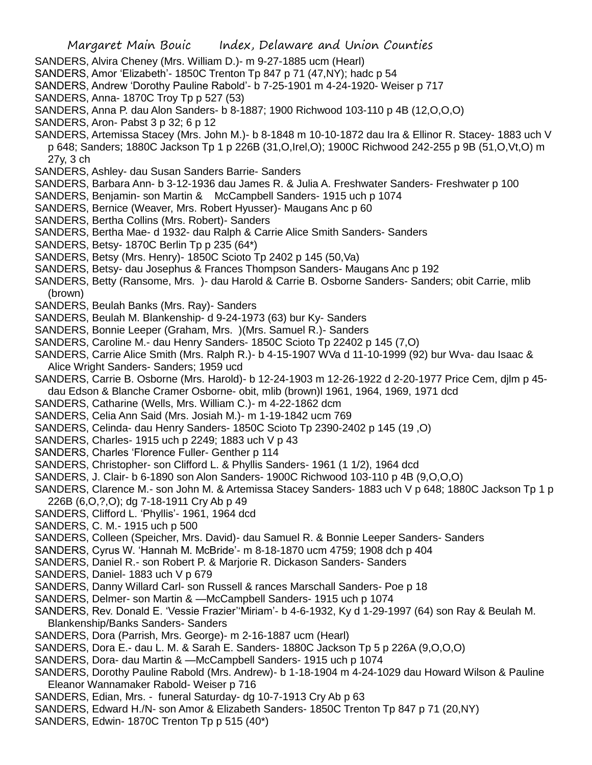- Margaret Main Bouic Index, Delaware and Union Counties
- SANDERS, Alvira Cheney (Mrs. William D.)- m 9-27-1885 ucm (Hearl)
- SANDERS, Amor 'Elizabeth'- 1850C Trenton Tp 847 p 71 (47,NY); hadc p 54
- SANDERS, Andrew 'Dorothy Pauline Rabold'- b 7-25-1901 m 4-24-1920- Weiser p 717
- SANDERS, Anna- 1870C Troy Tp p 527 (53)
- SANDERS, Anna P. dau Alon Sanders- b 8-1887; 1900 Richwood 103-110 p 4B (12,O,O,O)
- SANDERS, Aron- Pabst 3 p 32; 6 p 12
- SANDERS, Artemissa Stacey (Mrs. John M.)- b 8-1848 m 10-10-1872 dau Ira & Ellinor R. Stacey- 1883 uch V p 648; Sanders; 1880C Jackson Tp 1 p 226B (31,O,Irel,O); 1900C Richwood 242-255 p 9B (51,O,Vt,O) m 27y, 3 ch
- SANDERS, Ashley- dau Susan Sanders Barrie- Sanders
- SANDERS, Barbara Ann- b 3-12-1936 dau James R. & Julia A. Freshwater Sanders- Freshwater p 100
- SANDERS, Benjamin- son Martin & McCampbell Sanders- 1915 uch p 1074
- SANDERS, Bernice (Weaver, Mrs. Robert Hyusser)- Maugans Anc p 60
- SANDERS, Bertha Collins (Mrs. Robert)- Sanders
- SANDERS, Bertha Mae- d 1932- dau Ralph & Carrie Alice Smith Sanders- Sanders
- SANDERS, Betsy- 1870C Berlin Tp p 235 (64\*)
- SANDERS, Betsy (Mrs. Henry)- 1850C Scioto Tp 2402 p 145 (50,Va)
- SANDERS, Betsy- dau Josephus & Frances Thompson Sanders- Maugans Anc p 192
- SANDERS, Betty (Ransome, Mrs. )- dau Harold & Carrie B. Osborne Sanders- Sanders; obit Carrie, mlib (brown)
- SANDERS, Beulah Banks (Mrs. Ray)- Sanders
- SANDERS, Beulah M. Blankenship- d 9-24-1973 (63) bur Ky- Sanders
- SANDERS, Bonnie Leeper (Graham, Mrs. )(Mrs. Samuel R.)- Sanders
- SANDERS, Caroline M.- dau Henry Sanders- 1850C Scioto Tp 22402 p 145 (7,O)
- SANDERS, Carrie Alice Smith (Mrs. Ralph R.)- b 4-15-1907 WVa d 11-10-1999 (92) bur Wva- dau Isaac & Alice Wright Sanders- Sanders; 1959 ucd
- SANDERS, Carrie B. Osborne (Mrs. Harold)- b 12-24-1903 m 12-26-1922 d 2-20-1977 Price Cem, djlm p 45 dau Edson & Blanche Cramer Osborne- obit, mlib (brown)l 1961, 1964, 1969, 1971 dcd
- SANDERS, Catharine (Wells, Mrs. William C.)- m 4-22-1862 dcm
- SANDERS, Celia Ann Said (Mrs. Josiah M.)- m 1-19-1842 ucm 769
- SANDERS, Celinda- dau Henry Sanders- 1850C Scioto Tp 2390-2402 p 145 (19 ,O)
- SANDERS, Charles- 1915 uch p 2249; 1883 uch V p 43
- SANDERS, Charles 'Florence Fuller- Genther p 114
- SANDERS, Christopher- son Clifford L. & Phyllis Sanders- 1961 (1 1/2), 1964 dcd
- SANDERS, J. Clair- b 6-1890 son Alon Sanders- 1900C Richwood 103-110 p 4B (9,O,O,O)
- SANDERS, Clarence M.- son John M. & Artemissa Stacey Sanders- 1883 uch V p 648; 1880C Jackson Tp 1 p 226B (6,O,?,O); dg 7-18-1911 Cry Ab p 49
- SANDERS, Clifford L. 'Phyllis'- 1961, 1964 dcd
- SANDERS, C. M.- 1915 uch p 500
- SANDERS, Colleen (Speicher, Mrs. David)- dau Samuel R. & Bonnie Leeper Sanders- Sanders
- SANDERS, Cyrus W. 'Hannah M. McBride'- m 8-18-1870 ucm 4759; 1908 dch p 404
- SANDERS, Daniel R.- son Robert P. & Marjorie R. Dickason Sanders- Sanders
- SANDERS, Daniel- 1883 uch V p 679
- SANDERS, Danny Willard Carl- son Russell & rances Marschall Sanders- Poe p 18
- SANDERS, Delmer- son Martin & —McCampbell Sanders- 1915 uch p 1074
- SANDERS, Rev. Donald E. 'Vessie Frazier''Miriam'- b 4-6-1932, Ky d 1-29-1997 (64) son Ray & Beulah M. Blankenship/Banks Sanders- Sanders
- SANDERS, Dora (Parrish, Mrs. George)- m 2-16-1887 ucm (Hearl)
- SANDERS, Dora E.- dau L. M. & Sarah E. Sanders- 1880C Jackson Tp 5 p 226A (9,O,O,O)
- SANDERS, Dora- dau Martin & —McCampbell Sanders- 1915 uch p 1074
- SANDERS, Dorothy Pauline Rabold (Mrs. Andrew)- b 1-18-1904 m 4-24-1029 dau Howard Wilson & Pauline Eleanor Wannamaker Rabold- Weiser p 716
- SANDERS, Edian, Mrs. funeral Saturday- dg 10-7-1913 Cry Ab p 63
- SANDERS, Edward H./N- son Amor & Elizabeth Sanders- 1850C Trenton Tp 847 p 71 (20,NY)
- SANDERS, Edwin- 1870C Trenton Tp p 515 (40\*)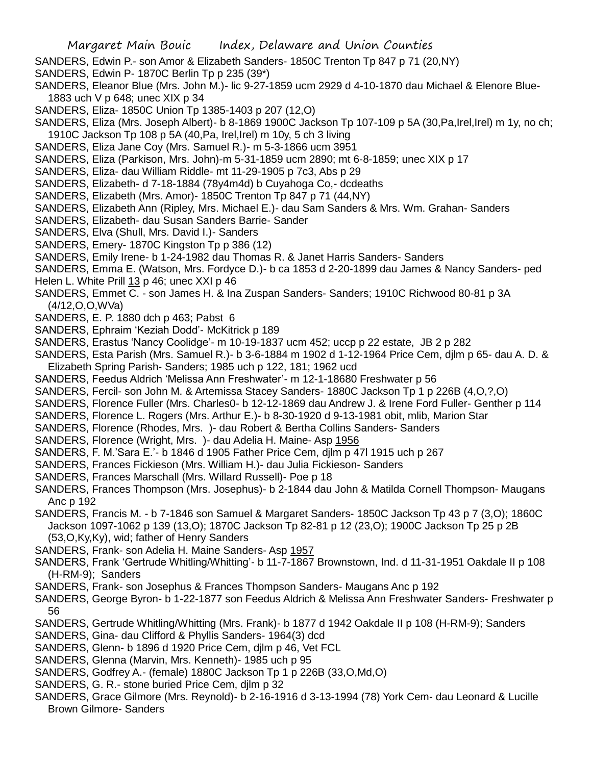- SANDERS, Edwin P.- son Amor & Elizabeth Sanders- 1850C Trenton Tp 847 p 71 (20,NY)
- SANDERS, Edwin P- 1870C Berlin Tp p 235 (39\*)
- SANDERS, Eleanor Blue (Mrs. John M.)- lic 9-27-1859 ucm 2929 d 4-10-1870 dau Michael & Elenore Blue-1883 uch V p 648; unec XIX p 34
- SANDERS, Eliza- 1850C Union Tp 1385-1403 p 207 (12,O)
- SANDERS, Eliza (Mrs. Joseph Albert)- b 8-1869 1900C Jackson Tp 107-109 p 5A (30,Pa,Irel,Irel) m 1y, no ch; 1910C Jackson Tp 108 p 5A (40,Pa, Irel,Irel) m 10y, 5 ch 3 living
- SANDERS, Eliza Jane Coy (Mrs. Samuel R.)- m 5-3-1866 ucm 3951
- SANDERS, Eliza (Parkison, Mrs. John)-m 5-31-1859 ucm 2890; mt 6-8-1859; unec XIX p 17
- SANDERS, Eliza- dau William Riddle- mt 11-29-1905 p 7c3, Abs p 29
- SANDERS, Elizabeth- d 7-18-1884 (78y4m4d) b Cuyahoga Co,- dcdeaths
- SANDERS, Elizabeth (Mrs. Amor)- 1850C Trenton Tp 847 p 71 (44,NY)
- SANDERS, Elizabeth Ann (Ripley, Mrs. Michael E.)- dau Sam Sanders & Mrs. Wm. Grahan- Sanders
- SANDERS, Elizabeth- dau Susan Sanders Barrie- Sander
- SANDERS, Elva (Shull, Mrs. David I.)- Sanders
- SANDERS, Emery- 1870C Kingston Tp p 386 (12)
- SANDERS, Emily Irene- b 1-24-1982 dau Thomas R. & Janet Harris Sanders- Sanders
- SANDERS, Emma E. (Watson, Mrs. Fordyce D.)- b ca 1853 d 2-20-1899 dau James & Nancy Sanders- ped
- Helen L. White Prill 13 p 46; unec XXI p 46
- SANDERS, Emmet C. son James H. & Ina Zuspan Sanders- Sanders; 1910C Richwood 80-81 p 3A (4/12,O,O,WVa)
- SANDERS, E. P. 1880 dch p 463; Pabst 6
- SANDERS, Ephraim 'Keziah Dodd'- McKitrick p 189
- SANDERS, Erastus 'Nancy Coolidge'- m 10-19-1837 ucm 452; uccp p 22 estate, JB 2 p 282
- SANDERS, Esta Parish (Mrs. Samuel R.)- b 3-6-1884 m 1902 d 1-12-1964 Price Cem, djlm p 65- dau A. D. & Elizabeth Spring Parish- Sanders; 1985 uch p 122, 181; 1962 ucd
- SANDERS, Feedus Aldrich 'Melissa Ann Freshwater'- m 12-1-18680 Freshwater p 56
- SANDERS, Fercil- son John M. & Artemissa Stacey Sanders- 1880C Jackson Tp 1 p 226B (4,O,?,O)
- SANDERS, Florence Fuller (Mrs. Charles0- b 12-12-1869 dau Andrew J. & Irene Ford Fuller- Genther p 114
- SANDERS, Florence L. Rogers (Mrs. Arthur E.)- b 8-30-1920 d 9-13-1981 obit, mlib, Marion Star
- SANDERS, Florence (Rhodes, Mrs. )- dau Robert & Bertha Collins Sanders- Sanders
- SANDERS, Florence (Wright, Mrs. )- dau Adelia H. Maine- Asp 1956
- SANDERS, F. M.'Sara E.'- b 1846 d 1905 Father Price Cem, djlm p 47l 1915 uch p 267
- SANDERS, Frances Fickieson (Mrs. William H.)- dau Julia Fickieson- Sanders
- SANDERS, Frances Marschall (Mrs. Willard Russell)- Poe p 18
- SANDERS, Frances Thompson (Mrs. Josephus)- b 2-1844 dau John & Matilda Cornell Thompson- Maugans Anc p 192
- SANDERS, Francis M. b 7-1846 son Samuel & Margaret Sanders- 1850C Jackson Tp 43 p 7 (3,O); 1860C Jackson 1097-1062 p 139 (13,O); 1870C Jackson Tp 82-81 p 12 (23,O); 1900C Jackson Tp 25 p 2B (53,O,Ky,Ky), wid; father of Henry Sanders
- SANDERS, Frank- son Adelia H. Maine Sanders- Asp 1957
- SANDERS, Frank 'Gertrude Whitling/Whitting'- b 11-7-1867 Brownstown, Ind. d 11-31-1951 Oakdale II p 108 (H-RM-9); Sanders
- SANDERS, Frank- son Josephus & Frances Thompson Sanders- Maugans Anc p 192
- SANDERS, George Byron- b 1-22-1877 son Feedus Aldrich & Melissa Ann Freshwater Sanders- Freshwater p 56
- SANDERS, Gertrude Whitling/Whitting (Mrs. Frank)- b 1877 d 1942 Oakdale II p 108 (H-RM-9); Sanders
- SANDERS, Gina- dau Clifford & Phyllis Sanders- 1964(3) dcd
- SANDERS, Glenn- b 1896 d 1920 Price Cem, djlm p 46, Vet FCL
- SANDERS, Glenna (Marvin, Mrs. Kenneth)- 1985 uch p 95
- SANDERS, Godfrey A.- (female) 1880C Jackson Tp 1 p 226B (33,O,Md,O)
- SANDERS, G. R.- stone buried Price Cem, djlm p 32
- SANDERS, Grace Gilmore (Mrs. Reynold)- b 2-16-1916 d 3-13-1994 (78) York Cem- dau Leonard & Lucille Brown Gilmore- Sanders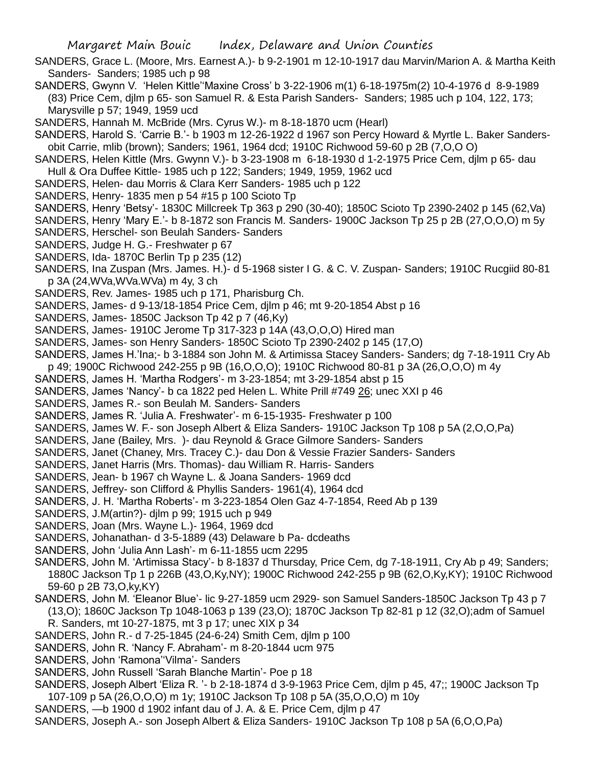- SANDERS, Grace L. (Moore, Mrs. Earnest A.)- b 9-2-1901 m 12-10-1917 dau Marvin/Marion A. & Martha Keith Sanders- Sanders; 1985 uch p 98
- SANDERS, Gwynn V. 'Helen Kittle''Maxine Cross' b 3-22-1906 m(1) 6-18-1975m(2) 10-4-1976 d 8-9-1989 (83) Price Cem, djlm p 65- son Samuel R. & Esta Parish Sanders- Sanders; 1985 uch p 104, 122, 173; Marysville p 57; 1949, 1959 ucd
- SANDERS, Hannah M. McBride (Mrs. Cyrus W.)- m 8-18-1870 ucm (Hearl)
- SANDERS, Harold S. 'Carrie B.'- b 1903 m 12-26-1922 d 1967 son Percy Howard & Myrtle L. Baker Sandersobit Carrie, mlib (brown); Sanders; 1961, 1964 dcd; 1910C Richwood 59-60 p 2B (7,O,O O)
- SANDERS, Helen Kittle (Mrs. Gwynn V.)- b 3-23-1908 m 6-18-1930 d 1-2-1975 Price Cem, djlm p 65- dau Hull & Ora Duffee Kittle- 1985 uch p 122; Sanders; 1949, 1959, 1962 ucd
- SANDERS, Helen- dau Morris & Clara Kerr Sanders- 1985 uch p 122
- SANDERS, Henry- 1835 men p 54 #15 p 100 Scioto Tp
- SANDERS, Henry 'Betsy'- 1830C Millcreek Tp 363 p 290 (30-40); 1850C Scioto Tp 2390-2402 p 145 (62,Va)
- SANDERS, Henry 'Mary E.'- b 8-1872 son Francis M. Sanders- 1900C Jackson Tp 25 p 2B (27,O,O,O) m 5y
- SANDERS, Herschel- son Beulah Sanders- Sanders
- SANDERS, Judge H. G.- Freshwater p 67
- SANDERS, Ida- 1870C Berlin Tp p 235 (12)
- SANDERS, Ina Zuspan (Mrs. James. H.)- d 5-1968 sister I G. & C. V. Zuspan- Sanders; 1910C Rucgiid 80-81 p 3A (24,WVa,WVa.WVa) m 4y, 3 ch
- SANDERS, Rev. James- 1985 uch p 171, Pharisburg Ch.
- SANDERS, James- d 9-13/18-1854 Price Cem, djlm p 46; mt 9-20-1854 Abst p 16
- SANDERS, James- 1850C Jackson Tp 42 p 7 (46,Ky)
- SANDERS, James- 1910C Jerome Tp 317-323 p 14A (43,O,O,O) Hired man
- SANDERS, James- son Henry Sanders- 1850C Scioto Tp 2390-2402 p 145 (17,O)
- SANDERS, James H.'Ina;- b 3-1884 son John M. & Artimissa Stacey Sanders- Sanders; dg 7-18-1911 Cry Ab p 49; 1900C Richwood 242-255 p 9B (16,O,O,O); 1910C Richwood 80-81 p 3A (26,O,O,O) m 4y
- SANDERS, James H. 'Martha Rodgers'- m 3-23-1854; mt 3-29-1854 abst p 15
- SANDERS, James 'Nancy'- b ca 1822 ped Helen L. White Prill #749 26; unec XXI p 46
- SANDERS, James R.- son Beulah M. Sanders- Sanders
- SANDERS, James R. 'Julia A. Freshwater'- m 6-15-1935- Freshwater p 100
- SANDERS, James W. F.- son Joseph Albert & Eliza Sanders- 1910C Jackson Tp 108 p 5A (2,O,O,Pa)
- SANDERS, Jane (Bailey, Mrs. )- dau Reynold & Grace Gilmore Sanders- Sanders
- SANDERS, Janet (Chaney, Mrs. Tracey C.)- dau Don & Vessie Frazier Sanders- Sanders
- SANDERS, Janet Harris (Mrs. Thomas)- dau William R. Harris- Sanders
- SANDERS, Jean- b 1967 ch Wayne L. & Joana Sanders- 1969 dcd
- SANDERS, Jeffrey- son Clifford & Phyllis Sanders- 1961(4), 1964 dcd
- SANDERS, J. H. 'Martha Roberts'- m 3-223-1854 Olen Gaz 4-7-1854, Reed Ab p 139
- SANDERS, J.M(artin?)- djlm p 99; 1915 uch p 949
- SANDERS, Joan (Mrs. Wayne L.)- 1964, 1969 dcd
- SANDERS, Johanathan- d 3-5-1889 (43) Delaware b Pa- dcdeaths
- SANDERS, John 'Julia Ann Lash'- m 6-11-1855 ucm 2295
- SANDERS, John M. 'Artimissa Stacy'- b 8-1837 d Thursday, Price Cem, dg 7-18-1911, Cry Ab p 49; Sanders; 1880C Jackson Tp 1 p 226B (43,O,Ky,NY); 1900C Richwood 242-255 p 9B (62,O,Ky,KY); 1910C Richwood 59-60 p 2B 73,O,ky,KY)
- SANDERS, John M. 'Eleanor Blue'- lic 9-27-1859 ucm 2929- son Samuel Sanders-1850C Jackson Tp 43 p 7 (13,O); 1860C Jackson Tp 1048-1063 p 139 (23,O); 1870C Jackson Tp 82-81 p 12 (32,O);adm of Samuel R. Sanders, mt 10-27-1875, mt 3 p 17; unec XIX p 34
- SANDERS, John R.- d 7-25-1845 (24-6-24) Smith Cem, djlm p 100
- SANDERS, John R. 'Nancy F. Abraham'- m 8-20-1844 ucm 975
- SANDERS, John 'Ramona''Vilma'- Sanders
- SANDERS, John Russell 'Sarah Blanche Martin'- Poe p 18
- SANDERS, Joseph Albert 'Eliza R. '- b 2-18-1874 d 3-9-1963 Price Cem, djlm p 45, 47;; 1900C Jackson Tp 107-109 p 5A (26,O,O,O) m 1y; 1910C Jackson Tp 108 p 5A (35,O,O,O) m 10y
- SANDERS, —b 1900 d 1902 infant dau of J. A. & E. Price Cem, djlm p 47
- SANDERS, Joseph A.- son Joseph Albert & Eliza Sanders- 1910C Jackson Tp 108 p 5A (6,O,O,Pa)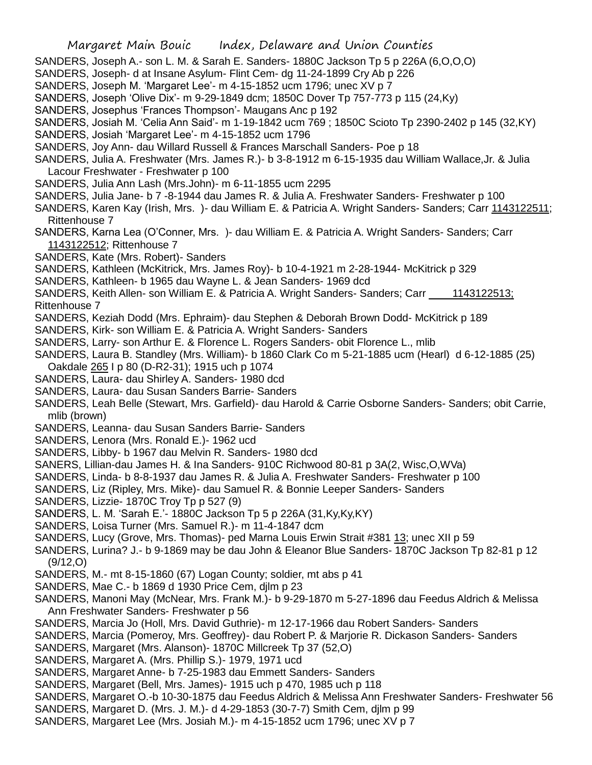SANDERS, Joseph A.- son L. M. & Sarah E. Sanders- 1880C Jackson Tp 5 p 226A (6,O,O,O)

- SANDERS, Joseph- d at Insane Asylum- Flint Cem- dg 11-24-1899 Cry Ab p 226
- SANDERS, Joseph M. 'Margaret Lee'- m 4-15-1852 ucm 1796; unec XV p 7
- SANDERS, Joseph 'Olive Dix'- m 9-29-1849 dcm; 1850C Dover Tp 757-773 p 115 (24,Ky)
- SANDERS, Josephus 'Frances Thompson'- Maugans Anc p 192
- SANDERS, Josiah M. 'Celia Ann Said'- m 1-19-1842 ucm 769 ; 1850C Scioto Tp 2390-2402 p 145 (32,KY)
- SANDERS, Josiah 'Margaret Lee'- m 4-15-1852 ucm 1796
- SANDERS, Joy Ann- dau Willard Russell & Frances Marschall Sanders- Poe p 18

SANDERS, Julia A. Freshwater (Mrs. James R.)- b 3-8-1912 m 6-15-1935 dau William Wallace,Jr. & Julia Lacour Freshwater - Freshwater p 100

- SANDERS, Julia Ann Lash (Mrs.John)- m 6-11-1855 ucm 2295
- SANDERS, Julia Jane- b 7 -8-1944 dau James R. & Julia A. Freshwater Sanders- Freshwater p 100
- SANDERS, Karen Kay (Irish, Mrs. )- dau William E. & Patricia A. Wright Sanders- Sanders; Carr 1143122511; Rittenhouse 7
- SANDERS, Karna Lea (O'Conner, Mrs. )- dau William E. & Patricia A. Wright Sanders- Sanders; Carr 1143122512; Rittenhouse 7
- SANDERS, Kate (Mrs. Robert)- Sanders
- SANDERS, Kathleen (McKitrick, Mrs. James Roy)- b 10-4-1921 m 2-28-1944- McKitrick p 329
- SANDERS, Kathleen- b 1965 dau Wayne L. & Jean Sanders- 1969 dcd
- SANDERS, Keith Allen- son William E. & Patricia A. Wright Sanders- Sanders; Carr 1143122513; Rittenhouse 7
- SANDERS, Keziah Dodd (Mrs. Ephraim)- dau Stephen & Deborah Brown Dodd- McKitrick p 189
- SANDERS, Kirk- son William E. & Patricia A. Wright Sanders- Sanders
- SANDERS, Larry- son Arthur E. & Florence L. Rogers Sanders- obit Florence L., mlib
- SANDERS, Laura B. Standley (Mrs. William)- b 1860 Clark Co m 5-21-1885 ucm (Hearl) d 6-12-1885 (25) Oakdale 265 I p 80 (D-R2-31); 1915 uch p 1074
- SANDERS, Laura- dau Shirley A. Sanders- 1980 dcd
- SANDERS, Laura- dau Susan Sanders Barrie- Sanders
- SANDERS, Leah Belle (Stewart, Mrs. Garfield)- dau Harold & Carrie Osborne Sanders- Sanders; obit Carrie, mlib (brown)
- SANDERS, Leanna- dau Susan Sanders Barrie- Sanders
- SANDERS, Lenora (Mrs. Ronald E.)- 1962 ucd
- SANDERS, Libby- b 1967 dau Melvin R. Sanders- 1980 dcd
- SANERS, Lillian-dau James H. & Ina Sanders- 910C Richwood 80-81 p 3A(2, Wisc,O,WVa)
- SANDERS, Linda- b 8-8-1937 dau James R. & Julia A. Freshwater Sanders- Freshwater p 100
- SANDERS, Liz (Ripley, Mrs. Mike)- dau Samuel R. & Bonnie Leeper Sanders- Sanders
- SANDERS, Lizzie- 1870C Troy Tp p 527 (9)
- SANDERS, L. M. 'Sarah E.'- 1880C Jackson Tp 5 p 226A (31,Ky,Ky,KY)
- SANDERS, Loisa Turner (Mrs. Samuel R.)- m 11-4-1847 dcm
- SANDERS, Lucy (Grove, Mrs. Thomas)- ped Marna Louis Erwin Strait #381 13; unec XII p 59
- SANDERS, Lurina? J.- b 9-1869 may be dau John & Eleanor Blue Sanders- 1870C Jackson Tp 82-81 p 12 (9/12,O)
- SANDERS, M.- mt 8-15-1860 (67) Logan County; soldier, mt abs p 41
- SANDERS, Mae C.- b 1869 d 1930 Price Cem, djlm p 23
- SANDERS, Manoni May (McNear, Mrs. Frank M.)- b 9-29-1870 m 5-27-1896 dau Feedus Aldrich & Melissa Ann Freshwater Sanders- Freshwater p 56
- SANDERS, Marcia Jo (Holl, Mrs. David Guthrie)- m 12-17-1966 dau Robert Sanders- Sanders
- SANDERS, Marcia (Pomeroy, Mrs. Geoffrey)- dau Robert P. & Marjorie R. Dickason Sanders- Sanders
- SANDERS, Margaret (Mrs. Alanson)- 1870C Millcreek Tp 37 (52,O)
- SANDERS, Margaret A. (Mrs. Phillip S.)- 1979, 1971 ucd
- SANDERS, Margaret Anne- b 7-25-1983 dau Emmett Sanders- Sanders
- SANDERS, Margaret (Bell, Mrs. James)- 1915 uch p 470, 1985 uch p 118
- SANDERS, Margaret O.-b 10-30-1875 dau Feedus Aldrich & Melissa Ann Freshwater Sanders- Freshwater 56
- SANDERS, Margaret D. (Mrs. J. M.)- d 4-29-1853 (30-7-7) Smith Cem, djlm p 99
- SANDERS, Margaret Lee (Mrs. Josiah M.)- m 4-15-1852 ucm 1796; unec XV p 7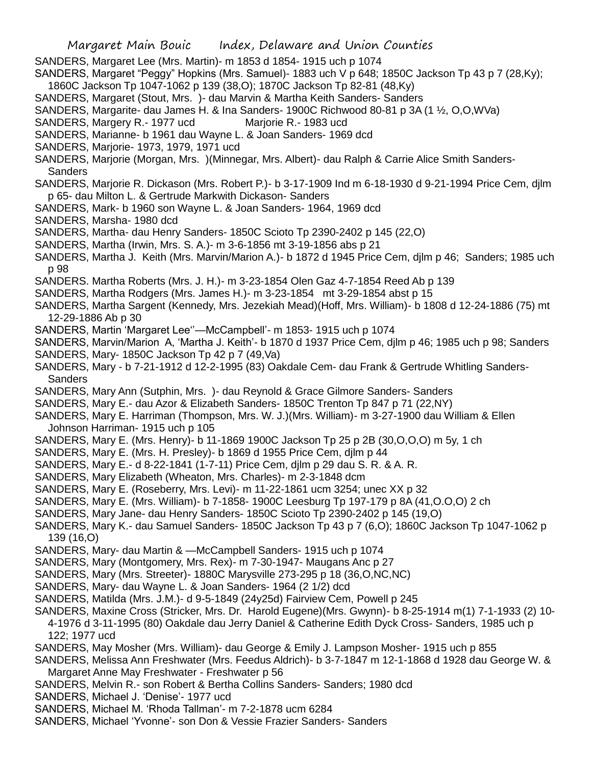SANDERS, Margaret Lee (Mrs. Martin)- m 1853 d 1854- 1915 uch p 1074

SANDERS, Margaret "Peggy" Hopkins (Mrs. Samuel)- 1883 uch V p 648; 1850C Jackson Tp 43 p 7 (28,Ky);

- 1860C Jackson Tp 1047-1062 p 139 (38,O); 1870C Jackson Tp 82-81 (48,Ky)
- SANDERS, Margaret (Stout, Mrs. )- dau Marvin & Martha Keith Sanders- Sanders
- SANDERS, Margarite- dau James H. & Ina Sanders- 1900C Richwood 80-81 p 3A (1 ½, O,O,WVa)
- SANDERS, Margery R.- 1977 ucd Marjorie R.- 1983 ucd
- SANDERS, Marianne- b 1961 dau Wayne L. & Joan Sanders- 1969 dcd
- SANDERS, Marjorie- 1973, 1979, 1971 ucd
- SANDERS, Marjorie (Morgan, Mrs. )(Minnegar, Mrs. Albert)- dau Ralph & Carrie Alice Smith Sanders-**Sanders**
- SANDERS, Marjorie R. Dickason (Mrs. Robert P.)- b 3-17-1909 Ind m 6-18-1930 d 9-21-1994 Price Cem, djlm p 65- dau Milton L. & Gertrude Markwith Dickason- Sanders
- SANDERS, Mark- b 1960 son Wayne L. & Joan Sanders- 1964, 1969 dcd
- SANDERS, Marsha- 1980 dcd
- SANDERS, Martha- dau Henry Sanders- 1850C Scioto Tp 2390-2402 p 145 (22,O)
- SANDERS, Martha (Irwin, Mrs. S. A.)- m 3-6-1856 mt 3-19-1856 abs p 21
- SANDERS, Martha J. Keith (Mrs. Marvin/Marion A.)- b 1872 d 1945 Price Cem, djlm p 46; Sanders; 1985 uch p 98
- SANDERS. Martha Roberts (Mrs. J. H.)- m 3-23-1854 Olen Gaz 4-7-1854 Reed Ab p 139
- SANDERS, Martha Rodgers (Mrs. James H.)- m 3-23-1854 mt 3-29-1854 abst p 15
- SANDERS, Martha Sargent (Kennedy, Mrs. Jezekiah Mead)(Hoff, Mrs. William)- b 1808 d 12-24-1886 (75) mt 12-29-1886 Ab p 30
- SANDERS, Martin 'Margaret Lee''—McCampbell'- m 1853- 1915 uch p 1074
- SANDERS, Marvin/Marion A, 'Martha J. Keith'- b 1870 d 1937 Price Cem, djlm p 46; 1985 uch p 98; Sanders SANDERS, Mary- 1850C Jackson Tp 42 p 7 (49,Va)
- SANDERS, Mary b 7-21-1912 d 12-2-1995 (83) Oakdale Cem- dau Frank & Gertrude Whitling Sanders-Sanders
- SANDERS, Mary Ann (Sutphin, Mrs. )- dau Reynold & Grace Gilmore Sanders- Sanders
- SANDERS, Mary E.- dau Azor & Elizabeth Sanders- 1850C Trenton Tp 847 p 71 (22,NY)
- SANDERS, Mary E. Harriman (Thompson, Mrs. W. J.)(Mrs. William)- m 3-27-1900 dau William & Ellen Johnson Harriman- 1915 uch p 105
- SANDERS, Mary E. (Mrs. Henry)- b 11-1869 1900C Jackson Tp 25 p 2B (30,O,O,O) m 5y, 1 ch
- SANDERS, Mary E. (Mrs. H. Presley)- b 1869 d 1955 Price Cem, djlm p 44
- SANDERS, Mary E.- d 8-22-1841 (1-7-11) Price Cem, djlm p 29 dau S. R. & A. R.
- SANDERS, Mary Elizabeth (Wheaton, Mrs. Charles)- m 2-3-1848 dcm
- SANDERS, Mary E. (Roseberry, Mrs. Levi)- m 11-22-1861 ucm 3254; unec XX p 32
- SANDERS, Mary E. (Mrs. William)- b 7-1858- 1900C Leesburg Tp 197-179 p 8A (41,O.O,O) 2 ch
- SANDERS, Mary Jane- dau Henry Sanders- 1850C Scioto Tp 2390-2402 p 145 (19,O)
- SANDERS, Mary K.- dau Samuel Sanders- 1850C Jackson Tp 43 p 7 (6,O); 1860C Jackson Tp 1047-1062 p 139 (16,O)
- SANDERS, Mary- dau Martin & —McCampbell Sanders- 1915 uch p 1074
- SANDERS, Mary (Montgomery, Mrs. Rex)- m 7-30-1947- Maugans Anc p 27
- SANDERS, Mary (Mrs. Streeter)- 1880C Marysville 273-295 p 18 (36,O,NC,NC)
- SANDERS, Mary- dau Wayne L. & Joan Sanders- 1964 (2 1/2) dcd
- SANDERS, Matilda (Mrs. J.M.)- d 9-5-1849 (24y25d) Fairview Cem, Powell p 245
- SANDERS, Maxine Cross (Stricker, Mrs. Dr. Harold Eugene)(Mrs. Gwynn)- b 8-25-1914 m(1) 7-1-1933 (2) 10- 4-1976 d 3-11-1995 (80) Oakdale dau Jerry Daniel & Catherine Edith Dyck Cross- Sanders, 1985 uch p 122; 1977 ucd
- SANDERS, May Mosher (Mrs. William)- dau George & Emily J. Lampson Mosher- 1915 uch p 855
- SANDERS, Melissa Ann Freshwater (Mrs. Feedus Aldrich)- b 3-7-1847 m 12-1-1868 d 1928 dau George W. & Margaret Anne May Freshwater - Freshwater p 56
- SANDERS, Melvin R.- son Robert & Bertha Collins Sanders- Sanders; 1980 dcd
- SANDERS, Michael J. 'Denise'- 1977 ucd
- SANDERS, Michael M. 'Rhoda Tallman'- m 7-2-1878 ucm 6284
- SANDERS, Michael 'Yvonne'- son Don & Vessie Frazier Sanders- Sanders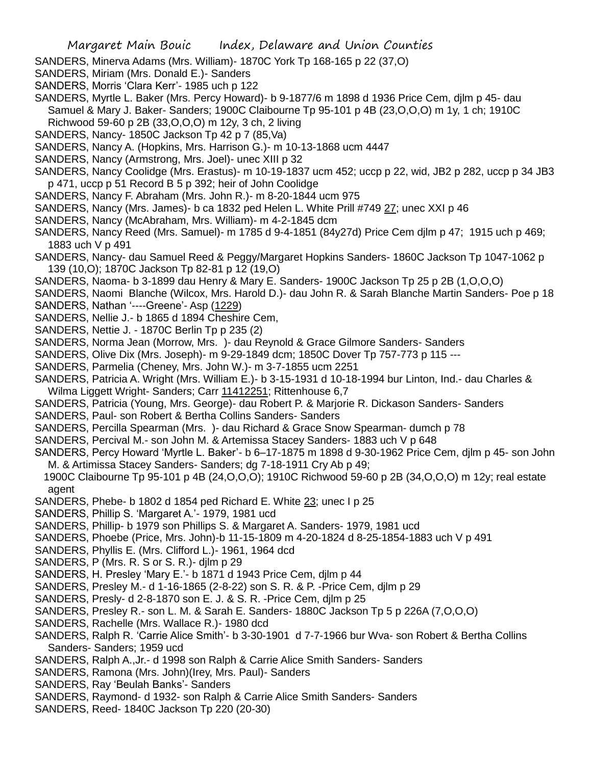- SANDERS, Minerva Adams (Mrs. William)- 1870C York Tp 168-165 p 22 (37,O)
- SANDERS, Miriam (Mrs. Donald E.)- Sanders
- SANDERS, Morris 'Clara Kerr'- 1985 uch p 122
- SANDERS, Myrtle L. Baker (Mrs. Percy Howard)- b 9-1877/6 m 1898 d 1936 Price Cem, djlm p 45- dau Samuel & Mary J. Baker- Sanders; 1900C Claibourne Tp 95-101 p 4B (23,O,O,O) m 1y, 1 ch; 1910C Richwood 59-60 p 2B (33,O,O,O) m 12y, 3 ch, 2 living
- SANDERS, Nancy- 1850C Jackson Tp 42 p 7 (85,Va)
- SANDERS, Nancy A. (Hopkins, Mrs. Harrison G.)- m 10-13-1868 ucm 4447
- SANDERS, Nancy (Armstrong, Mrs. Joel)- unec XIII p 32
- SANDERS, Nancy Coolidge (Mrs. Erastus)- m 10-19-1837 ucm 452; uccp p 22, wid, JB2 p 282, uccp p 34 JB3 p 471, uccp p 51 Record B 5 p 392; heir of John Coolidge
- SANDERS, Nancy F. Abraham (Mrs. John R.)- m 8-20-1844 ucm 975
- SANDERS, Nancy (Mrs. James)- b ca 1832 ped Helen L. White Prill #749 27; unec XXI p 46
- SANDERS, Nancy (McAbraham, Mrs. William)- m 4-2-1845 dcm
- SANDERS, Nancy Reed (Mrs. Samuel)- m 1785 d 9-4-1851 (84y27d) Price Cem djlm p 47; 1915 uch p 469; 1883 uch V p 491
- SANDERS, Nancy- dau Samuel Reed & Peggy/Margaret Hopkins Sanders- 1860C Jackson Tp 1047-1062 p 139 (10,O); 1870C Jackson Tp 82-81 p 12 (19,O)
- SANDERS, Naoma- b 3-1899 dau Henry & Mary E. Sanders- 1900C Jackson Tp 25 p 2B (1,O,O,O)
- SANDERS, Naomi Blanche (Wilcox, Mrs. Harold D.)- dau John R. & Sarah Blanche Martin Sanders- Poe p 18
- SANDERS, Nathan '----Greene'- Asp (1229)
- SANDERS, Nellie J.- b 1865 d 1894 Cheshire Cem,
- SANDERS, Nettie J. 1870C Berlin Tp p 235 (2)
- SANDERS, Norma Jean (Morrow, Mrs. )- dau Reynold & Grace Gilmore Sanders- Sanders
- SANDERS, Olive Dix (Mrs. Joseph)- m 9-29-1849 dcm; 1850C Dover Tp 757-773 p 115 ---
- SANDERS, Parmelia (Cheney, Mrs. John W.)- m 3-7-1855 ucm 2251
- SANDERS, Patricia A. Wright (Mrs. William E.)- b 3-15-1931 d 10-18-1994 bur Linton, Ind.- dau Charles & Wilma Liggett Wright- Sanders; Carr 11412251; Rittenhouse 6,7
- SANDERS, Patricia (Young, Mrs. George)- dau Robert P. & Marjorie R. Dickason Sanders- Sanders
- SANDERS, Paul- son Robert & Bertha Collins Sanders- Sanders
- SANDERS, Percilla Spearman (Mrs. )- dau Richard & Grace Snow Spearman- dumch p 78
- SANDERS, Percival M.- son John M. & Artemissa Stacey Sanders- 1883 uch V p 648
- SANDERS, Percy Howard 'Myrtle L. Baker'- b 6–17-1875 m 1898 d 9-30-1962 Price Cem, djlm p 45- son John M. & Artimissa Stacey Sanders- Sanders; dg 7-18-1911 Cry Ab p 49;
- 1900C Claibourne Tp 95-101 p 4B (24,O,O,O); 1910C Richwood 59-60 p 2B (34,O,O,O) m 12y; real estate agent
- SANDERS, Phebe- b 1802 d 1854 ped Richard E. White 23; unec I p 25
- SANDERS, Phillip S. 'Margaret A.'- 1979, 1981 ucd
- SANDERS, Phillip- b 1979 son Phillips S. & Margaret A. Sanders- 1979, 1981 ucd
- SANDERS, Phoebe (Price, Mrs. John)-b 11-15-1809 m 4-20-1824 d 8-25-1854-1883 uch V p 491
- SANDERS, Phyllis E. (Mrs. Clifford L.)- 1961, 1964 dcd
- SANDERS, P (Mrs. R. S or S. R.)- djlm p 29
- SANDERS, H. Presley 'Mary E.'- b 1871 d 1943 Price Cem, djlm p 44
- SANDERS, Presley M.- d 1-16-1865 (2-8-22) son S. R. & P. -Price Cem, djlm p 29
- SANDERS, Presly- d 2-8-1870 son E. J. & S. R. -Price Cem, djlm p 25
- SANDERS, Presley R.- son L. M. & Sarah E. Sanders- 1880C Jackson Tp 5 p 226A (7,O,O,O)
- SANDERS, Rachelle (Mrs. Wallace R.)- 1980 dcd
- SANDERS, Ralph R. 'Carrie Alice Smith'- b 3-30-1901 d 7-7-1966 bur Wva- son Robert & Bertha Collins Sanders- Sanders; 1959 ucd
- SANDERS, Ralph A.,Jr.- d 1998 son Ralph & Carrie Alice Smith Sanders- Sanders
- SANDERS, Ramona (Mrs. John)(Irey, Mrs. Paul)- Sanders
- SANDERS, Ray 'Beulah Banks'- Sanders
- SANDERS, Raymond- d 1932- son Ralph & Carrie Alice Smith Sanders- Sanders
- SANDERS, Reed- 1840C Jackson Tp 220 (20-30)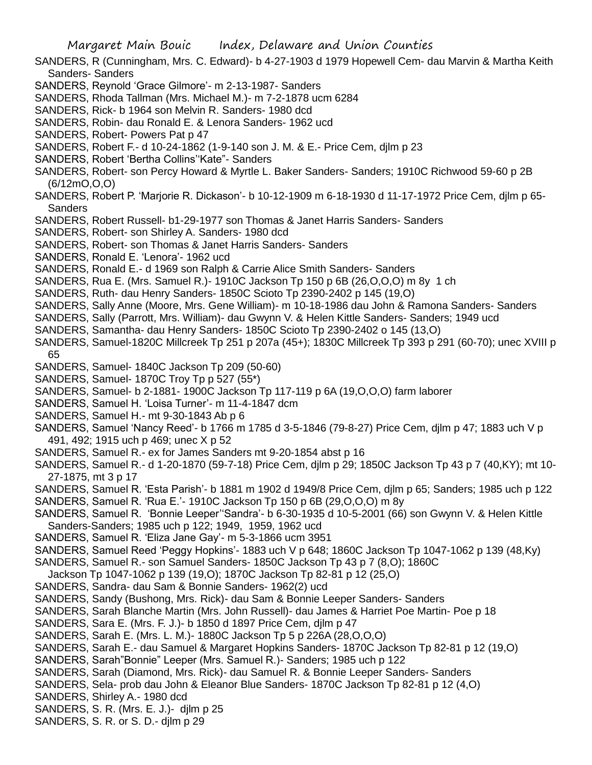- SANDERS, R (Cunningham, Mrs. C. Edward)- b 4-27-1903 d 1979 Hopewell Cem- dau Marvin & Martha Keith Sanders- Sanders
- SANDERS, Reynold 'Grace Gilmore'- m 2-13-1987- Sanders
- SANDERS, Rhoda Tallman (Mrs. Michael M.)- m 7-2-1878 ucm 6284
- SANDERS, Rick- b 1964 son Melvin R. Sanders- 1980 dcd
- SANDERS, Robin- dau Ronald E. & Lenora Sanders- 1962 ucd
- SANDERS, Robert- Powers Pat p 47
- SANDERS, Robert F.- d 10-24-1862 (1-9-140 son J. M. & E.- Price Cem, djlm p 23
- SANDERS, Robert 'Bertha Collins''Kate"- Sanders
- SANDERS, Robert- son Percy Howard & Myrtle L. Baker Sanders- Sanders; 1910C Richwood 59-60 p 2B (6/12mO,O,O)
- SANDERS, Robert P. 'Marjorie R. Dickason'- b 10-12-1909 m 6-18-1930 d 11-17-1972 Price Cem, djlm p 65- Sanders
- SANDERS, Robert Russell- b1-29-1977 son Thomas & Janet Harris Sanders- Sanders
- SANDERS, Robert- son Shirley A. Sanders- 1980 dcd
- SANDERS, Robert- son Thomas & Janet Harris Sanders- Sanders
- SANDERS, Ronald E. 'Lenora'- 1962 ucd
- SANDERS, Ronald E.- d 1969 son Ralph & Carrie Alice Smith Sanders- Sanders
- SANDERS, Rua E. (Mrs. Samuel R.)- 1910C Jackson Tp 150 p 6B (26,O,O,O) m 8y 1 ch
- SANDERS, Ruth- dau Henry Sanders- 1850C Scioto Tp 2390-2402 p 145 (19,O)
- SANDERS, Sally Anne (Moore, Mrs. Gene William)- m 10-18-1986 dau John & Ramona Sanders- Sanders
- SANDERS, Sally (Parrott, Mrs. William)- dau Gwynn V. & Helen Kittle Sanders- Sanders; 1949 ucd
- SANDERS, Samantha- dau Henry Sanders- 1850C Scioto Tp 2390-2402 o 145 (13,O)
- SANDERS, Samuel-1820C Millcreek Tp 251 p 207a (45+); 1830C Millcreek Tp 393 p 291 (60-70); unec XVIII p 65
- SANDERS, Samuel- 1840C Jackson Tp 209 (50-60)
- SANDERS, Samuel- 1870C Troy Tp p 527 (55\*)
- SANDERS, Samuel- b 2-1881- 1900C Jackson Tp 117-119 p 6A (19,O,O,O) farm laborer
- SANDERS, Samuel H. 'Loisa Turner'- m 11-4-1847 dcm
- SANDERS, Samuel H.- mt 9-30-1843 Ab p 6
- SANDERS, Samuel 'Nancy Reed'- b 1766 m 1785 d 3-5-1846 (79-8-27) Price Cem, djlm p 47; 1883 uch V p 491, 492; 1915 uch p 469; unec X p 52
- SANDERS, Samuel R.- ex for James Sanders mt 9-20-1854 abst p 16
- SANDERS, Samuel R.- d 1-20-1870 (59-7-18) Price Cem, djlm p 29; 1850C Jackson Tp 43 p 7 (40,KY); mt 10- 27-1875, mt 3 p 17
- SANDERS, Samuel R. 'Esta Parish'- b 1881 m 1902 d 1949/8 Price Cem, djlm p 65; Sanders; 1985 uch p 122
- SANDERS, Samuel R. 'Rua E.'- 1910C Jackson Tp 150 p 6B (29,O,O,O) m 8y
- SANDERS, Samuel R. 'Bonnie Leeper''Sandra'- b 6-30-1935 d 10-5-2001 (66) son Gwynn V. & Helen Kittle Sanders-Sanders; 1985 uch p 122; 1949, 1959, 1962 ucd
- SANDERS, Samuel R. 'Eliza Jane Gay'- m 5-3-1866 ucm 3951
- SANDERS, Samuel Reed 'Peggy Hopkins'- 1883 uch V p 648; 1860C Jackson Tp 1047-1062 p 139 (48,Ky)
- SANDERS, Samuel R.- son Samuel Sanders- 1850C Jackson Tp 43 p 7 (8,O); 1860C
- Jackson Tp 1047-1062 p 139 (19,O); 1870C Jackson Tp 82-81 p 12 (25,O)
- SANDERS, Sandra- dau Sam & Bonnie Sanders- 1962(2) ucd
- SANDERS, Sandy (Bushong, Mrs. Rick)- dau Sam & Bonnie Leeper Sanders- Sanders
- SANDERS, Sarah Blanche Martin (Mrs. John Russell)- dau James & Harriet Poe Martin- Poe p 18
- SANDERS, Sara E. (Mrs. F. J.)- b 1850 d 1897 Price Cem, djlm p 47
- SANDERS, Sarah E. (Mrs. L. M.)- 1880C Jackson Tp 5 p 226A (28,O,O,O)
- SANDERS, Sarah E.- dau Samuel & Margaret Hopkins Sanders- 1870C Jackson Tp 82-81 p 12 (19,O)
- SANDERS, Sarah"Bonnie" Leeper (Mrs. Samuel R.)- Sanders; 1985 uch p 122
- SANDERS, Sarah (Diamond, Mrs. Rick)- dau Samuel R. & Bonnie Leeper Sanders- Sanders
- SANDERS, Sela- prob dau John & Eleanor Blue Sanders- 1870C Jackson Tp 82-81 p 12 (4,O)
- SANDERS, Shirley A.- 1980 dcd
- SANDERS, S. R. (Mrs. E. J.)- djlm p 25
- SANDERS, S. R. or S. D.- djlm p 29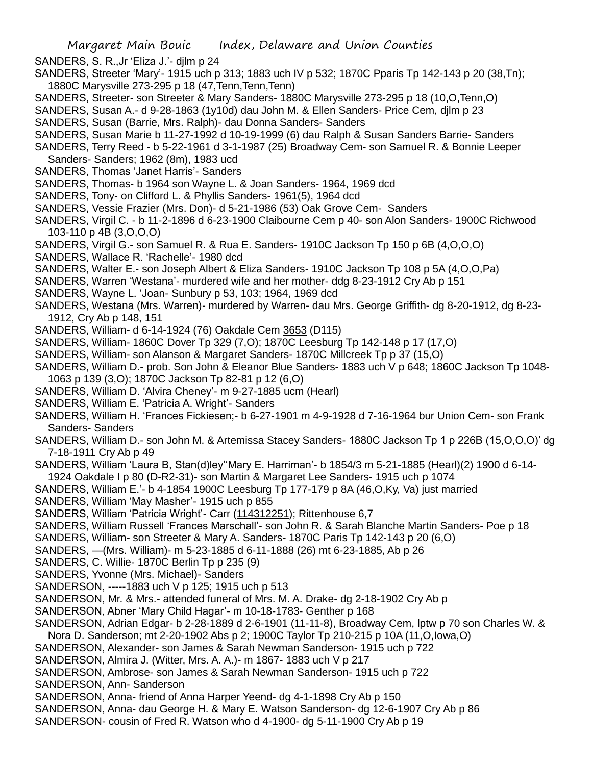- SANDERS, S. R.,Jr 'Eliza J.'- djlm p 24
- SANDERS, Streeter 'Mary'- 1915 uch p 313; 1883 uch IV p 532; 1870C Pparis Tp 142-143 p 20 (38,Tn); 1880C Marysville 273-295 p 18 (47,Tenn,Tenn,Tenn)
- SANDERS, Streeter- son Streeter & Mary Sanders- 1880C Marysville 273-295 p 18 (10,O,Tenn,O)
- SANDERS, Susan A.- d 9-28-1863 (1y10d) dau John M. & Ellen Sanders- Price Cem, djlm p 23
- SANDERS, Susan (Barrie, Mrs. Ralph)- dau Donna Sanders- Sanders
- SANDERS, Susan Marie b 11-27-1992 d 10-19-1999 (6) dau Ralph & Susan Sanders Barrie- Sanders
- SANDERS, Terry Reed b 5-22-1961 d 3-1-1987 (25) Broadway Cem- son Samuel R. & Bonnie Leeper Sanders- Sanders; 1962 (8m), 1983 ucd
- SANDERS, Thomas 'Janet Harris'- Sanders
- SANDERS, Thomas- b 1964 son Wayne L. & Joan Sanders- 1964, 1969 dcd
- SANDERS, Tony- on Clifford L. & Phyllis Sanders- 1961(5), 1964 dcd
- SANDERS, Vessie Frazier (Mrs. Don)- d 5-21-1986 (53) Oak Grove Cem- Sanders
- SANDERS, Virgil C. b 11-2-1896 d 6-23-1900 Claibourne Cem p 40- son Alon Sanders- 1900C Richwood 103-110 p 4B (3,O,O,O)
- SANDERS, Virgil G.- son Samuel R. & Rua E. Sanders- 1910C Jackson Tp 150 p 6B (4,O,O,O)
- SANDERS, Wallace R. 'Rachelle'- 1980 dcd
- SANDERS, Walter E.- son Joseph Albert & Eliza Sanders- 1910C Jackson Tp 108 p 5A (4,O,O,Pa)
- SANDERS, Warren 'Westana'- murdered wife and her mother- ddg 8-23-1912 Cry Ab p 151
- SANDERS, Wayne L. 'Joan- Sunbury p 53, 103; 1964, 1969 dcd
- SANDERS, Westana (Mrs. Warren)- murdered by Warren- dau Mrs. George Griffith- dg 8-20-1912, dg 8-23- 1912, Cry Ab p 148, 151
- SANDERS, William- d 6-14-1924 (76) Oakdale Cem 3653 (D115)
- SANDERS, William- 1860C Dover Tp 329 (7,O); 1870C Leesburg Tp 142-148 p 17 (17,O)
- SANDERS, William- son Alanson & Margaret Sanders- 1870C Millcreek Tp p 37 (15,O)
- SANDERS, William D.- prob. Son John & Eleanor Blue Sanders- 1883 uch V p 648; 1860C Jackson Tp 1048- 1063 p 139 (3,O); 1870C Jackson Tp 82-81 p 12 (6,O)
- SANDERS, William D. 'Alvira Cheney'- m 9-27-1885 ucm (Hearl)
- SANDERS, William E. 'Patricia A. Wright'- Sanders
- SANDERS, William H. 'Frances Fickiesen;- b 6-27-1901 m 4-9-1928 d 7-16-1964 bur Union Cem- son Frank Sanders- Sanders
- SANDERS, William D.- son John M. & Artemissa Stacey Sanders- 1880C Jackson Tp 1 p 226B (15,O,O,O)' dg 7-18-1911 Cry Ab p 49
- SANDERS, William 'Laura B, Stan(d)ley''Mary E. Harriman'- b 1854/3 m 5-21-1885 (Hearl)(2) 1900 d 6-14- 1924 Oakdale I p 80 (D-R2-31)- son Martin & Margaret Lee Sanders- 1915 uch p 1074
- SANDERS, William E.'- b 4-1854 1900C Leesburg Tp 177-179 p 8A (46,O,Ky, Va) just married
- SANDERS, William 'May Masher'- 1915 uch p 855
- SANDERS, William 'Patricia Wright'- Carr (114312251); Rittenhouse 6,7
- SANDERS, William Russell 'Frances Marschall'- son John R. & Sarah Blanche Martin Sanders- Poe p 18
- SANDERS, William- son Streeter & Mary A. Sanders- 1870C Paris Tp 142-143 p 20 (6,O)
- SANDERS, —(Mrs. William)- m 5-23-1885 d 6-11-1888 (26) mt 6-23-1885, Ab p 26
- SANDERS, C. Willie- 1870C Berlin Tp p 235 (9)
- SANDERS, Yvonne (Mrs. Michael)- Sanders
- SANDERSON, -----1883 uch V p 125; 1915 uch p 513
- SANDERSON, Mr. & Mrs.- attended funeral of Mrs. M. A. Drake- dg 2-18-1902 Cry Ab p
- SANDERSON, Abner 'Mary Child Hagar'- m 10-18-1783- Genther p 168
- SANDERSON, Adrian Edgar- b 2-28-1889 d 2-6-1901 (11-11-8), Broadway Cem, lptw p 70 son Charles W. & Nora D. Sanderson; mt 2-20-1902 Abs p 2; 1900C Taylor Tp 210-215 p 10A (11,O,Iowa,O)
- SANDERSON, Alexander- son James & Sarah Newman Sanderson- 1915 uch p 722
- SANDERSON, Almira J. (Witter, Mrs. A. A.)- m 1867- 1883 uch V p 217
- SANDERSON, Ambrose- son James & Sarah Newman Sanderson- 1915 uch p 722
- SANDERSON, Ann- Sanderson
- SANDERSON, Anna- friend of Anna Harper Yeend- dg 4-1-1898 Cry Ab p 150
- SANDERSON, Anna- dau George H. & Mary E. Watson Sanderson- dg 12-6-1907 Cry Ab p 86
- SANDERSON- cousin of Fred R. Watson who d 4-1900- dg 5-11-1900 Cry Ab p 19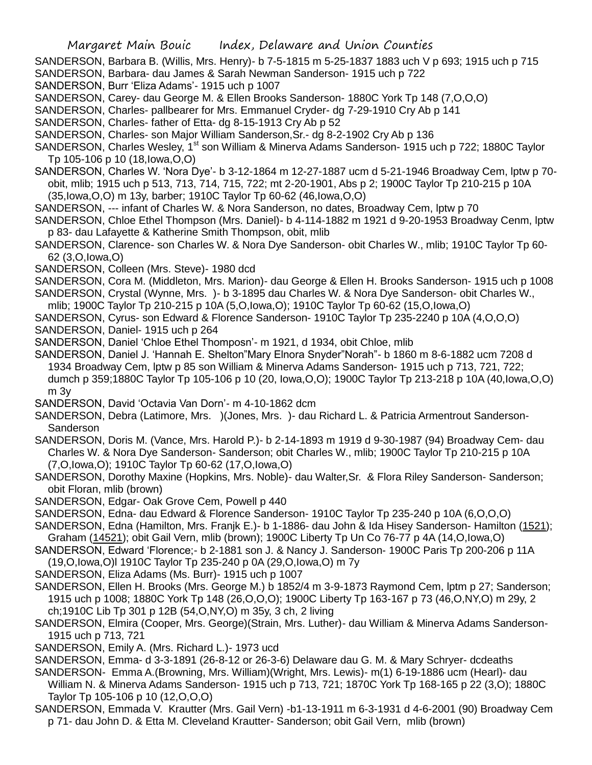- SANDERSON, Barbara B. (Willis, Mrs. Henry)- b 7-5-1815 m 5-25-1837 1883 uch V p 693; 1915 uch p 715 SANDERSON, Barbara- dau James & Sarah Newman Sanderson- 1915 uch p 722
- SANDERSON, Burr 'Eliza Adams'- 1915 uch p 1007
- SANDERSON, Carey- dau George M. & Ellen Brooks Sanderson- 1880C York Tp 148 (7,O,O,O)
- SANDERSON, Charles- pallbearer for Mrs. Emmanuel Cryder- dg 7-29-1910 Cry Ab p 141
- SANDERSON, Charles- father of Etta- dg 8-15-1913 Cry Ab p 52
- SANDERSON, Charles- son Major William Sanderson,Sr.- dg 8-2-1902 Cry Ab p 136
- SANDERSON, Charles Wesley, 1<sup>st</sup> son William & Minerva Adams Sanderson- 1915 uch p 722; 1880C Taylor Tp 105-106 p 10 (18,Iowa,O,O)
- SANDERSON, Charles W. 'Nora Dye'- b 3-12-1864 m 12-27-1887 ucm d 5-21-1946 Broadway Cem, lptw p 70 obit, mlib; 1915 uch p 513, 713, 714, 715, 722; mt 2-20-1901, Abs p 2; 1900C Taylor Tp 210-215 p 10A (35,Iowa,O,O) m 13y, barber; 1910C Taylor Tp 60-62 (46,Iowa,O,O)
- SANDERSON, --- infant of Charles W. & Nora Sanderson, no dates, Broadway Cem, lptw p 70
- SANDERSON, Chloe Ethel Thompson (Mrs. Daniel)- b 4-114-1882 m 1921 d 9-20-1953 Broadway Cenm, lptw p 83- dau Lafayette & Katherine Smith Thompson, obit, mlib
- SANDERSON, Clarence- son Charles W. & Nora Dye Sanderson- obit Charles W., mlib; 1910C Taylor Tp 60- 62 (3,O,Iowa,O)
- SANDERSON, Colleen (Mrs. Steve)- 1980 dcd
- SANDERSON, Cora M. (Middleton, Mrs. Marion)- dau George & Ellen H. Brooks Sanderson- 1915 uch p 1008
- SANDERSON, Crystal (Wynne, Mrs. )- b 3-1895 dau Charles W. & Nora Dye Sanderson- obit Charles W.,
- mlib; 1900C Taylor Tp 210-215 p 10A (5,O,Iowa,O); 1910C Taylor Tp 60-62 (15,O,Iowa,O)
- SANDERSON, Cyrus- son Edward & Florence Sanderson- 1910C Taylor Tp 235-2240 p 10A (4,O,O,O)
- SANDERSON, Daniel- 1915 uch p 264
- SANDERSON, Daniel 'Chloe Ethel Thomposn'- m 1921, d 1934, obit Chloe, mlib
- SANDERSON, Daniel J. 'Hannah E. Shelton"Mary Elnora Snyder"Norah"- b 1860 m 8-6-1882 ucm 7208 d 1934 Broadway Cem, lptw p 85 son William & Minerva Adams Sanderson- 1915 uch p 713, 721, 722; dumch p 359;1880C Taylor Tp 105-106 p 10 (20, Iowa,O,O); 1900C Taylor Tp 213-218 p 10A (40,Iowa,O,O) m 3y
- SANDERSON, David 'Octavia Van Dorn'- m 4-10-1862 dcm
- SANDERSON, Debra (Latimore, Mrs. )(Jones, Mrs. )- dau Richard L. & Patricia Armentrout Sanderson-**Sanderson**
- SANDERSON, Doris M. (Vance, Mrs. Harold P.)- b 2-14-1893 m 1919 d 9-30-1987 (94) Broadway Cem- dau Charles W. & Nora Dye Sanderson- Sanderson; obit Charles W., mlib; 1900C Taylor Tp 210-215 p 10A (7,O,Iowa,O); 1910C Taylor Tp 60-62 (17,O,Iowa,O)
- SANDERSON, Dorothy Maxine (Hopkins, Mrs. Noble)- dau Walter,Sr. & Flora Riley Sanderson- Sanderson; obit Floran, mlib (brown)
- SANDERSON, Edgar- Oak Grove Cem, Powell p 440
- SANDERSON, Edna- dau Edward & Florence Sanderson- 1910C Taylor Tp 235-240 p 10A (6,O,O,O)
- SANDERSON, Edna (Hamilton, Mrs. Franjk E.)- b 1-1886- dau John & Ida Hisey Sanderson- Hamilton (1521); Graham (14521); obit Gail Vern, mlib (brown); 1900C Liberty Tp Un Co 76-77 p 4A (14,O,Iowa,O)
- SANDERSON, Edward 'Florence;- b 2-1881 son J. & Nancy J. Sanderson- 1900C Paris Tp 200-206 p 11A (19,O,Iowa,O)l 1910C Taylor Tp 235-240 p 0A (29,O,Iowa,O) m 7y
- SANDERSON, Eliza Adams (Ms. Burr)- 1915 uch p 1007
- SANDERSON, Ellen H. Brooks (Mrs. George M.) b 1852/4 m 3-9-1873 Raymond Cem, lptm p 27; Sanderson; 1915 uch p 1008; 1880C York Tp 148 (26,O,O,O); 1900C Liberty Tp 163-167 p 73 (46,O,NY,O) m 29y, 2 ch;1910C Lib Tp 301 p 12B (54,O,NY,O) m 35y, 3 ch, 2 living
- SANDERSON, Elmira (Cooper, Mrs. George)(Strain, Mrs. Luther)- dau William & Minerva Adams Sanderson-1915 uch p 713, 721
- SANDERSON, Emily A. (Mrs. Richard L.)- 1973 ucd
- SANDERSON, Emma- d 3-3-1891 (26-8-12 or 26-3-6) Delaware dau G. M. & Mary Schryer- dcdeaths
- SANDERSON- Emma A.(Browning, Mrs. William)(Wright, Mrs. Lewis)- m(1) 6-19-1886 ucm (Hearl)- dau William N. & Minerva Adams Sanderson- 1915 uch p 713, 721; 1870C York Tp 168-165 p 22 (3,O); 1880C Taylor Tp 105-106 p 10 (12,O,O,O)
- SANDERSON, Emmada V. Krautter (Mrs. Gail Vern) -b1-13-1911 m 6-3-1931 d 4-6-2001 (90) Broadway Cem p 71- dau John D. & Etta M. Cleveland Krautter- Sanderson; obit Gail Vern, mlib (brown)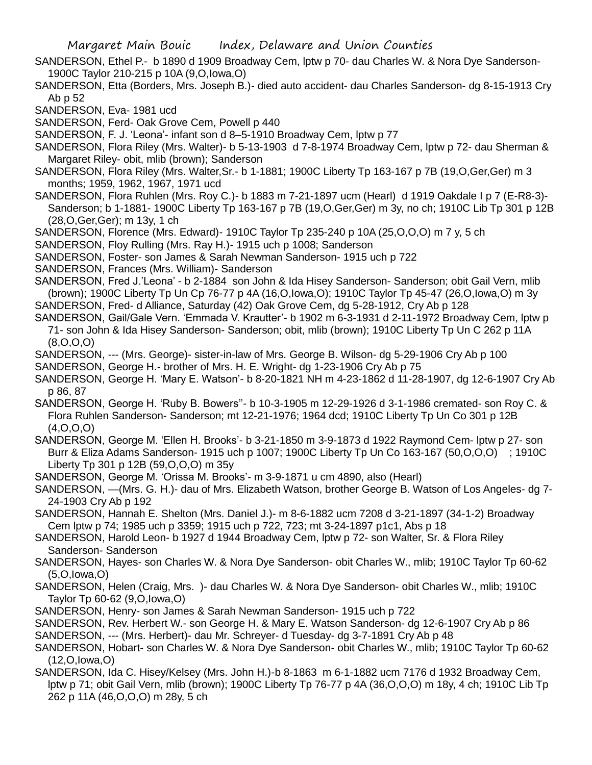- SANDERSON, Ethel P.- b 1890 d 1909 Broadway Cem, lptw p 70- dau Charles W. & Nora Dye Sanderson-1900C Taylor 210-215 p 10A (9,O,Iowa,O)
- SANDERSON, Etta (Borders, Mrs. Joseph B.)- died auto accident- dau Charles Sanderson- dg 8-15-1913 Cry Ab p 52

SANDERSON, Eva- 1981 ucd

SANDERSON, Ferd- Oak Grove Cem, Powell p 440

SANDERSON, F. J. 'Leona'- infant son d 8–5-1910 Broadway Cem, lptw p 77

- SANDERSON, Flora Riley (Mrs. Walter)- b 5-13-1903 d 7-8-1974 Broadway Cem, lptw p 72- dau Sherman & Margaret Riley- obit, mlib (brown); Sanderson
- SANDERSON, Flora Riley (Mrs. Walter,Sr.- b 1-1881; 1900C Liberty Tp 163-167 p 7B (19,O,Ger,Ger) m 3 months; 1959, 1962, 1967, 1971 ucd
- SANDERSON, Flora Ruhlen (Mrs. Roy C.)- b 1883 m 7-21-1897 ucm (Hearl) d 1919 Oakdale I p 7 (E-R8-3)- Sanderson; b 1-1881- 1900C Liberty Tp 163-167 p 7B (19,O,Ger,Ger) m 3y, no ch; 1910C Lib Tp 301 p 12B (28,O,Ger,Ger); m 13y, 1 ch
- SANDERSON, Florence (Mrs. Edward)- 1910C Taylor Tp 235-240 p 10A (25,O,O,O) m 7 y, 5 ch

SANDERSON, Floy Rulling (Mrs. Ray H.)- 1915 uch p 1008; Sanderson

SANDERSON, Foster- son James & Sarah Newman Sanderson- 1915 uch p 722

SANDERSON, Frances (Mrs. William)- Sanderson

- SANDERSON, Fred J.'Leona' b 2-1884 son John & Ida Hisey Sanderson- Sanderson; obit Gail Vern, mlib (brown); 1900C Liberty Tp Un Cp 76-77 p 4A (16,O,Iowa,O); 1910C Taylor Tp 45-47 (26,O,Iowa,O) m 3y
- SANDERSON, Fred- d Alliance, Saturday (42) Oak Grove Cem, dg 5-28-1912, Cry Ab p 128 SANDERSON, Gail/Gale Vern. 'Emmada V. Krautter'- b 1902 m 6-3-1931 d 2-11-1972 Broadway Cem, lptw p
- 71- son John & Ida Hisey Sanderson- Sanderson; obit, mlib (brown); 1910C Liberty Tp Un C 262 p 11A (8,O,O,O)
- SANDERSON, --- (Mrs. George)- sister-in-law of Mrs. George B. Wilson- dg 5-29-1906 Cry Ab p 100
- SANDERSON, George H.- brother of Mrs. H. E. Wright- dg 1-23-1906 Cry Ab p 75
- SANDERSON, George H. 'Mary E. Watson'- b 8-20-1821 NH m 4-23-1862 d 11-28-1907, dg 12-6-1907 Cry Ab p 86, 87
- SANDERSON, George H. 'Ruby B. Bowers''- b 10-3-1905 m 12-29-1926 d 3-1-1986 cremated- son Roy C. & Flora Ruhlen Sanderson- Sanderson; mt 12-21-1976; 1964 dcd; 1910C Liberty Tp Un Co 301 p 12B (4,O,O,O)
- SANDERSON, George M. 'Ellen H. Brooks'- b 3-21-1850 m 3-9-1873 d 1922 Raymond Cem- lptw p 27- son Burr & Eliza Adams Sanderson- 1915 uch p 1007; 1900C Liberty Tp Un Co 163-167 (50,O,O,O) ; 1910C Liberty Tp 301 p 12B (59,O,O,O) m 35y
- SANDERSON, George M. 'Orissa M. Brooks'- m 3-9-1871 u cm 4890, also (Hearl)
- SANDERSON, —(Mrs. G. H.)- dau of Mrs. Elizabeth Watson, brother George B. Watson of Los Angeles- dg 7- 24-1903 Cry Ab p 192
- SANDERSON, Hannah E. Shelton (Mrs. Daniel J.)- m 8-6-1882 ucm 7208 d 3-21-1897 (34-1-2) Broadway Cem lptw p 74; 1985 uch p 3359; 1915 uch p 722, 723; mt 3-24-1897 p1c1, Abs p 18
- SANDERSON, Harold Leon- b 1927 d 1944 Broadway Cem, lptw p 72- son Walter, Sr. & Flora Riley Sanderson- Sanderson
- SANDERSON, Hayes- son Charles W. & Nora Dye Sanderson- obit Charles W., mlib; 1910C Taylor Tp 60-62 (5,O,Iowa,O)
- SANDERSON, Helen (Craig, Mrs. )- dau Charles W. & Nora Dye Sanderson- obit Charles W., mlib; 1910C Taylor Tp 60-62 (9,O,Iowa,O)
- SANDERSON, Henry- son James & Sarah Newman Sanderson- 1915 uch p 722
- SANDERSON, Rev. Herbert W.- son George H. & Mary E. Watson Sanderson- dg 12-6-1907 Cry Ab p 86
- SANDERSON, --- (Mrs. Herbert)- dau Mr. Schreyer- d Tuesday- dg 3-7-1891 Cry Ab p 48
- SANDERSON, Hobart- son Charles W. & Nora Dye Sanderson- obit Charles W., mlib; 1910C Taylor Tp 60-62 (12,O,Iowa,O)
- SANDERSON, Ida C. Hisey/Kelsey (Mrs. John H.)-b 8-1863 m 6-1-1882 ucm 7176 d 1932 Broadway Cem, lptw p 71; obit Gail Vern, mlib (brown); 1900C Liberty Tp 76-77 p 4A (36,O,O,O) m 18y, 4 ch; 1910C Lib Tp 262 p 11A (46,O,O,O) m 28y, 5 ch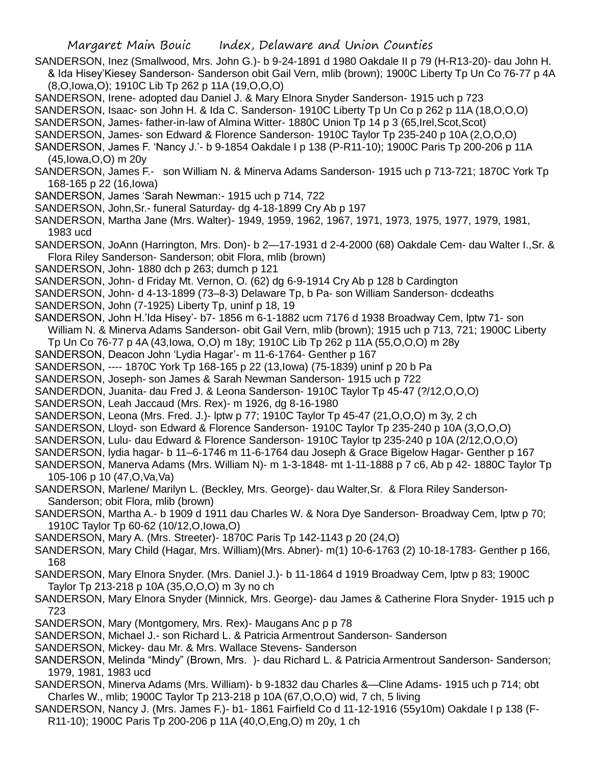- SANDERSON, Inez (Smallwood, Mrs. John G.)- b 9-24-1891 d 1980 Oakdale II p 79 (H-R13-20)- dau John H. & Ida Hisey'Kiesey Sanderson- Sanderson obit Gail Vern, mlib (brown); 1900C Liberty Tp Un Co 76-77 p 4A
- (8,O,Iowa,O); 1910C Lib Tp 262 p 11A (19,O,O,O)
- SANDERSON, Irene- adopted dau Daniel J. & Mary Elnora Snyder Sanderson- 1915 uch p 723
- SANDERSON, Isaac- son John H. & Ida C. Sanderson- 1910C Liberty Tp Un Co p 262 p 11A (18,O,O,O)
- SANDERSON, James- father-in-law of Almina Witter- 1880C Union Tp 14 p 3 (65, Irel, Scot, Scot)
- SANDERSON, James- son Edward & Florence Sanderson- 1910C Taylor Tp 235-240 p 10A (2,O,O,O)
- SANDERSON, James F. 'Nancy J.'- b 9-1854 Oakdale I p 138 (P-R11-10); 1900C Paris Tp 200-206 p 11A (45,Iowa,O,O) m 20y
- SANDERSON, James F.- son William N. & Minerva Adams Sanderson- 1915 uch p 713-721; 1870C York Tp 168-165 p 22 (16,Iowa)
- SANDERSON, James 'Sarah Newman:- 1915 uch p 714, 722
- SANDERSON, John,Sr.- funeral Saturday- dg 4-18-1899 Cry Ab p 197
- SANDERSON, Martha Jane (Mrs. Walter)- 1949, 1959, 1962, 1967, 1971, 1973, 1975, 1977, 1979, 1981, 1983 ucd
- SANDERSON, JoAnn (Harrington, Mrs. Don)- b 2—17-1931 d 2-4-2000 (68) Oakdale Cem- dau Walter I.,Sr. & Flora Riley Sanderson- Sanderson; obit Flora, mlib (brown)
- SANDERSON, John- 1880 dch p 263; dumch p 121
- SANDERSON, John- d Friday Mt. Vernon, O. (62) dg 6-9-1914 Cry Ab p 128 b Cardington
- SANDERSON, John- d 4-13-1899 (73–8-3) Delaware Tp, b Pa- son William Sanderson- dcdeaths
- SANDERSON, John (7-1925) Liberty Tp, uninf p 18, 19
- SANDERSON, John H.'Ida Hisey'- b7- 1856 m 6-1-1882 ucm 7176 d 1938 Broadway Cem, lptw 71- son William N. & Minerva Adams Sanderson- obit Gail Vern, mlib (brown); 1915 uch p 713, 721; 1900C Liberty
- Tp Un Co 76-77 p 4A (43,Iowa, O,O) m 18y; 1910C Lib Tp 262 p 11A (55,O,O,O) m 28y
- SANDERSON, Deacon John 'Lydia Hagar'- m 11-6-1764- Genther p 167
- SANDERSON, ---- 1870C York Tp 168-165 p 22 (13,Iowa) (75-1839) uninf p 20 b Pa
- SANDERSON, Joseph- son James & Sarah Newman Sanderson- 1915 uch p 722
- SANDERDON, Juanita- dau Fred J. & Leona Sanderson- 1910C Taylor Tp 45-47 (?/12,O,O,O)
- SANDERSON, Leah Jaccaud (Mrs. Rex)- m 1926, dg 8-16-1980
- SANDERSON, Leona (Mrs. Fred. J.)- lptw p 77; 1910C Taylor Tp 45-47 (21,O,O,O) m 3y, 2 ch
- SANDERSON, Lloyd- son Edward & Florence Sanderson- 1910C Taylor Tp 235-240 p 10A (3,O,O,O)
- SANDERSON, Lulu- dau Edward & Florence Sanderson- 1910C Taylor tp 235-240 p 10A (2/12,O,O,O)
- SANDERSON, lydia hagar- b 11–6-1746 m 11-6-1764 dau Joseph & Grace Bigelow Hagar- Genther p 167
- SANDERSON, Manerva Adams (Mrs. William N)- m 1-3-1848- mt 1-11-1888 p 7 c6, Ab p 42- 1880C Taylor Tp 105-106 p 10 (47,O,Va,Va)
- SANDERSON, Marlene/ Marilyn L. (Beckley, Mrs. George)- dau Walter,Sr. & Flora Riley Sanderson-Sanderson; obit Flora, mlib (brown)
- SANDERSON, Martha A.- b 1909 d 1911 dau Charles W. & Nora Dye Sanderson- Broadway Cem, lptw p 70; 1910C Taylor Tp 60-62 (10/12,O,Iowa,O)
- SANDERSON, Mary A. (Mrs. Streeter)- 1870C Paris Tp 142-1143 p 20 (24,O)
- SANDERSON, Mary Child (Hagar, Mrs. William)(Mrs. Abner)- m(1) 10-6-1763 (2) 10-18-1783- Genther p 166, 168
- SANDERSON, Mary Elnora Snyder. (Mrs. Daniel J.)- b 11-1864 d 1919 Broadway Cem, lptw p 83; 1900C Taylor Tp 213-218 p 10A (35,O,O,O) m 3y no ch
- SANDERSON, Mary Elnora Snyder (Minnick, Mrs. George)- dau James & Catherine Flora Snyder- 1915 uch p 723
- SANDERSON, Mary (Montgomery, Mrs. Rex)- Maugans Anc p p 78
- SANDERSON, Michael J.- son Richard L. & Patricia Armentrout Sanderson- Sanderson
- SANDERSON, Mickey- dau Mr. & Mrs. Wallace Stevens- Sanderson
- SANDERSON, Melinda "Mindy" (Brown, Mrs. )- dau Richard L. & Patricia Armentrout Sanderson- Sanderson; 1979, 1981, 1983 ucd
- SANDERSON, Minerva Adams (Mrs. William)- b 9-1832 dau Charles &—Cline Adams- 1915 uch p 714; obt Charles W., mlib; 1900C Taylor Tp 213-218 p 10A (67,O,O,O) wid, 7 ch, 5 living
- SANDERSON, Nancy J. (Mrs. James F.)- b1- 1861 Fairfield Co d 11-12-1916 (55y10m) Oakdale I p 138 (F-R11-10); 1900C Paris Tp 200-206 p 11A (40,O,Eng,O) m 20y, 1 ch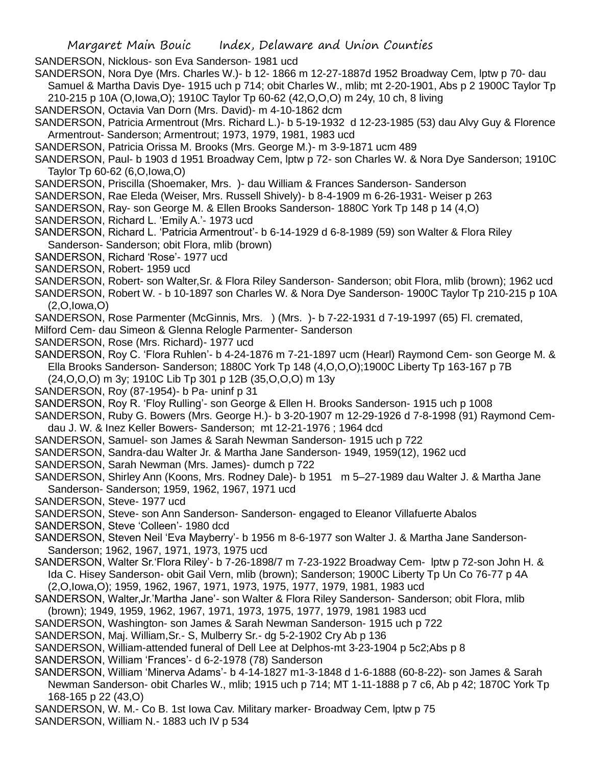SANDERSON, Nicklous- son Eva Sanderson- 1981 ucd

- SANDERSON, Nora Dye (Mrs. Charles W.)- b 12- 1866 m 12-27-1887d 1952 Broadway Cem, lptw p 70- dau Samuel & Martha Davis Dye- 1915 uch p 714; obit Charles W., mlib; mt 2-20-1901, Abs p 2 1900C Taylor Tp
- 210-215 p 10A (O,Iowa,O); 1910C Taylor Tp 60-62 (42,O,O,O) m 24y, 10 ch, 8 living
- SANDERSON, Octavia Van Dorn (Mrs. David)- m 4-10-1862 dcm
- SANDERSON, Patricia Armentrout (Mrs. Richard L.)- b 5-19-1932 d 12-23-1985 (53) dau Alvy Guy & Florence Armentrout- Sanderson; Armentrout; 1973, 1979, 1981, 1983 ucd
- SANDERSON, Patricia Orissa M. Brooks (Mrs. George M.)- m 3-9-1871 ucm 489
- SANDERSON, Paul- b 1903 d 1951 Broadway Cem, lptw p 72- son Charles W. & Nora Dye Sanderson; 1910C Taylor Tp 60-62 (6,O,Iowa,O)
- SANDERSON, Priscilla (Shoemaker, Mrs. )- dau William & Frances Sanderson- Sanderson
- SANDERSON, Rae Eleda (Weiser, Mrs. Russell Shively)- b 8-4-1909 m 6-26-1931- Weiser p 263
- SANDERSON, Ray- son George M. & Ellen Brooks Sanderson- 1880C York Tp 148 p 14 (4,O)
- SANDERSON, Richard L. 'Emily A.'- 1973 ucd
- SANDERSON, Richard L. 'Patricia Armentrout'- b 6-14-1929 d 6-8-1989 (59) son Walter & Flora Riley Sanderson- Sanderson; obit Flora, mlib (brown)
- SANDERSON, Richard 'Rose'- 1977 ucd
- SANDERSON, Robert- 1959 ucd
- SANDERSON, Robert- son Walter,Sr. & Flora Riley Sanderson- Sanderson; obit Flora, mlib (brown); 1962 ucd
- SANDERSON, Robert W. b 10-1897 son Charles W. & Nora Dye Sanderson- 1900C Taylor Tp 210-215 p 10A (2,O,Iowa,O)
- SANDERSON, Rose Parmenter (McGinnis, Mrs. ) (Mrs. )- b 7-22-1931 d 7-19-1997 (65) Fl. cremated,
- Milford Cem- dau Simeon & Glenna Relogle Parmenter- Sanderson
- SANDERSON, Rose (Mrs. Richard)- 1977 ucd
- SANDERSON, Roy C. 'Flora Ruhlen'- b 4-24-1876 m 7-21-1897 ucm (Hearl) Raymond Cem- son George M. & Ella Brooks Sanderson- Sanderson; 1880C York Tp 148 (4,O,O,O);1900C Liberty Tp 163-167 p 7B (24,O,O,O) m 3y; 1910C Lib Tp 301 p 12B (35,O,O,O) m 13y
- SANDERSON, Roy (87-1954)- b Pa- uninf p 31
- SANDERSON, Roy R. 'Floy Rulling'- son George & Ellen H. Brooks Sanderson- 1915 uch p 1008
- SANDERSON, Ruby G. Bowers (Mrs. George H.)- b 3-20-1907 m 12-29-1926 d 7-8-1998 (91) Raymond Cemdau J. W. & Inez Keller Bowers- Sanderson; mt 12-21-1976 ; 1964 dcd
- SANDERSON, Samuel- son James & Sarah Newman Sanderson- 1915 uch p 722
- SANDERSON, Sandra-dau Walter Jr. & Martha Jane Sanderson- 1949, 1959(12), 1962 ucd
- SANDERSON, Sarah Newman (Mrs. James)- dumch p 722
- SANDERSON, Shirley Ann (Koons, Mrs. Rodney Dale)- b 1951 m 5–27-1989 dau Walter J. & Martha Jane Sanderson- Sanderson; 1959, 1962, 1967, 1971 ucd
- SANDERSON, Steve- 1977 ucd
- SANDERSON, Steve- son Ann Sanderson- Sanderson- engaged to Eleanor Villafuerte Abalos
- SANDERSON, Steve 'Colleen'- 1980 dcd
- SANDERSON, Steven Neil 'Eva Mayberry'- b 1956 m 8-6-1977 son Walter J. & Martha Jane Sanderson-Sanderson; 1962, 1967, 1971, 1973, 1975 ucd
- SANDERSON, Walter Sr.'Flora Riley'- b 7-26-1898/7 m 7-23-1922 Broadway Cem- lptw p 72-son John H. & Ida C. Hisey Sanderson- obit Gail Vern, mlib (brown); Sanderson; 1900C Liberty Tp Un Co 76-77 p 4A (2,O,Iowa,O); 1959, 1962, 1967, 1971, 1973, 1975, 1977, 1979, 1981, 1983 ucd
- SANDERSON, Walter,Jr.'Martha Jane'- son Walter & Flora Riley Sanderson- Sanderson; obit Flora, mlib (brown); 1949, 1959, 1962, 1967, 1971, 1973, 1975, 1977, 1979, 1981 1983 ucd
- SANDERSON, Washington- son James & Sarah Newman Sanderson- 1915 uch p 722
- SANDERSON, Maj. William,Sr.- S, Mulberry Sr.- dg 5-2-1902 Cry Ab p 136
- SANDERSON, William-attended funeral of Dell Lee at Delphos-mt 3-23-1904 p 5c2;Abs p 8
- SANDERSON, William 'Frances'- d 6-2-1978 (78) Sanderson
- SANDERSON, William 'Minerva Adams'- b 4-14-1827 m1-3-1848 d 1-6-1888 (60-8-22)- son James & Sarah Newman Sanderson- obit Charles W., mlib; 1915 uch p 714; MT 1-11-1888 p 7 c6, Ab p 42; 1870C York Tp 168-165 p 22 (43,O)
- SANDERSON, W. M.- Co B. 1st Iowa Cav. Military marker- Broadway Cem, lptw p 75 SANDERSON, William N.- 1883 uch IV p 534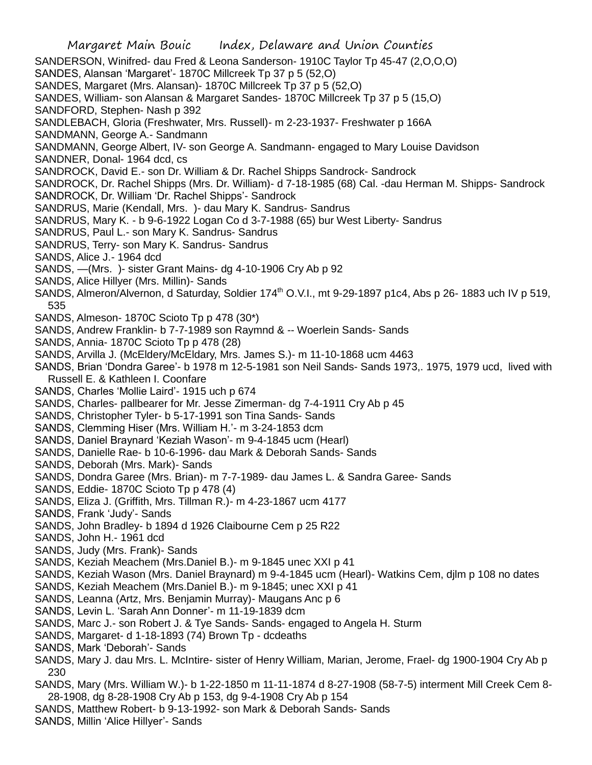Margaret Main Bouic Index, Delaware and Union Counties SANDERSON, Winifred- dau Fred & Leona Sanderson- 1910C Taylor Tp 45-47 (2,O,O,O) SANDES, Alansan 'Margaret'- 1870C Millcreek Tp 37 p 5 (52,O) SANDES, Margaret (Mrs. Alansan)- 1870C Millcreek Tp 37 p 5 (52,O) SANDES, William- son Alansan & Margaret Sandes- 1870C Millcreek Tp 37 p 5 (15,O) SANDFORD, Stephen- Nash p 392 SANDLEBACH, Gloria (Freshwater, Mrs. Russell)- m 2-23-1937- Freshwater p 166A SANDMANN, George A.- Sandmann SANDMANN, George Albert, IV- son George A. Sandmann- engaged to Mary Louise Davidson SANDNER, Donal- 1964 dcd, cs SANDROCK, David E.- son Dr. William & Dr. Rachel Shipps Sandrock- Sandrock SANDROCK, Dr. Rachel Shipps (Mrs. Dr. William)- d 7-18-1985 (68) Cal. -dau Herman M. Shipps- Sandrock SANDROCK, Dr. William 'Dr. Rachel Shipps'- Sandrock SANDRUS, Marie (Kendall, Mrs. )- dau Mary K. Sandrus- Sandrus SANDRUS, Mary K. - b 9-6-1922 Logan Co d 3-7-1988 (65) bur West Liberty- Sandrus SANDRUS, Paul L.- son Mary K. Sandrus- Sandrus SANDRUS, Terry- son Mary K. Sandrus- Sandrus SANDS, Alice J.- 1964 dcd SANDS, —(Mrs. )- sister Grant Mains- dg 4-10-1906 Cry Ab p 92 SANDS, Alice Hillyer (Mrs. Millin)- Sands SANDS, Almeron/Alvernon, d Saturday, Soldier 174<sup>th</sup> O.V.I., mt 9-29-1897 p1c4, Abs p 26-1883 uch IV p 519, 535 SANDS, Almeson- 1870C Scioto Tp p 478 (30\*) SANDS, Andrew Franklin- b 7-7-1989 son Raymnd & -- Woerlein Sands- Sands SANDS, Annia- 1870C Scioto Tp p 478 (28) SANDS, Arvilla J. (McEldery/McEldary, Mrs. James S.)- m 11-10-1868 ucm 4463 SANDS, Brian 'Dondra Garee'- b 1978 m 12-5-1981 son Neil Sands- Sands 1973,. 1975, 1979 ucd, lived with Russell E. & Kathleen I. Coonfare SANDS, Charles 'Mollie Laird'- 1915 uch p 674 SANDS, Charles- pallbearer for Mr. Jesse Zimerman- dg 7-4-1911 Cry Ab p 45 SANDS, Christopher Tyler- b 5-17-1991 son Tina Sands- Sands SANDS, Clemming Hiser (Mrs. William H.'- m 3-24-1853 dcm SANDS, Daniel Braynard 'Keziah Wason'- m 9-4-1845 ucm (Hearl) SANDS, Danielle Rae- b 10-6-1996- dau Mark & Deborah Sands- Sands SANDS, Deborah (Mrs. Mark)- Sands SANDS, Dondra Garee (Mrs. Brian)- m 7-7-1989- dau James L. & Sandra Garee- Sands SANDS, Eddie- 1870C Scioto Tp p 478 (4) SANDS, Eliza J. (Griffith, Mrs. Tillman R.)- m 4-23-1867 ucm 4177 SANDS, Frank 'Judy'- Sands SANDS, John Bradley- b 1894 d 1926 Claibourne Cem p 25 R22 SANDS, John H.- 1961 dcd SANDS, Judy (Mrs. Frank)- Sands SANDS, Keziah Meachem (Mrs.Daniel B.)- m 9-1845 unec XXI p 41 SANDS, Keziah Wason (Mrs. Daniel Braynard) m 9-4-1845 ucm (Hearl)- Watkins Cem, djlm p 108 no dates SANDS, Keziah Meachem (Mrs.Daniel B.)- m 9-1845; unec XXI p 41 SANDS, Leanna (Artz, Mrs. Benjamin Murray)- Maugans Anc p 6 SANDS, Levin L. 'Sarah Ann Donner'- m 11-19-1839 dcm SANDS, Marc J.- son Robert J. & Tye Sands- Sands- engaged to Angela H. Sturm SANDS, Margaret- d 1-18-1893 (74) Brown Tp - dcdeaths SANDS, Mark 'Deborah'- Sands SANDS, Mary J. dau Mrs. L. McIntire- sister of Henry William, Marian, Jerome, Frael- dg 1900-1904 Cry Ab p 230

SANDS, Mary (Mrs. William W.)- b 1-22-1850 m 11-11-1874 d 8-27-1908 (58-7-5) interment Mill Creek Cem 8- 28-1908, dg 8-28-1908 Cry Ab p 153, dg 9-4-1908 Cry Ab p 154

SANDS, Matthew Robert- b 9-13-1992- son Mark & Deborah Sands- Sands

SANDS, Millin 'Alice Hillyer'- Sands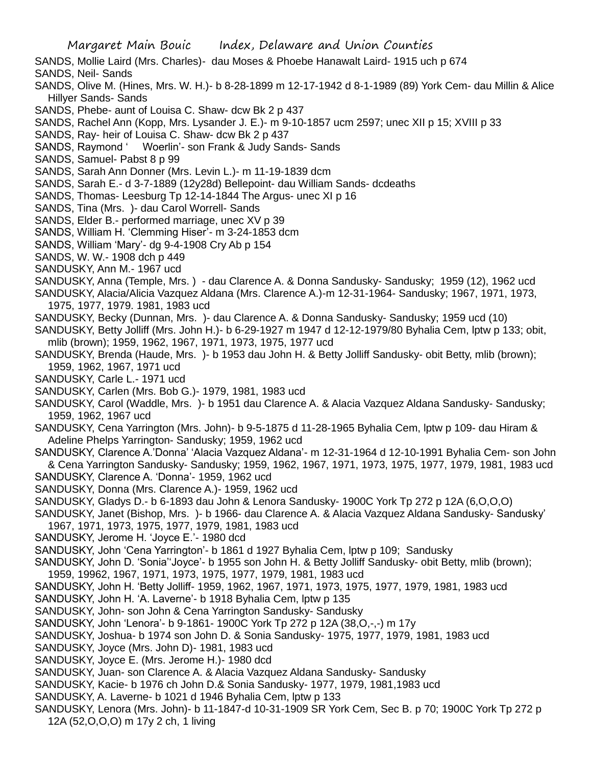- SANDS, Mollie Laird (Mrs. Charles)- dau Moses & Phoebe Hanawalt Laird- 1915 uch p 674
- SANDS, Neil- Sands
- SANDS, Olive M. (Hines, Mrs. W. H.)- b 8-28-1899 m 12-17-1942 d 8-1-1989 (89) York Cem- dau Millin & Alice Hillyer Sands- Sands
- SANDS, Phebe- aunt of Louisa C. Shaw- dcw Bk 2 p 437
- SANDS, Rachel Ann (Kopp, Mrs. Lysander J. E.)- m 9-10-1857 ucm 2597; unec XII p 15; XVIII p 33
- SANDS, Ray- heir of Louisa C. Shaw- dcw Bk 2 p 437
- SANDS, Raymond ' Woerlin'- son Frank & Judy Sands- Sands
- SANDS, Samuel- Pabst 8 p 99
- SANDS, Sarah Ann Donner (Mrs. Levin L.)- m 11-19-1839 dcm
- SANDS, Sarah E.- d 3-7-1889 (12y28d) Bellepoint- dau William Sands- dcdeaths
- SANDS, Thomas- Leesburg Tp 12-14-1844 The Argus- unec XI p 16
- SANDS, Tina (Mrs. )- dau Carol Worrell- Sands
- SANDS, Elder B.- performed marriage, unec XV p 39
- SANDS, William H. 'Clemming Hiser'- m 3-24-1853 dcm
- SANDS, William 'Mary'- dg 9-4-1908 Cry Ab p 154
- SANDS, W. W.- 1908 dch p 449
- SANDUSKY, Ann M.- 1967 ucd
- SANDUSKY, Anna (Temple, Mrs. ) dau Clarence A. & Donna Sandusky- Sandusky; 1959 (12), 1962 ucd
- SANDUSKY, Alacia/Alicia Vazquez Aldana (Mrs. Clarence A.)-m 12-31-1964- Sandusky; 1967, 1971, 1973, 1975, 1977, 1979. 1981, 1983 ucd
- SANDUSKY, Becky (Dunnan, Mrs. )- dau Clarence A. & Donna Sandusky- Sandusky; 1959 ucd (10)
- SANDUSKY, Betty Jolliff (Mrs. John H.)- b 6-29-1927 m 1947 d 12-12-1979/80 Byhalia Cem, lptw p 133; obit, mlib (brown); 1959, 1962, 1967, 1971, 1973, 1975, 1977 ucd
- SANDUSKY, Brenda (Haude, Mrs. )- b 1953 dau John H. & Betty Jolliff Sandusky- obit Betty, mlib (brown); 1959, 1962, 1967, 1971 ucd
- SANDUSKY, Carle L.- 1971 ucd
- SANDUSKY, Carlen (Mrs. Bob G.)- 1979, 1981, 1983 ucd
- SANDUSKY, Carol (Waddle, Mrs. )- b 1951 dau Clarence A. & Alacia Vazquez Aldana Sandusky- Sandusky; 1959, 1962, 1967 ucd
- SANDUSKY, Cena Yarrington (Mrs. John)- b 9-5-1875 d 11-28-1965 Byhalia Cem, lptw p 109- dau Hiram & Adeline Phelps Yarrington- Sandusky; 1959, 1962 ucd
- SANDUSKY, Clarence A.'Donna' 'Alacia Vazquez Aldana'- m 12-31-1964 d 12-10-1991 Byhalia Cem- son John & Cena Yarrington Sandusky- Sandusky; 1959, 1962, 1967, 1971, 1973, 1975, 1977, 1979, 1981, 1983 ucd
- SANDUSKY, Clarence A. 'Donna'- 1959, 1962 ucd
- SANDUSKY, Donna (Mrs. Clarence A.)- 1959, 1962 ucd
- SANDUSKY, Gladys D.- b 6-1893 dau John & Lenora Sandusky- 1900C York Tp 272 p 12A (6,O,O,O)
- SANDUSKY, Janet (Bishop, Mrs. )- b 1966- dau Clarence A. & Alacia Vazquez Aldana Sandusky- Sandusky'
- 1967, 1971, 1973, 1975, 1977, 1979, 1981, 1983 ucd
- SANDUSKY, Jerome H. 'Joyce E.'- 1980 dcd
- SANDUSKY, John 'Cena Yarrington'- b 1861 d 1927 Byhalia Cem, lptw p 109; Sandusky
- SANDUSKY, John D. 'Sonia''Joyce'- b 1955 son John H. & Betty Jolliff Sandusky- obit Betty, mlib (brown); 1959, 19962, 1967, 1971, 1973, 1975, 1977, 1979, 1981, 1983 ucd
- SANDUSKY, John H. 'Betty Jolliff- 1959, 1962, 1967, 1971, 1973, 1975, 1977, 1979, 1981, 1983 ucd
- SANDUSKY, John H. 'A. Laverne'- b 1918 Byhalia Cem, lptw p 135
- SANDUSKY, John- son John & Cena Yarrington Sandusky- Sandusky
- SANDUSKY, John 'Lenora'- b 9-1861- 1900C York Tp 272 p 12A (38,O,-,-) m 17y
- SANDUSKY, Joshua- b 1974 son John D. & Sonia Sandusky- 1975, 1977, 1979, 1981, 1983 ucd
- SANDUSKY, Joyce (Mrs. John D)- 1981, 1983 ucd
- SANDUSKY, Joyce E. (Mrs. Jerome H.)- 1980 dcd
- SANDUSKY, Juan- son Clarence A. & Alacia Vazquez Aldana Sandusky- Sandusky
- SANDUSKY, Kacie- b 1976 ch John D.& Sonia Sandusky- 1977, 1979, 1981,1983 ucd
- SANDUSKY, A. Laverne- b 1021 d 1946 Byhalia Cem, lptw p 133
- SANDUSKY, Lenora (Mrs. John)- b 11-1847-d 10-31-1909 SR York Cem, Sec B. p 70; 1900C York Tp 272 p 12A (52,O,O,O) m 17y 2 ch, 1 living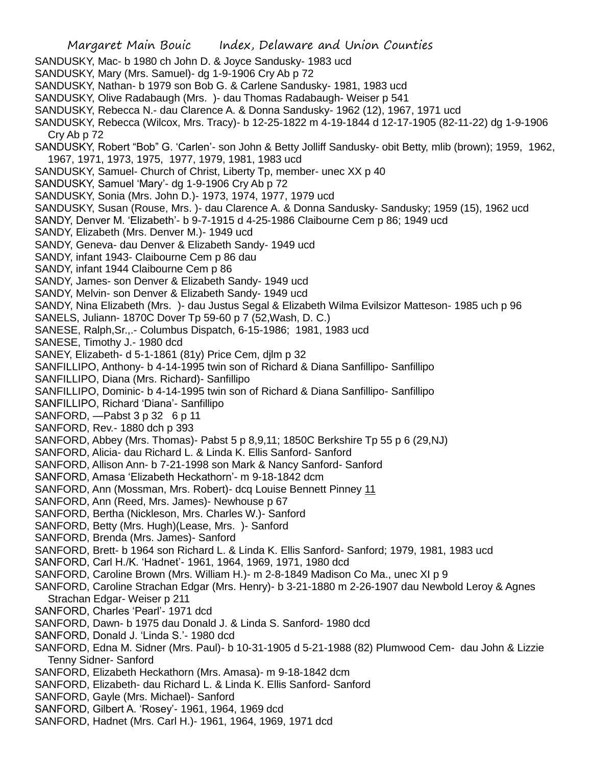- Margaret Main Bouic Index, Delaware and Union Counties SANDUSKY, Mac- b 1980 ch John D. & Joyce Sandusky- 1983 ucd SANDUSKY, Mary (Mrs. Samuel)- dg 1-9-1906 Cry Ab p 72 SANDUSKY, Nathan- b 1979 son Bob G. & Carlene Sandusky- 1981, 1983 ucd SANDUSKY, Olive Radabaugh (Mrs. )- dau Thomas Radabaugh- Weiser p 541 SANDUSKY, Rebecca N.- dau Clarence A. & Donna Sandusky- 1962 (12), 1967, 1971 ucd SANDUSKY, Rebecca (Wilcox, Mrs. Tracy)- b 12-25-1822 m 4-19-1844 d 12-17-1905 (82-11-22) dg 1-9-1906 Cry Ab p 72 SANDUSKY, Robert "Bob" G. 'Carlen'- son John & Betty Jolliff Sandusky- obit Betty, mlib (brown); 1959, 1962, 1967, 1971, 1973, 1975, 1977, 1979, 1981, 1983 ucd SANDUSKY, Samuel- Church of Christ, Liberty Tp, member- unec XX p 40 SANDUSKY, Samuel 'Mary'- dg 1-9-1906 Cry Ab p 72 SANDUSKY, Sonia (Mrs. John D.)- 1973, 1974, 1977, 1979 ucd SANDUSKY, Susan (Rouse, Mrs. )- dau Clarence A. & Donna Sandusky- Sandusky; 1959 (15), 1962 ucd SANDY, Denver M. 'Elizabeth'- b 9-7-1915 d 4-25-1986 Claibourne Cem p 86; 1949 ucd SANDY, Elizabeth (Mrs. Denver M.)- 1949 ucd SANDY, Geneva- dau Denver & Elizabeth Sandy- 1949 ucd SANDY, infant 1943- Claibourne Cem p 86 dau SANDY, infant 1944 Claibourne Cem p 86 SANDY, James- son Denver & Elizabeth Sandy- 1949 ucd SANDY, Melvin- son Denver & Elizabeth Sandy- 1949 ucd SANDY, Nina Elizabeth (Mrs. )- dau Justus Segal & Elizabeth Wilma Evilsizor Matteson- 1985 uch p 96 SANELS, Juliann- 1870C Dover Tp 59-60 p 7 (52,Wash, D. C.) SANESE, Ralph,Sr.,.- Columbus Dispatch, 6-15-1986; 1981, 1983 ucd SANESE, Timothy J.- 1980 dcd SANEY, Elizabeth- d 5-1-1861 (81y) Price Cem, djlm p 32 SANFILLIPO, Anthony- b 4-14-1995 twin son of Richard & Diana Sanfillipo- Sanfillipo SANFILLIPO, Diana (Mrs. Richard)- Sanfillipo SANFILLIPO, Dominic- b 4-14-1995 twin son of Richard & Diana Sanfillipo- Sanfillipo SANFILLIPO, Richard 'Diana'- Sanfillipo SANFORD, —Pabst 3 p 32 6 p 11 SANFORD, Rev.- 1880 dch p 393 SANFORD, Abbey (Mrs. Thomas)- Pabst 5 p 8,9,11; 1850C Berkshire Tp 55 p 6 (29,NJ) SANFORD, Alicia- dau Richard L. & Linda K. Ellis Sanford- Sanford SANFORD, Allison Ann- b 7-21-1998 son Mark & Nancy Sanford- Sanford SANFORD, Amasa 'Elizabeth Heckathorn'- m 9-18-1842 dcm SANFORD, Ann (Mossman, Mrs. Robert)- dcq Louise Bennett Pinney 11 SANFORD, Ann (Reed, Mrs. James)- Newhouse p 67 SANFORD, Bertha (Nickleson, Mrs. Charles W.)- Sanford SANFORD, Betty (Mrs. Hugh)(Lease, Mrs. )- Sanford SANFORD, Brenda (Mrs. James)- Sanford SANFORD, Brett- b 1964 son Richard L. & Linda K. Ellis Sanford- Sanford; 1979, 1981, 1983 ucd SANFORD, Carl H./K. 'Hadnet'- 1961, 1964, 1969, 1971, 1980 dcd SANFORD, Caroline Brown (Mrs. William H.)- m 2-8-1849 Madison Co Ma., unec XI p 9 SANFORD, Caroline Strachan Edgar (Mrs. Henry)- b 3-21-1880 m 2-26-1907 dau Newbold Leroy & Agnes Strachan Edgar- Weiser p 211 SANFORD, Charles 'Pearl'- 1971 dcd SANFORD, Dawn- b 1975 dau Donald J. & Linda S. Sanford- 1980 dcd SANFORD, Donald J. 'Linda S.'- 1980 dcd SANFORD, Edna M. Sidner (Mrs. Paul)- b 10-31-1905 d 5-21-1988 (82) Plumwood Cem- dau John & Lizzie Tenny Sidner- Sanford SANFORD, Elizabeth Heckathorn (Mrs. Amasa)- m 9-18-1842 dcm SANFORD, Elizabeth- dau Richard L. & Linda K. Ellis Sanford- Sanford SANFORD, Gayle (Mrs. Michael)- Sanford
- SANFORD, Gilbert A. 'Rosey'- 1961, 1964, 1969 dcd
- SANFORD, Hadnet (Mrs. Carl H.)- 1961, 1964, 1969, 1971 dcd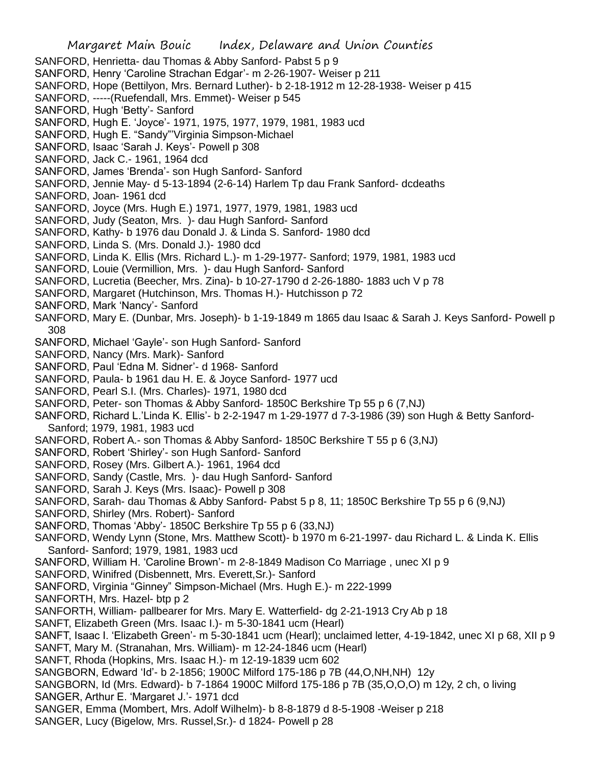- SANFORD, Henrietta- dau Thomas & Abby Sanford- Pabst 5 p 9
- SANFORD, Henry 'Caroline Strachan Edgar'- m 2-26-1907- Weiser p 211
- SANFORD, Hope (Bettilyon, Mrs. Bernard Luther)- b 2-18-1912 m 12-28-1938- Weiser p 415
- SANFORD, -----(Ruefendall, Mrs. Emmet)- Weiser p 545
- SANFORD, Hugh 'Betty'- Sanford
- SANFORD, Hugh E. 'Joyce'- 1971, 1975, 1977, 1979, 1981, 1983 ucd
- SANFORD, Hugh E. "Sandy"'Virginia Simpson-Michael
- SANFORD, Isaac 'Sarah J. Keys'- Powell p 308
- SANFORD, Jack C.- 1961, 1964 dcd
- SANFORD, James 'Brenda'- son Hugh Sanford- Sanford
- SANFORD, Jennie May- d 5-13-1894 (2-6-14) Harlem Tp dau Frank Sanford- dcdeaths
- SANFORD, Joan- 1961 dcd
- SANFORD, Joyce (Mrs. Hugh E.) 1971, 1977, 1979, 1981, 1983 ucd
- SANFORD, Judy (Seaton, Mrs. )- dau Hugh Sanford- Sanford
- SANFORD, Kathy- b 1976 dau Donald J. & Linda S. Sanford- 1980 dcd
- SANFORD, Linda S. (Mrs. Donald J.)- 1980 dcd
- SANFORD, Linda K. Ellis (Mrs. Richard L.)- m 1-29-1977- Sanford; 1979, 1981, 1983 ucd
- SANFORD, Louie (Vermillion, Mrs. )- dau Hugh Sanford- Sanford
- SANFORD, Lucretia (Beecher, Mrs. Zina)- b 10-27-1790 d 2-26-1880- 1883 uch V p 78
- SANFORD, Margaret (Hutchinson, Mrs. Thomas H.)- Hutchisson p 72
- SANFORD, Mark 'Nancy'- Sanford
- SANFORD, Mary E. (Dunbar, Mrs. Joseph)- b 1-19-1849 m 1865 dau Isaac & Sarah J. Keys Sanford- Powell p 308
- SANFORD, Michael 'Gayle'- son Hugh Sanford- Sanford
- SANFORD, Nancy (Mrs. Mark)- Sanford
- SANFORD, Paul 'Edna M. Sidner'- d 1968- Sanford
- SANFORD, Paula- b 1961 dau H. E. & Joyce Sanford- 1977 ucd
- SANFORD, Pearl S.I. (Mrs. Charles)- 1971, 1980 dcd
- SANFORD, Peter- son Thomas & Abby Sanford- 1850C Berkshire Tp 55 p 6 (7,NJ)
- SANFORD, Richard L.'Linda K. Ellis'- b 2-2-1947 m 1-29-1977 d 7-3-1986 (39) son Hugh & Betty Sanford-Sanford; 1979, 1981, 1983 ucd
- SANFORD, Robert A.- son Thomas & Abby Sanford- 1850C Berkshire T 55 p 6 (3,NJ)
- SANFORD, Robert 'Shirley'- son Hugh Sanford- Sanford
- SANFORD, Rosey (Mrs. Gilbert A.)- 1961, 1964 dcd
- SANFORD, Sandy (Castle, Mrs. )- dau Hugh Sanford- Sanford
- SANFORD, Sarah J. Keys (Mrs. Isaac)- Powell p 308
- SANFORD, Sarah- dau Thomas & Abby Sanford- Pabst 5 p 8, 11; 1850C Berkshire Tp 55 p 6 (9,NJ)
- SANFORD, Shirley (Mrs. Robert)- Sanford
- SANFORD, Thomas 'Abby'- 1850C Berkshire Tp 55 p 6 (33,NJ)
- SANFORD, Wendy Lynn (Stone, Mrs. Matthew Scott)- b 1970 m 6-21-1997- dau Richard L. & Linda K. Ellis Sanford- Sanford; 1979, 1981, 1983 ucd
- SANFORD, William H. 'Caroline Brown'- m 2-8-1849 Madison Co Marriage , unec XI p 9
- SANFORD, Winifred (Disbennett, Mrs. Everett,Sr.)- Sanford
- SANFORD, Virginia "Ginney" Simpson-Michael (Mrs. Hugh E.)- m 222-1999
- SANFORTH, Mrs. Hazel- btp p 2
- SANFORTH, William- pallbearer for Mrs. Mary E. Watterfield- dg 2-21-1913 Cry Ab p 18
- SANFT, Elizabeth Green (Mrs. Isaac I.)- m 5-30-1841 ucm (Hearl)
- SANFT, Isaac I. 'Elizabeth Green'- m 5-30-1841 ucm (Hearl); unclaimed letter, 4-19-1842, unec XI p 68, XII p 9
- SANFT, Mary M. (Stranahan, Mrs. William)- m 12-24-1846 ucm (Hearl)
- SANFT, Rhoda (Hopkins, Mrs. Isaac H.)- m 12-19-1839 ucm 602
- SANGBORN, Edward 'Id'- b 2-1856; 1900C Milford 175-186 p 7B (44,O,NH,NH) 12y
- SANGBORN, Id (Mrs. Edward)- b 7-1864 1900C Milford 175-186 p 7B (35,O,O,O) m 12y, 2 ch, o living
- SANGER, Arthur E. 'Margaret J.'- 1971 dcd
- SANGER, Emma (Mombert, Mrs. Adolf Wilhelm)- b 8-8-1879 d 8-5-1908 -Weiser p 218
- SANGER, Lucy (Bigelow, Mrs. Russel,Sr.)- d 1824- Powell p 28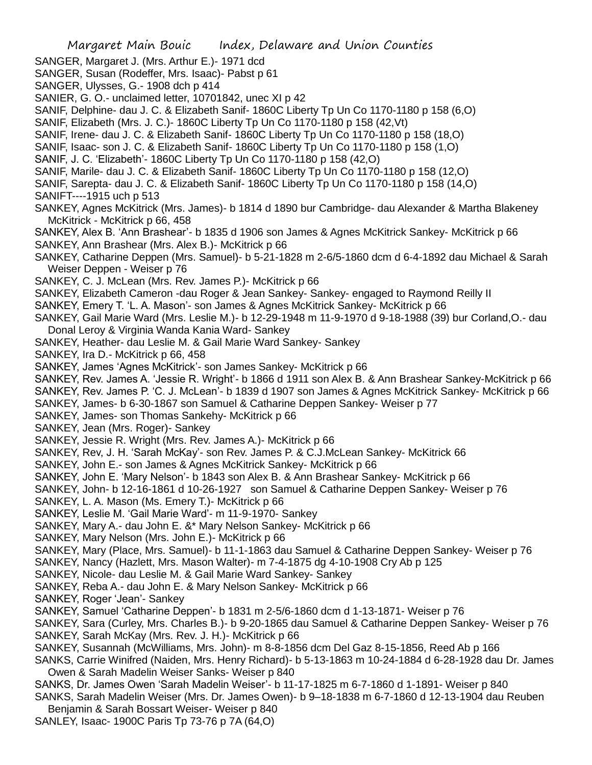SANGER, Margaret J. (Mrs. Arthur E.)- 1971 dcd

- SANGER, Susan (Rodeffer, Mrs. Isaac)- Pabst p 61
- SANGER, Ulysses, G.- 1908 dch p 414
- SANIER, G. O.- unclaimed letter, 10701842, unec XI p 42
- SANIF, Delphine- dau J. C. & Elizabeth Sanif- 1860C Liberty Tp Un Co 1170-1180 p 158 (6,O)
- SANIF, Elizabeth (Mrs. J. C.)- 1860C Liberty Tp Un Co 1170-1180 p 158 (42,Vt)
- SANIF, Irene- dau J. C. & Elizabeth Sanif- 1860C Liberty Tp Un Co 1170-1180 p 158 (18,O)
- SANIF, Isaac- son J. C. & Elizabeth Sanif- 1860C Liberty Tp Un Co 1170-1180 p 158 (1,O)
- SANIF, J. C. 'Elizabeth'- 1860C Liberty Tp Un Co 1170-1180 p 158 (42,O)
- SANIF, Marile- dau J. C. & Elizabeth Sanif- 1860C Liberty Tp Un Co 1170-1180 p 158 (12,O)
- SANIF, Sarepta- dau J. C. & Elizabeth Sanif- 1860C Liberty Tp Un Co 1170-1180 p 158 (14,O) SANIFT----1915 uch p 513
- SANKEY, Agnes McKitrick (Mrs. James)- b 1814 d 1890 bur Cambridge- dau Alexander & Martha Blakeney McKitrick - McKitrick p 66, 458
- SANKEY, Alex B. 'Ann Brashear'- b 1835 d 1906 son James & Agnes McKitrick Sankey- McKitrick p 66 SANKEY, Ann Brashear (Mrs. Alex B.)- McKitrick p 66
- SANKEY, Catharine Deppen (Mrs. Samuel)- b 5-21-1828 m 2-6/5-1860 dcm d 6-4-1892 dau Michael & Sarah Weiser Deppen - Weiser p 76
- SANKEY, C. J. McLean (Mrs. Rev. James P.)- McKitrick p 66
- SANKEY, Elizabeth Cameron -dau Roger & Jean Sankey- Sankey- engaged to Raymond Reilly II
- SANKEY, Emery T. 'L. A. Mason'- son James & Agnes McKitrick Sankey- McKitrick p 66
- SANKEY, Gail Marie Ward (Mrs. Leslie M.)- b 12-29-1948 m 11-9-1970 d 9-18-1988 (39) bur Corland,O.- dau Donal Leroy & Virginia Wanda Kania Ward- Sankey
- SANKEY, Heather- dau Leslie M. & Gail Marie Ward Sankey- Sankey
- SANKEY, Ira D.- McKitrick p 66, 458
- SANKEY, James 'Agnes McKitrick'- son James Sankey- McKitrick p 66
- SANKEY, Rev. James A. 'Jessie R. Wright'- b 1866 d 1911 son Alex B. & Ann Brashear Sankey-McKitrick p 66
- SANKEY, Rev. James P. 'C. J. McLean'- b 1839 d 1907 son James & Agnes McKitrick Sankey- McKitrick p 66
- SANKEY, James- b 6-30-1867 son Samuel & Catharine Deppen Sankey- Weiser p 77
- SANKEY, James- son Thomas Sankehy- McKitrick p 66
- SANKEY, Jean (Mrs. Roger) Sankey
- SANKEY, Jessie R. Wright (Mrs. Rev. James A.)- McKitrick p 66
- SANKEY, Rev, J. H. 'Sarah McKay'- son Rev. James P. & C.J.McLean Sankey- McKitrick 66
- SANKEY, John E.- son James & Agnes McKitrick Sankey- McKitrick p 66
- SANKEY, John E. 'Mary Nelson'- b 1843 son Alex B. & Ann Brashear Sankey- McKitrick p 66
- SANKEY, John- b 12-16-1861 d 10-26-1927 son Samuel & Catharine Deppen Sankey- Weiser p 76
- SANKEY, L. A. Mason (Ms. Emery T.)- McKitrick p 66
- SANKEY, Leslie M. 'Gail Marie Ward'- m 11-9-1970- Sankey
- SANKEY, Mary A.- dau John E. &\* Mary Nelson Sankey- McKitrick p 66
- SANKEY, Mary Nelson (Mrs. John E.)- McKitrick p 66
- SANKEY, Mary (Place, Mrs. Samuel)- b 11-1-1863 dau Samuel & Catharine Deppen Sankey- Weiser p 76
- SANKEY, Nancy (Hazlett, Mrs. Mason Walter)- m 7-4-1875 dg 4-10-1908 Cry Ab p 125
- SANKEY, Nicole- dau Leslie M. & Gail Marie Ward Sankey- Sankey
- SANKEY, Reba A.- dau John E. & Mary Nelson Sankey- McKitrick p 66
- SANKEY, Roger 'Jean'- Sankey
- SANKEY, Samuel 'Catharine Deppen'- b 1831 m 2-5/6-1860 dcm d 1-13-1871- Weiser p 76
- SANKEY, Sara (Curley, Mrs. Charles B.)- b 9-20-1865 dau Samuel & Catharine Deppen Sankey- Weiser p 76
- SANKEY, Sarah McKay (Mrs. Rev. J. H.)- McKitrick p 66
- SANKEY, Susannah (McWilliams, Mrs. John)- m 8-8-1856 dcm Del Gaz 8-15-1856, Reed Ab p 166
- SANKS, Carrie Winifred (Naiden, Mrs. Henry Richard)- b 5-13-1863 m 10-24-1884 d 6-28-1928 dau Dr. James Owen & Sarah Madelin Weiser Sanks- Weiser p 840
- SANKS, Dr. James Owen 'Sarah Madelin Weiser'- b 11-17-1825 m 6-7-1860 d 1-1891- Weiser p 840
- SANKS, Sarah Madelin Weiser (Mrs. Dr. James Owen)- b 9–18-1838 m 6-7-1860 d 12-13-1904 dau Reuben Benjamin & Sarah Bossart Weiser- Weiser p 840
- SANLEY, Isaac- 1900C Paris Tp 73-76 p 7A (64,O)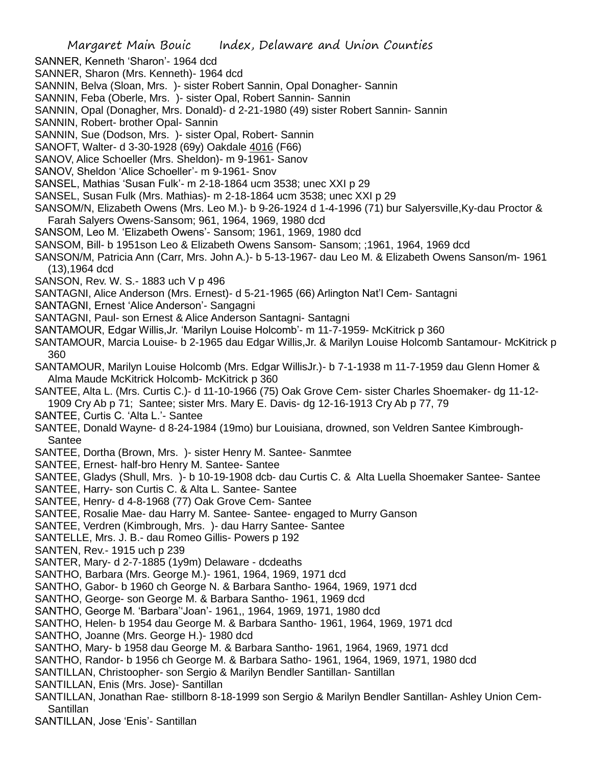SANNER, Kenneth 'Sharon'- 1964 dcd

SANNER, Sharon (Mrs. Kenneth)- 1964 dcd

SANNIN, Belva (Sloan, Mrs. )- sister Robert Sannin, Opal Donagher- Sannin

SANNIN, Feba (Oberle, Mrs. )- sister Opal, Robert Sannin- Sannin

SANNIN, Opal (Donagher, Mrs. Donald)- d 2-21-1980 (49) sister Robert Sannin- Sannin

SANNIN, Robert- brother Opal- Sannin

SANNIN, Sue (Dodson, Mrs. )- sister Opal, Robert- Sannin

SANOFT, Walter- d 3-30-1928 (69y) Oakdale 4016 (F66)

SANOV, Alice Schoeller (Mrs. Sheldon)- m 9-1961- Sanov

SANOV, Sheldon 'Alice Schoeller'- m 9-1961- Snov

SANSEL, Mathias 'Susan Fulk'- m 2-18-1864 ucm 3538; unec XXI p 29

SANSEL, Susan Fulk (Mrs. Mathias)- m 2-18-1864 ucm 3538; unec XXI p 29

SANSOM/N, Elizabeth Owens (Mrs. Leo M.)- b 9-26-1924 d 1-4-1996 (71) bur Salyersville,Ky-dau Proctor & Farah Salyers Owens-Sansom; 961, 1964, 1969, 1980 dcd

SANSOM, Leo M. 'Elizabeth Owens'- Sansom; 1961, 1969, 1980 dcd

SANSOM, Bill- b 1951son Leo & Elizabeth Owens Sansom- Sansom; ;1961, 1964, 1969 dcd

SANSON/M, Patricia Ann (Carr, Mrs. John A.)- b 5-13-1967- dau Leo M. & Elizabeth Owens Sanson/m- 1961 (13),1964 dcd

SANSON, Rev. W. S.- 1883 uch V p 496

SANTAGNI, Alice Anderson (Mrs. Ernest)- d 5-21-1965 (66) Arlington Nat'l Cem- Santagni

SANTAGNI, Ernest 'Alice Anderson'- Sangagni

SANTAGNI, Paul- son Ernest & Alice Anderson Santagni- Santagni

SANTAMOUR, Edgar Willis,Jr. 'Marilyn Louise Holcomb'- m 11-7-1959- McKitrick p 360

SANTAMOUR, Marcia Louise- b 2-1965 dau Edgar Willis,Jr. & Marilyn Louise Holcomb Santamour- McKitrick p 360

SANTAMOUR, Marilyn Louise Holcomb (Mrs. Edgar WillisJr.)- b 7-1-1938 m 11-7-1959 dau Glenn Homer & Alma Maude McKitrick Holcomb- McKitrick p 360

SANTEE, Alta L. (Mrs. Curtis C.)- d 11-10-1966 (75) Oak Grove Cem- sister Charles Shoemaker- dg 11-12- 1909 Cry Ab p 71; Santee; sister Mrs. Mary E. Davis- dg 12-16-1913 Cry Ab p 77, 79

SANTEE, Curtis C. 'Alta L.'- Santee

SANTEE, Donald Wayne- d 8-24-1984 (19mo) bur Louisiana, drowned, son Veldren Santee Kimbrough-Santee

SANTEE, Dortha (Brown, Mrs. )- sister Henry M. Santee- Sanmtee

SANTEE, Ernest- half-bro Henry M. Santee- Santee

SANTEE, Gladys (Shull, Mrs. )- b 10-19-1908 dcb- dau Curtis C. & Alta Luella Shoemaker Santee- Santee

SANTEE, Harry- son Curtis C. & Alta L. Santee- Santee

SANTEE, Henry- d 4-8-1968 (77) Oak Grove Cem- Santee

SANTEE, Rosalie Mae- dau Harry M. Santee- Santee- engaged to Murry Ganson

SANTEE, Verdren (Kimbrough, Mrs. )- dau Harry Santee- Santee

SANTELLE, Mrs. J. B.- dau Romeo Gillis- Powers p 192

SANTEN, Rev.- 1915 uch p 239

SANTER, Mary- d 2-7-1885 (1y9m) Delaware - dcdeaths

SANTHO, Barbara (Mrs. George M.)- 1961, 1964, 1969, 1971 dcd

SANTHO, Gabor- b 1960 ch George N. & Barbara Santho- 1964, 1969, 1971 dcd

SANTHO, George- son George M. & Barbara Santho- 1961, 1969 dcd

SANTHO, George M. 'Barbara''Joan'- 1961,, 1964, 1969, 1971, 1980 dcd

SANTHO, Helen- b 1954 dau George M. & Barbara Santho- 1961, 1964, 1969, 1971 dcd

SANTHO, Joanne (Mrs. George H.)- 1980 dcd

SANTHO, Mary- b 1958 dau George M. & Barbara Santho- 1961, 1964, 1969, 1971 dcd

SANTHO, Randor- b 1956 ch George M. & Barbara Satho- 1961, 1964, 1969, 1971, 1980 dcd

SANTILLAN, Christoopher- son Sergio & Marilyn Bendler Santillan- Santillan

SANTILLAN, Enis (Mrs. Jose)- Santillan

SANTILLAN, Jonathan Rae- stillborn 8-18-1999 son Sergio & Marilyn Bendler Santillan- Ashley Union Cem-Santillan

SANTILLAN, Jose 'Enis'- Santillan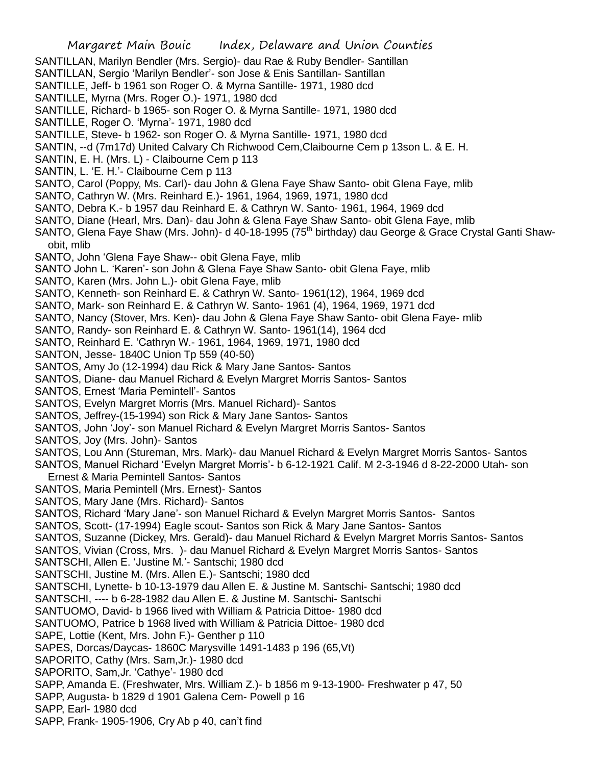SANTILLAN, Marilyn Bendler (Mrs. Sergio)- dau Rae & Ruby Bendler- Santillan

SANTILLAN, Sergio 'Marilyn Bendler'- son Jose & Enis Santillan- Santillan

SANTILLE, Jeff- b 1961 son Roger O. & Myrna Santille- 1971, 1980 dcd

SANTILLE, Myrna (Mrs. Roger O.)- 1971, 1980 dcd

SANTILLE, Richard- b 1965- son Roger O. & Myrna Santille- 1971, 1980 dcd

SANTILLE, Roger O. 'Myrna'- 1971, 1980 dcd

SANTILLE, Steve- b 1962- son Roger O. & Myrna Santille- 1971, 1980 dcd

SANTIN, --d (7m17d) United Calvary Ch Richwood Cem,Claibourne Cem p 13son L. & E. H.

SANTIN, E. H. (Mrs. L) - Claibourne Cem p 113

SANTIN, L. 'E. H.'- Claibourne Cem p 113

SANTO, Carol (Poppy, Ms. Carl)- dau John & Glena Faye Shaw Santo- obit Glena Faye, mlib

SANTO, Cathryn W. (Mrs. Reinhard E.)- 1961, 1964, 1969, 1971, 1980 dcd

SANTO, Debra K.- b 1957 dau Reinhard E. & Cathryn W. Santo- 1961, 1964, 1969 dcd

SANTO, Diane (Hearl, Mrs. Dan)- dau John & Glena Faye Shaw Santo- obit Glena Faye, mlib

SANTO, Glena Faye Shaw (Mrs. John)- d 40-18-1995 (75<sup>th</sup> birthday) dau George & Grace Crystal Ganti Shawobit, mlib

SANTO, John 'Glena Faye Shaw-- obit Glena Faye, mlib

SANTO John L. 'Karen'- son John & Glena Faye Shaw Santo- obit Glena Faye, mlib

SANTO, Karen (Mrs. John L.)- obit Glena Faye, mlib

SANTO, Kenneth- son Reinhard E. & Cathryn W. Santo- 1961(12), 1964, 1969 dcd

SANTO, Mark- son Reinhard E. & Cathryn W. Santo- 1961 (4), 1964, 1969, 1971 dcd

SANTO, Nancy (Stover, Mrs. Ken)- dau John & Glena Faye Shaw Santo- obit Glena Faye- mlib

SANTO, Randy- son Reinhard E. & Cathryn W. Santo- 1961(14), 1964 dcd

SANTO, Reinhard E. 'Cathryn W.- 1961, 1964, 1969, 1971, 1980 dcd

SANTON, Jesse- 1840C Union Tp 559 (40-50)

SANTOS, Amy Jo (12-1994) dau Rick & Mary Jane Santos- Santos

SANTOS, Diane- dau Manuel Richard & Evelyn Margret Morris Santos- Santos

SANTOS, Ernest 'Maria Pemintell'- Santos

SANTOS, Evelyn Margret Morris (Mrs. Manuel Richard)- Santos

SANTOS, Jeffrey-(15-1994) son Rick & Mary Jane Santos- Santos

SANTOS, John 'Joy'- son Manuel Richard & Evelyn Margret Morris Santos- Santos

SANTOS, Joy (Mrs. John)- Santos

SANTOS, Lou Ann (Stureman, Mrs. Mark)- dau Manuel Richard & Evelyn Margret Morris Santos- Santos

SANTOS, Manuel Richard 'Evelyn Margret Morris'- b 6-12-1921 Calif. M 2-3-1946 d 8-22-2000 Utah- son Ernest & Maria Pemintell Santos- Santos

SANTOS, Maria Pemintell (Mrs. Ernest)- Santos

SANTOS, Mary Jane (Mrs. Richard)- Santos

SANTOS, Richard 'Mary Jane'- son Manuel Richard & Evelyn Margret Morris Santos- Santos

SANTOS, Scott- (17-1994) Eagle scout- Santos son Rick & Mary Jane Santos- Santos

SANTOS, Suzanne (Dickey, Mrs. Gerald)- dau Manuel Richard & Evelyn Margret Morris Santos- Santos

SANTOS, Vivian (Cross, Mrs. )- dau Manuel Richard & Evelyn Margret Morris Santos- Santos

SANTSCHI, Allen E. 'Justine M.'- Santschi; 1980 dcd

SANTSCHI, Justine M. (Mrs. Allen E.)- Santschi; 1980 dcd

SANTSCHI, Lynette- b 10-13-1979 dau Allen E. & Justine M. Santschi- Santschi; 1980 dcd

SANTSCHI, ---- b 6-28-1982 dau Allen E. & Justine M. Santschi- Santschi

SANTUOMO, David- b 1966 lived with William & Patricia Dittoe- 1980 dcd

SANTUOMO, Patrice b 1968 lived with William & Patricia Dittoe- 1980 dcd

SAPE, Lottie (Kent, Mrs. John F.)- Genther p 110

SAPES, Dorcas/Daycas- 1860C Marysville 1491-1483 p 196 (65,Vt)

SAPORITO, Cathy (Mrs. Sam,Jr.)- 1980 dcd

SAPORITO, Sam,Jr. 'Cathye'- 1980 dcd

SAPP, Amanda E. (Freshwater, Mrs. William Z.)- b 1856 m 9-13-1900- Freshwater p 47, 50

SAPP, Augusta- b 1829 d 1901 Galena Cem- Powell p 16

SAPP, Earl- 1980 dcd

SAPP, Frank- 1905-1906, Cry Ab p 40, can't find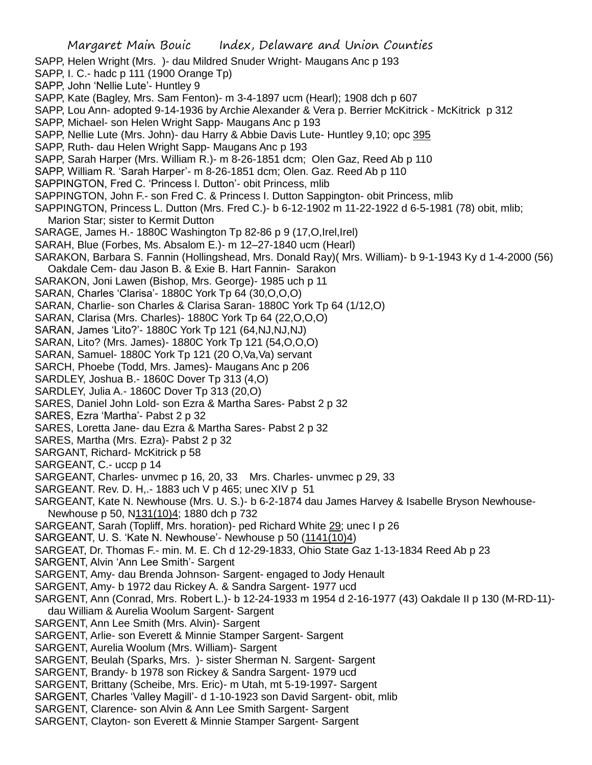SAPP, Helen Wright (Mrs. )- dau Mildred Snuder Wright- Maugans Anc p 193

SAPP, I. C.- hadc p 111 (1900 Orange Tp)

SAPP, John 'Nellie Lute'- Huntley 9

SAPP, Kate (Bagley, Mrs. Sam Fenton)- m 3-4-1897 ucm (Hearl); 1908 dch p 607

SAPP, Lou Ann- adopted 9-14-1936 by Archie Alexander & Vera p. Berrier McKitrick - McKitrick p 312

SAPP, Michael- son Helen Wright Sapp- Maugans Anc p 193

SAPP, Nellie Lute (Mrs. John)- dau Harry & Abbie Davis Lute- Huntley 9,10; opc 395

SAPP, Ruth- dau Helen Wright Sapp- Maugans Anc p 193

SAPP, Sarah Harper (Mrs. William R.)- m 8-26-1851 dcm; Olen Gaz, Reed Ab p 110

SAPP, William R. 'Sarah Harper'- m 8-26-1851 dcm; Olen. Gaz. Reed Ab p 110

SAPPINGTON, Fred C. 'Princess l. Dutton'- obit Princess, mlib

SAPPINGTON, John F.- son Fred C. & Princess I. Dutton Sappington- obit Princess, mlib

SAPPINGTON, Princess L. Dutton (Mrs. Fred C.)- b 6-12-1902 m 11-22-1922 d 6-5-1981 (78) obit, mlib;

Marion Star; sister to Kermit Dutton

SARAGE, James H.- 1880C Washington Tp 82-86 p 9 (17,O,Irel,Irel)

SARAH, Blue (Forbes, Ms. Absalom E.)- m 12–27-1840 ucm (Hearl)

SARAKON, Barbara S. Fannin (Hollingshead, Mrs. Donald Ray)( Mrs. William)- b 9-1-1943 Ky d 1-4-2000 (56) Oakdale Cem- dau Jason B. & Exie B. Hart Fannin- Sarakon

SARAKON, Joni Lawen (Bishop, Mrs. George)- 1985 uch p 11

SARAN, Charles 'Clarisa'- 1880C York Tp 64 (30,O,O,O)

SARAN, Charlie- son Charles & Clarisa Saran- 1880C York Tp 64 (1/12,O)

SARAN, Clarisa (Mrs. Charles)- 1880C York Tp 64 (22,O,O,O)

SARAN, James 'Lito?'- 1880C York Tp 121 (64,NJ,NJ,NJ)

SARAN, Lito? (Mrs. James)- 1880C York Tp 121 (54,O,O,O)

SARAN, Samuel- 1880C York Tp 121 (20 O,Va,Va) servant

SARCH, Phoebe (Todd, Mrs. James)- Maugans Anc p 206

SARDLEY, Joshua B.- 1860C Dover Tp 313 (4,O)

SARDLEY, Julia A.- 1860C Dover Tp 313 (20,O)

SARES, Daniel John Lold- son Ezra & Martha Sares- Pabst 2 p 32

SARES, Ezra 'Martha'- Pabst 2 p 32

SARES, Loretta Jane- dau Ezra & Martha Sares- Pabst 2 p 32

SARES, Martha (Mrs. Ezra)- Pabst 2 p 32

SARGANT, Richard- McKitrick p 58

SARGEANT, C.- uccp p 14

SARGEANT, Charles- unvmec p 16, 20, 33 Mrs. Charles- unvmec p 29, 33

SARGEANT. Rev. D. H,.- 1883 uch V p 465; unec XIV p 51

SARGEANT, Kate N. Newhouse (Mrs. U. S.)- b 6-2-1874 dau James Harvey & Isabelle Bryson Newhouse-Newhouse p 50, N131(10)4; 1880 dch p 732

SARGEANT, Sarah (Topliff, Mrs. horation)- ped Richard White 29; unec I p 26

SARGEANT, U. S. 'Kate N. Newhouse'- Newhouse p 50 (1141(10)4)

SARGEAT, Dr. Thomas F.- min. M. E. Ch d 12-29-1833, Ohio State Gaz 1-13-1834 Reed Ab p 23

SARGENT, Alvin 'Ann Lee Smith'- Sargent

SARGENT, Amy- dau Brenda Johnson- Sargent- engaged to Jody Henault

SARGENT, Amy- b 1972 dau Rickey A. & Sandra Sargent- 1977 ucd

SARGENT, Ann (Conrad, Mrs. Robert L.)- b 12-24-1933 m 1954 d 2-16-1977 (43) Oakdale II p 130 (M-RD-11) dau William & Aurelia Woolum Sargent- Sargent

SARGENT, Ann Lee Smith (Mrs. Alvin)- Sargent

SARGENT, Arlie- son Everett & Minnie Stamper Sargent- Sargent

SARGENT, Aurelia Woolum (Mrs. William)- Sargent

SARGENT, Beulah (Sparks, Mrs. )- sister Sherman N. Sargent- Sargent

SARGENT, Brandy- b 1978 son Rickey & Sandra Sargent- 1979 ucd

SARGENT, Brittany (Scheibe, Mrs. Eric)- m Utah, mt 5-19-1997- Sargent

SARGENT, Charles 'Valley Magill'- d 1-10-1923 son David Sargent- obit, mlib

SARGENT, Clarence- son Alvin & Ann Lee Smith Sargent- Sargent

SARGENT, Clayton- son Everett & Minnie Stamper Sargent- Sargent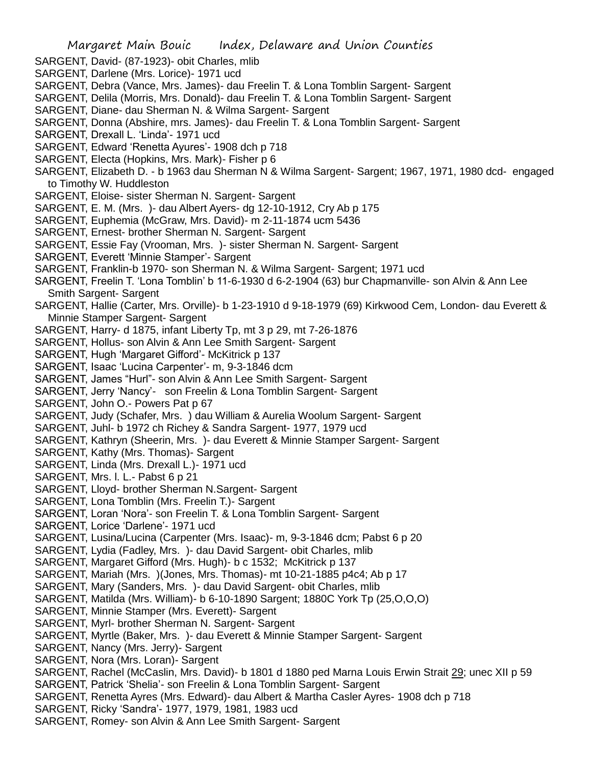- SARGENT, David- (87-1923)- obit Charles, mlib
- SARGENT, Darlene (Mrs. Lorice)- 1971 ucd
- SARGENT, Debra (Vance, Mrs. James)- dau Freelin T. & Lona Tomblin Sargent- Sargent
- SARGENT, Delila (Morris, Mrs. Donald)- dau Freelin T. & Lona Tomblin Sargent- Sargent
- SARGENT, Diane- dau Sherman N. & Wilma Sargent- Sargent
- SARGENT, Donna (Abshire, mrs. James)- dau Freelin T. & Lona Tomblin Sargent- Sargent
- SARGENT, Drexall L. 'Linda'- 1971 ucd
- SARGENT, Edward 'Renetta Ayures'- 1908 dch p 718
- SARGENT, Electa (Hopkins, Mrs. Mark)- Fisher p 6
- SARGENT, Elizabeth D. b 1963 dau Sherman N & Wilma Sargent- Sargent; 1967, 1971, 1980 dcd- engaged to Timothy W. Huddleston
- SARGENT, Eloise- sister Sherman N. Sargent- Sargent
- SARGENT, E. M. (Mrs. )- dau Albert Ayers- dg 12-10-1912, Cry Ab p 175
- SARGENT, Euphemia (McGraw, Mrs. David)- m 2-11-1874 ucm 5436
- SARGENT, Ernest- brother Sherman N. Sargent- Sargent
- SARGENT, Essie Fay (Vrooman, Mrs. )- sister Sherman N. Sargent- Sargent
- SARGENT, Everett 'Minnie Stamper'- Sargent
- SARGENT, Franklin-b 1970- son Sherman N. & Wilma Sargent- Sargent; 1971 ucd
- SARGENT, Freelin T. 'Lona Tomblin' b 11-6-1930 d 6-2-1904 (63) bur Chapmanville- son Alvin & Ann Lee Smith Sargent- Sargent
- SARGENT, Hallie (Carter, Mrs. Orville)- b 1-23-1910 d 9-18-1979 (69) Kirkwood Cem, London- dau Everett & Minnie Stamper Sargent- Sargent
- SARGENT, Harry- d 1875, infant Liberty Tp, mt 3 p 29, mt 7-26-1876
- SARGENT, Hollus- son Alvin & Ann Lee Smith Sargent- Sargent
- SARGENT, Hugh 'Margaret Gifford'- McKitrick p 137
- SARGENT, Isaac 'Lucina Carpenter'- m, 9-3-1846 dcm
- SARGENT, James "Hurl"- son Alvin & Ann Lee Smith Sargent- Sargent
- SARGENT, Jerry 'Nancy'- son Freelin & Lona Tomblin Sargent- Sargent
- SARGENT, John O.- Powers Pat p 67
- SARGENT, Judy (Schafer, Mrs. ) dau William & Aurelia Woolum Sargent- Sargent
- SARGENT, Juhl- b 1972 ch Richey & Sandra Sargent- 1977, 1979 ucd
- SARGENT, Kathryn (Sheerin, Mrs. )- dau Everett & Minnie Stamper Sargent- Sargent
- SARGENT, Kathy (Mrs. Thomas)- Sargent
- SARGENT, Linda (Mrs. Drexall L.)- 1971 ucd
- SARGENT, Mrs. l. L.- Pabst 6 p 21
- SARGENT, Lloyd- brother Sherman N.Sargent- Sargent
- SARGENT, Lona Tomblin (Mrs. Freelin T.)- Sargent
- SARGENT, Loran 'Nora'- son Freelin T. & Lona Tomblin Sargent- Sargent
- SARGENT, Lorice 'Darlene'- 1971 ucd
- SARGENT, Lusina/Lucina (Carpenter (Mrs. Isaac)- m, 9-3-1846 dcm; Pabst 6 p 20
- SARGENT, Lydia (Fadley, Mrs. )- dau David Sargent- obit Charles, mlib
- SARGENT, Margaret Gifford (Mrs. Hugh)- b c 1532; McKitrick p 137
- SARGENT, Mariah (Mrs. )(Jones, Mrs. Thomas)- mt 10-21-1885 p4c4; Ab p 17
- SARGENT, Mary (Sanders, Mrs. )- dau David Sargent- obit Charles, mlib
- SARGENT, Matilda (Mrs. William)- b 6-10-1890 Sargent; 1880C York Tp (25,O,O,O)
- SARGENT, Minnie Stamper (Mrs. Everett)- Sargent
- SARGENT, Myrl- brother Sherman N. Sargent- Sargent
- SARGENT, Myrtle (Baker, Mrs. )- dau Everett & Minnie Stamper Sargent- Sargent
- SARGENT, Nancy (Mrs. Jerry)- Sargent
- SARGENT, Nora (Mrs. Loran)- Sargent
- SARGENT, Rachel (McCaslin, Mrs. David)- b 1801 d 1880 ped Marna Louis Erwin Strait 29; unec XII p 59
- SARGENT, Patrick 'Shelia'- son Freelin & Lona Tomblin Sargent- Sargent
- SARGENT, Renetta Ayres (Mrs. Edward)- dau Albert & Martha Casler Ayres- 1908 dch p 718
- SARGENT, Ricky 'Sandra'- 1977, 1979, 1981, 1983 ucd
- SARGENT, Romey- son Alvin & Ann Lee Smith Sargent- Sargent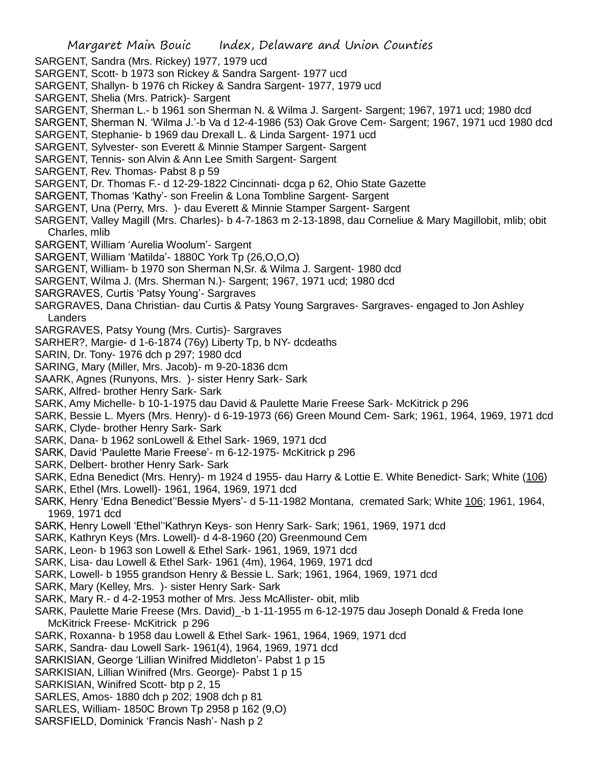- SARGENT, Sandra (Mrs. Rickey) 1977, 1979 ucd
- SARGENT, Scott- b 1973 son Rickey & Sandra Sargent- 1977 ucd
- SARGENT, Shallyn- b 1976 ch Rickey & Sandra Sargent- 1977, 1979 ucd
- SARGENT, Shelia (Mrs. Patrick)- Sargent
- SARGENT, Sherman L.- b 1961 son Sherman N. & Wilma J. Sargent- Sargent; 1967, 1971 ucd; 1980 dcd
- SARGENT, Sherman N. 'Wilma J.'-b Va d 12-4-1986 (53) Oak Grove Cem- Sargent; 1967, 1971 ucd 1980 dcd
- SARGENT, Stephanie- b 1969 dau Drexall L. & Linda Sargent- 1971 ucd
- SARGENT, Sylvester- son Everett & Minnie Stamper Sargent- Sargent
- SARGENT, Tennis- son Alvin & Ann Lee Smith Sargent- Sargent
- SARGENT, Rev. Thomas- Pabst 8 p 59
- SARGENT, Dr. Thomas F.- d 12-29-1822 Cincinnati- dcga p 62, Ohio State Gazette
- SARGENT, Thomas 'Kathy'- son Freelin & Lona Tombline Sargent- Sargent
- SARGENT, Una (Perry, Mrs. )- dau Everett & Minnie Stamper Sargent- Sargent
- SARGENT, Valley Magill (Mrs. Charles)- b 4-7-1863 m 2-13-1898, dau Corneliue & Mary Magillobit, mlib; obit Charles, mlib
- SARGENT, William 'Aurelia Woolum'- Sargent
- SARGENT, William 'Matilda'- 1880C York Tp (26,O,O,O)
- SARGENT, William- b 1970 son Sherman N,Sr. & Wilma J. Sargent- 1980 dcd
- SARGENT, Wilma J. (Mrs. Sherman N.)- Sargent; 1967, 1971 ucd; 1980 dcd
- SARGRAVES, Curtis 'Patsy Young'- Sargraves
- SARGRAVES, Dana Christian- dau Curtis & Patsy Young Sargraves- Sargraves- engaged to Jon Ashley Landers
- SARGRAVES, Patsy Young (Mrs. Curtis)- Sargraves
- SARHER?, Margie- d 1-6-1874 (76y) Liberty Tp, b NY- dcdeaths
- SARIN, Dr. Tony- 1976 dch p 297; 1980 dcd
- SARING, Mary (Miller, Mrs. Jacob)- m 9-20-1836 dcm
- SAARK, Agnes (Runyons, Mrs. )- sister Henry Sark- Sark
- SARK, Alfred- brother Henry Sark- Sark
- SARK, Amy Michelle- b 10-1-1975 dau David & Paulette Marie Freese Sark- McKitrick p 296
- SARK, Bessie L. Myers (Mrs. Henry)- d 6-19-1973 (66) Green Mound Cem- Sark; 1961, 1964, 1969, 1971 dcd
- SARK, Clyde- brother Henry Sark- Sark
- SARK, Dana- b 1962 sonLowell & Ethel Sark- 1969, 1971 dcd
- SARK, David 'Paulette Marie Freese'- m 6-12-1975- McKitrick p 296
- SARK, Delbert- brother Henry Sark- Sark
- SARK, Edna Benedict (Mrs. Henry)- m 1924 d 1955- dau Harry & Lottie E. White Benedict- Sark; White (106)
- SARK, Ethel (Mrs. Lowell)- 1961, 1964, 1969, 1971 dcd
- SARK, Henry 'Edna Benedict''Bessie Myers'- d 5-11-1982 Montana, cremated Sark; White 106; 1961, 1964, 1969, 1971 dcd
- SARK, Henry Lowell 'Ethel''Kathryn Keys- son Henry Sark- Sark; 1961, 1969, 1971 dcd
- SARK, Kathryn Keys (Mrs. Lowell)- d 4-8-1960 (20) Greenmound Cem
- SARK, Leon- b 1963 son Lowell & Ethel Sark- 1961, 1969, 1971 dcd
- SARK, Lisa- dau Lowell & Ethel Sark- 1961 (4m), 1964, 1969, 1971 dcd
- SARK, Lowell- b 1955 grandson Henry & Bessie L. Sark; 1961, 1964, 1969, 1971 dcd
- SARK, Mary (Kelley, Mrs. )- sister Henry Sark- Sark
- SARK, Mary R.- d 4-2-1953 mother of Mrs. Jess McAllister- obit, mlib
- SARK, Paulette Marie Freese (Mrs. David)\_-b 1-11-1955 m 6-12-1975 dau Joseph Donald & Freda Ione McKitrick Freese- McKitrick p 296
- SARK, Roxanna- b 1958 dau Lowell & Ethel Sark- 1961, 1964, 1969, 1971 dcd
- SARK, Sandra- dau Lowell Sark- 1961(4), 1964, 1969, 1971 dcd
- SARKISIAN, George 'Lillian Winifred Middleton'- Pabst 1 p 15
- SARKISIAN, Lillian Winifred (Mrs. George)- Pabst 1 p 15
- SARKISIAN, Winifred Scott- btp p 2, 15
- SARLES, Amos- 1880 dch p 202; 1908 dch p 81
- SARLES, William- 1850C Brown Tp 2958 p 162 (9,O)
- SARSFIELD, Dominick 'Francis Nash'- Nash p 2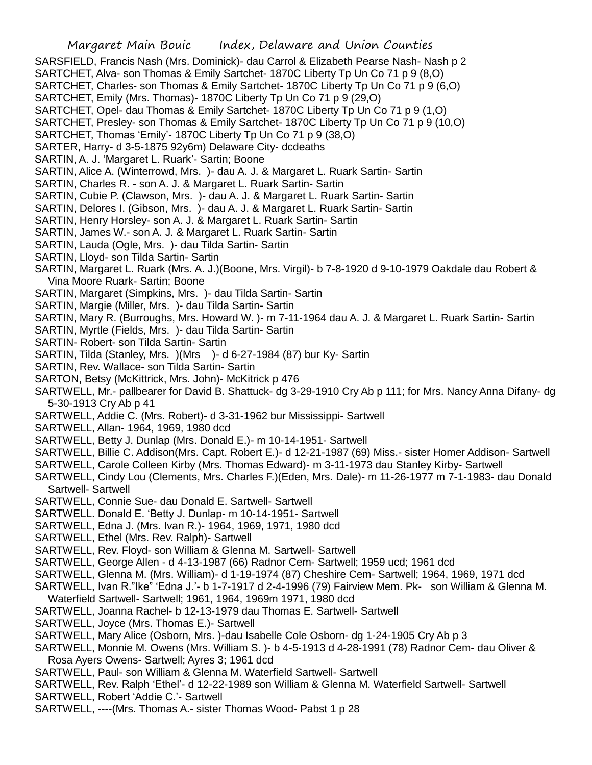- SARSFIELD, Francis Nash (Mrs. Dominick)- dau Carrol & Elizabeth Pearse Nash- Nash p 2
- SARTCHET, Alva- son Thomas & Emily Sartchet- 1870C Liberty Tp Un Co 71 p 9 (8,O)
- SARTCHET, Charles- son Thomas & Emily Sartchet- 1870C Liberty Tp Un Co 71 p 9 (6,O)
- SARTCHET, Emily (Mrs. Thomas)- 1870C Liberty Tp Un Co 71 p 9 (29,O)
- SARTCHET, Opel- dau Thomas & Emily Sartchet- 1870C Liberty Tp Un Co 71 p 9 (1,O)
- SARTCHET, Presley- son Thomas & Emily Sartchet- 1870C Liberty Tp Un Co 71 p 9 (10,O)
- SARTCHET, Thomas 'Emily'- 1870C Liberty Tp Un Co 71 p 9 (38,O)
- SARTER, Harry- d 3-5-1875 92y6m) Delaware City- dcdeaths
- SARTIN, A. J. 'Margaret L. Ruark'- Sartin; Boone
- SARTIN, Alice A. (Winterrowd, Mrs. )- dau A. J. & Margaret L. Ruark Sartin- Sartin
- SARTIN, Charles R. son A. J. & Margaret L. Ruark Sartin- Sartin
- SARTIN, Cubie P. (Clawson, Mrs. )- dau A. J. & Margaret L. Ruark Sartin- Sartin
- SARTIN, Delores I. (Gibson, Mrs. )- dau A. J. & Margaret L. Ruark Sartin- Sartin
- SARTIN, Henry Horsley- son A. J. & Margaret L. Ruark Sartin- Sartin
- SARTIN, James W.- son A. J. & Margaret L. Ruark Sartin- Sartin
- SARTIN, Lauda (Ogle, Mrs. )- dau Tilda Sartin- Sartin
- SARTIN, Lloyd- son Tilda Sartin- Sartin
- SARTIN, Margaret L. Ruark (Mrs. A. J.)(Boone, Mrs. Virgil)- b 7-8-1920 d 9-10-1979 Oakdale dau Robert & Vina Moore Ruark- Sartin; Boone
- SARTIN, Margaret (Simpkins, Mrs. )- dau Tilda Sartin- Sartin
- SARTIN, Margie (Miller, Mrs. )- dau Tilda Sartin- Sartin
- SARTIN, Mary R. (Burroughs, Mrs. Howard W. )- m 7-11-1964 dau A. J. & Margaret L. Ruark Sartin- Sartin
- SARTIN, Myrtle (Fields, Mrs. )- dau Tilda Sartin- Sartin
- SARTIN- Robert- son Tilda Sartin- Sartin
- SARTIN, Tilda (Stanley, Mrs. )(Mrs )- d 6-27-1984 (87) bur Ky- Sartin
- SARTIN, Rev. Wallace- son Tilda Sartin- Sartin
- SARTON, Betsy (McKittrick, Mrs. John)- McKitrick p 476
- SARTWELL, Mr.- pallbearer for David B. Shattuck- dg 3-29-1910 Cry Ab p 111; for Mrs. Nancy Anna Difany- dg 5-30-1913 Cry Ab p 41
- SARTWELL, Addie C. (Mrs. Robert)- d 3-31-1962 bur Mississippi- Sartwell
- SARTWELL, Allan- 1964, 1969, 1980 dcd
- SARTWELL, Betty J. Dunlap (Mrs. Donald E.)- m 10-14-1951- Sartwell
- SARTWELL, Billie C. Addison(Mrs. Capt. Robert E.)- d 12-21-1987 (69) Miss.- sister Homer Addison- Sartwell
- SARTWELL, Carole Colleen Kirby (Mrs. Thomas Edward)- m 3-11-1973 dau Stanley Kirby- Sartwell
- SARTWELL, Cindy Lou (Clements, Mrs. Charles F.)(Eden, Mrs. Dale)- m 11-26-1977 m 7-1-1983- dau Donald Sartwell- Sartwell
- SARTWELL, Connie Sue- dau Donald E. Sartwell- Sartwell
- SARTWELL. Donald E. 'Betty J. Dunlap- m 10-14-1951- Sartwell
- SARTWELL, Edna J. (Mrs. Ivan R.)- 1964, 1969, 1971, 1980 dcd
- SARTWELL, Ethel (Mrs. Rev. Ralph)- Sartwell
- SARTWELL, Rev. Floyd- son William & Glenna M. Sartwell- Sartwell
- SARTWELL, George Allen d 4-13-1987 (66) Radnor Cem- Sartwell; 1959 ucd; 1961 dcd
- SARTWELL, Glenna M. (Mrs. William)- d 1-19-1974 (87) Cheshire Cem- Sartwell; 1964, 1969, 1971 dcd
- SARTWELL, Ivan R."Ike" 'Edna J.'- b 1-7-1917 d 2-4-1996 (79) Fairview Mem. Pk- son William & Glenna M.
- Waterfield Sartwell- Sartwell; 1961, 1964, 1969m 1971, 1980 dcd
- SARTWELL, Joanna Rachel- b 12-13-1979 dau Thomas E. Sartwell- Sartwell
- SARTWELL, Joyce (Mrs. Thomas E.)- Sartwell
- SARTWELL, Mary Alice (Osborn, Mrs. )-dau Isabelle Cole Osborn- dg 1-24-1905 Cry Ab p 3
- SARTWELL, Monnie M. Owens (Mrs. William S. )- b 4-5-1913 d 4-28-1991 (78) Radnor Cem- dau Oliver & Rosa Ayers Owens- Sartwell; Ayres 3; 1961 dcd
- SARTWELL, Paul- son William & Glenna M. Waterfield Sartwell- Sartwell
- SARTWELL, Rev. Ralph 'Ethel'- d 12-22-1989 son William & Glenna M. Waterfield Sartwell- Sartwell
- SARTWELL, Robert 'Addie C.'- Sartwell
- SARTWELL, ----(Mrs. Thomas A.- sister Thomas Wood- Pabst 1 p 28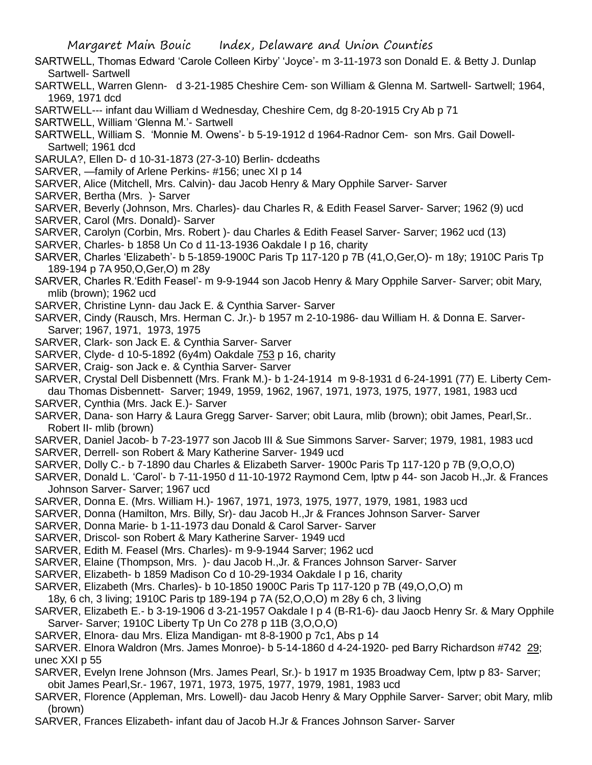- SARTWELL, Thomas Edward 'Carole Colleen Kirby' 'Joyce'- m 3-11-1973 son Donald E. & Betty J. Dunlap Sartwell- Sartwell
- SARTWELL, Warren Glenn- d 3-21-1985 Cheshire Cem- son William & Glenna M. Sartwell- Sartwell; 1964, 1969, 1971 dcd
- SARTWELL--- infant dau William d Wednesday, Cheshire Cem, dg 8-20-1915 Cry Ab p 71
- SARTWELL, William 'Glenna M.'- Sartwell
- SARTWELL, William S. 'Monnie M. Owens'- b 5-19-1912 d 1964-Radnor Cem- son Mrs. Gail Dowell-Sartwell; 1961 dcd
- SARULA?, Ellen D- d 10-31-1873 (27-3-10) Berlin- dcdeaths
- SARVER, —family of Arlene Perkins- #156; unec XI p 14
- SARVER, Alice (Mitchell, Mrs. Calvin)- dau Jacob Henry & Mary Opphile Sarver- Sarver
- SARVER, Bertha (Mrs. )- Sarver
- SARVER, Beverly (Johnson, Mrs. Charles)- dau Charles R, & Edith Feasel Sarver- Sarver; 1962 (9) ucd
- SARVER, Carol (Mrs. Donald)- Sarver
- SARVER, Carolyn (Corbin, Mrs. Robert )- dau Charles & Edith Feasel Sarver- Sarver; 1962 ucd (13)
- SARVER, Charles- b 1858 Un Co d 11-13-1936 Oakdale I p 16, charity
- SARVER, Charles 'Elizabeth'- b 5-1859-1900C Paris Tp 117-120 p 7B (41,O,Ger,O)- m 18y; 1910C Paris Tp 189-194 p 7A 950,O,Ger,O) m 28y
- SARVER, Charles R.'Edith Feasel'- m 9-9-1944 son Jacob Henry & Mary Opphile Sarver- Sarver; obit Mary, mlib (brown); 1962 ucd
- SARVER, Christine Lynn- dau Jack E. & Cynthia Sarver- Sarver
- SARVER, Cindy (Rausch, Mrs. Herman C. Jr.)- b 1957 m 2-10-1986- dau William H. & Donna E. Sarver-Sarver; 1967, 1971, 1973, 1975
- SARVER, Clark- son Jack E. & Cynthia Sarver- Sarver
- SARVER, Clyde- d 10-5-1892 (6y4m) Oakdale 753 p 16, charity
- SARVER, Craig- son Jack e. & Cynthia Sarver- Sarver
- SARVER, Crystal Dell Disbennett (Mrs. Frank M.)- b 1-24-1914 m 9-8-1931 d 6-24-1991 (77) E. Liberty Cemdau Thomas Disbennett- Sarver; 1949, 1959, 1962, 1967, 1971, 1973, 1975, 1977, 1981, 1983 ucd
- SARVER, Cynthia (Mrs. Jack E.)- Sarver
- SARVER, Dana- son Harry & Laura Gregg Sarver- Sarver; obit Laura, mlib (brown); obit James, Pearl,Sr.. Robert II- mlib (brown)
- SARVER, Daniel Jacob- b 7-23-1977 son Jacob III & Sue Simmons Sarver- Sarver; 1979, 1981, 1983 ucd
- SARVER, Derrell- son Robert & Mary Katherine Sarver- 1949 ucd
- SARVER, Dolly C.- b 7-1890 dau Charles & Elizabeth Sarver- 1900c Paris Tp 117-120 p 7B (9,O,O,O)
- SARVER, Donald L. 'Carol'- b 7-11-1950 d 11-10-1972 Raymond Cem, lptw p 44- son Jacob H.,Jr. & Frances Johnson Sarver- Sarver; 1967 ucd
- SARVER, Donna E. (Mrs. William H.)- 1967, 1971, 1973, 1975, 1977, 1979, 1981, 1983 ucd
- SARVER, Donna (Hamilton, Mrs. Billy, Sr)- dau Jacob H.,Jr & Frances Johnson Sarver- Sarver
- SARVER, Donna Marie- b 1-11-1973 dau Donald & Carol Sarver- Sarver
- SARVER, Driscol- son Robert & Mary Katherine Sarver- 1949 ucd
- SARVER, Edith M. Feasel (Mrs. Charles)- m 9-9-1944 Sarver; 1962 ucd
- SARVER, Elaine (Thompson, Mrs. )- dau Jacob H.,Jr. & Frances Johnson Sarver- Sarver
- SARVER, Elizabeth- b 1859 Madison Co d 10-29-1934 Oakdale I p 16, charity
- SARVER, Elizabeth (Mrs. Charles)- b 10-1850 1900C Paris Tp 117-120 p 7B (49,O,O,O) m
- 18y, 6 ch, 3 living; 1910C Paris tp 189-194 p 7A (52,O,O,O) m 28y 6 ch, 3 living
- SARVER, Elizabeth E.- b 3-19-1906 d 3-21-1957 Oakdale I p 4 (B-R1-6)- dau Jaocb Henry Sr. & Mary Opphile Sarver- Sarver; 1910C Liberty Tp Un Co 278 p 11B (3,O,O,O)
- SARVER, Elnora- dau Mrs. Eliza Mandigan- mt 8-8-1900 p 7c1, Abs p 14
- SARVER. Elnora Waldron (Mrs. James Monroe)- b 5-14-1860 d 4-24-1920- ped Barry Richardson #742 29; unec XXI p 55
- SARVER, Evelyn Irene Johnson (Mrs. James Pearl, Sr.)- b 1917 m 1935 Broadway Cem, lptw p 83- Sarver; obit James Pearl,Sr.- 1967, 1971, 1973, 1975, 1977, 1979, 1981, 1983 ucd
- SARVER, Florence (Appleman, Mrs. Lowell)- dau Jacob Henry & Mary Opphile Sarver- Sarver; obit Mary, mlib (brown)
- SARVER, Frances Elizabeth- infant dau of Jacob H.Jr & Frances Johnson Sarver- Sarver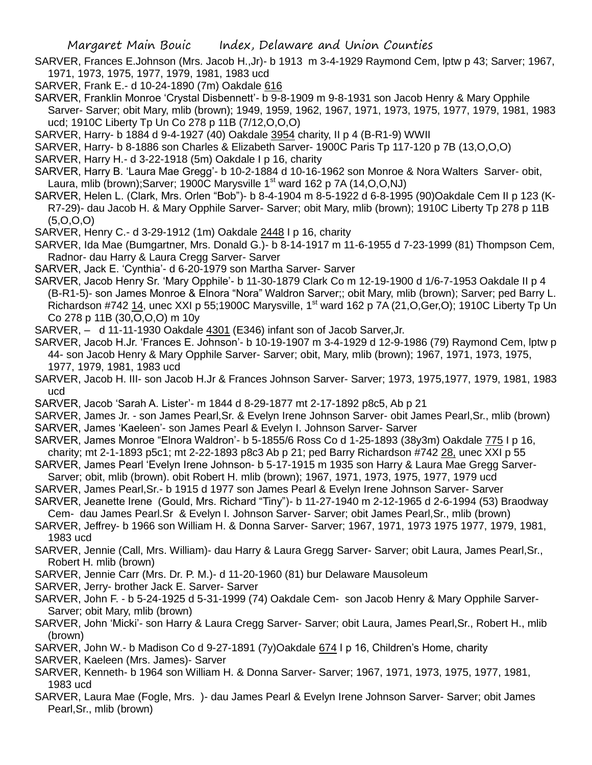- SARVER, Frances E.Johnson (Mrs. Jacob H.,Jr)- b 1913 m 3-4-1929 Raymond Cem, lptw p 43; Sarver; 1967, 1971, 1973, 1975, 1977, 1979, 1981, 1983 ucd
- SARVER, Frank E.- d 10-24-1890 (7m) Oakdale 616
- SARVER, Franklin Monroe 'Crystal Disbennett'- b 9-8-1909 m 9-8-1931 son Jacob Henry & Mary Opphile Sarver- Sarver; obit Mary, mlib (brown); 1949, 1959, 1962, 1967, 1971, 1973, 1975, 1977, 1979, 1981, 1983 ucd; 1910C Liberty Tp Un Co 278 p 11B (7/12,O,O,O)
- SARVER, Harry- b 1884 d 9-4-1927 (40) Oakdale 3954 charity, II p 4 (B-R1-9) WWII
- SARVER, Harry- b 8-1886 son Charles & Elizabeth Sarver- 1900C Paris Tp 117-120 p 7B (13,O,O,O)
- SARVER, Harry H.- d 3-22-1918 (5m) Oakdale I p 16, charity
- SARVER, Harry B. 'Laura Mae Gregg'- b 10-2-1884 d 10-16-1962 son Monroe & Nora Walters Sarver- obit, Laura, mlib (brown);Sarver; 1900C Marysville 1<sup>st</sup> ward 162 p 7A (14, O, O, NJ)
- SARVER, Helen L. (Clark, Mrs. Orlen "Bob")- b 8-4-1904 m 8-5-1922 d 6-8-1995 (90)Oakdale Cem II p 123 (K-R7-29)- dau Jacob H. & Mary Opphile Sarver- Sarver; obit Mary, mlib (brown); 1910C Liberty Tp 278 p 11B (5,O,O,O)
- SARVER, Henry C.- d 3-29-1912 (1m) Oakdale 2448 I p 16, charity
- SARVER, Ida Mae (Bumgartner, Mrs. Donald G.)- b 8-14-1917 m 11-6-1955 d 7-23-1999 (81) Thompson Cem, Radnor- dau Harry & Laura Cregg Sarver- Sarver
- SARVER, Jack E. 'Cynthia'- d 6-20-1979 son Martha Sarver- Sarver
- SARVER, Jacob Henry Sr. 'Mary Opphile'- b 11-30-1879 Clark Co m 12-19-1900 d 1/6-7-1953 Oakdale II p 4 (B-R1-5)- son James Monroe & Elnora "Nora" Waldron Sarver;; obit Mary, mlib (brown); Sarver; ped Barry L. Richardson #742 14, unec XXI p 55;1900C Marysville, 1<sup>st</sup> ward 162 p 7A (21, O, Ger, O); 1910C Liberty Tp Un Co 278 p 11B (30,O,O,O) m 10y
- SARVER, d 11-11-1930 Oakdale 4301 (E346) infant son of Jacob Sarver,Jr.
- SARVER, Jacob H.Jr. 'Frances E. Johnson'- b 10-19-1907 m 3-4-1929 d 12-9-1986 (79) Raymond Cem, lptw p 44- son Jacob Henry & Mary Opphile Sarver- Sarver; obit, Mary, mlib (brown); 1967, 1971, 1973, 1975, 1977, 1979, 1981, 1983 ucd
- SARVER, Jacob H. III- son Jacob H.Jr & Frances Johnson Sarver- Sarver; 1973, 1975,1977, 1979, 1981, 1983 ucd
- SARVER, Jacob 'Sarah A. Lister'- m 1844 d 8-29-1877 mt 2-17-1892 p8c5, Ab p 21
- SARVER, James Jr. son James Pearl,Sr. & Evelyn Irene Johnson Sarver- obit James Pearl,Sr., mlib (brown) SARVER, James 'Kaeleen'- son James Pearl & Evelyn I. Johnson Sarver- Sarver
- SARVER, James Monroe "Elnora Waldron'- b 5-1855/6 Ross Co d 1-25-1893 (38y3m) Oakdale 775 I p 16, charity; mt 2-1-1893 p5c1; mt 2-22-1893 p8c3 Ab p 21; ped Barry Richardson #742 28, unec XXI p 55
- SARVER, James Pearl 'Evelyn Irene Johnson- b 5-17-1915 m 1935 son Harry & Laura Mae Gregg Sarver-Sarver; obit, mlib (brown). obit Robert H. mlib (brown); 1967, 1971, 1973, 1975, 1977, 1979 ucd
- SARVER, James Pearl,Sr.- b 1915 d 1977 son James Pearl & Evelyn Irene Johnson Sarver- Sarver
- SARVER, Jeanette Irene (Gould, Mrs. Richard "Tiny")- b 11-27-1940 m 2-12-1965 d 2-6-1994 (53) Braodway
- Cem- dau James Pearl.Sr & Evelyn I. Johnson Sarver- Sarver; obit James Pearl,Sr., mlib (brown) SARVER, Jeffrey- b 1966 son William H. & Donna Sarver- Sarver; 1967, 1971, 1973 1975 1977, 1979, 1981, 1983 ucd
- SARVER, Jennie (Call, Mrs. William)- dau Harry & Laura Gregg Sarver- Sarver; obit Laura, James Pearl,Sr., Robert H. mlib (brown)
- SARVER, Jennie Carr (Mrs. Dr. P. M.)- d 11-20-1960 (81) bur Delaware Mausoleum
- SARVER, Jerry- brother Jack E. Sarver- Sarver
- SARVER, John F. b 5-24-1925 d 5-31-1999 (74) Oakdale Cem- son Jacob Henry & Mary Opphile Sarver-Sarver; obit Mary, mlib (brown)
- SARVER, John 'Micki'- son Harry & Laura Cregg Sarver- Sarver; obit Laura, James Pearl,Sr., Robert H., mlib (brown)
- SARVER, John W.- b Madison Co d 9-27-1891 (7y)Oakdale 674 I p 16, Children's Home, charity
- SARVER, Kaeleen (Mrs. James)- Sarver
- SARVER, Kenneth- b 1964 son William H. & Donna Sarver- Sarver; 1967, 1971, 1973, 1975, 1977, 1981, 1983 ucd
- SARVER, Laura Mae (Fogle, Mrs. )- dau James Pearl & Evelyn Irene Johnson Sarver- Sarver; obit James Pearl,Sr., mlib (brown)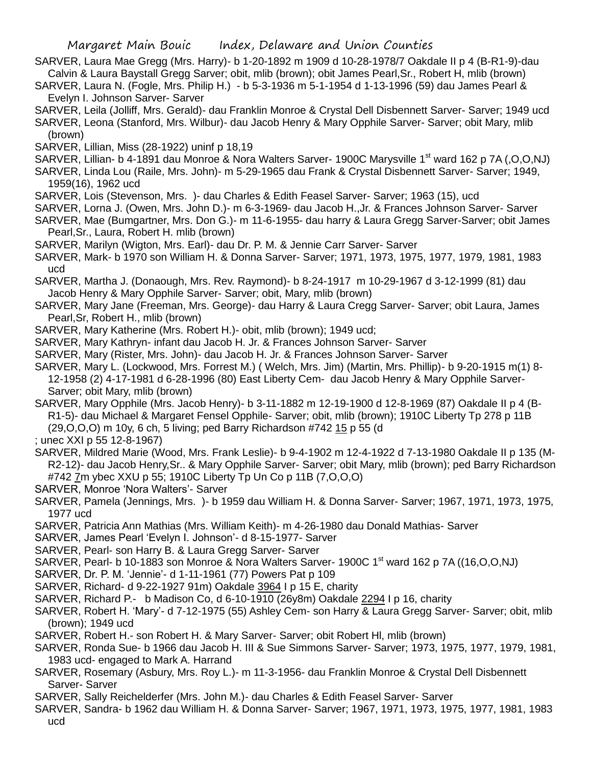- SARVER, Laura Mae Gregg (Mrs. Harry)- b 1-20-1892 m 1909 d 10-28-1978/7 Oakdale II p 4 (B-R1-9)-dau Calvin & Laura Baystall Gregg Sarver; obit, mlib (brown); obit James Pearl,Sr., Robert H, mlib (brown)
- SARVER, Laura N. (Fogle, Mrs. Philip H.) b 5-3-1936 m 5-1-1954 d 1-13-1996 (59) dau James Pearl & Evelyn I. Johnson Sarver- Sarver
- SARVER, Leila (Jolliff, Mrs. Gerald)- dau Franklin Monroe & Crystal Dell Disbennett Sarver- Sarver; 1949 ucd
- SARVER, Leona (Stanford, Mrs. Wilbur)- dau Jacob Henry & Mary Opphile Sarver- Sarver; obit Mary, mlib (brown)
- SARVER, Lillian, Miss (28-1922) uninf p 18,19
- SARVER, Lillian- b 4-1891 dau Monroe & Nora Walters Sarver- 1900C Marysville 1<sup>st</sup> ward 162 p 7A (,O,O,NJ)
- SARVER, Linda Lou (Raile, Mrs. John)- m 5-29-1965 dau Frank & Crystal Disbennett Sarver- Sarver; 1949, 1959(16), 1962 ucd
- SARVER, Lois (Stevenson, Mrs. )- dau Charles & Edith Feasel Sarver- Sarver; 1963 (15), ucd
- SARVER, Lorna J. (Owen, Mrs. John D.)- m 6-3-1969- dau Jacob H.,Jr. & Frances Johnson Sarver- Sarver
- SARVER, Mae (Bumgartner, Mrs. Don G.)- m 11-6-1955- dau harry & Laura Gregg Sarver-Sarver; obit James Pearl,Sr., Laura, Robert H. mlib (brown)
- SARVER, Marilyn (Wigton, Mrs. Earl)- dau Dr. P. M. & Jennie Carr Sarver- Sarver
- SARVER, Mark- b 1970 son William H. & Donna Sarver- Sarver; 1971, 1973, 1975, 1977, 1979, 1981, 1983 ucd
- SARVER, Martha J. (Donaough, Mrs. Rev. Raymond)- b 8-24-1917 m 10-29-1967 d 3-12-1999 (81) dau Jacob Henry & Mary Opphile Sarver- Sarver; obit, Mary, mlib (brown)
- SARVER, Mary Jane (Freeman, Mrs. George)- dau Harry & Laura Cregg Sarver- Sarver; obit Laura, James Pearl,Sr, Robert H., mlib (brown)
- SARVER, Mary Katherine (Mrs. Robert H.)- obit, mlib (brown); 1949 ucd;
- SARVER, Mary Kathryn- infant dau Jacob H. Jr. & Frances Johnson Sarver- Sarver
- SARVER, Mary (Rister, Mrs. John)- dau Jacob H. Jr. & Frances Johnson Sarver- Sarver
- SARVER, Mary L. (Lockwood, Mrs. Forrest M.) ( Welch, Mrs. Jim) (Martin, Mrs. Phillip)- b 9-20-1915 m(1) 8- 12-1958 (2) 4-17-1981 d 6-28-1996 (80) East Liberty Cem- dau Jacob Henry & Mary Opphile Sarver-Sarver; obit Mary, mlib (brown)
- SARVER, Mary Opphile (Mrs. Jacob Henry)- b 3-11-1882 m 12-19-1900 d 12-8-1969 (87) Oakdale II p 4 (B-R1-5)- dau Michael & Margaret Fensel Opphile- Sarver; obit, mlib (brown); 1910C Liberty Tp 278 p 11B (29,O,O,O) m 10y, 6 ch, 5 living; ped Barry Richardson #742 15 p 55 (d
- ; unec XXI p 55 12-8-1967)
- SARVER, Mildred Marie (Wood, Mrs. Frank Leslie)- b 9-4-1902 m 12-4-1922 d 7-13-1980 Oakdale II p 135 (M-R2-12)- dau Jacob Henry,Sr.. & Mary Opphile Sarver- Sarver; obit Mary, mlib (brown); ped Barry Richardson #742 7m ybec XXU p 55; 1910C Liberty Tp Un Co p 11B (7,O,O,O)
- SARVER, Monroe 'Nora Walters'- Sarver
- SARVER, Pamela (Jennings, Mrs. )- b 1959 dau William H. & Donna Sarver- Sarver; 1967, 1971, 1973, 1975, 1977 ucd
- SARVER, Patricia Ann Mathias (Mrs. William Keith)- m 4-26-1980 dau Donald Mathias- Sarver
- SARVER, James Pearl 'Evelyn I. Johnson'- d 8-15-1977- Sarver
- SARVER, Pearl- son Harry B. & Laura Gregg Sarver- Sarver
- SARVER, Pearl- b 10-1883 son Monroe & Nora Walters Sarver- 1900C 1<sup>st</sup> ward 162 p 7A ((16,O,O,NJ)
- SARVER, Dr. P. M. 'Jennie'- d 1-11-1961 (77) Powers Pat p 109
- SARVER, Richard- d 9-22-1927 91m) Oakdale 3964 I p 15 E, charity
- SARVER, Richard P.- b Madison Co, d 6-10-1910 (26y8m) Oakdale 2294 I p 16, charity
- SARVER, Robert H. 'Mary'- d 7-12-1975 (55) Ashley Cem- son Harry & Laura Gregg Sarver- Sarver; obit, mlib (brown); 1949 ucd
- SARVER, Robert H.- son Robert H. & Mary Sarver- Sarver; obit Robert Hl, mlib (brown)
- SARVER, Ronda Sue- b 1966 dau Jacob H. III & Sue Simmons Sarver- Sarver; 1973, 1975, 1977, 1979, 1981, 1983 ucd- engaged to Mark A. Harrand
- SARVER, Rosemary (Asbury, Mrs. Roy L.)- m 11-3-1956- dau Franklin Monroe & Crystal Dell Disbennett Sarver- Sarver
- SARVER, Sally Reichelderfer (Mrs. John M.)- dau Charles & Edith Feasel Sarver- Sarver
- SARVER, Sandra- b 1962 dau William H. & Donna Sarver- Sarver; 1967, 1971, 1973, 1975, 1977, 1981, 1983 ucd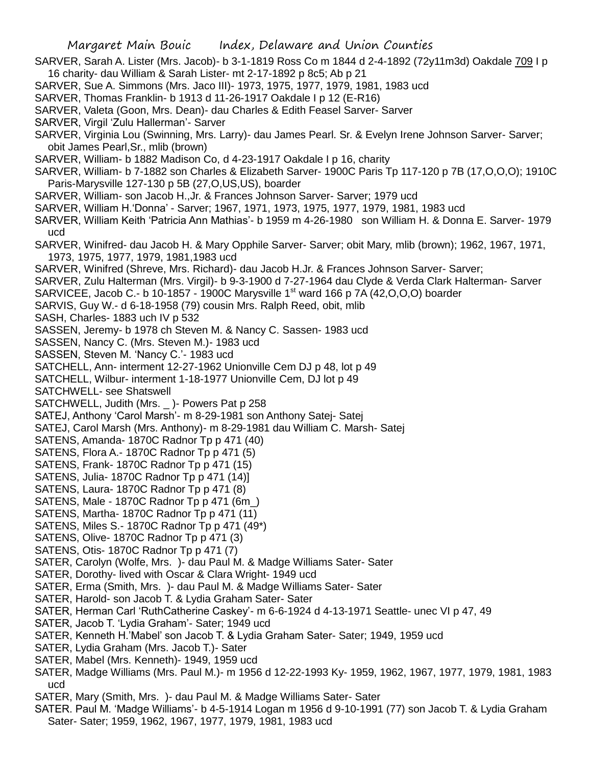SARVER, Sarah A. Lister (Mrs. Jacob)- b 3-1-1819 Ross Co m 1844 d 2-4-1892 (72y11m3d) Oakdale 709 I p 16 charity- dau William & Sarah Lister- mt 2-17-1892 p 8c5; Ab p 21 SARVER, Sue A. Simmons (Mrs. Jaco III)- 1973, 1975, 1977, 1979, 1981, 1983 ucd SARVER, Thomas Franklin- b 1913 d 11-26-1917 Oakdale I p 12 (E-R16) SARVER, Valeta (Goon, Mrs. Dean)- dau Charles & Edith Feasel Sarver- Sarver SARVER, Virgil 'Zulu Hallerman'- Sarver SARVER, Virginia Lou (Swinning, Mrs. Larry)- dau James Pearl. Sr. & Evelyn Irene Johnson Sarver- Sarver; obit James Pearl,Sr., mlib (brown) SARVER, William- b 1882 Madison Co, d 4-23-1917 Oakdale I p 16, charity SARVER, William- b 7-1882 son Charles & Elizabeth Sarver- 1900C Paris Tp 117-120 p 7B (17,O,O,O); 1910C Paris-Marysville 127-130 p 5B (27,O,US,US), boarder SARVER, William- son Jacob H.,Jr. & Frances Johnson Sarver- Sarver; 1979 ucd SARVER, William H.'Donna' - Sarver; 1967, 1971, 1973, 1975, 1977, 1979, 1981, 1983 ucd SARVER, William Keith 'Patricia Ann Mathias'- b 1959 m 4-26-1980 son William H. & Donna E. Sarver- 1979 ucd SARVER, Winifred- dau Jacob H. & Mary Opphile Sarver- Sarver; obit Mary, mlib (brown); 1962, 1967, 1971, 1973, 1975, 1977, 1979, 1981,1983 ucd SARVER, Winifred (Shreve, Mrs. Richard)- dau Jacob H.Jr. & Frances Johnson Sarver- Sarver; SARVER, Zulu Halterman (Mrs. Virgil)- b 9-3-1900 d 7-27-1964 dau Clyde & Verda Clark Halterman- Sarver SARVICEE, Jacob C.- b 10-1857 - 1900C Marysville  $1<sup>st</sup>$  ward 166 p 7A (42, O, O, O) boarder SARVIS, Guy W.- d 6-18-1958 (79) cousin Mrs. Ralph Reed, obit, mlib SASH, Charles- 1883 uch IV p 532 SASSEN, Jeremy- b 1978 ch Steven M. & Nancy C. Sassen- 1983 ucd SASSEN, Nancy C. (Mrs. Steven M.)- 1983 ucd SASSEN, Steven M. 'Nancy C.'- 1983 ucd SATCHELL, Ann- interment 12-27-1962 Unionville Cem DJ p 48, lot p 49 SATCHELL, Wilbur- interment 1-18-1977 Unionville Cem, DJ lot p 49 SATCHWELL- see Shatswell SATCHWELL, Judith (Mrs. \_ )- Powers Pat p 258 SATEJ, Anthony 'Carol Marsh'- m 8-29-1981 son Anthony Satej- Satej SATEJ, Carol Marsh (Mrs. Anthony)- m 8-29-1981 dau William C. Marsh- Satej SATENS, Amanda- 1870C Radnor Tp p 471 (40) SATENS, Flora A.- 1870C Radnor Tp p 471 (5) SATENS, Frank- 1870C Radnor Tp p 471 (15) SATENS, Julia- 1870C Radnor Tp p 471 (14)] SATENS, Laura- 1870C Radnor Tp p 471 (8) SATENS, Male - 1870C Radnor Tp p 471 (6m\_) SATENS, Martha- 1870C Radnor Tp p 471 (11) SATENS, Miles S.- 1870C Radnor Tp p 471 (49\*) SATENS, Olive- 1870C Radnor Tp p 471 (3) SATENS, Otis- 1870C Radnor Tp p 471 (7) SATER, Carolyn (Wolfe, Mrs. )- dau Paul M. & Madge Williams Sater- Sater SATER, Dorothy- lived with Oscar & Clara Wright- 1949 ucd SATER, Erma (Smith, Mrs. )- dau Paul M. & Madge Williams Sater- Sater SATER, Harold- son Jacob T. & Lydia Graham Sater- Sater SATER, Herman Carl 'RuthCatherine Caskey'- m 6-6-1924 d 4-13-1971 Seattle- unec VI p 47, 49 SATER, Jacob T. 'Lydia Graham'- Sater; 1949 ucd SATER, Kenneth H.'Mabel' son Jacob T. & Lydia Graham Sater- Sater; 1949, 1959 ucd SATER, Lydia Graham (Mrs. Jacob T.)- Sater SATER, Mabel (Mrs. Kenneth)- 1949, 1959 ucd SATER, Madge Williams (Mrs. Paul M.)- m 1956 d 12-22-1993 Ky- 1959, 1962, 1967, 1977, 1979, 1981, 1983 ucd

- SATER, Mary (Smith, Mrs. )- dau Paul M. & Madge Williams Sater- Sater
- SATER. Paul M. 'Madge Williams'- b 4-5-1914 Logan m 1956 d 9-10-1991 (77) son Jacob T. & Lydia Graham Sater- Sater; 1959, 1962, 1967, 1977, 1979, 1981, 1983 ucd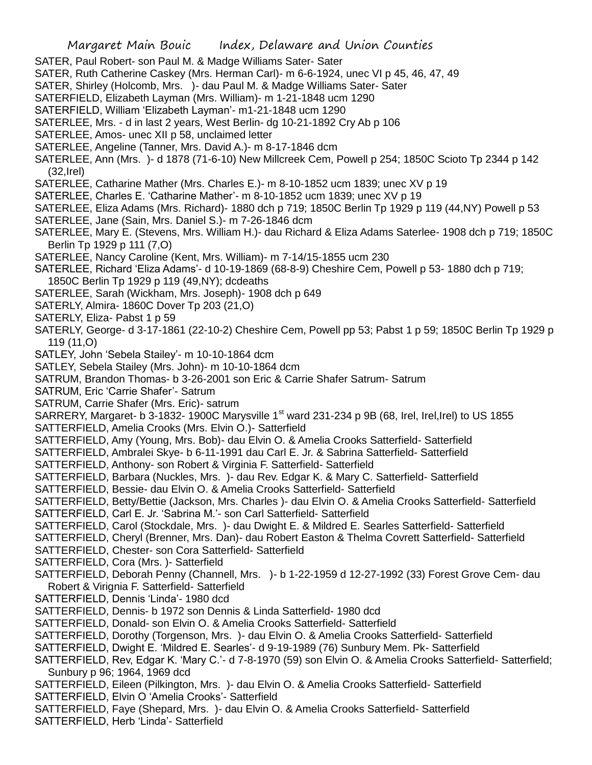- SATER, Paul Robert- son Paul M. & Madge Williams Sater- Sater
- SATER, Ruth Catherine Caskey (Mrs. Herman Carl)- m 6-6-1924, unec VI p 45, 46, 47, 49
- SATER, Shirley (Holcomb, Mrs. )- dau Paul M. & Madge Williams Sater- Sater
- SATERFIELD, Elizabeth Layman (Mrs. William)- m 1-21-1848 ucm 1290
- SATERFIELD, William 'Elizabeth Layman'- m1-21-1848 ucm 1290
- SATERLEE, Mrs. d in last 2 years, West Berlin- dg 10-21-1892 Cry Ab p 106
- SATERLEE, Amos- unec XII p 58, unclaimed letter
- SATERLEE, Angeline (Tanner, Mrs. David A.)- m 8-17-1846 dcm
- SATERLEE, Ann (Mrs. )- d 1878 (71-6-10) New Millcreek Cem, Powell p 254; 1850C Scioto Tp 2344 p 142 (32,Irel)
- SATERLEE, Catharine Mather (Mrs. Charles E.)- m 8-10-1852 ucm 1839; unec XV p 19
- SATERLEE, Charles E. 'Catharine Mather'- m 8-10-1852 ucm 1839; unec XV p 19
- SATERLEE, Eliza Adams (Mrs. Richard)- 1880 dch p 719; 1850C Berlin Tp 1929 p 119 (44,NY) Powell p 53
- SATERLEE, Jane (Sain, Mrs. Daniel S.)- m 7-26-1846 dcm
- SATERLEE, Mary E. (Stevens, Mrs. William H.)- dau Richard & Eliza Adams Saterlee- 1908 dch p 719; 1850C Berlin Tp 1929 p 111 (7,O)
- SATERLEE, Nancy Caroline (Kent, Mrs. William)- m 7-14/15-1855 ucm 230
- SATERLEE, Richard 'Eliza Adams'- d 10-19-1869 (68-8-9) Cheshire Cem, Powell p 53- 1880 dch p 719; 1850C Berlin Tp 1929 p 119 (49,NY); dcdeaths
- SATERLEE, Sarah (Wickham, Mrs. Joseph)- 1908 dch p 649
- SATERLY, Almira- 1860C Dover Tp 203 (21,O)
- SATERLY, Eliza- Pabst 1 p 59
- SATERLY, George- d 3-17-1861 (22-10-2) Cheshire Cem, Powell pp 53; Pabst 1 p 59; 1850C Berlin Tp 1929 p 119 (11,O)
- SATLEY, John 'Sebela Stailey'- m 10-10-1864 dcm
- SATLEY, Sebela Stailey (Mrs. John)- m 10-10-1864 dcm
- SATRUM, Brandon Thomas- b 3-26-2001 son Eric & Carrie Shafer Satrum- Satrum
- SATRUM, Eric 'Carrie Shafer'- Satrum
- SATRUM, Carrie Shafer (Mrs. Eric)- satrum
- SARRERY, Margaret- b 3-1832- 1900C Marysville  $1<sup>st</sup>$  ward 231-234 p 9B (68, Irel, Irel, Irel) to US 1855 SATTERFIELD, Amelia Crooks (Mrs. Elvin O.)- Satterfield
- SATTERFIELD, Amy (Young, Mrs. Bob)- dau Elvin O. & Amelia Crooks Satterfield- Satterfield
- SATTERFIELD, Ambralei Skye- b 6-11-1991 dau Carl E. Jr. & Sabrina Satterfield- Satterfield
- SATTERFIELD, Anthony- son Robert & Virginia F. Satterfield- Satterfield
- SATTERFIELD, Barbara (Nuckles, Mrs. )- dau Rev. Edgar K. & Mary C. Satterfield- Satterfield
- SATTERFIELD, Bessie- dau Elvin O. & Amelia Crooks Satterfield- Satterfield
- SATTERFIELD, Betty/Bettie (Jackson, Mrs. Charles )- dau Elvin O. & Amelia Crooks Satterfield- Satterfield
- SATTERFIELD, Carl E. Jr. 'Sabrina M.'- son Carl Satterfield- Satterfield
- SATTERFIELD, Carol (Stockdale, Mrs. )- dau Dwight E. & Mildred E. Searles Satterfield- Satterfield
- SATTERFIELD, Cheryl (Brenner, Mrs. Dan)- dau Robert Easton & Thelma Covrett Satterfield- Satterfield
- SATTERFIELD, Chester- son Cora Satterfield- Satterfield
- SATTERFIELD, Cora (Mrs. )- Satterfield
- SATTERFIELD, Deborah Penny (Channell, Mrs. )- b 1-22-1959 d 12-27-1992 (33) Forest Grove Cem- dau Robert & Virignia F. Satterfield- Satterfield
- SATTERFIELD, Dennis 'Linda'- 1980 dcd
- SATTERFIELD, Dennis- b 1972 son Dennis & Linda Satterfield- 1980 dcd
- SATTERFIELD, Donald- son Elvin O. & Amelia Crooks Satterfield- Satterfield
- SATTERFIELD, Dorothy (Torgenson, Mrs. )- dau Elvin O. & Amelia Crooks Satterfield- Satterfield
- SATTERFIELD, Dwight E. 'Mildred E. Searles'- d 9-19-1989 (76) Sunbury Mem. Pk- Satterfield
- SATTERFIELD, Rev, Edgar K. 'Mary C.'- d 7-8-1970 (59) son Elvin O. & Amelia Crooks Satterfield- Satterfield; Sunbury p 96; 1964, 1969 dcd
- SATTERFIELD, Eileen (Pilkington, Mrs. )- dau Elvin O. & Amelia Crooks Satterfield- Satterfield
- SATTERFIELD, Elvin O 'Amelia Crooks'- Satterfield
- SATTERFIELD, Faye (Shepard, Mrs. )- dau Elvin O. & Amelia Crooks Satterfield- Satterfield SATTERFIELD, Herb 'Linda'- Satterfield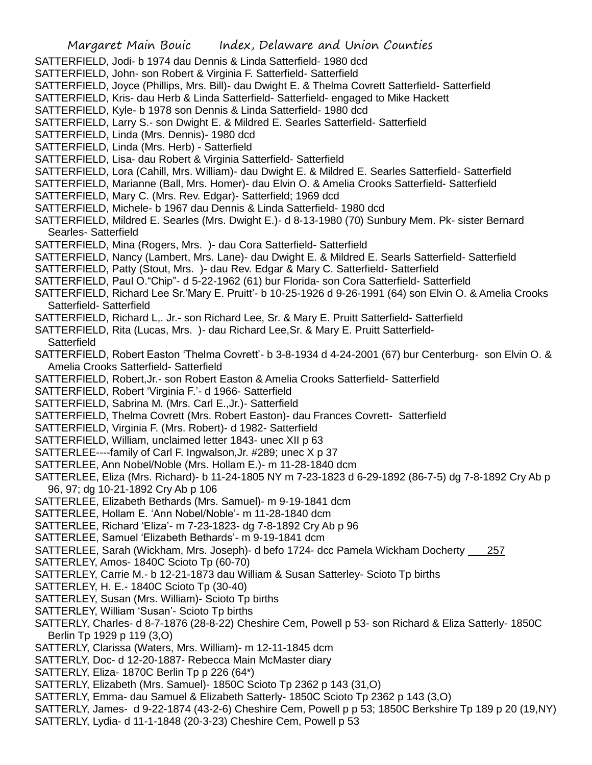- SATTERFIELD, Jodi- b 1974 dau Dennis & Linda Satterfield- 1980 dcd
- SATTERFIELD, John- son Robert & Virginia F. Satterfield- Satterfield
- SATTERFIELD, Joyce (Phillips, Mrs. Bill)- dau Dwight E. & Thelma Covrett Satterfield- Satterfield
- SATTERFIELD, Kris- dau Herb & Linda Satterfield- Satterfield- engaged to Mike Hackett
- SATTERFIELD, Kyle- b 1978 son Dennis & Linda Satterfield- 1980 dcd
- SATTERFIELD, Larry S.- son Dwight E. & Mildred E. Searles Satterfield- Satterfield
- SATTERFIELD, Linda (Mrs. Dennis)- 1980 dcd
- SATTERFIELD, Linda (Mrs. Herb) Satterfield
- SATTERFIELD, Lisa- dau Robert & Virginia Satterfield- Satterfield
- SATTERFIELD, Lora (Cahill, Mrs. William)- dau Dwight E. & Mildred E. Searles Satterfield- Satterfield
- SATTERFIELD, Marianne (Ball, Mrs. Homer)- dau Elvin O. & Amelia Crooks Satterfield- Satterfield
- SATTERFIELD, Mary C. (Mrs. Rev. Edgar)- Satterfield; 1969 dcd
- SATTERFIELD, Michele- b 1967 dau Dennis & Linda Satterfield- 1980 dcd
- SATTERFIELD, Mildred E. Searles (Mrs. Dwight E.)- d 8-13-1980 (70) Sunbury Mem. Pk- sister Bernard Searles- Satterfield
- SATTERFIELD, Mina (Rogers, Mrs. )- dau Cora Satterfield- Satterfield
- SATTERFIELD, Nancy (Lambert, Mrs. Lane)- dau Dwight E. & Mildred E. Searls Satterfield- Satterfield
- SATTERFIELD, Patty (Stout, Mrs. )- dau Rev. Edgar & Mary C. Satterfield- Satterfield
- SATTERFIELD, Paul O."Chip"- d 5-22-1962 (61) bur Florida- son Cora Satterfield- Satterfield
- SATTERFIELD, Richard Lee Sr.'Mary E. Pruitt'- b 10-25-1926 d 9-26-1991 (64) son Elvin O. & Amelia Crooks Satterfield- Satterfield
- SATTERFIELD, Richard L,. Jr.- son Richard Lee, Sr. & Mary E. Pruitt Satterfield- Satterfield
- SATTERFIELD, Rita (Lucas, Mrs. )- dau Richard Lee,Sr. & Mary E. Pruitt Satterfield-
- **Satterfield**
- SATTERFIELD, Robert Easton 'Thelma Covrett'- b 3-8-1934 d 4-24-2001 (67) bur Centerburg- son Elvin O. & Amelia Crooks Satterfield- Satterfield
- SATTERFIELD, Robert,Jr.- son Robert Easton & Amelia Crooks Satterfield- Satterfield
- SATTERFIELD, Robert 'Virginia F.'- d 1966- Satterfield
- SATTERFIELD, Sabrina M. (Mrs. Carl E.,Jr.)- Satterfield
- SATTERFIELD, Thelma Covrett (Mrs. Robert Easton)- dau Frances Covrett- Satterfield
- SATTERFIELD, Virginia F. (Mrs. Robert)- d 1982- Satterfield
- SATTERFIELD, William, unclaimed letter 1843- unec XII p 63
- SATTERLEE----family of Carl F. Ingwalson,Jr. #289; unec X p 37
- SATTERLEE, Ann Nobel/Noble (Mrs. Hollam E.)- m 11-28-1840 dcm
- SATTERLEE, Eliza (Mrs. Richard)- b 11-24-1805 NY m 7-23-1823 d 6-29-1892 (86-7-5) dg 7-8-1892 Cry Ab p 96, 97; dg 10-21-1892 Cry Ab p 106
- SATTERLEE, Elizabeth Bethards (Mrs. Samuel)- m 9-19-1841 dcm
- SATTERLEE, Hollam E. 'Ann Nobel/Noble'- m 11-28-1840 dcm
- SATTERLEE, Richard 'Eliza'- m 7-23-1823- dg 7-8-1892 Cry Ab p 96
- SATTERLEE, Samuel 'Elizabeth Bethards'- m 9-19-1841 dcm
- SATTERLEE, Sarah (Wickham, Mrs. Joseph)- d befo 1724- dcc Pamela Wickham Docherty 257
- SATTERLEY, Amos- 1840C Scioto Tp (60-70)
- SATTERLEY, Carrie M.- b 12-21-1873 dau William & Susan Satterley- Scioto Tp births
- SATTERLEY, H. E.- 1840C Scioto Tp (30-40)
- SATTERLEY, Susan (Mrs. William)- Scioto Tp births
- SATTERLEY, William 'Susan'- Scioto Tp births
- SATTERLY, Charles- d 8-7-1876 (28-8-22) Cheshire Cem, Powell p 53- son Richard & Eliza Satterly- 1850C Berlin Tp 1929 p 119 (3,O)
- SATTERLY, Clarissa (Waters, Mrs. William)- m 12-11-1845 dcm
- SATTERLY, Doc- d 12-20-1887- Rebecca Main McMaster diary
- SATTERLY, Eliza- 1870C Berlin Tp p 226 (64\*)
- SATTERLY, Elizabeth (Mrs. Samuel)- 1850C Scioto Tp 2362 p 143 (31,O)
- SATTERLY, Emma- dau Samuel & Elizabeth Satterly- 1850C Scioto Tp 2362 p 143 (3,O)
- SATTERLY, James- d 9-22-1874 (43-2-6) Cheshire Cem, Powell p p 53; 1850C Berkshire Tp 189 p 20 (19,NY)
- SATTERLY, Lydia- d 11-1-1848 (20-3-23) Cheshire Cem, Powell p 53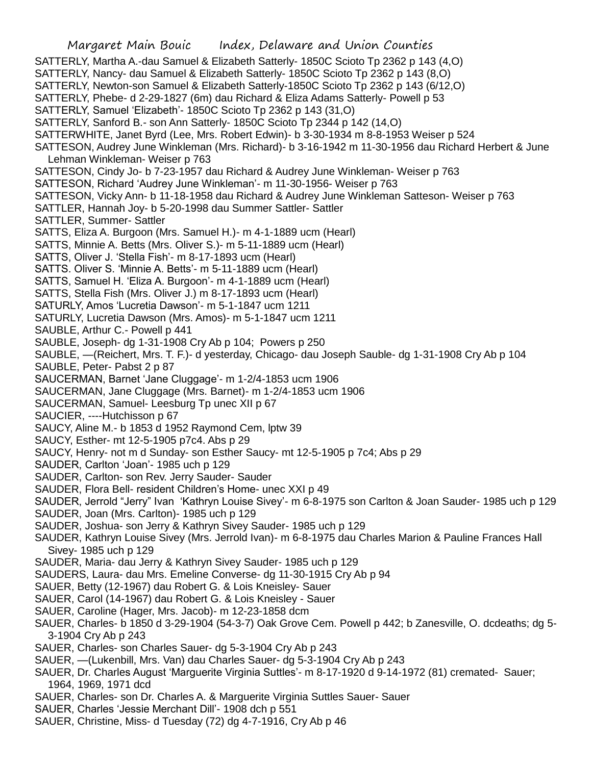Margaret Main Bouic Index, Delaware and Union Counties SATTERLY, Martha A.-dau Samuel & Elizabeth Satterly- 1850C Scioto Tp 2362 p 143 (4,O) SATTERLY, Nancy- dau Samuel & Elizabeth Satterly- 1850C Scioto Tp 2362 p 143 (8,O) SATTERLY, Newton-son Samuel & Elizabeth Satterly-1850C Scioto Tp 2362 p 143 (6/12,O) SATTERLY, Phebe- d 2-29-1827 (6m) dau Richard & Eliza Adams Satterly- Powell p 53 SATTERLY, Samuel 'Elizabeth'- 1850C Scioto Tp 2362 p 143 (31,O) SATTERLY, Sanford B.- son Ann Satterly- 1850C Scioto Tp 2344 p 142 (14,O) SATTERWHITE, Janet Byrd (Lee, Mrs. Robert Edwin)- b 3-30-1934 m 8-8-1953 Weiser p 524 SATTESON, Audrey June Winkleman (Mrs. Richard)- b 3-16-1942 m 11-30-1956 dau Richard Herbert & June Lehman Winkleman- Weiser p 763 SATTESON, Cindy Jo- b 7-23-1957 dau Richard & Audrey June Winkleman- Weiser p 763 SATTESON, Richard 'Audrey June Winkleman'- m 11-30-1956- Weiser p 763 SATTESON, Vicky Ann- b 11-18-1958 dau Richard & Audrey June Winkleman Satteson- Weiser p 763 SATTLER, Hannah Joy- b 5-20-1998 dau Summer Sattler- Sattler SATTLER, Summer- Sattler SATTS, Eliza A. Burgoon (Mrs. Samuel H.)- m 4-1-1889 ucm (Hearl) SATTS, Minnie A. Betts (Mrs. Oliver S.)- m 5-11-1889 ucm (Hearl) SATTS, Oliver J. 'Stella Fish'- m 8-17-1893 ucm (Hearl) SATTS. Oliver S. 'Minnie A. Betts'- m 5-11-1889 ucm (Hearl) SATTS, Samuel H. 'Eliza A. Burgoon'- m 4-1-1889 ucm (Hearl) SATTS, Stella Fish (Mrs. Oliver J.) m 8-17-1893 ucm (Hearl) SATURLY, Amos 'Lucretia Dawson'- m 5-1-1847 ucm 1211 SATURLY, Lucretia Dawson (Mrs. Amos)- m 5-1-1847 ucm 1211 SAUBLE, Arthur C.- Powell p 441 SAUBLE, Joseph- dg 1-31-1908 Cry Ab p 104; Powers p 250 SAUBLE, —(Reichert, Mrs. T. F.)- d yesterday, Chicago- dau Joseph Sauble- dg 1-31-1908 Cry Ab p 104 SAUBLE, Peter- Pabst 2 p 87 SAUCERMAN, Barnet 'Jane Cluggage'- m 1-2/4-1853 ucm 1906 SAUCERMAN, Jane Cluggage (Mrs. Barnet)- m 1-2/4-1853 ucm 1906 SAUCERMAN, Samuel- Leesburg Tp unec XII p 67 SAUCIER, ----Hutchisson p 67 SAUCY, Aline M.- b 1853 d 1952 Raymond Cem, lptw 39 SAUCY, Esther- mt 12-5-1905 p7c4. Abs p 29 SAUCY, Henry- not m d Sunday- son Esther Saucy- mt 12-5-1905 p 7c4; Abs p 29 SAUDER, Carlton 'Joan'- 1985 uch p 129 SAUDER, Carlton- son Rev. Jerry Sauder- Sauder SAUDER, Flora Bell- resident Children's Home- unec XXI p 49 SAUDER, Jerrold "Jerry" Ivan 'Kathryn Louise Sivey'- m 6-8-1975 son Carlton & Joan Sauder- 1985 uch p 129 SAUDER, Joan (Mrs. Carlton)- 1985 uch p 129 SAUDER, Joshua- son Jerry & Kathryn Sivey Sauder- 1985 uch p 129 SAUDER, Kathryn Louise Sivey (Mrs. Jerrold Ivan)- m 6-8-1975 dau Charles Marion & Pauline Frances Hall Sivey- 1985 uch p 129 SAUDER, Maria- dau Jerry & Kathryn Sivey Sauder- 1985 uch p 129 SAUDERS, Laura- dau Mrs. Emeline Converse- dg 11-30-1915 Cry Ab p 94 SAUER, Betty (12-1967) dau Robert G. & Lois Kneisley- Sauer SAUER, Carol (14-1967) dau Robert G. & Lois Kneisley - Sauer SAUER, Caroline (Hager, Mrs. Jacob)- m 12-23-1858 dcm SAUER, Charles- b 1850 d 3-29-1904 (54-3-7) Oak Grove Cem. Powell p 442; b Zanesville, O. dcdeaths; dg 5- 3-1904 Cry Ab p 243 SAUER, Charles- son Charles Sauer- dg 5-3-1904 Cry Ab p 243 SAUER, —(Lukenbill, Mrs. Van) dau Charles Sauer- dg 5-3-1904 Cry Ab p 243 SAUER, Dr. Charles August 'Marguerite Virginia Suttles'- m 8-17-1920 d 9-14-1972 (81) cremated- Sauer; 1964, 1969, 1971 dcd SAUER, Charles- son Dr. Charles A. & Marguerite Virginia Suttles Sauer- Sauer SAUER, Charles 'Jessie Merchant Dill'- 1908 dch p 551

SAUER, Christine, Miss- d Tuesday (72) dg 4-7-1916, Cry Ab p 46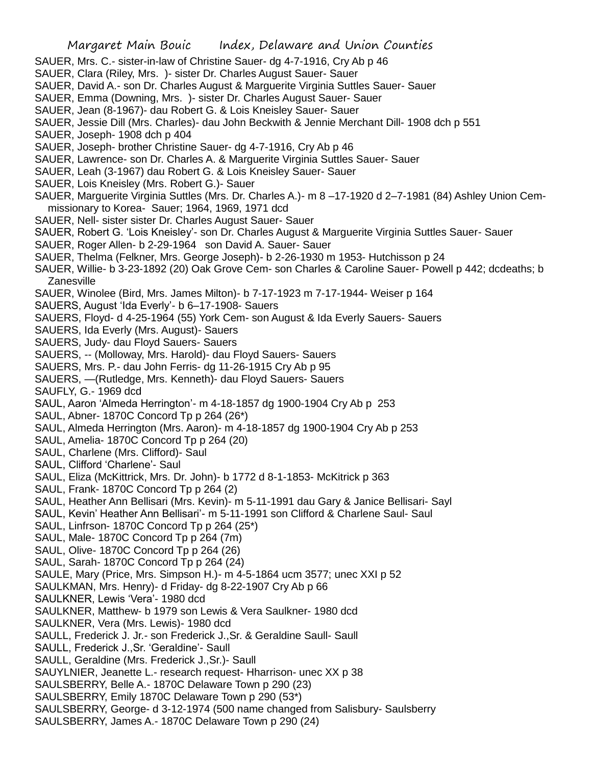- SAUER, Mrs. C.- sister-in-law of Christine Sauer- dg 4-7-1916, Cry Ab p 46
- SAUER, Clara (Riley, Mrs. )- sister Dr. Charles August Sauer- Sauer
- SAUER, David A.- son Dr. Charles August & Marguerite Virginia Suttles Sauer- Sauer
- SAUER, Emma (Downing, Mrs. )- sister Dr. Charles August Sauer- Sauer
- SAUER, Jean (8-1967)- dau Robert G. & Lois Kneisley Sauer- Sauer
- SAUER, Jessie Dill (Mrs. Charles)- dau John Beckwith & Jennie Merchant Dill- 1908 dch p 551
- SAUER, Joseph- 1908 dch p 404
- SAUER, Joseph- brother Christine Sauer- dg 4-7-1916, Cry Ab p 46
- SAUER, Lawrence- son Dr. Charles A. & Marguerite Virginia Suttles Sauer- Sauer
- SAUER, Leah (3-1967) dau Robert G. & Lois Kneisley Sauer- Sauer
- SAUER, Lois Kneisley (Mrs. Robert G.)- Sauer
- SAUER, Marguerite Virginia Suttles (Mrs. Dr. Charles A.)- m 8 –17-1920 d 2–7-1981 (84) Ashley Union Cemmissionary to Korea- Sauer; 1964, 1969, 1971 dcd
- SAUER, Nell- sister sister Dr. Charles August Sauer- Sauer
- SAUER, Robert G. 'Lois Kneisley'- son Dr. Charles August & Marguerite Virginia Suttles Sauer- Sauer
- SAUER, Roger Allen- b 2-29-1964 son David A. Sauer- Sauer
- SAUER, Thelma (Felkner, Mrs. George Joseph)- b 2-26-1930 m 1953- Hutchisson p 24
- SAUER, Willie- b 3-23-1892 (20) Oak Grove Cem- son Charles & Caroline Sauer- Powell p 442; dcdeaths; b **Zanesville**
- SAUER, Winolee (Bird, Mrs. James Milton)- b 7-17-1923 m 7-17-1944- Weiser p 164
- SAUERS, August 'Ida Everly'- b 6–17-1908- Sauers
- SAUERS, Floyd- d 4-25-1964 (55) York Cem- son August & Ida Everly Sauers- Sauers
- SAUERS, Ida Everly (Mrs. August)- Sauers
- SAUERS, Judy- dau Floyd Sauers- Sauers
- SAUERS, -- (Molloway, Mrs. Harold)- dau Floyd Sauers- Sauers
- SAUERS, Mrs. P.- dau John Ferris- dg 11-26-1915 Cry Ab p 95
- SAUERS, —(Rutledge, Mrs. Kenneth)- dau Floyd Sauers- Sauers
- SAUFLY, G.- 1969 dcd
- SAUL, Aaron 'Almeda Herrington'- m 4-18-1857 dg 1900-1904 Cry Ab p 253
- SAUL, Abner- 1870C Concord Tp p 264 (26\*)
- SAUL, Almeda Herrington (Mrs. Aaron)- m 4-18-1857 dg 1900-1904 Cry Ab p 253
- SAUL, Amelia- 1870C Concord Tp p 264 (20)
- SAUL, Charlene (Mrs. Clifford)- Saul
- SAUL, Clifford 'Charlene'- Saul
- SAUL, Eliza (McKittrick, Mrs. Dr. John)- b 1772 d 8-1-1853- McKitrick p 363
- SAUL, Frank- 1870C Concord Tp p 264 (2)
- SAUL, Heather Ann Bellisari (Mrs. Kevin)- m 5-11-1991 dau Gary & Janice Bellisari- Sayl
- SAUL, Kevin' Heather Ann Bellisari'- m 5-11-1991 son Clifford & Charlene Saul- Saul
- SAUL, Linfrson- 1870C Concord Tp p 264 (25\*)
- SAUL, Male- 1870C Concord Tp p 264 (7m)
- SAUL, Olive- 1870C Concord Tp p 264 (26)
- SAUL, Sarah- 1870C Concord Tp p 264 (24)
- SAULE, Mary (Price, Mrs. Simpson H.)- m 4-5-1864 ucm 3577; unec XXI p 52
- SAULKMAN, Mrs. Henry)- d Friday- dg 8-22-1907 Cry Ab p 66
- SAULKNER, Lewis 'Vera'- 1980 dcd
- SAULKNER, Matthew- b 1979 son Lewis & Vera Saulkner- 1980 dcd
- SAULKNER, Vera (Mrs. Lewis)- 1980 dcd
- SAULL, Frederick J. Jr.- son Frederick J.,Sr. & Geraldine Saull- Saull
- SAULL, Frederick J.,Sr. 'Geraldine'- Saull
- SAULL, Geraldine (Mrs. Frederick J.,Sr.)- Saull
- SAUYLNIER, Jeanette L.- research request- Hharrison- unec XX p 38
- SAULSBERRY, Belle A.- 1870C Delaware Town p 290 (23)
- SAULSBERRY, Emily 1870C Delaware Town p 290 (53\*)
- SAULSBERRY, George- d 3-12-1974 (500 name changed from Salisbury- Saulsberry
- SAULSBERRY, James A.- 1870C Delaware Town p 290 (24)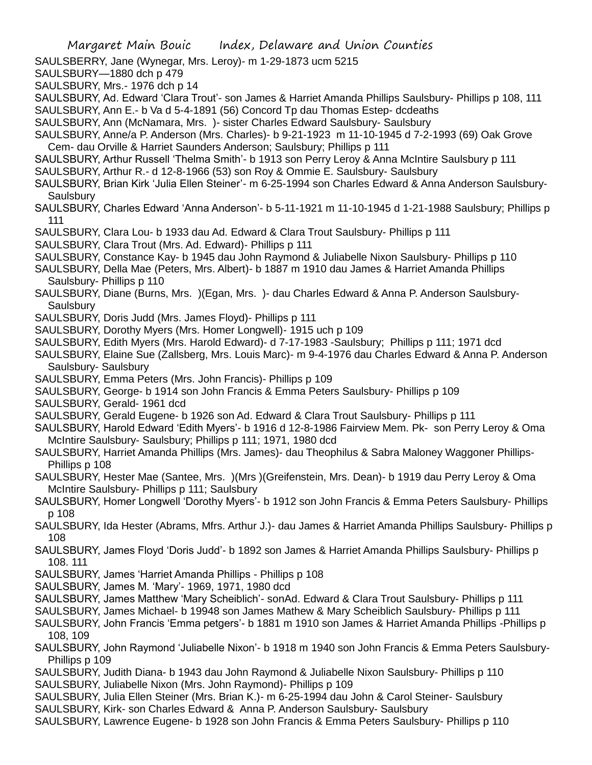SAULSBERRY, Jane (Wynegar, Mrs. Leroy)- m 1-29-1873 ucm 5215

SAULSBURY—1880 dch p 479

SAULSBURY, Mrs.- 1976 dch p 14

SAULSBURY, Ad. Edward 'Clara Trout'- son James & Harriet Amanda Phillips Saulsbury- Phillips p 108, 111 SAULSBURY, Ann E.- b Va d 5-4-1891 (56) Concord Tp dau Thomas Estep- dcdeaths

SAULSBURY, Ann (McNamara, Mrs. )- sister Charles Edward Saulsbury- Saulsbury

- SAULSBURY, Anne/a P. Anderson (Mrs. Charles)- b 9-21-1923 m 11-10-1945 d 7-2-1993 (69) Oak Grove Cem- dau Orville & Harriet Saunders Anderson; Saulsbury; Phillips p 111
- SAULSBURY, Arthur Russell 'Thelma Smith'- b 1913 son Perry Leroy & Anna McIntire Saulsbury p 111
- SAULSBURY, Arthur R.- d 12-8-1966 (53) son Roy & Ommie E. Saulsbury- Saulsbury

SAULSBURY, Brian Kirk 'Julia Ellen Steiner'- m 6-25-1994 son Charles Edward & Anna Anderson Saulsbury-**Saulsbury** 

- SAULSBURY, Charles Edward 'Anna Anderson'- b 5-11-1921 m 11-10-1945 d 1-21-1988 Saulsbury; Phillips p 111
- SAULSBURY, Clara Lou- b 1933 dau Ad. Edward & Clara Trout Saulsbury- Phillips p 111
- SAULSBURY, Clara Trout (Mrs. Ad. Edward)- Phillips p 111
- SAULSBURY, Constance Kay- b 1945 dau John Raymond & Juliabelle Nixon Saulsbury- Phillips p 110

SAULSBURY, Della Mae (Peters, Mrs. Albert)- b 1887 m 1910 dau James & Harriet Amanda Phillips Saulsbury- Phillips p 110

- SAULSBURY, Diane (Burns, Mrs. )(Egan, Mrs. )- dau Charles Edward & Anna P. Anderson Saulsbury-**Saulsbury**
- SAULSBURY, Doris Judd (Mrs. James Floyd)- Phillips p 111
- SAULSBURY, Dorothy Myers (Mrs. Homer Longwell)- 1915 uch p 109
- SAULSBURY, Edith Myers (Mrs. Harold Edward)- d 7-17-1983 -Saulsbury; Phillips p 111; 1971 dcd
- SAULSBURY, Elaine Sue (Zallsberg, Mrs. Louis Marc)- m 9-4-1976 dau Charles Edward & Anna P. Anderson Saulsbury- Saulsbury
- SAULSBURY, Emma Peters (Mrs. John Francis)- Phillips p 109
- SAULSBURY, George- b 1914 son John Francis & Emma Peters Saulsbury- Phillips p 109
- SAULSBURY, Gerald- 1961 dcd
- SAULSBURY, Gerald Eugene- b 1926 son Ad. Edward & Clara Trout Saulsbury- Phillips p 111
- SAULSBURY, Harold Edward 'Edith Myers'- b 1916 d 12-8-1986 Fairview Mem. Pk- son Perry Leroy & Oma McIntire Saulsbury- Saulsbury; Phillips p 111; 1971, 1980 dcd
- SAULSBURY, Harriet Amanda Phillips (Mrs. James)- dau Theophilus & Sabra Maloney Waggoner Phillips-Phillips p 108
- SAULSBURY, Hester Mae (Santee, Mrs. )(Mrs )(Greifenstein, Mrs. Dean)- b 1919 dau Perry Leroy & Oma McIntire Saulsbury- Phillips p 111; Saulsbury
- SAULSBURY, Homer Longwell 'Dorothy Myers'- b 1912 son John Francis & Emma Peters Saulsbury- Phillips p 108
- SAULSBURY, Ida Hester (Abrams, Mfrs. Arthur J.)- dau James & Harriet Amanda Phillips Saulsbury- Phillips p 108
- SAULSBURY, James Floyd 'Doris Judd'- b 1892 son James & Harriet Amanda Phillips Saulsbury- Phillips p 108. 111
- SAULSBURY, James 'Harriet Amanda Phillips Phillips p 108
- SAULSBURY, James M. 'Mary'- 1969, 1971, 1980 dcd
- SAULSBURY, James Matthew 'Mary Scheiblich'- sonAd. Edward & Clara Trout Saulsbury- Phillips p 111
- SAULSBURY, James Michael- b 19948 son James Mathew & Mary Scheiblich Saulsbury- Phillips p 111
- SAULSBURY, John Francis 'Emma petgers'- b 1881 m 1910 son James & Harriet Amanda Phillips -Phillips p 108, 109
- SAULSBURY, John Raymond 'Juliabelle Nixon'- b 1918 m 1940 son John Francis & Emma Peters Saulsbury-Phillips p 109
- SAULSBURY, Judith Diana- b 1943 dau John Raymond & Juliabelle Nixon Saulsbury- Phillips p 110 SAULSBURY, Juliabelle Nixon (Mrs. John Raymond)- Phillips p 109
- SAULSBURY, Julia Ellen Steiner (Mrs. Brian K.)- m 6-25-1994 dau John & Carol Steiner- Saulsbury SAULSBURY, Kirk- son Charles Edward & Anna P. Anderson Saulsbury- Saulsbury
- SAULSBURY, Lawrence Eugene- b 1928 son John Francis & Emma Peters Saulsbury- Phillips p 110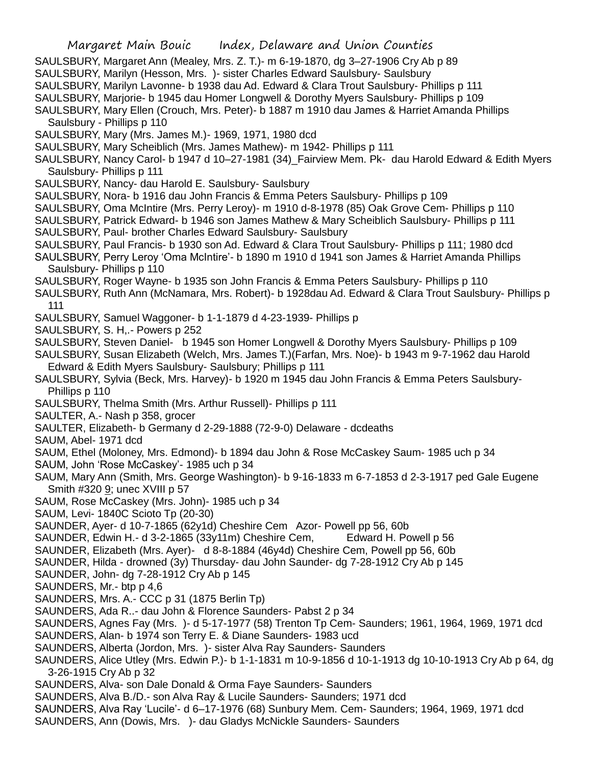Margaret Main Bouic Index, Delaware and Union Counties SAULSBURY, Margaret Ann (Mealey, Mrs. Z. T.)- m 6-19-1870, dg 3–27-1906 Cry Ab p 89 SAULSBURY, Marilyn (Hesson, Mrs. )- sister Charles Edward Saulsbury- Saulsbury SAULSBURY, Marilyn Lavonne- b 1938 dau Ad. Edward & Clara Trout Saulsbury- Phillips p 111 SAULSBURY, Marjorie- b 1945 dau Homer Longwell & Dorothy Myers Saulsbury- Phillips p 109 SAULSBURY, Mary Ellen (Crouch, Mrs. Peter)- b 1887 m 1910 dau James & Harriet Amanda Phillips Saulsbury - Phillips p 110 SAULSBURY, Mary (Mrs. James M.)- 1969, 1971, 1980 dcd SAULSBURY, Mary Scheiblich (Mrs. James Mathew)- m 1942- Phillips p 111 SAULSBURY, Nancy Carol- b 1947 d 10–27-1981 (34)\_Fairview Mem. Pk- dau Harold Edward & Edith Myers Saulsbury- Phillips p 111 SAULSBURY, Nancy- dau Harold E. Saulsbury- Saulsbury SAULSBURY, Nora- b 1916 dau John Francis & Emma Peters Saulsbury- Phillips p 109 SAULSBURY, Oma McIntire (Mrs. Perry Leroy)- m 1910 d-8-1978 (85) Oak Grove Cem- Phillips p 110 SAULSBURY, Patrick Edward- b 1946 son James Mathew & Mary Scheiblich Saulsbury- Phillips p 111 SAULSBURY, Paul- brother Charles Edward Saulsbury- Saulsbury SAULSBURY, Paul Francis- b 1930 son Ad. Edward & Clara Trout Saulsbury- Phillips p 111; 1980 dcd SAULSBURY, Perry Leroy 'Oma McIntire'- b 1890 m 1910 d 1941 son James & Harriet Amanda Phillips Saulsbury- Phillips p 110 SAULSBURY, Roger Wayne- b 1935 son John Francis & Emma Peters Saulsbury- Phillips p 110 SAULSBURY, Ruth Ann (McNamara, Mrs. Robert)- b 1928dau Ad. Edward & Clara Trout Saulsbury- Phillips p 111 SAULSBURY, Samuel Waggoner- b 1-1-1879 d 4-23-1939- Phillips p SAULSBURY, S. H,.- Powers p 252 SAULSBURY, Steven Daniel- b 1945 son Homer Longwell & Dorothy Myers Saulsbury- Phillips p 109 SAULSBURY, Susan Elizabeth (Welch, Mrs. James T.)(Farfan, Mrs. Noe)- b 1943 m 9-7-1962 dau Harold Edward & Edith Myers Saulsbury- Saulsbury; Phillips p 111 SAULSBURY, Sylvia (Beck, Mrs. Harvey)- b 1920 m 1945 dau John Francis & Emma Peters Saulsbury-Phillips p 110 SAULSBURY, Thelma Smith (Mrs. Arthur Russell)- Phillips p 111 SAULTER, A.- Nash p 358, grocer SAULTER, Elizabeth- b Germany d 2-29-1888 (72-9-0) Delaware - dcdeaths SAUM, Abel- 1971 dcd SAUM, Ethel (Moloney, Mrs. Edmond)- b 1894 dau John & Rose McCaskey Saum- 1985 uch p 34 SAUM, John 'Rose McCaskey'- 1985 uch p 34 SAUM, Mary Ann (Smith, Mrs. George Washington)- b 9-16-1833 m 6-7-1853 d 2-3-1917 ped Gale Eugene Smith #320 9; unec XVIII p 57 SAUM, Rose McCaskey (Mrs. John)- 1985 uch p 34 SAUM, Levi- 1840C Scioto Tp (20-30) SAUNDER, Ayer- d 10-7-1865 (62y1d) Cheshire Cem Azor- Powell pp 56, 60b SAUNDER, Edwin H.- d 3-2-1865 (33y11m) Cheshire Cem, Edward H. Powell p 56 SAUNDER, Elizabeth (Mrs. Ayer)- d 8-8-1884 (46y4d) Cheshire Cem, Powell pp 56, 60b SAUNDER, Hilda - drowned (3y) Thursday- dau John Saunder- dg 7-28-1912 Cry Ab p 145 SAUNDER, John- dg 7-28-1912 Cry Ab p 145 SAUNDERS, Mr.- btp p 4,6 SAUNDERS, Mrs. A.- CCC p 31 (1875 Berlin Tp) SAUNDERS, Ada R..- dau John & Florence Saunders- Pabst 2 p 34 SAUNDERS, Agnes Fay (Mrs. )- d 5-17-1977 (58) Trenton Tp Cem- Saunders; 1961, 1964, 1969, 1971 dcd SAUNDERS, Alan- b 1974 son Terry E. & Diane Saunders- 1983 ucd SAUNDERS, Alberta (Jordon, Mrs. )- sister Alva Ray Saunders- Saunders SAUNDERS, Alice Utley (Mrs. Edwin P.)- b 1-1-1831 m 10-9-1856 d 10-1-1913 dg 10-10-1913 Cry Ab p 64, dg 3-26-1915 Cry Ab p 32 SAUNDERS, Alva- son Dale Donald & Orma Faye Saunders- Saunders SAUNDERS, Alva B./D.- son Alva Ray & Lucile Saunders- Saunders; 1971 dcd SAUNDERS, Alva Ray 'Lucile'- d 6–17-1976 (68) Sunbury Mem. Cem- Saunders; 1964, 1969, 1971 dcd SAUNDERS, Ann (Dowis, Mrs. )- dau Gladys McNickle Saunders- Saunders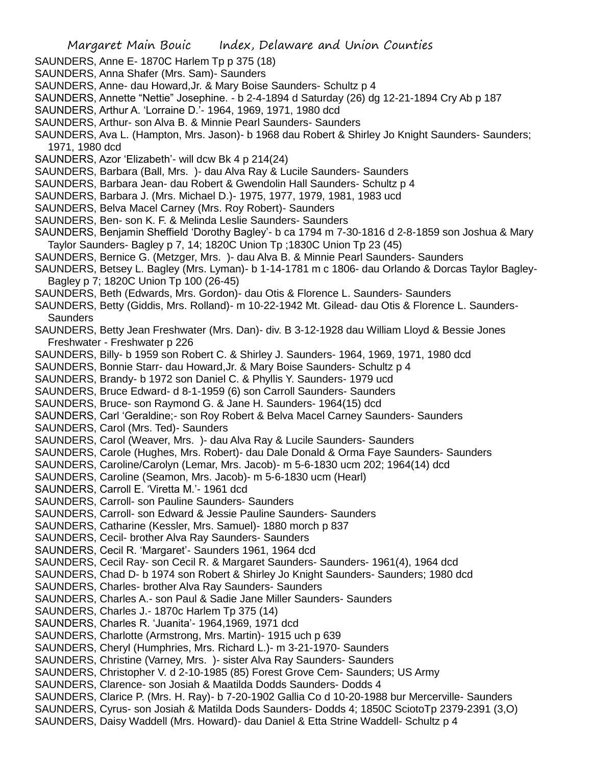- SAUNDERS, Anne E- 1870C Harlem Tp p 375 (18)
- SAUNDERS, Anna Shafer (Mrs. Sam)- Saunders
- SAUNDERS, Anne- dau Howard,Jr. & Mary Boise Saunders- Schultz p 4
- SAUNDERS, Annette "Nettie" Josephine. b 2-4-1894 d Saturday (26) dg 12-21-1894 Cry Ab p 187
- SAUNDERS, Arthur A. 'Lorraine D.'- 1964, 1969, 1971, 1980 dcd
- SAUNDERS, Arthur- son Alva B. & Minnie Pearl Saunders- Saunders
- SAUNDERS, Ava L. (Hampton, Mrs. Jason)- b 1968 dau Robert & Shirley Jo Knight Saunders- Saunders; 1971, 1980 dcd
- SAUNDERS, Azor 'Elizabeth'- will dcw Bk 4 p 214(24)
- SAUNDERS, Barbara (Ball, Mrs. )- dau Alva Ray & Lucile Saunders- Saunders
- SAUNDERS, Barbara Jean- dau Robert & Gwendolin Hall Saunders- Schultz p 4
- SAUNDERS, Barbara J. (Mrs. Michael D.)- 1975, 1977, 1979, 1981, 1983 ucd
- SAUNDERS, Belva Macel Carney (Mrs. Roy Robert)- Saunders
- SAUNDERS, Ben- son K. F. & Melinda Leslie Saunders- Saunders
- SAUNDERS, Benjamin Sheffield 'Dorothy Bagley'- b ca 1794 m 7-30-1816 d 2-8-1859 son Joshua & Mary Taylor Saunders- Bagley p 7, 14; 1820C Union Tp ;1830C Union Tp 23 (45)
- SAUNDERS, Bernice G. (Metzger, Mrs. )- dau Alva B. & Minnie Pearl Saunders- Saunders
- SAUNDERS, Betsey L. Bagley (Mrs. Lyman)- b 1-14-1781 m c 1806- dau Orlando & Dorcas Taylor Bagley-Bagley p 7; 1820C Union Tp 100 (26-45)
- SAUNDERS, Beth (Edwards, Mrs. Gordon)- dau Otis & Florence L. Saunders- Saunders
- SAUNDERS, Betty (Giddis, Mrs. Rolland)- m 10-22-1942 Mt. Gilead- dau Otis & Florence L. Saunders-**Saunders**
- SAUNDERS, Betty Jean Freshwater (Mrs. Dan)- div. B 3-12-1928 dau William Lloyd & Bessie Jones Freshwater - Freshwater p 226
- SAUNDERS, Billy- b 1959 son Robert C. & Shirley J. Saunders- 1964, 1969, 1971, 1980 dcd
- SAUNDERS, Bonnie Starr- dau Howard,Jr. & Mary Boise Saunders- Schultz p 4
- SAUNDERS, Brandy- b 1972 son Daniel C. & Phyllis Y. Saunders- 1979 ucd
- SAUNDERS, Bruce Edward- d 8-1-1959 (6) son Carroll Saunders- Saunders
- SAUNDERS, Bruce- son Raymond G. & Jane H. Saunders- 1964(15) dcd
- SAUNDERS, Carl 'Geraldine;- son Roy Robert & Belva Macel Carney Saunders- Saunders
- SAUNDERS, Carol (Mrs. Ted)- Saunders
- SAUNDERS, Carol (Weaver, Mrs. )- dau Alva Ray & Lucile Saunders- Saunders
- SAUNDERS, Carole (Hughes, Mrs. Robert)- dau Dale Donald & Orma Faye Saunders- Saunders
- SAUNDERS, Caroline/Carolyn (Lemar, Mrs. Jacob)- m 5-6-1830 ucm 202; 1964(14) dcd
- SAUNDERS, Caroline (Seamon, Mrs. Jacob)- m 5-6-1830 ucm (Hearl)
- SAUNDERS, Carroll E. 'Viretta M.'- 1961 dcd
- SAUNDERS, Carroll- son Pauline Saunders- Saunders
- SAUNDERS, Carroll- son Edward & Jessie Pauline Saunders- Saunders
- SAUNDERS, Catharine (Kessler, Mrs. Samuel)- 1880 morch p 837
- SAUNDERS, Cecil- brother Alva Ray Saunders- Saunders
- SAUNDERS, Cecil R. 'Margaret'- Saunders 1961, 1964 dcd
- SAUNDERS, Cecil Ray- son Cecil R. & Margaret Saunders- Saunders- 1961(4), 1964 dcd
- SAUNDERS, Chad D- b 1974 son Robert & Shirley Jo Knight Saunders- Saunders; 1980 dcd
- SAUNDERS, Charles- brother Alva Ray Saunders- Saunders
- SAUNDERS, Charles A.- son Paul & Sadie Jane Miller Saunders- Saunders
- SAUNDERS, Charles J.- 1870c Harlem Tp 375 (14)
- SAUNDERS, Charles R. 'Juanita'- 1964,1969, 1971 dcd
- SAUNDERS, Charlotte (Armstrong, Mrs. Martin)- 1915 uch p 639
- SAUNDERS, Cheryl (Humphries, Mrs. Richard L.)- m 3-21-1970- Saunders
- SAUNDERS, Christine (Varney, Mrs. )- sister Alva Ray Saunders- Saunders
- SAUNDERS, Christopher V. d 2-10-1985 (85) Forest Grove Cem- Saunders; US Army
- SAUNDERS, Clarence- son Josiah & Maatilda Dodds Saunders- Dodds 4
- SAUNDERS, Clarice P. (Mrs. H. Ray)- b 7-20-1902 Gallia Co d 10-20-1988 bur Mercerville- Saunders
- SAUNDERS, Cyrus- son Josiah & Matilda Dods Saunders- Dodds 4; 1850C SciotoTp 2379-2391 (3,O)
- SAUNDERS, Daisy Waddell (Mrs. Howard)- dau Daniel & Etta Strine Waddell- Schultz p 4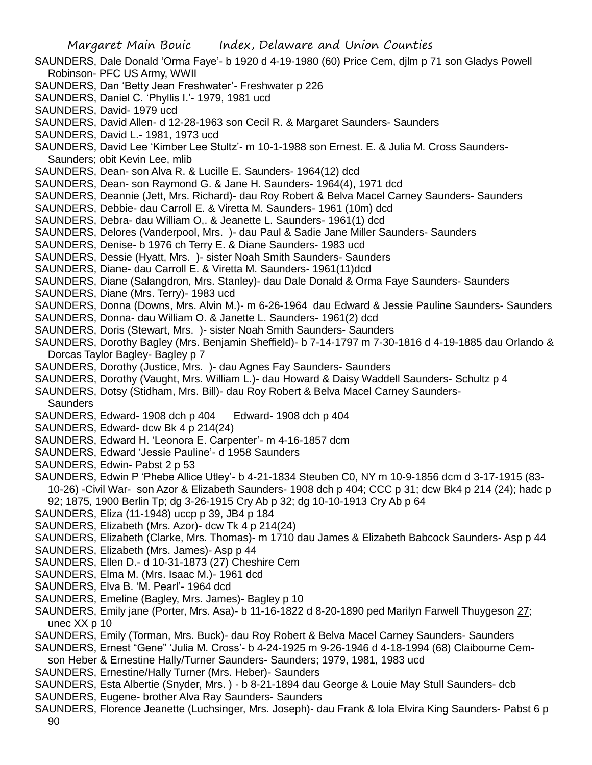- SAUNDERS, Dale Donald 'Orma Faye'- b 1920 d 4-19-1980 (60) Price Cem, djlm p 71 son Gladys Powell Robinson- PFC US Army, WWII
- SAUNDERS, Dan 'Betty Jean Freshwater'- Freshwater p 226
- SAUNDERS, Daniel C. 'Phyllis I.'- 1979, 1981 ucd
- SAUNDERS, David- 1979 ucd
- SAUNDERS, David Allen- d 12-28-1963 son Cecil R. & Margaret Saunders- Saunders
- SAUNDERS, David L.- 1981, 1973 ucd
- SAUNDERS, David Lee 'Kimber Lee Stultz'- m 10-1-1988 son Ernest. E. & Julia M. Cross Saunders-Saunders; obit Kevin Lee, mlib
- SAUNDERS, Dean- son Alva R. & Lucille E. Saunders- 1964(12) dcd
- SAUNDERS, Dean- son Raymond G. & Jane H. Saunders- 1964(4), 1971 dcd
- SAUNDERS, Deannie (Jett, Mrs. Richard)- dau Roy Robert & Belva Macel Carney Saunders- Saunders
- SAUNDERS, Debbie- dau Carroll E. & Viretta M. Saunders- 1961 (10m) dcd
- SAUNDERS, Debra- dau William O,. & Jeanette L. Saunders- 1961(1) dcd
- SAUNDERS, Delores (Vanderpool, Mrs. )- dau Paul & Sadie Jane Miller Saunders- Saunders
- SAUNDERS, Denise- b 1976 ch Terry E. & Diane Saunders- 1983 ucd
- SAUNDERS, Dessie (Hyatt, Mrs. )- sister Noah Smith Saunders- Saunders
- SAUNDERS, Diane- dau Carroll E. & Viretta M. Saunders- 1961(11)dcd
- SAUNDERS, Diane (Salangdron, Mrs. Stanley)- dau Dale Donald & Orma Faye Saunders- Saunders
- SAUNDERS, Diane (Mrs. Terry)- 1983 ucd
- SAUNDERS, Donna (Downs, Mrs. Alvin M.)- m 6-26-1964 dau Edward & Jessie Pauline Saunders- Saunders
- SAUNDERS, Donna- dau William O. & Janette L. Saunders- 1961(2) dcd
- SAUNDERS, Doris (Stewart, Mrs. )- sister Noah Smith Saunders- Saunders
- SAUNDERS, Dorothy Bagley (Mrs. Benjamin Sheffield)- b 7-14-1797 m 7-30-1816 d 4-19-1885 dau Orlando & Dorcas Taylor Bagley- Bagley p 7
- SAUNDERS, Dorothy (Justice, Mrs. )- dau Agnes Fay Saunders- Saunders
- SAUNDERS, Dorothy (Vaught, Mrs. William L.)- dau Howard & Daisy Waddell Saunders- Schultz p 4
- SAUNDERS, Dotsy (Stidham, Mrs. Bill)- dau Roy Robert & Belva Macel Carney Saunders-
- **Saunders**
- SAUNDERS, Edward- 1908 dch p 404 Edward- 1908 dch p 404
- SAUNDERS, Edward- dcw Bk 4 p 214(24)
- SAUNDERS, Edward H. 'Leonora E. Carpenter'- m 4-16-1857 dcm
- SAUNDERS, Edward 'Jessie Pauline'- d 1958 Saunders
- SAUNDERS, Edwin- Pabst 2 p 53
- SAUNDERS, Edwin P 'Phebe Allice Utley'- b 4-21-1834 Steuben C0, NY m 10-9-1856 dcm d 3-17-1915 (83- 10-26) -Civil War- son Azor & Elizabeth Saunders- 1908 dch p 404; CCC p 31; dcw Bk4 p 214 (24); hadc p 92; 1875, 1900 Berlin Tp; dg 3-26-1915 Cry Ab p 32; dg 10-10-1913 Cry Ab p 64
- SAUNDERS, Eliza (11-1948) uccp p 39, JB4 p 184
- SAUNDERS, Elizabeth (Mrs. Azor)- dcw Tk 4 p 214(24)
- SAUNDERS, Elizabeth (Clarke, Mrs. Thomas)- m 1710 dau James & Elizabeth Babcock Saunders- Asp p 44
- SAUNDERS, Elizabeth (Mrs. James)- Asp p 44
- SAUNDERS, Ellen D.- d 10-31-1873 (27) Cheshire Cem
- SAUNDERS, Elma M. (Mrs. Isaac M.)- 1961 dcd
- SAUNDERS, Elva B. 'M. Pearl'- 1964 dcd
- SAUNDERS, Emeline (Bagley, Mrs. James)- Bagley p 10
- SAUNDERS, Emily jane (Porter, Mrs. Asa)- b 11-16-1822 d 8-20-1890 ped Marilyn Farwell Thuygeson 27; unec XX p 10
- SAUNDERS, Emily (Torman, Mrs. Buck)- dau Roy Robert & Belva Macel Carney Saunders- Saunders
- SAUNDERS, Ernest "Gene" 'Julia M. Cross'- b 4-24-1925 m 9-26-1946 d 4-18-1994 (68) Claibourne Cemson Heber & Ernestine Hally/Turner Saunders- Saunders; 1979, 1981, 1983 ucd
- SAUNDERS, Ernestine/Hally Turner (Mrs. Heber)- Saunders
- SAUNDERS, Esta Albertie (Snyder, Mrs. ) b 8-21-1894 dau George & Louie May Stull Saunders- dcb
- SAUNDERS, Eugene- brother Alva Ray Saunders- Saunders
- SAUNDERS, Florence Jeanette (Luchsinger, Mrs. Joseph)- dau Frank & Iola Elvira King Saunders- Pabst 6 p 90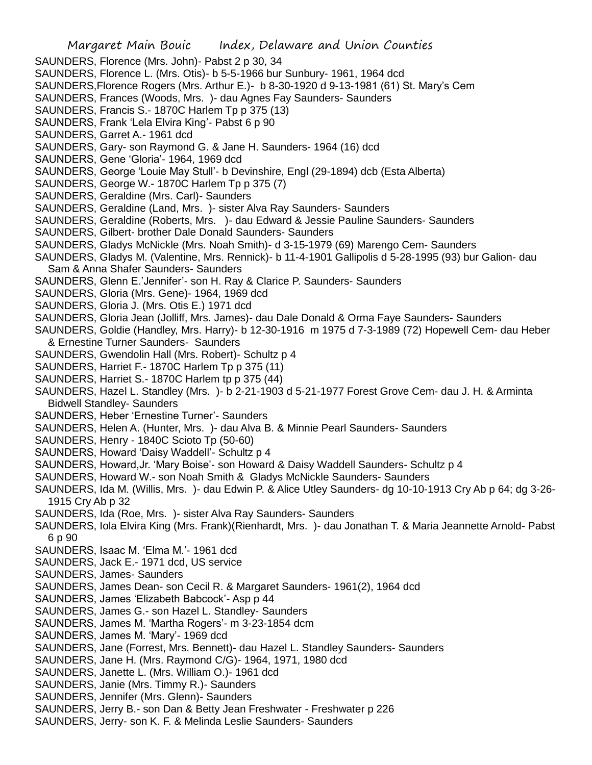Margaret Main Bouic Index, Delaware and Union Counties SAUNDERS, Florence (Mrs. John)- Pabst 2 p 30, 34 SAUNDERS, Florence L. (Mrs. Otis)- b 5-5-1966 bur Sunbury- 1961, 1964 dcd SAUNDERS,Florence Rogers (Mrs. Arthur E.)- b 8-30-1920 d 9-13-1981 (61) St. Mary's Cem SAUNDERS, Frances (Woods, Mrs. )- dau Agnes Fay Saunders- Saunders SAUNDERS, Francis S.- 1870C Harlem Tp p 375 (13) SAUNDERS, Frank 'Lela Elvira King'- Pabst 6 p 90 SAUNDERS, Garret A.- 1961 dcd SAUNDERS, Gary- son Raymond G. & Jane H. Saunders- 1964 (16) dcd SAUNDERS, Gene 'Gloria'- 1964, 1969 dcd SAUNDERS, George 'Louie May Stull'- b Devinshire, Engl (29-1894) dcb (Esta Alberta) SAUNDERS, George W.- 1870C Harlem Tp p 375 (7) SAUNDERS, Geraldine (Mrs. Carl)- Saunders SAUNDERS, Geraldine (Land, Mrs. )- sister Alva Ray Saunders- Saunders

- SAUNDERS, Geraldine (Roberts, Mrs. )- dau Edward & Jessie Pauline Saunders- Saunders
- SAUNDERS, Gilbert- brother Dale Donald Saunders- Saunders
- SAUNDERS, Gladys McNickle (Mrs. Noah Smith)- d 3-15-1979 (69) Marengo Cem- Saunders
- SAUNDERS, Gladys M. (Valentine, Mrs. Rennick)- b 11-4-1901 Gallipolis d 5-28-1995 (93) bur Galion- dau Sam & Anna Shafer Saunders- Saunders
- SAUNDERS, Glenn E.'Jennifer'- son H. Ray & Clarice P. Saunders- Saunders
- SAUNDERS, Gloria (Mrs. Gene)- 1964, 1969 dcd
- SAUNDERS, Gloria J. (Mrs. Otis E.) 1971 dcd
- SAUNDERS, Gloria Jean (Jolliff, Mrs. James)- dau Dale Donald & Orma Faye Saunders- Saunders
- SAUNDERS, Goldie (Handley, Mrs. Harry)- b 12-30-1916 m 1975 d 7-3-1989 (72) Hopewell Cem- dau Heber & Ernestine Turner Saunders- Saunders
- SAUNDERS, Gwendolin Hall (Mrs. Robert)- Schultz p 4
- SAUNDERS, Harriet F.- 1870C Harlem Tp p 375 (11)
- SAUNDERS, Harriet S.- 1870C Harlem tp p 375 (44)
- SAUNDERS, Hazel L. Standley (Mrs. )- b 2-21-1903 d 5-21-1977 Forest Grove Cem- dau J. H. & Arminta Bidwell Standley- Saunders
- SAUNDERS, Heber 'Ernestine Turner'- Saunders
- SAUNDERS, Helen A. (Hunter, Mrs. )- dau Alva B. & Minnie Pearl Saunders- Saunders
- SAUNDERS, Henry 1840C Scioto Tp (50-60)
- SAUNDERS, Howard 'Daisy Waddell'- Schultz p 4
- SAUNDERS, Howard,Jr. 'Mary Boise'- son Howard & Daisy Waddell Saunders- Schultz p 4
- SAUNDERS, Howard W.- son Noah Smith & Gladys McNickle Saunders- Saunders
- SAUNDERS, Ida M. (Willis, Mrs. )- dau Edwin P. & Alice Utley Saunders- dg 10-10-1913 Cry Ab p 64; dg 3-26- 1915 Cry Ab p 32
- SAUNDERS, Ida (Roe, Mrs. )- sister Alva Ray Saunders- Saunders
- SAUNDERS, Iola Elvira King (Mrs. Frank)(Rienhardt, Mrs. )- dau Jonathan T. & Maria Jeannette Arnold- Pabst 6 p 90
- SAUNDERS, Isaac M. 'Elma M.'- 1961 dcd
- SAUNDERS, Jack E.- 1971 dcd, US service
- SAUNDERS, James- Saunders
- SAUNDERS, James Dean- son Cecil R. & Margaret Saunders- 1961(2), 1964 dcd
- SAUNDERS, James 'Elizabeth Babcock'- Asp p 44
- SAUNDERS, James G.- son Hazel L. Standley- Saunders
- SAUNDERS, James M. 'Martha Rogers'- m 3-23-1854 dcm
- SAUNDERS, James M. 'Mary'- 1969 dcd
- SAUNDERS, Jane (Forrest, Mrs. Bennett)- dau Hazel L. Standley Saunders- Saunders
- SAUNDERS, Jane H. (Mrs. Raymond C/G)- 1964, 1971, 1980 dcd
- SAUNDERS, Janette L. (Mrs. William O.)- 1961 dcd
- SAUNDERS, Janie (Mrs. Timmy R.)- Saunders
- SAUNDERS, Jennifer (Mrs. Glenn)- Saunders
- SAUNDERS, Jerry B.- son Dan & Betty Jean Freshwater Freshwater p 226
- SAUNDERS, Jerry- son K. F. & Melinda Leslie Saunders- Saunders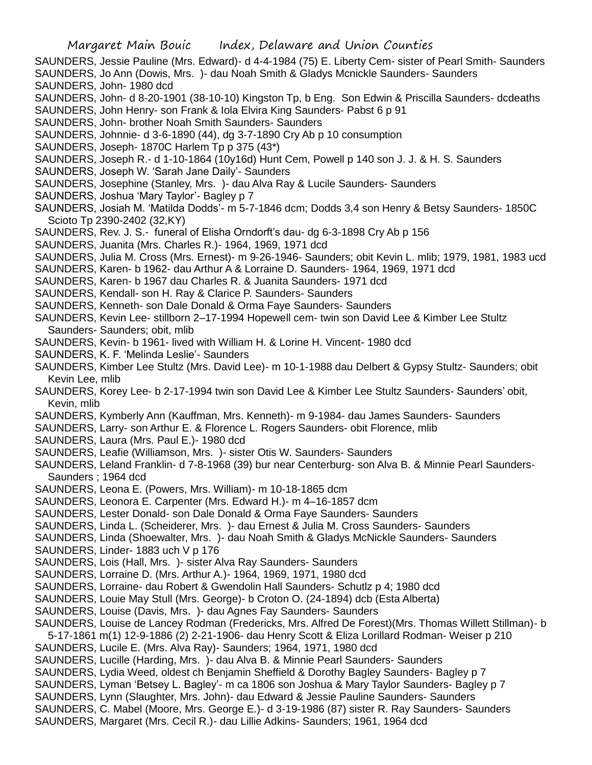- SAUNDERS, Jessie Pauline (Mrs. Edward)- d 4-4-1984 (75) E. Liberty Cem- sister of Pearl Smith- Saunders
- SAUNDERS, Jo Ann (Dowis, Mrs. )- dau Noah Smith & Gladys Mcnickle Saunders- Saunders SAUNDERS, John- 1980 dcd
- SAUNDERS, John- d 8-20-1901 (38-10-10) Kingston Tp, b Eng. Son Edwin & Priscilla Saunders- dcdeaths
- SAUNDERS, John Henry- son Frank & Iola Elvira King Saunders- Pabst 6 p 91
- SAUNDERS, John- brother Noah Smith Saunders- Saunders
- SAUNDERS, Johnnie- d 3-6-1890 (44), dg 3-7-1890 Cry Ab p 10 consumption
- SAUNDERS, Joseph- 1870C Harlem Tp p 375 (43\*)
- SAUNDERS, Joseph R.- d 1-10-1864 (10y16d) Hunt Cem, Powell p 140 son J. J. & H. S. Saunders
- SAUNDERS, Joseph W. 'Sarah Jane Daily'- Saunders
- SAUNDERS, Josephine (Stanley, Mrs. )- dau Alva Ray & Lucile Saunders- Saunders
- SAUNDERS, Joshua 'Mary Taylor'- Bagley p 7
- SAUNDERS, Josiah M. 'Matilda Dodds'- m 5-7-1846 dcm; Dodds 3,4 son Henry & Betsy Saunders- 1850C Scioto Tp 2390-2402 (32,KY)
- SAUNDERS, Rev. J. S.- funeral of Elisha Orndorft's dau- dg 6-3-1898 Cry Ab p 156
- SAUNDERS, Juanita (Mrs. Charles R.)- 1964, 1969, 1971 dcd
- SAUNDERS, Julia M. Cross (Mrs. Ernest)- m 9-26-1946- Saunders; obit Kevin L. mlib; 1979, 1981, 1983 ucd
- SAUNDERS, Karen- b 1962- dau Arthur A & Lorraine D. Saunders- 1964, 1969, 1971 dcd
- SAUNDERS, Karen- b 1967 dau Charles R. & Juanita Saunders- 1971 dcd
- SAUNDERS, Kendall- son H. Ray & Clarice P. Saunders- Saunders
- SAUNDERS, Kenneth- son Dale Donald & Orma Faye Saunders- Saunders
- SAUNDERS, Kevin Lee- stillborn 2–17-1994 Hopewell cem- twin son David Lee & Kimber Lee Stultz Saunders- Saunders; obit, mlib
- SAUNDERS, Kevin- b 1961- lived with William H. & Lorine H. Vincent- 1980 dcd
- SAUNDERS, K. F. 'Melinda Leslie'- Saunders
- SAUNDERS, Kimber Lee Stultz (Mrs. David Lee)- m 10-1-1988 dau Delbert & Gypsy Stultz- Saunders; obit Kevin Lee, mlib
- SAUNDERS, Korey Lee- b 2-17-1994 twin son David Lee & Kimber Lee Stultz Saunders- Saunders' obit, Kevin, mlib
- SAUNDERS, Kymberly Ann (Kauffman, Mrs. Kenneth)- m 9-1984- dau James Saunders- Saunders
- SAUNDERS, Larry- son Arthur E. & Florence L. Rogers Saunders- obit Florence, mlib
- SAUNDERS, Laura (Mrs. Paul E.)- 1980 dcd
- SAUNDERS, Leafie (Williamson, Mrs. )- sister Otis W. Saunders- Saunders
- SAUNDERS, Leland Franklin- d 7-8-1968 (39) bur near Centerburg- son Alva B. & Minnie Pearl Saunders-Saunders ; 1964 dcd
- SAUNDERS, Leona E. (Powers, Mrs. William)- m 10-18-1865 dcm
- SAUNDERS, Leonora E. Carpenter (Mrs. Edward H.)- m 4–16-1857 dcm
- SAUNDERS, Lester Donald- son Dale Donald & Orma Faye Saunders- Saunders
- SAUNDERS, Linda L. (Scheiderer, Mrs. )- dau Ernest & Julia M. Cross Saunders- Saunders
- SAUNDERS, Linda (Shoewalter, Mrs. )- dau Noah Smith & Gladys McNickle Saunders- Saunders
- SAUNDERS, Linder- 1883 uch V p 176
- SAUNDERS, Lois (Hall, Mrs. )- sister Alva Ray Saunders- Saunders
- SAUNDERS, Lorraine D. (Mrs. Arthur A.)- 1964, 1969, 1971, 1980 dcd
- SAUNDERS, Lorraine- dau Robert & Gwendolin Hall Saunders- Schutlz p 4; 1980 dcd
- SAUNDERS, Louie May Stull (Mrs. George)- b Croton O. (24-1894) dcb (Esta Alberta)
- SAUNDERS, Louise (Davis, Mrs. )- dau Agnes Fay Saunders- Saunders
- SAUNDERS, Louise de Lancey Rodman (Fredericks, Mrs. Alfred De Forest)(Mrs. Thomas Willett Stillman)- b 5-17-1861 m(1) 12-9-1886 (2) 2-21-1906- dau Henry Scott & Eliza Lorillard Rodman- Weiser p 210
- SAUNDERS, Lucile E. (Mrs. Alva Ray)- Saunders; 1964, 1971, 1980 dcd
- SAUNDERS, Lucille (Harding, Mrs. )- dau Alva B. & Minnie Pearl Saunders- Saunders
- SAUNDERS, Lydia Weed, oldest ch Benjamin Sheffield & Dorothy Bagley Saunders- Bagley p 7
- SAUNDERS, Lyman 'Betsey L. Bagley'- m ca 1806 son Joshua & Mary Taylor Saunders- Bagley p 7
- SAUNDERS, Lynn (Slaughter, Mrs. John)- dau Edward & Jessie Pauline Saunders- Saunders
- SAUNDERS, C. Mabel (Moore, Mrs. George E.)- d 3-19-1986 (87) sister R. Ray Saunders- Saunders
- SAUNDERS, Margaret (Mrs. Cecil R.)- dau Lillie Adkins- Saunders; 1961, 1964 dcd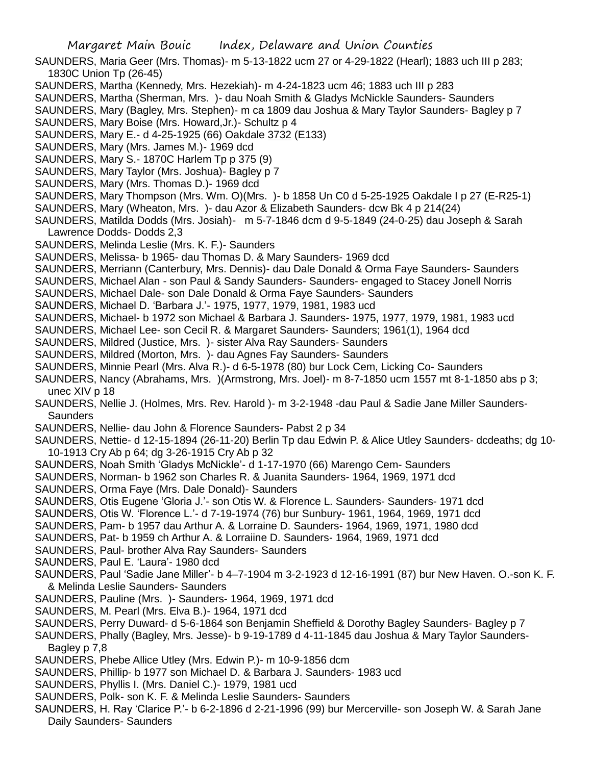SAUNDERS, Maria Geer (Mrs. Thomas)- m 5-13-1822 ucm 27 or 4-29-1822 (Hearl); 1883 uch III p 283; 1830C Union Tp (26-45)

- SAUNDERS, Martha (Kennedy, Mrs. Hezekiah)- m 4-24-1823 ucm 46; 1883 uch III p 283
- SAUNDERS, Martha (Sherman, Mrs. )- dau Noah Smith & Gladys McNickle Saunders- Saunders
- SAUNDERS, Mary (Bagley, Mrs. Stephen)- m ca 1809 dau Joshua & Mary Taylor Saunders- Bagley p 7
- SAUNDERS, Mary Boise (Mrs. Howard,Jr.)- Schultz p 4
- SAUNDERS, Mary E.- d 4-25-1925 (66) Oakdale 3732 (E133)
- SAUNDERS, Mary (Mrs. James M.)- 1969 dcd
- SAUNDERS, Mary S.- 1870C Harlem Tp p 375 (9)
- SAUNDERS, Mary Taylor (Mrs. Joshua)- Bagley p 7
- SAUNDERS, Mary (Mrs. Thomas D.)- 1969 dcd
- SAUNDERS, Mary Thompson (Mrs. Wm. O)(Mrs. )- b 1858 Un C0 d 5-25-1925 Oakdale I p 27 (E-R25-1)
- SAUNDERS, Mary (Wheaton, Mrs. )- dau Azor & Elizabeth Saunders- dcw Bk 4 p 214(24)
- SAUNDERS, Matilda Dodds (Mrs. Josiah)- m 5-7-1846 dcm d 9-5-1849 (24-0-25) dau Joseph & Sarah Lawrence Dodds- Dodds 2,3
- SAUNDERS, Melinda Leslie (Mrs. K. F.)- Saunders
- SAUNDERS, Melissa- b 1965- dau Thomas D. & Mary Saunders- 1969 dcd
- SAUNDERS, Merriann (Canterbury, Mrs. Dennis)- dau Dale Donald & Orma Faye Saunders- Saunders
- SAUNDERS, Michael Alan son Paul & Sandy Saunders- Saunders- engaged to Stacey Jonell Norris
- SAUNDERS, Michael Dale- son Dale Donald & Orma Faye Saunders- Saunders
- SAUNDERS, Michael D. 'Barbara J.'- 1975, 1977, 1979, 1981, 1983 ucd
- SAUNDERS, Michael- b 1972 son Michael & Barbara J. Saunders- 1975, 1977, 1979, 1981, 1983 ucd
- SAUNDERS, Michael Lee- son Cecil R. & Margaret Saunders- Saunders; 1961(1), 1964 dcd
- SAUNDERS, Mildred (Justice, Mrs. )- sister Alva Ray Saunders- Saunders
- SAUNDERS, Mildred (Morton, Mrs. )- dau Agnes Fay Saunders- Saunders
- SAUNDERS, Minnie Pearl (Mrs. Alva R.)- d 6-5-1978 (80) bur Lock Cem, Licking Co- Saunders
- SAUNDERS, Nancy (Abrahams, Mrs. )(Armstrong, Mrs. Joel)- m 8-7-1850 ucm 1557 mt 8-1-1850 abs p 3; unec XIV p 18
- SAUNDERS, Nellie J. (Holmes, Mrs. Rev. Harold )- m 3-2-1948 -dau Paul & Sadie Jane Miller Saunders-**Saunders**
- SAUNDERS, Nellie- dau John & Florence Saunders- Pabst 2 p 34
- SAUNDERS, Nettie- d 12-15-1894 (26-11-20) Berlin Tp dau Edwin P. & Alice Utley Saunders- dcdeaths; dg 10- 10-1913 Cry Ab p 64; dg 3-26-1915 Cry Ab p 32
- SAUNDERS, Noah Smith 'Gladys McNickle'- d 1-17-1970 (66) Marengo Cem- Saunders
- SAUNDERS, Norman- b 1962 son Charles R. & Juanita Saunders- 1964, 1969, 1971 dcd
- SAUNDERS, Orma Faye (Mrs. Dale Donald)- Saunders
- SAUNDERS, Otis Eugene 'Gloria J.'- son Otis W. & Florence L. Saunders- Saunders- 1971 dcd
- SAUNDERS, Otis W. 'Florence L.'- d 7-19-1974 (76) bur Sunbury- 1961, 1964, 1969, 1971 dcd
- SAUNDERS, Pam- b 1957 dau Arthur A. & Lorraine D. Saunders- 1964, 1969, 1971, 1980 dcd
- SAUNDERS, Pat- b 1959 ch Arthur A. & Lorraiine D. Saunders- 1964, 1969, 1971 dcd
- SAUNDERS, Paul- brother Alva Ray Saunders- Saunders
- SAUNDERS, Paul E. 'Laura'- 1980 dcd
- SAUNDERS, Paul 'Sadie Jane Miller'- b 4–7-1904 m 3-2-1923 d 12-16-1991 (87) bur New Haven. O.-son K. F. & Melinda Leslie Saunders- Saunders
- SAUNDERS, Pauline (Mrs. )- Saunders- 1964, 1969, 1971 dcd
- SAUNDERS, M. Pearl (Mrs. Elva B.)- 1964, 1971 dcd
- SAUNDERS, Perry Duward- d 5-6-1864 son Benjamin Sheffield & Dorothy Bagley Saunders- Bagley p 7
- SAUNDERS, Phally (Bagley, Mrs. Jesse)- b 9-19-1789 d 4-11-1845 dau Joshua & Mary Taylor Saunders-Bagley p 7,8
- SAUNDERS, Phebe Allice Utley (Mrs. Edwin P.)- m 10-9-1856 dcm
- SAUNDERS, Phillip- b 1977 son Michael D. & Barbara J. Saunders- 1983 ucd
- SAUNDERS, Phyllis I. (Mrs. Daniel C.)- 1979, 1981 ucd
- SAUNDERS, Polk- son K. F. & Melinda Leslie Saunders- Saunders
- SAUNDERS, H. Ray 'Clarice P.'- b 6-2-1896 d 2-21-1996 (99) bur Mercerville- son Joseph W. & Sarah Jane Daily Saunders- Saunders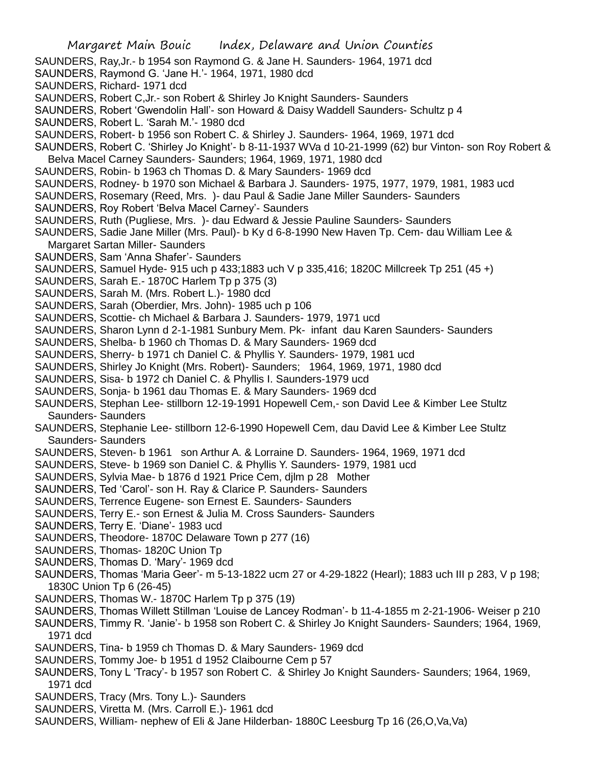SAUNDERS, Ray,Jr.- b 1954 son Raymond G. & Jane H. Saunders- 1964, 1971 dcd

- SAUNDERS, Raymond G. 'Jane H.'- 1964, 1971, 1980 dcd
- SAUNDERS, Richard- 1971 dcd
- SAUNDERS, Robert C,Jr.- son Robert & Shirley Jo Knight Saunders- Saunders
- SAUNDERS, Robert 'Gwendolin Hall'- son Howard & Daisy Waddell Saunders- Schultz p 4
- SAUNDERS, Robert L. 'Sarah M.'- 1980 dcd
- SAUNDERS, Robert- b 1956 son Robert C. & Shirley J. Saunders- 1964, 1969, 1971 dcd
- SAUNDERS, Robert C. 'Shirley Jo Knight'- b 8-11-1937 WVa d 10-21-1999 (62) bur Vinton- son Roy Robert & Belva Macel Carney Saunders- Saunders; 1964, 1969, 1971, 1980 dcd
- SAUNDERS, Robin- b 1963 ch Thomas D. & Mary Saunders- 1969 dcd
- SAUNDERS, Rodney- b 1970 son Michael & Barbara J. Saunders- 1975, 1977, 1979, 1981, 1983 ucd
- SAUNDERS, Rosemary (Reed, Mrs. )- dau Paul & Sadie Jane Miller Saunders- Saunders
- SAUNDERS, Roy Robert 'Belva Macel Carney'- Saunders
- SAUNDERS, Ruth (Pugliese, Mrs. )- dau Edward & Jessie Pauline Saunders- Saunders
- SAUNDERS, Sadie Jane Miller (Mrs. Paul)- b Ky d 6-8-1990 New Haven Tp. Cem- dau William Lee & Margaret Sartan Miller- Saunders
- SAUNDERS, Sam 'Anna Shafer'- Saunders
- SAUNDERS, Samuel Hyde- 915 uch p 433;1883 uch V p 335,416; 1820C Millcreek Tp 251 (45 +)
- SAUNDERS, Sarah E.- 1870C Harlem Tp p 375 (3)
- SAUNDERS, Sarah M. (Mrs. Robert L.)- 1980 dcd
- SAUNDERS, Sarah (Oberdier, Mrs. John)- 1985 uch p 106
- SAUNDERS, Scottie- ch Michael & Barbara J. Saunders- 1979, 1971 ucd
- SAUNDERS, Sharon Lynn d 2-1-1981 Sunbury Mem. Pk- infant dau Karen Saunders- Saunders
- SAUNDERS, Shelba- b 1960 ch Thomas D. & Mary Saunders- 1969 dcd
- SAUNDERS, Sherry- b 1971 ch Daniel C. & Phyllis Y. Saunders- 1979, 1981 ucd
- SAUNDERS, Shirley Jo Knight (Mrs. Robert)- Saunders; 1964, 1969, 1971, 1980 dcd
- SAUNDERS, Sisa- b 1972 ch Daniel C. & Phyllis I. Saunders-1979 ucd
- SAUNDERS, Sonja- b 1961 dau Thomas E. & Mary Saunders- 1969 dcd
- SAUNDERS, Stephan Lee- stillborn 12-19-1991 Hopewell Cem,- son David Lee & Kimber Lee Stultz Saunders- Saunders
- SAUNDERS, Stephanie Lee- stillborn 12-6-1990 Hopewell Cem, dau David Lee & Kimber Lee Stultz Saunders- Saunders
- SAUNDERS, Steven- b 1961 son Arthur A. & Lorraine D. Saunders- 1964, 1969, 1971 dcd
- SAUNDERS, Steve- b 1969 son Daniel C. & Phyllis Y. Saunders- 1979, 1981 ucd
- SAUNDERS, Sylvia Mae- b 1876 d 1921 Price Cem, djlm p 28 Mother
- SAUNDERS, Ted 'Carol'- son H. Ray & Clarice P. Saunders- Saunders
- SAUNDERS, Terrence Eugene- son Ernest E. Saunders- Saunders
- SAUNDERS, Terry E.- son Ernest & Julia M. Cross Saunders- Saunders
- SAUNDERS, Terry E. 'Diane'- 1983 ucd
- SAUNDERS, Theodore- 1870C Delaware Town p 277 (16)
- SAUNDERS, Thomas- 1820C Union Tp
- SAUNDERS, Thomas D. 'Mary'- 1969 dcd
- SAUNDERS, Thomas 'Maria Geer'- m 5-13-1822 ucm 27 or 4-29-1822 (Hearl); 1883 uch III p 283, V p 198; 1830C Union Tp 6 (26-45)
- SAUNDERS, Thomas W.- 1870C Harlem Tp p 375 (19)
- SAUNDERS, Thomas Willett Stillman 'Louise de Lancey Rodman'- b 11-4-1855 m 2-21-1906- Weiser p 210
- SAUNDERS, Timmy R. 'Janie'- b 1958 son Robert C. & Shirley Jo Knight Saunders- Saunders; 1964, 1969, 1971 dcd
- SAUNDERS, Tina- b 1959 ch Thomas D. & Mary Saunders- 1969 dcd
- SAUNDERS, Tommy Joe- b 1951 d 1952 Claibourne Cem p 57
- SAUNDERS, Tony L 'Tracy'- b 1957 son Robert C. & Shirley Jo Knight Saunders- Saunders; 1964, 1969, 1971 dcd
- SAUNDERS, Tracy (Mrs. Tony L.)- Saunders
- SAUNDERS, Viretta M. (Mrs. Carroll E.)- 1961 dcd
- SAUNDERS, William- nephew of Eli & Jane Hilderban- 1880C Leesburg Tp 16 (26,O,Va,Va)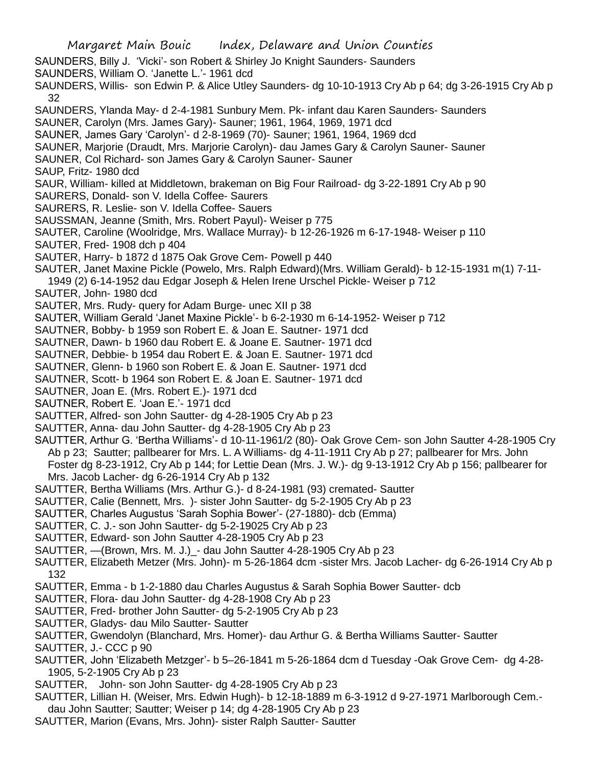SAUNDERS, Billy J. 'Vicki'- son Robert & Shirley Jo Knight Saunders- Saunders SAUNDERS, William O. 'Janette L.'- 1961 dcd SAUNDERS, Willis- son Edwin P. & Alice Utley Saunders- dg 10-10-1913 Cry Ab p 64; dg 3-26-1915 Cry Ab p 32 SAUNDERS, Ylanda May- d 2-4-1981 Sunbury Mem. Pk- infant dau Karen Saunders- Saunders SAUNER, Carolyn (Mrs. James Gary)- Sauner; 1961, 1964, 1969, 1971 dcd SAUNER, James Gary 'Carolyn'- d 2-8-1969 (70)- Sauner; 1961, 1964, 1969 dcd SAUNER, Marjorie (Draudt, Mrs. Marjorie Carolyn)- dau James Gary & Carolyn Sauner- Sauner SAUNER, Col Richard- son James Gary & Carolyn Sauner- Sauner SAUP, Fritz- 1980 dcd SAUR, William- killed at Middletown, brakeman on Big Four Railroad- dg 3-22-1891 Cry Ab p 90 SAURERS, Donald- son V. Idella Coffee- Saurers SAURERS, R. Leslie- son V. Idella Coffee- Sauers SAUSSMAN, Jeanne (Smith, Mrs. Robert Payul)- Weiser p 775 SAUTER, Caroline (Woolridge, Mrs. Wallace Murray)- b 12-26-1926 m 6-17-1948- Weiser p 110 SAUTER, Fred- 1908 dch p 404 SAUTER, Harry- b 1872 d 1875 Oak Grove Cem- Powell p 440 SAUTER, Janet Maxine Pickle (Powelo, Mrs. Ralph Edward)(Mrs. William Gerald)- b 12-15-1931 m(1) 7-11- 1949 (2) 6-14-1952 dau Edgar Joseph & Helen Irene Urschel Pickle- Weiser p 712 SAUTER, John- 1980 dcd SAUTER, Mrs. Rudy- query for Adam Burge- unec XII p 38 SAUTER, William Gerald 'Janet Maxine Pickle'- b 6-2-1930 m 6-14-1952- Weiser p 712 SAUTNER, Bobby- b 1959 son Robert E. & Joan E. Sautner- 1971 dcd SAUTNER, Dawn- b 1960 dau Robert E. & Joane E. Sautner- 1971 dcd SAUTNER, Debbie- b 1954 dau Robert E. & Joan E. Sautner- 1971 dcd SAUTNER, Glenn- b 1960 son Robert E. & Joan E. Sautner- 1971 dcd SAUTNER, Scott- b 1964 son Robert E. & Joan E. Sautner- 1971 dcd SAUTNER, Joan E. (Mrs. Robert E.)- 1971 dcd SAUTNER, Robert E. 'Joan E.'- 1971 dcd SAUTTER, Alfred- son John Sautter- dg 4-28-1905 Cry Ab p 23 SAUTTER, Anna- dau John Sautter- dg 4-28-1905 Cry Ab p 23 SAUTTER, Arthur G. 'Bertha Williams'- d 10-11-1961/2 (80)- Oak Grove Cem- son John Sautter 4-28-1905 Cry Ab p 23; Sautter; pallbearer for Mrs. L. A Williams- dg 4-11-1911 Cry Ab p 27; pallbearer for Mrs. John Foster dg 8-23-1912, Cry Ab p 144; for Lettie Dean (Mrs. J. W.)- dg 9-13-1912 Cry Ab p 156; pallbearer for Mrs. Jacob Lacher- dg 6-26-1914 Cry Ab p 132 SAUTTER, Bertha Williams (Mrs. Arthur G.)- d 8-24-1981 (93) cremated- Sautter SAUTTER, Calie (Bennett, Mrs. )- sister John Sautter- dg 5-2-1905 Cry Ab p 23 SAUTTER, Charles Augustus 'Sarah Sophia Bower'- (27-1880)- dcb (Emma) SAUTTER, C. J.- son John Sautter- dg 5-2-19025 Cry Ab p 23 SAUTTER, Edward- son John Sautter 4-28-1905 Cry Ab p 23 SAUTTER, —(Brown, Mrs. M. J.)\_- dau John Sautter 4-28-1905 Cry Ab p 23 SAUTTER, Elizabeth Metzer (Mrs. John)- m 5-26-1864 dcm -sister Mrs. Jacob Lacher- dg 6-26-1914 Cry Ab p 132 SAUTTER, Emma - b 1-2-1880 dau Charles Augustus & Sarah Sophia Bower Sautter- dcb SAUTTER, Flora- dau John Sautter- dg 4-28-1908 Cry Ab p 23 SAUTTER, Fred- brother John Sautter- dg 5-2-1905 Cry Ab p 23 SAUTTER, Gladys- dau Milo Sautter- Sautter SAUTTER, Gwendolyn (Blanchard, Mrs. Homer)- dau Arthur G. & Bertha Williams Sautter- Sautter SAUTTER, J.- CCC p 90 SAUTTER, John 'Elizabeth Metzger'- b 5–26-1841 m 5-26-1864 dcm d Tuesday -Oak Grove Cem- dg 4-28- 1905, 5-2-1905 Cry Ab p 23 SAUTTER, John- son John Sautter- dg 4-28-1905 Cry Ab p 23 SAUTTER, Lillian H. (Weiser, Mrs. Edwin Hugh)- b 12-18-1889 m 6-3-1912 d 9-27-1971 Marlborough Cem.-

- dau John Sautter; Sautter; Weiser p 14; dg 4-28-1905 Cry Ab p 23
- SAUTTER, Marion (Evans, Mrs. John)- sister Ralph Sautter- Sautter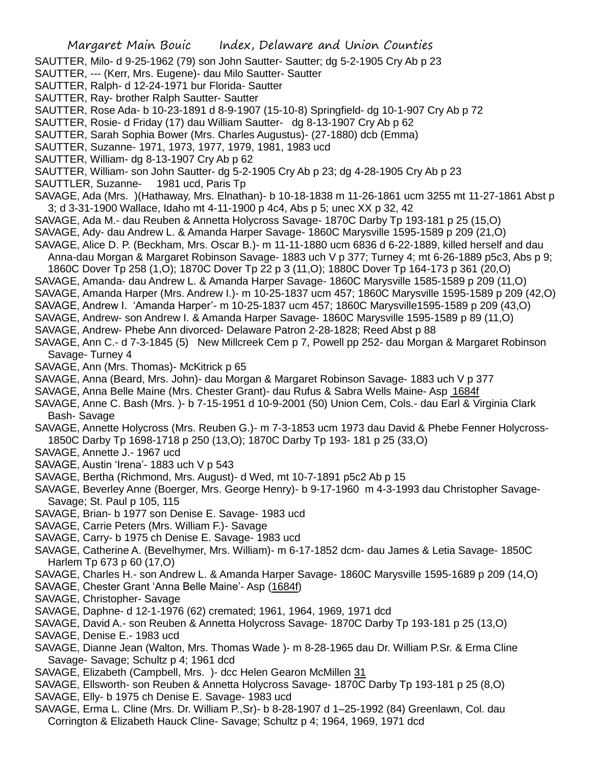SAUTTER, Milo- d 9-25-1962 (79) son John Sautter- Sautter; dg 5-2-1905 Cry Ab p 23

- SAUTTER, --- (Kerr, Mrs. Eugene)- dau Milo Sautter- Sautter
- SAUTTER, Ralph- d 12-24-1971 bur Florida- Sautter
- SAUTTER, Ray- brother Ralph Sautter- Sautter
- SAUTTER, Rose Ada- b 10-23-1891 d 8-9-1907 (15-10-8) Springfield- dg 10-1-907 Cry Ab p 72
- SAUTTER, Rosie- d Friday (17) dau William Sautter- dg 8-13-1907 Cry Ab p 62
- SAUTTER, Sarah Sophia Bower (Mrs. Charles Augustus)- (27-1880) dcb (Emma)
- SAUTTER, Suzanne- 1971, 1973, 1977, 1979, 1981, 1983 ucd
- SAUTTER, William- dg 8-13-1907 Cry Ab p 62
- SAUTTER, William- son John Sautter- dg 5-2-1905 Cry Ab p 23; dg 4-28-1905 Cry Ab p 23
- SAUTTLER, Suzanne- 1981 ucd, Paris Tp
- SAVAGE, Ada (Mrs. )(Hathaway, Mrs. Elnathan)- b 10-18-1838 m 11-26-1861 ucm 3255 mt 11-27-1861 Abst p 3; d 3-31-1900 Wallace, Idaho mt 4-11-1900 p 4c4, Abs p 5; unec XX p 32, 42
- SAVAGE, Ada M.- dau Reuben & Annetta Holycross Savage- 1870C Darby Tp 193-181 p 25 (15,O)
- SAVAGE, Ady- dau Andrew L. & Amanda Harper Savage- 1860C Marysville 1595-1589 p 209 (21,O)
- SAVAGE, Alice D. P. (Beckham, Mrs. Oscar B.)- m 11-11-1880 ucm 6836 d 6-22-1889, killed herself and dau
	- Anna-dau Morgan & Margaret Robinson Savage- 1883 uch V p 377; Turney 4; mt 6-26-1889 p5c3, Abs p 9; 1860C Dover Tp 258 (1,O); 1870C Dover Tp 22 p 3 (11,O); 1880C Dover Tp 164-173 p 361 (20,O)
- SAVAGE, Amanda- dau Andrew L. & Amanda Harper Savage- 1860C Marysville 1585-1589 p 209 (11,O)
- SAVAGE, Amanda Harper (Mrs. Andrew I.)- m 10-25-1837 ucm 457; 1860C Marysville 1595-1589 p 209 (42,O)
- SAVAGE, Andrew I. 'Amanda Harper'- m 10-25-1837 ucm 457; 1860C Marysville1595-1589 p 209 (43,O)
- SAVAGE, Andrew- son Andrew I. & Amanda Harper Savage- 1860C Marysville 1595-1589 p 89 (11,O)
- SAVAGE, Andrew- Phebe Ann divorced- Delaware Patron 2-28-1828; Reed Abst p 88
- SAVAGE, Ann C.- d 7-3-1845 (5) New Millcreek Cem p 7, Powell pp 252- dau Morgan & Margaret Robinson Savage- Turney 4
- SAVAGE, Ann (Mrs. Thomas)- McKitrick p 65
- SAVAGE, Anna (Beard, Mrs. John)- dau Morgan & Margaret Robinson Savage- 1883 uch V p 377
- SAVAGE, Anna Belle Maine (Mrs. Chester Grant)- dau Rufus & Sabra Wells Maine- Asp 1684f
- SAVAGE, Anne C. Bash (Mrs. )- b 7-15-1951 d 10-9-2001 (50) Union Cem, Cols.- dau Earl & Virginia Clark Bash- Savage
- SAVAGE, Annette Holycross (Mrs. Reuben G.)- m 7-3-1853 ucm 1973 dau David & Phebe Fenner Holycross-1850C Darby Tp 1698-1718 p 250 (13,O); 1870C Darby Tp 193- 181 p 25 (33,O)
- SAVAGE, Annette J.- 1967 ucd
- SAVAGE, Austin 'Irena'- 1883 uch V p 543
- SAVAGE, Bertha (Richmond, Mrs. August)- d Wed, mt 10-7-1891 p5c2 Ab p 15
- SAVAGE, Beverley Anne (Boerger, Mrs. George Henry)- b 9-17-1960 m 4-3-1993 dau Christopher Savage-Savage; St. Paul p 105, 115
- SAVAGE, Brian- b 1977 son Denise E. Savage- 1983 ucd
- SAVAGE, Carrie Peters (Mrs. William F.)- Savage
- SAVAGE, Carry- b 1975 ch Denise E. Savage- 1983 ucd
- SAVAGE, Catherine A. (Bevelhymer, Mrs. William)- m 6-17-1852 dcm- dau James & Letia Savage- 1850C Harlem Tp 673 p 60 (17,O)
- SAVAGE, Charles H.- son Andrew L. & Amanda Harper Savage- 1860C Marysville 1595-1689 p 209 (14,O)
- SAVAGE, Chester Grant 'Anna Belle Maine'- Asp (1684f)
- SAVAGE, Christopher- Savage
- SAVAGE, Daphne- d 12-1-1976 (62) cremated; 1961, 1964, 1969, 1971 dcd
- SAVAGE, David A.- son Reuben & Annetta Holycross Savage- 1870C Darby Tp 193-181 p 25 (13,O)
- SAVAGE, Denise E.- 1983 ucd
- SAVAGE, Dianne Jean (Walton, Mrs. Thomas Wade )- m 8-28-1965 dau Dr. William P.Sr. & Erma Cline Savage- Savage; Schultz p 4; 1961 dcd
- SAVAGE, Elizabeth (Campbell, Mrs. )- dcc Helen Gearon McMillen 31
- SAVAGE, Ellsworth- son Reuben & Annetta Holycross Savage- 1870C Darby Tp 193-181 p 25 (8,O)
- SAVAGE, Elly- b 1975 ch Denise E. Savage- 1983 ucd
- SAVAGE, Erma L. Cline (Mrs. Dr. William P.,Sr)- b 8-28-1907 d 1–25-1992 (84) Greenlawn, Col. dau Corrington & Elizabeth Hauck Cline- Savage; Schultz p 4; 1964, 1969, 1971 dcd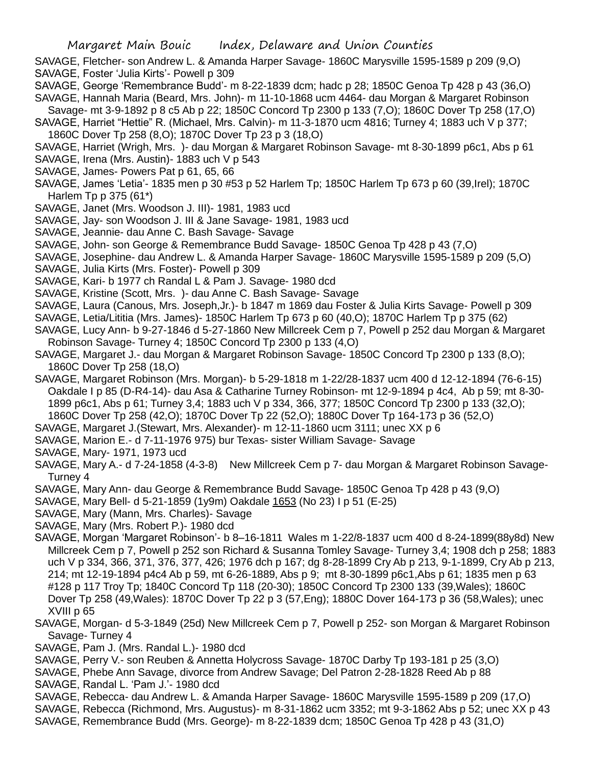- SAVAGE, Fletcher- son Andrew L. & Amanda Harper Savage- 1860C Marysville 1595-1589 p 209 (9,O) SAVAGE, Foster 'Julia Kirts'- Powell p 309
- SAVAGE, George 'Remembrance Budd'- m 8-22-1839 dcm; hadc p 28; 1850C Genoa Tp 428 p 43 (36,O)
- SAVAGE, Hannah Maria (Beard, Mrs. John)- m 11-10-1868 ucm 4464- dau Morgan & Margaret Robinson Savage- mt 3-9-1892 p 8 c5 Ab p 22; 1850C Concord Tp 2300 p 133 (7,O); 1860C Dover Tp 258 (17,O)
- SAVAGE, Harriet "Hettie" R. (Michael, Mrs. Calvin)- m 11-3-1870 ucm 4816; Turney 4; 1883 uch V p 377; 1860C Dover Tp 258 (8,O); 1870C Dover Tp 23 p 3 (18,O)
- SAVAGE, Harriet (Wrigh, Mrs. )- dau Morgan & Margaret Robinson Savage- mt 8-30-1899 p6c1, Abs p 61
- SAVAGE, Irena (Mrs. Austin)- 1883 uch V p 543
- SAVAGE, James- Powers Pat p 61, 65, 66
- SAVAGE, James 'Letia'- 1835 men p 30 #53 p 52 Harlem Tp; 1850C Harlem Tp 673 p 60 (39,Irel); 1870C Harlem Tp p 375 (61\*)
- SAVAGE, Janet (Mrs. Woodson J. III)- 1981, 1983 ucd
- SAVAGE, Jay- son Woodson J. III & Jane Savage- 1981, 1983 ucd
- SAVAGE, Jeannie- dau Anne C. Bash Savage- Savage
- SAVAGE, John- son George & Remembrance Budd Savage- 1850C Genoa Tp 428 p 43 (7,O)
- SAVAGE, Josephine- dau Andrew L. & Amanda Harper Savage- 1860C Marysville 1595-1589 p 209 (5,O)
- SAVAGE, Julia Kirts (Mrs. Foster)- Powell p 309
- SAVAGE, Kari- b 1977 ch Randal L & Pam J. Savage- 1980 dcd
- SAVAGE, Kristine (Scott, Mrs. )- dau Anne C. Bash Savage- Savage
- SAVAGE, Laura (Canous, Mrs. Joseph,Jr.)- b 1847 m 1869 dau Foster & Julia Kirts Savage- Powell p 309
- SAVAGE, Letia/Lititia (Mrs. James)- 1850C Harlem Tp 673 p 60 (40,O); 1870C Harlem Tp p 375 (62)
- SAVAGE, Lucy Ann- b 9-27-1846 d 5-27-1860 New Millcreek Cem p 7, Powell p 252 dau Morgan & Margaret Robinson Savage- Turney 4; 1850C Concord Tp 2300 p 133 (4,O)
- SAVAGE, Margaret J.- dau Morgan & Margaret Robinson Savage- 1850C Concord Tp 2300 p 133 (8,O); 1860C Dover Tp 258 (18,O)
- SAVAGE, Margaret Robinson (Mrs. Morgan)- b 5-29-1818 m 1-22/28-1837 ucm 400 d 12-12-1894 (76-6-15) Oakdale I p 85 (D-R4-14)- dau Asa & Catharine Turney Robinson- mt 12-9-1894 p 4c4, Ab p 59; mt 8-30- 1899 p6c1, Abs p 61; Turney 3,4; 1883 uch V p 334, 366, 377; 1850C Concord Tp 2300 p 133 (32,O); 1860C Dover Tp 258 (42,O); 1870C Dover Tp 22 (52,O); 1880C Dover Tp 164-173 p 36 (52,O)
- SAVAGE, Margaret J.(Stewart, Mrs. Alexander)- m 12-11-1860 ucm 3111; unec XX p 6
- SAVAGE, Marion E.- d 7-11-1976 975) bur Texas- sister William Savage- Savage
- SAVAGE, Mary- 1971, 1973 ucd
- SAVAGE, Mary A.- d 7-24-1858 (4-3-8) New Millcreek Cem p 7- dau Morgan & Margaret Robinson Savage-Turney 4
- SAVAGE, Mary Ann- dau George & Remembrance Budd Savage- 1850C Genoa Tp 428 p 43 (9,O)
- SAVAGE, Mary Bell- d 5-21-1859 (1y9m) Oakdale 1653 (No 23) I p 51 (E-25)
- SAVAGE, Mary (Mann, Mrs. Charles)- Savage
- SAVAGE, Mary (Mrs. Robert P.)- 1980 dcd
- SAVAGE, Morgan 'Margaret Robinson'- b 8–16-1811 Wales m 1-22/8-1837 ucm 400 d 8-24-1899(88y8d) New Millcreek Cem p 7, Powell p 252 son Richard & Susanna Tomley Savage- Turney 3,4; 1908 dch p 258; 1883 uch V p 334, 366, 371, 376, 377, 426; 1976 dch p 167; dg 8-28-1899 Cry Ab p 213, 9-1-1899, Cry Ab p 213, 214; mt 12-19-1894 p4c4 Ab p 59, mt 6-26-1889, Abs p 9; mt 8-30-1899 p6c1,Abs p 61; 1835 men p 63 #128 p 117 Troy Tp; 1840C Concord Tp 118 (20-30); 1850C Concord Tp 2300 133 (39,Wales); 1860C Dover Tp 258 (49,Wales): 1870C Dover Tp 22 p 3 (57,Eng); 1880C Dover 164-173 p 36 (58,Wales); unec XVIII p 65
- SAVAGE, Morgan- d 5-3-1849 (25d) New Millcreek Cem p 7, Powell p 252- son Morgan & Margaret Robinson Savage- Turney 4
- SAVAGE, Pam J. (Mrs. Randal L.)- 1980 dcd
- SAVAGE, Perry V.- son Reuben & Annetta Holycross Savage- 1870C Darby Tp 193-181 p 25 (3,O)
- SAVAGE, Phebe Ann Savage, divorce from Andrew Savage; Del Patron 2-28-1828 Reed Ab p 88
- SAVAGE, Randal L. 'Pam J.'- 1980 dcd
- SAVAGE, Rebecca- dau Andrew L. & Amanda Harper Savage- 1860C Marysville 1595-1589 p 209 (17,O)
- SAVAGE, Rebecca (Richmond, Mrs. Augustus)- m 8-31-1862 ucm 3352; mt 9-3-1862 Abs p 52; unec XX p 43
- SAVAGE, Remembrance Budd (Mrs. George)- m 8-22-1839 dcm; 1850C Genoa Tp 428 p 43 (31,O)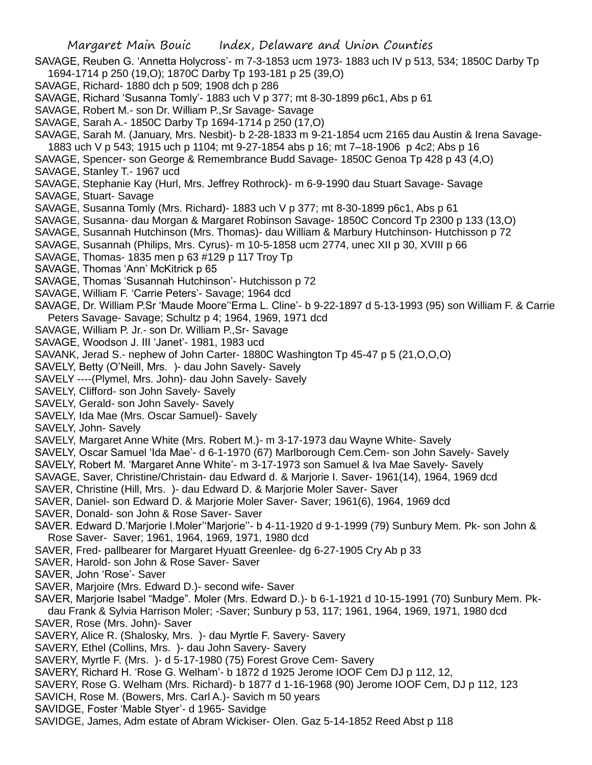SAVAGE, Reuben G. 'Annetta Holycross'- m 7-3-1853 ucm 1973- 1883 uch IV p 513, 534; 1850C Darby Tp 1694-1714 p 250 (19,O); 1870C Darby Tp 193-181 p 25 (39,O)

- SAVAGE, Richard- 1880 dch p 509; 1908 dch p 286
- SAVAGE, Richard 'Susanna Tomly'- 1883 uch V p 377; mt 8-30-1899 p6c1, Abs p 61
- SAVAGE, Robert M.- son Dr. William P.,Sr Savage- Savage
- SAVAGE, Sarah A.- 1850C Darby Tp 1694-1714 p 250 (17,O)
- SAVAGE, Sarah M. (January, Mrs. Nesbit)- b 2-28-1833 m 9-21-1854 ucm 2165 dau Austin & Irena Savage-
- 1883 uch V p 543; 1915 uch p 1104; mt 9-27-1854 abs p 16; mt 7–18-1906 p 4c2; Abs p 16
- SAVAGE, Spencer- son George & Remembrance Budd Savage- 1850C Genoa Tp 428 p 43 (4,O)
- SAVAGE, Stanley T.- 1967 ucd

SAVAGE, Stephanie Kay (Hurl, Mrs. Jeffrey Rothrock)- m 6-9-1990 dau Stuart Savage- Savage

- SAVAGE, Stuart- Savage
- SAVAGE, Susanna Tomly (Mrs. Richard)- 1883 uch V p 377; mt 8-30-1899 p6c1, Abs p 61
- SAVAGE, Susanna- dau Morgan & Margaret Robinson Savage- 1850C Concord Tp 2300 p 133 (13,O)
- SAVAGE, Susannah Hutchinson (Mrs. Thomas)- dau William & Marbury Hutchinson- Hutchisson p 72
- SAVAGE, Susannah (Philips, Mrs. Cyrus)- m 10-5-1858 ucm 2774, unec XII p 30, XVIII p 66
- SAVAGE, Thomas- 1835 men p 63 #129 p 117 Troy Tp
- SAVAGE, Thomas 'Ann' McKitrick p 65
- SAVAGE, Thomas 'Susannah Hutchinson'- Hutchisson p 72
- SAVAGE, William F. 'Carrie Peters'- Savage; 1964 dcd
- SAVAGE, Dr. William P.Sr 'Maude Moore''Erma L. Cline'- b 9-22-1897 d 5-13-1993 (95) son William F. & Carrie Peters Savage- Savage; Schultz p 4; 1964, 1969, 1971 dcd
- SAVAGE, William P. Jr.- son Dr. William P.,Sr- Savage
- SAVAGE, Woodson J. III 'Janet'- 1981, 1983 ucd
- SAVANK, Jerad S.- nephew of John Carter- 1880C Washington Tp 45-47 p 5 (21,O,O,O)
- SAVELY, Betty (O'Neill, Mrs. )- dau John Savely- Savely
- SAVELY ----(Plymel, Mrs. John)- dau John Savely- Savely
- SAVELY, Clifford- son John Savely- Savely
- SAVELY, Gerald- son John Savely- Savely
- SAVELY, Ida Mae (Mrs. Oscar Samuel)- Savely
- SAVELY, John- Savely
- SAVELY, Margaret Anne White (Mrs. Robert M.)- m 3-17-1973 dau Wayne White- Savely
- SAVELY, Oscar Samuel 'Ida Mae'- d 6-1-1970 (67) Marlborough Cem.Cem- son John Savely- Savely
- SAVELY, Robert M. 'Margaret Anne White'- m 3-17-1973 son Samuel & Iva Mae Savely- Savely
- SAVAGE, Saver, Christine/Christain- dau Edward d. & Marjorie I. Saver- 1961(14), 1964, 1969 dcd
- SAVER, Christine (Hill, Mrs. )- dau Edward D. & Marjorie Moler Saver- Saver
- SAVER, Daniel- son Edward D. & Marjorie Moler Saver- Saver; 1961(6), 1964, 1969 dcd
- SAVER, Donald- son John & Rose Saver- Saver
- SAVER. Edward D.'Marjorie I.Moler''Marjorie''- b 4-11-1920 d 9-1-1999 (79) Sunbury Mem. Pk- son John & Rose Saver- Saver; 1961, 1964, 1969, 1971, 1980 dcd
- SAVER, Fred- pallbearer for Margaret Hyuatt Greenlee- dg 6-27-1905 Cry Ab p 33
- SAVER, Harold- son John & Rose Saver- Saver
- SAVER, John 'Rose'- Saver
- SAVER, Marjoire (Mrs. Edward D.)- second wife- Saver
- SAVER, Marjorie Isabel "Madge". Moler (Mrs. Edward D.)- b 6-1-1921 d 10-15-1991 (70) Sunbury Mem. Pkdau Frank & Sylvia Harrison Moler; -Saver; Sunbury p 53, 117; 1961, 1964, 1969, 1971, 1980 dcd SAVER, Rose (Mrs. John)- Saver
- 
- SAVERY, Alice R. (Shalosky, Mrs. )- dau Myrtle F. Savery- Savery
- SAVERY, Ethel (Collins, Mrs. )- dau John Savery- Savery
- SAVERY, Myrtle F. (Mrs. )- d 5-17-1980 (75) Forest Grove Cem- Savery
- SAVERY, Richard H. 'Rose G. Welham'- b 1872 d 1925 Jerome IOOF Cem DJ p 112, 12,
- SAVERY, Rose G. Welham (Mrs. Richard)- b 1877 d 1-16-1968 (90) Jerome IOOF Cem, DJ p 112, 123
- SAVICH, Rose M. (Bowers, Mrs. Carl A.)- Savich m 50 years
- SAVIDGE, Foster 'Mable Styer'- d 1965- Savidge
- SAVIDGE, James, Adm estate of Abram Wickiser- Olen. Gaz 5-14-1852 Reed Abst p 118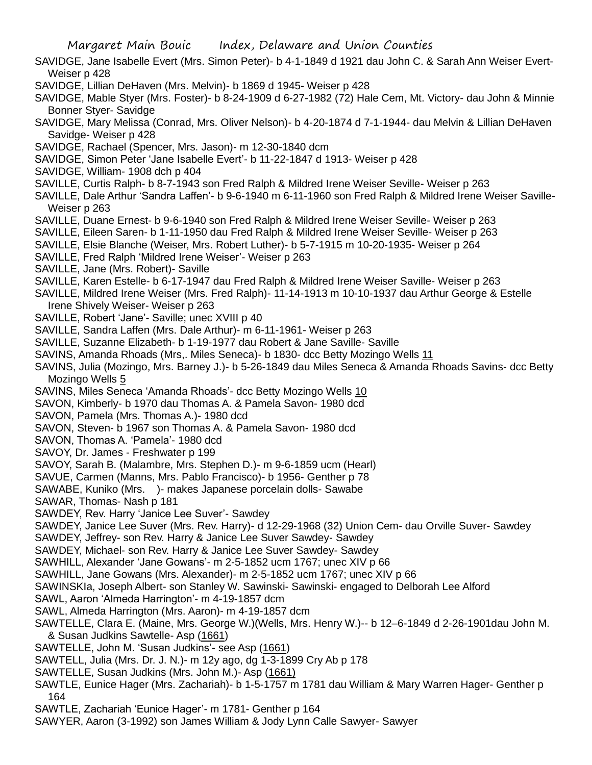- SAVIDGE, Jane Isabelle Evert (Mrs. Simon Peter)- b 4-1-1849 d 1921 dau John C. & Sarah Ann Weiser Evert-Weiser p 428
- SAVIDGE, Lillian DeHaven (Mrs. Melvin)- b 1869 d 1945- Weiser p 428
- SAVIDGE, Mable Styer (Mrs. Foster)- b 8-24-1909 d 6-27-1982 (72) Hale Cem, Mt. Victory- dau John & Minnie Bonner Styer- Savidge
- SAVIDGE, Mary Melissa (Conrad, Mrs. Oliver Nelson)- b 4-20-1874 d 7-1-1944- dau Melvin & Lillian DeHaven Savidge- Weiser p 428
- SAVIDGE, Rachael (Spencer, Mrs. Jason)- m 12-30-1840 dcm
- SAVIDGE, Simon Peter 'Jane Isabelle Evert'- b 11-22-1847 d 1913- Weiser p 428
- SAVIDGE, William- 1908 dch p 404
- SAVILLE, Curtis Ralph- b 8-7-1943 son Fred Ralph & Mildred Irene Weiser Seville- Weiser p 263
- SAVILLE, Dale Arthur 'Sandra Laffen'- b 9-6-1940 m 6-11-1960 son Fred Ralph & Mildred Irene Weiser Saville-Weiser p 263
- SAVILLE, Duane Ernest- b 9-6-1940 son Fred Ralph & Mildred Irene Weiser Seville- Weiser p 263
- SAVILLE, Eileen Saren- b 1-11-1950 dau Fred Ralph & Mildred Irene Weiser Seville- Weiser p 263
- SAVILLE, Elsie Blanche (Weiser, Mrs. Robert Luther)- b 5-7-1915 m 10-20-1935- Weiser p 264
- SAVILLE, Fred Ralph 'Mildred Irene Weiser'- Weiser p 263
- SAVILLE, Jane (Mrs. Robert)- Saville
- SAVILLE, Karen Estelle- b 6-17-1947 dau Fred Ralph & Mildred Irene Weiser Saville- Weiser p 263
- SAVILLE, Mildred Irene Weiser (Mrs. Fred Ralph)- 11-14-1913 m 10-10-1937 dau Arthur George & Estelle Irene Shively Weiser- Weiser p 263
- SAVILLE, Robert 'Jane'- Saville; unec XVIII p 40
- SAVILLE, Sandra Laffen (Mrs. Dale Arthur)- m 6-11-1961- Weiser p 263
- SAVILLE, Suzanne Elizabeth- b 1-19-1977 dau Robert & Jane Saville- Saville
- SAVINS, Amanda Rhoads (Mrs,. Miles Seneca)- b 1830- dcc Betty Mozingo Wells 11
- SAVINS, Julia (Mozingo, Mrs. Barney J.)- b 5-26-1849 dau Miles Seneca & Amanda Rhoads Savins- dcc Betty Mozingo Wells 5
- SAVINS, Miles Seneca 'Amanda Rhoads'- dcc Betty Mozingo Wells 10
- SAVON, Kimberly- b 1970 dau Thomas A. & Pamela Savon- 1980 dcd
- SAVON, Pamela (Mrs. Thomas A.)- 1980 dcd
- SAVON, Steven- b 1967 son Thomas A. & Pamela Savon- 1980 dcd
- SAVON, Thomas A. 'Pamela'- 1980 dcd
- SAVOY, Dr. James Freshwater p 199
- SAVOY, Sarah B. (Malambre, Mrs. Stephen D.)- m 9-6-1859 ucm (Hearl)
- SAVUE, Carmen (Manns, Mrs. Pablo Francisco)- b 1956- Genther p 78
- SAWABE, Kuniko (Mrs. )- makes Japanese porcelain dolls- Sawabe
- SAWAR, Thomas- Nash p 181
- SAWDEY, Rev. Harry 'Janice Lee Suver'- Sawdey
- SAWDEY, Janice Lee Suver (Mrs. Rev. Harry)- d 12-29-1968 (32) Union Cem- dau Orville Suver- Sawdey
- SAWDEY, Jeffrey- son Rev. Harry & Janice Lee Suver Sawdey- Sawdey
- SAWDEY, Michael- son Rev. Harry & Janice Lee Suver Sawdey- Sawdey
- SAWHILL, Alexander 'Jane Gowans'- m 2-5-1852 ucm 1767; unec XIV p 66
- SAWHILL, Jane Gowans (Mrs. Alexander)- m 2-5-1852 ucm 1767; unec XIV p 66
- SAWINSKIa, Joseph Albert- son Stanley W. Sawinski- Sawinski- engaged to Delborah Lee Alford
- SAWL, Aaron 'Almeda Harrington'- m 4-19-1857 dcm
- SAWL, Almeda Harrington (Mrs. Aaron)- m 4-19-1857 dcm
- SAWTELLE, Clara E. (Maine, Mrs. George W.)(Wells, Mrs. Henry W.)-- b 12–6-1849 d 2-26-1901dau John M. & Susan Judkins Sawtelle- Asp (1661)
- SAWTELLE, John M. 'Susan Judkins'- see Asp (1661)
- SAWTELL, Julia (Mrs. Dr. J. N.)- m 12y ago, dg 1-3-1899 Cry Ab p 178
- SAWTELLE, Susan Judkins (Mrs. John M.)- Asp (1661)
- SAWTLE, Eunice Hager (Mrs. Zachariah)- b 1-5-1757 m 1781 dau William & Mary Warren Hager- Genther p 164
- SAWTLE, Zachariah 'Eunice Hager'- m 1781- Genther p 164
- SAWYER, Aaron (3-1992) son James William & Jody Lynn Calle Sawyer- Sawyer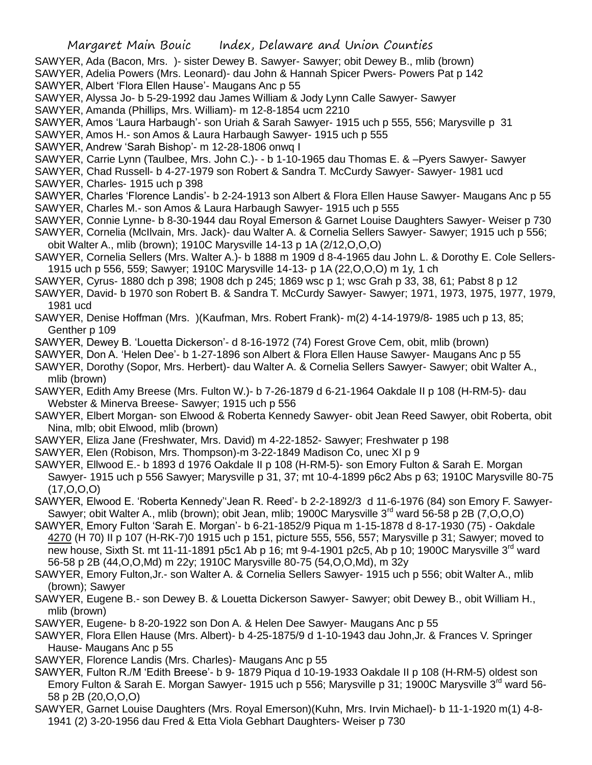- SAWYER, Ada (Bacon, Mrs. )- sister Dewey B. Sawyer- Sawyer; obit Dewey B., mlib (brown)
- SAWYER, Adelia Powers (Mrs. Leonard)- dau John & Hannah Spicer Pwers- Powers Pat p 142
- SAWYER, Albert 'Flora Ellen Hause'- Maugans Anc p 55
- SAWYER, Alyssa Jo- b 5-29-1992 dau James William & Jody Lynn Calle Sawyer- Sawyer
- SAWYER, Amanda (Phillips, Mrs. William)- m 12-8-1854 ucm 2210
- SAWYER, Amos 'Laura Harbaugh'- son Uriah & Sarah Sawyer- 1915 uch p 555, 556; Marysville p 31
- SAWYER, Amos H.- son Amos & Laura Harbaugh Sawyer- 1915 uch p 555
- SAWYER, Andrew 'Sarah Bishop'- m 12-28-1806 onwq I
- SAWYER, Carrie Lynn (Taulbee, Mrs. John C.)- b 1-10-1965 dau Thomas E. & –Pyers Sawyer- Sawyer
- SAWYER, Chad Russell- b 4-27-1979 son Robert & Sandra T. McCurdy Sawyer- Sawyer- 1981 ucd SAWYER, Charles- 1915 uch p 398
- SAWYER, Charles 'Florence Landis'- b 2-24-1913 son Albert & Flora Ellen Hause Sawyer- Maugans Anc p 55 SAWYER, Charles M.- son Amos & Laura Harbaugh Sawyer- 1915 uch p 555
- SAWYER, Connie Lynne- b 8-30-1944 dau Royal Emerson & Garnet Louise Daughters Sawyer- Weiser p 730
- SAWYER, Cornelia (McIlvain, Mrs. Jack)- dau Walter A. & Cornelia Sellers Sawyer- Sawyer; 1915 uch p 556; obit Walter A., mlib (brown); 1910C Marysville 14-13 p 1A (2/12,O,O,O)
- SAWYER, Cornelia Sellers (Mrs. Walter A.)- b 1888 m 1909 d 8-4-1965 dau John L. & Dorothy E. Cole Sellers-1915 uch p 556, 559; Sawyer; 1910C Marysville 14-13- p 1A (22,O,O,O) m 1y, 1 ch
- SAWYER, Cyrus- 1880 dch p 398; 1908 dch p 245; 1869 wsc p 1; wsc Grah p 33, 38, 61; Pabst 8 p 12
- SAWYER, David- b 1970 son Robert B. & Sandra T. McCurdy Sawyer- Sawyer; 1971, 1973, 1975, 1977, 1979, 1981 ucd
- SAWYER, Denise Hoffman (Mrs. )(Kaufman, Mrs. Robert Frank)- m(2) 4-14-1979/8- 1985 uch p 13, 85; Genther p 109
- SAWYER, Dewey B. 'Louetta Dickerson'- d 8-16-1972 (74) Forest Grove Cem, obit, mlib (brown)
- SAWYER, Don A. 'Helen Dee'- b 1-27-1896 son Albert & Flora Ellen Hause Sawyer- Maugans Anc p 55
- SAWYER, Dorothy (Sopor, Mrs. Herbert)- dau Walter A. & Cornelia Sellers Sawyer- Sawyer; obit Walter A., mlib (brown)
- SAWYER, Edith Amy Breese (Mrs. Fulton W.)- b 7-26-1879 d 6-21-1964 Oakdale II p 108 (H-RM-5)- dau Webster & Minerva Breese- Sawyer; 1915 uch p 556
- SAWYER, Elbert Morgan- son Elwood & Roberta Kennedy Sawyer- obit Jean Reed Sawyer, obit Roberta, obit Nina, mlb; obit Elwood, mlib (brown)
- SAWYER, Eliza Jane (Freshwater, Mrs. David) m 4-22-1852- Sawyer; Freshwater p 198
- SAWYER, Elen (Robison, Mrs. Thompson)-m 3-22-1849 Madison Co, unec XI p 9
- SAWYER, Ellwood E.- b 1893 d 1976 Oakdale II p 108 (H-RM-5)- son Emory Fulton & Sarah E. Morgan Sawyer- 1915 uch p 556 Sawyer; Marysville p 31, 37; mt 10-4-1899 p6c2 Abs p 63; 1910C Marysville 80-75 (17,O,O,O)
- SAWYER, Elwood E. 'Roberta Kennedy''Jean R. Reed'- b 2-2-1892/3 d 11-6-1976 (84) son Emory F. Sawyer-Sawyer; obit Walter A., mlib (brown); obit Jean, mlib; 1900C Marysville 3rd ward 56-58 p 2B (7,O,O,O)
- SAWYER, Emory Fulton 'Sarah E. Morgan'- b 6-21-1852/9 Piqua m 1-15-1878 d 8-17-1930 (75) Oakdale 4270 (H 70) II p 107 (H-RK-7)0 1915 uch p 151, picture 555, 556, 557; Marysville p 31; Sawyer; moved to new house, Sixth St. mt 11-11-1891 p5c1 Ab p 16; mt 9-4-1901 p2c5, Ab p 10; 1900C Marysville 3<sup>rd</sup> ward 56-58 p 2B (44,O,O,Md) m 22y; 1910C Marysville 80-75 (54,O,O,Md), m 32y
- SAWYER, Emory Fulton,Jr.- son Walter A. & Cornelia Sellers Sawyer- 1915 uch p 556; obit Walter A., mlib (brown); Sawyer
- SAWYER, Eugene B.- son Dewey B. & Louetta Dickerson Sawyer- Sawyer; obit Dewey B., obit William H., mlib (brown)
- SAWYER, Eugene- b 8-20-1922 son Don A. & Helen Dee Sawyer- Maugans Anc p 55
- SAWYER, Flora Ellen Hause (Mrs. Albert)- b 4-25-1875/9 d 1-10-1943 dau John,Jr. & Frances V. Springer Hause- Maugans Anc p 55
- SAWYER, Florence Landis (Mrs. Charles)- Maugans Anc p 55
- SAWYER, Fulton R./M 'Edith Breese'- b 9- 1879 Piqua d 10-19-1933 Oakdale II p 108 (H-RM-5) oldest son Emory Fulton & Sarah E. Morgan Sawyer- 1915 uch p 556; Marysville p 31; 1900C Marysville 3<sup>rd</sup> ward 56-58 p 2B (20,O,O,O)
- SAWYER, Garnet Louise Daughters (Mrs. Royal Emerson)(Kuhn, Mrs. Irvin Michael)- b 11-1-1920 m(1) 4-8- 1941 (2) 3-20-1956 dau Fred & Etta Viola Gebhart Daughters- Weiser p 730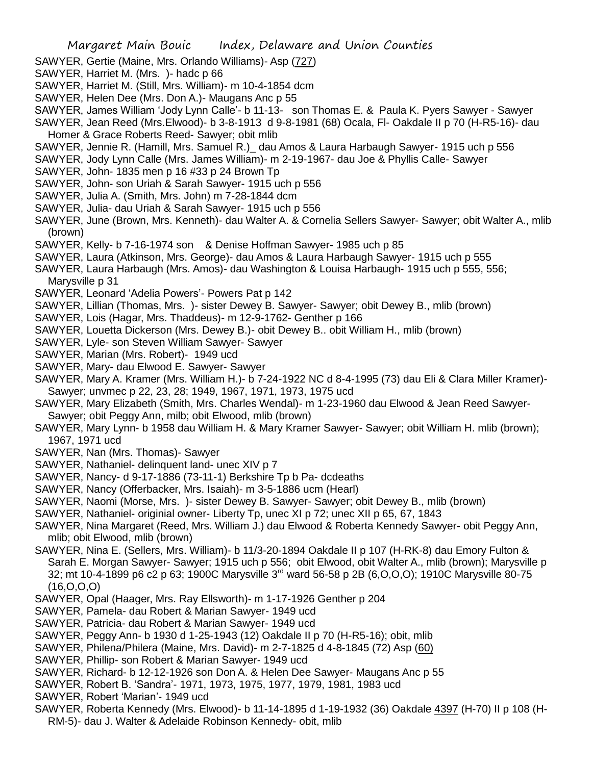- SAWYER, Gertie (Maine, Mrs. Orlando Williams)- Asp (727)
- SAWYER, Harriet M. (Mrs. )- hadc p 66
- SAWYER, Harriet M. (Still, Mrs. William)- m 10-4-1854 dcm
- SAWYER, Helen Dee (Mrs. Don A.)- Maugans Anc p 55
- SAWYER, James William 'Jody Lynn Calle'- b 11-13- son Thomas E. & Paula K. Pyers Sawyer Sawyer
- SAWYER, Jean Reed (Mrs.Elwood)- b 3-8-1913 d 9-8-1981 (68) Ocala, Fl- Oakdale II p 70 (H-R5-16)- dau Homer & Grace Roberts Reed- Sawyer; obit mlib
- SAWYER, Jennie R. (Hamill, Mrs. Samuel R.)\_ dau Amos & Laura Harbaugh Sawyer- 1915 uch p 556
- SAWYER, Jody Lynn Calle (Mrs. James William)- m 2-19-1967- dau Joe & Phyllis Calle- Sawyer
- SAWYER, John- 1835 men p 16 #33 p 24 Brown Tp
- SAWYER, John- son Uriah & Sarah Sawyer- 1915 uch p 556
- SAWYER, Julia A. (Smith, Mrs. John) m 7-28-1844 dcm
- SAWYER, Julia- dau Uriah & Sarah Sawyer- 1915 uch p 556
- SAWYER, June (Brown, Mrs. Kenneth)- dau Walter A. & Cornelia Sellers Sawyer- Sawyer; obit Walter A., mlib (brown)
- SAWYER, Kelly- b 7-16-1974 son & Denise Hoffman Sawyer- 1985 uch p 85
- SAWYER, Laura (Atkinson, Mrs. George)- dau Amos & Laura Harbaugh Sawyer- 1915 uch p 555
- SAWYER, Laura Harbaugh (Mrs. Amos)- dau Washington & Louisa Harbaugh- 1915 uch p 555, 556; Marysville p 31
- SAWYER, Leonard 'Adelia Powers'- Powers Pat p 142
- SAWYER, Lillian (Thomas, Mrs. )- sister Dewey B. Sawyer- Sawyer; obit Dewey B., mlib (brown)
- SAWYER, Lois (Hagar, Mrs. Thaddeus)- m 12-9-1762- Genther p 166
- SAWYER, Louetta Dickerson (Mrs. Dewey B.)- obit Dewey B.. obit William H., mlib (brown)
- SAWYER, Lyle- son Steven William Sawyer- Sawyer
- SAWYER, Marian (Mrs. Robert)- 1949 ucd
- SAWYER, Mary- dau Elwood E. Sawyer- Sawyer
- SAWYER, Mary A. Kramer (Mrs. William H.)- b 7-24-1922 NC d 8-4-1995 (73) dau Eli & Clara Miller Kramer)- Sawyer; unvmec p 22, 23, 28; 1949, 1967, 1971, 1973, 1975 ucd
- SAWYER, Mary Elizabeth (Smith, Mrs. Charles Wendal)- m 1-23-1960 dau Elwood & Jean Reed Sawyer-Sawyer; obit Peggy Ann, milb; obit Elwood, mlib (brown)
- SAWYER, Mary Lynn- b 1958 dau William H. & Mary Kramer Sawyer- Sawyer; obit William H. mlib (brown); 1967, 1971 ucd
- SAWYER, Nan (Mrs. Thomas)- Sawyer
- SAWYER, Nathaniel- delinquent land- unec XIV p 7
- SAWYER, Nancy- d 9-17-1886 (73-11-1) Berkshire Tp b Pa- dcdeaths
- SAWYER, Nancy (Offerbacker, Mrs. Isaiah)- m 3-5-1886 ucm (Hearl)
- SAWYER, Naomi (Morse, Mrs. )- sister Dewey B. Sawyer- Sawyer; obit Dewey B., mlib (brown)
- SAWYER, Nathaniel- originial owner- Liberty Tp, unec XI p 72; unec XII p 65, 67, 1843
- SAWYER, Nina Margaret (Reed, Mrs. William J.) dau Elwood & Roberta Kennedy Sawyer- obit Peggy Ann, mlib; obit Elwood, mlib (brown)
- SAWYER, Nina E. (Sellers, Mrs. William)- b 11/3-20-1894 Oakdale II p 107 (H-RK-8) dau Emory Fulton & Sarah E. Morgan Sawyer- Sawyer; 1915 uch p 556; obit Elwood, obit Walter A., mlib (brown); Marysville p 32; mt 10-4-1899 p6 c2 p 63; 1900C Marysville 3rd ward 56-58 p 2B (6,O,O,O); 1910C Marysville 80-75  $(16, 0, 0, 0)$
- SAWYER, Opal (Haager, Mrs. Ray Ellsworth)- m 1-17-1926 Genther p 204
- SAWYER, Pamela- dau Robert & Marian Sawyer- 1949 ucd
- SAWYER, Patricia- dau Robert & Marian Sawyer- 1949 ucd
- SAWYER, Peggy Ann- b 1930 d 1-25-1943 (12) Oakdale II p 70 (H-R5-16); obit, mlib
- SAWYER, Philena/Philera (Maine, Mrs. David)- m 2-7-1825 d 4-8-1845 (72) Asp (60)
- SAWYER, Phillip- son Robert & Marian Sawyer- 1949 ucd
- SAWYER, Richard- b 12-12-1926 son Don A. & Helen Dee Sawyer- Maugans Anc p 55
- SAWYER, Robert B. 'Sandra'- 1971, 1973, 1975, 1977, 1979, 1981, 1983 ucd
- SAWYER, Robert 'Marian'- 1949 ucd
- SAWYER, Roberta Kennedy (Mrs. Elwood)- b 11-14-1895 d 1-19-1932 (36) Oakdale 4397 (H-70) II p 108 (H-RM-5)- dau J. Walter & Adelaide Robinson Kennedy- obit, mlib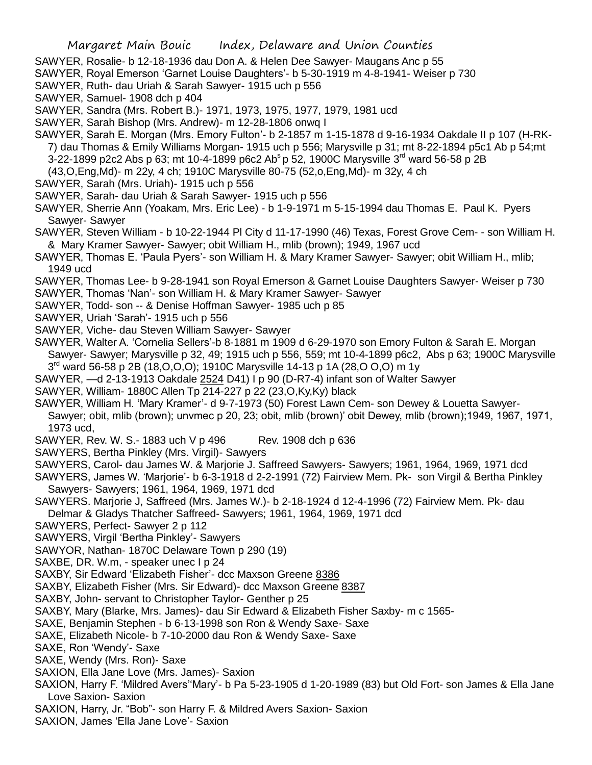- SAWYER, Rosalie- b 12-18-1936 dau Don A. & Helen Dee Sawyer- Maugans Anc p 55
- SAWYER, Royal Emerson 'Garnet Louise Daughters'- b 5-30-1919 m 4-8-1941- Weiser p 730
- SAWYER, Ruth- dau Uriah & Sarah Sawyer- 1915 uch p 556
- SAWYER, Samuel- 1908 dch p 404
- SAWYER, Sandra (Mrs. Robert B.)- 1971, 1973, 1975, 1977, 1979, 1981 ucd
- SAWYER, Sarah Bishop (Mrs. Andrew)- m 12-28-1806 onwq I
- SAWYER, Sarah E. Morgan (Mrs. Emory Fulton'- b 2-1857 m 1-15-1878 d 9-16-1934 Oakdale II p 107 (H-RK-7) dau Thomas & Emily Williams Morgan- 1915 uch p 556; Marysville p 31; mt 8-22-1894 p5c1 Ab p 54;mt 3-22-1899 p2c2 Abs p 63; mt 10-4-1899 p6c2 Ab<sup>s</sup> p 52, 1900C Marysville 3<sup>rd</sup> ward 56-58 p 2B (43,O,Eng,Md)- m 22y, 4 ch; 1910C Marysville 80-75 (52,o,Eng,Md)- m 32y, 4 ch
- SAWYER, Sarah (Mrs. Uriah)- 1915 uch p 556
- SAWYER, Sarah- dau Uriah & Sarah Sawyer- 1915 uch p 556
- SAWYER, Sherrie Ann (Yoakam, Mrs. Eric Lee) b 1-9-1971 m 5-15-1994 dau Thomas E. Paul K. Pyers Sawyer- Sawyer
- SAWYER, Steven William b 10-22-1944 Pl City d 11-17-1990 (46) Texas, Forest Grove Cem- son William H. & Mary Kramer Sawyer- Sawyer; obit William H., mlib (brown); 1949, 1967 ucd
- SAWYER, Thomas E. 'Paula Pyers'- son William H. & Mary Kramer Sawyer- Sawyer; obit William H., mlib; 1949 ucd
- SAWYER, Thomas Lee- b 9-28-1941 son Royal Emerson & Garnet Louise Daughters Sawyer- Weiser p 730
- SAWYER, Thomas 'Nan'- son William H. & Mary Kramer Sawyer- Sawyer
- SAWYER, Todd- son -- & Denise Hoffman Sawyer- 1985 uch p 85
- SAWYER, Uriah 'Sarah'- 1915 uch p 556
- SAWYER, Viche- dau Steven William Sawyer- Sawyer

SAWYER, Walter A. 'Cornelia Sellers'-b 8-1881 m 1909 d 6-29-1970 son Emory Fulton & Sarah E. Morgan Sawyer- Sawyer; Marysville p 32, 49; 1915 uch p 556, 559; mt 10-4-1899 p6c2, Abs p 63; 1900C Marysville 3 rd ward 56-58 p 2B (18,O,O,O); 1910C Marysville 14-13 p 1A (28,O O,O) m 1y

- SAWYER, —d 2-13-1913 Oakdale 2524 D41) I p 90 (D-R7-4) infant son of Walter Sawyer
- SAWYER, William- 1880C Allen Tp 214-227 p 22 (23,O,Ky,Ky) black
- SAWYER, William H. 'Mary Kramer'- d 9-7-1973 (50) Forest Lawn Cem- son Dewey & Louetta Sawyer-Sawyer; obit, mlib (brown); unvmec p 20, 23; obit, mlib (brown)' obit Dewey, mlib (brown);1949, 1967, 1971, 1973 ucd,
- SAWYER, Rev. W. S.- 1883 uch V p 496 Rev. 1908 dch p 636
- SAWYERS, Bertha Pinkley (Mrs. Virgil)- Sawyers
- SAWYERS, Carol- dau James W. & Marjorie J. Saffreed Sawyers- Sawyers; 1961, 1964, 1969, 1971 dcd
- SAWYERS, James W. 'Marjorie'- b 6-3-1918 d 2-2-1991 (72) Fairview Mem. Pk- son Virgil & Bertha Pinkley Sawyers- Sawyers; 1961, 1964, 1969, 1971 dcd
- SAWYERS. Marjorie J, Saffreed (Mrs. James W.)- b 2-18-1924 d 12-4-1996 (72) Fairview Mem. Pk- dau Delmar & Gladys Thatcher Saffreed- Sawyers; 1961, 1964, 1969, 1971 dcd
- SAWYERS, Perfect- Sawyer 2 p 112
- SAWYERS, Virgil 'Bertha Pinkley'- Sawyers
- SAWYOR, Nathan- 1870C Delaware Town p 290 (19)
- SAXBE, DR. W.m, speaker unec I p 24
- SAXBY, Sir Edward 'Elizabeth Fisher'- dcc Maxson Greene 8386
- SAXBY, Elizabeth Fisher (Mrs. Sir Edward)- dcc Maxson Greene 8387
- SAXBY, John- servant to Christopher Taylor- Genther p 25
- SAXBY, Mary (Blarke, Mrs. James)- dau Sir Edward & Elizabeth Fisher Saxby- m c 1565-
- SAXE, Benjamin Stephen b 6-13-1998 son Ron & Wendy Saxe- Saxe
- SAXE, Elizabeth Nicole- b 7-10-2000 dau Ron & Wendy Saxe- Saxe
- SAXE, Ron 'Wendy'- Saxe
- SAXE, Wendy (Mrs. Ron)- Saxe
- SAXION, Ella Jane Love (Mrs. James)- Saxion
- SAXION, Harry F. 'Mildred Avers''Mary'- b Pa 5-23-1905 d 1-20-1989 (83) but Old Fort- son James & Ella Jane Love Saxion- Saxion
- SAXION, Harry, Jr. "Bob"- son Harry F. & Mildred Avers Saxion- Saxion
- SAXION, James 'Ella Jane Love'- Saxion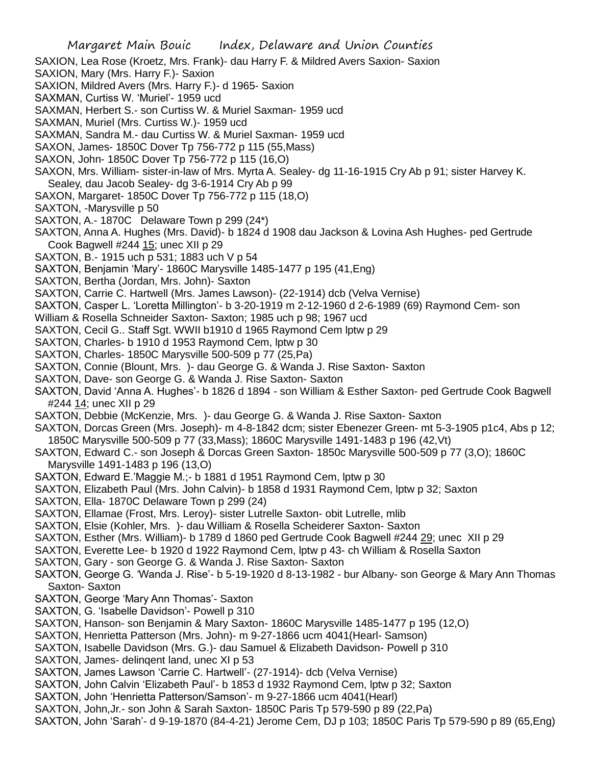- SAXION, Lea Rose (Kroetz, Mrs. Frank)- dau Harry F. & Mildred Avers Saxion- Saxion
- SAXION, Mary (Mrs. Harry F.)- Saxion
- SAXION, Mildred Avers (Mrs. Harry F.)- d 1965- Saxion
- SAXMAN, Curtiss W. 'Muriel'- 1959 ucd
- SAXMAN, Herbert S.- son Curtiss W. & Muriel Saxman- 1959 ucd
- SAXMAN, Muriel (Mrs. Curtiss W.)- 1959 ucd
- SAXMAN, Sandra M.- dau Curtiss W. & Muriel Saxman- 1959 ucd
- SAXON, James- 1850C Dover Tp 756-772 p 115 (55,Mass)
- SAXON, John- 1850C Dover Tp 756-772 p 115 (16,O)
- SAXON, Mrs. William- sister-in-law of Mrs. Myrta A. Sealey- dg 11-16-1915 Cry Ab p 91; sister Harvey K. Sealey, dau Jacob Sealey- dg 3-6-1914 Cry Ab p 99
- SAXON, Margaret- 1850C Dover Tp 756-772 p 115 (18,O)
- SAXTON, -Marysville p 50
- SAXTON, A.- 1870C Delaware Town p 299 (24\*)
- SAXTON, Anna A. Hughes (Mrs. David)- b 1824 d 1908 dau Jackson & Lovina Ash Hughes- ped Gertrude Cook Bagwell #244 15; unec XII p 29
- SAXTON, B.- 1915 uch p 531; 1883 uch V p 54
- SAXTON, Benjamin 'Mary'- 1860C Marysville 1485-1477 p 195 (41,Eng)
- SAXTON, Bertha (Jordan, Mrs. John)- Saxton
- SAXTON, Carrie C. Hartwell (Mrs. James Lawson)- (22-1914) dcb (Velva Vernise)
- SAXTON, Casper L. 'Loretta Millington'- b 3-20-1919 m 2-12-1960 d 2-6-1989 (69) Raymond Cem- son
- William & Rosella Schneider Saxton- Saxton; 1985 uch p 98; 1967 ucd
- SAXTON, Cecil G.. Staff Sgt. WWII b1910 d 1965 Raymond Cem lptw p 29
- SAXTON, Charles- b 1910 d 1953 Raymond Cem, lptw p 30
- SAXTON, Charles- 1850C Marysville 500-509 p 77 (25,Pa)
- SAXTON, Connie (Blount, Mrs. )- dau George G. & Wanda J. Rise Saxton- Saxton
- SAXTON, Dave- son George G. & Wanda J. Rise Saxton- Saxton
- SAXTON, David 'Anna A. Hughes'- b 1826 d 1894 son William & Esther Saxton- ped Gertrude Cook Bagwell #244 14; unec XII p 29
- SAXTON, Debbie (McKenzie, Mrs. )- dau George G. & Wanda J. Rise Saxton- Saxton
- SAXTON, Dorcas Green (Mrs. Joseph)- m 4-8-1842 dcm; sister Ebenezer Green- mt 5-3-1905 p1c4, Abs p 12; 1850C Marysville 500-509 p 77 (33,Mass); 1860C Marysville 1491-1483 p 196 (42,Vt)
- SAXTON, Edward C.- son Joseph & Dorcas Green Saxton- 1850c Marysville 500-509 p 77 (3,O); 1860C Marysville 1491-1483 p 196 (13,O)
- SAXTON, Edward E.'Maggie M.;- b 1881 d 1951 Raymond Cem, lptw p 30
- SAXTON, Elizabeth Paul (Mrs. John Calvin)- b 1858 d 1931 Raymond Cem, lptw p 32; Saxton
- SAXTON, Ella- 1870C Delaware Town p 299 (24)
- SAXTON, Ellamae (Frost, Mrs. Leroy)- sister Lutrelle Saxton- obit Lutrelle, mlib
- SAXTON, Elsie (Kohler, Mrs. )- dau William & Rosella Scheiderer Saxton- Saxton
- SAXTON, Esther (Mrs. William)- b 1789 d 1860 ped Gertrude Cook Bagwell #244 29; unec XII p 29
- SAXTON, Everette Lee- b 1920 d 1922 Raymond Cem, lptw p 43- ch William & Rosella Saxton
- SAXTON, Gary son George G. & Wanda J. Rise Saxton- Saxton
- SAXTON, George G. 'Wanda J. Rise'- b 5-19-1920 d 8-13-1982 bur Albany- son George & Mary Ann Thomas Saxton- Saxton
- SAXTON, George 'Mary Ann Thomas'- Saxton
- SAXTON, G. 'Isabelle Davidson'- Powell p 310
- SAXTON, Hanson- son Benjamin & Mary Saxton- 1860C Marysville 1485-1477 p 195 (12,O)
- SAXTON, Henrietta Patterson (Mrs. John)- m 9-27-1866 ucm 4041(Hearl- Samson)
- SAXTON, Isabelle Davidson (Mrs. G.)- dau Samuel & Elizabeth Davidson- Powell p 310
- SAXTON, James- delinqent land, unec XI p 53
- SAXTON, James Lawson 'Carrie C. Hartwell'- (27-1914)- dcb (Velva Vernise)
- SAXTON, John Calvin 'Elizabeth Paul'- b 1853 d 1932 Raymond Cem, lptw p 32; Saxton
- SAXTON, John 'Henrietta Patterson/Samson'- m 9-27-1866 ucm 4041(Hearl)
- SAXTON, John,Jr.- son John & Sarah Saxton- 1850C Paris Tp 579-590 p 89 (22,Pa)
- SAXTON, John 'Sarah'- d 9-19-1870 (84-4-21) Jerome Cem, DJ p 103; 1850C Paris Tp 579-590 p 89 (65,Eng)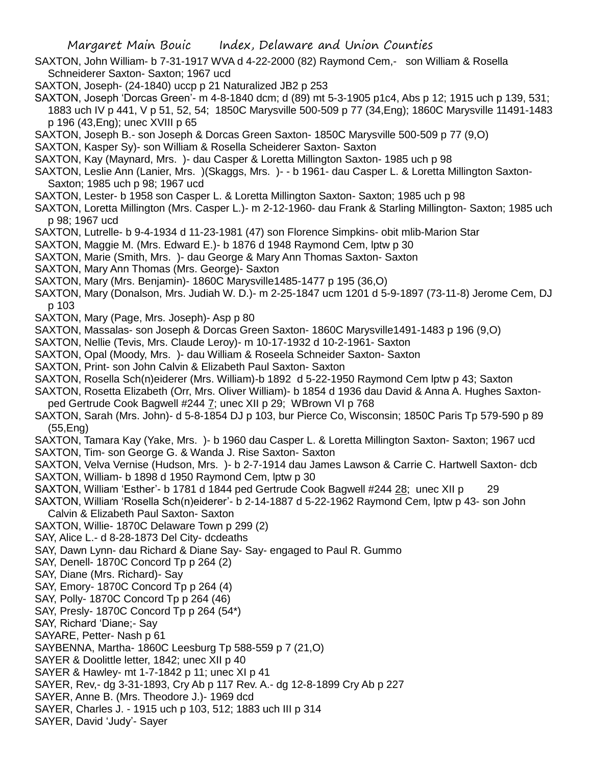- SAXTON, John William- b 7-31-1917 WVA d 4-22-2000 (82) Raymond Cem,- son William & Rosella Schneiderer Saxton- Saxton; 1967 ucd
- SAXTON, Joseph- (24-1840) uccp p 21 Naturalized JB2 p 253
- SAXTON, Joseph 'Dorcas Green'- m 4-8-1840 dcm; d (89) mt 5-3-1905 p1c4, Abs p 12; 1915 uch p 139, 531; 1883 uch IV p 441, V p 51, 52, 54; 1850C Marysville 500-509 p 77 (34,Eng); 1860C Marysville 11491-1483 p 196 (43,Eng); unec XVIII p 65
- SAXTON, Joseph B.- son Joseph & Dorcas Green Saxton- 1850C Marysville 500-509 p 77 (9,O)
- SAXTON, Kasper Sy)- son William & Rosella Scheiderer Saxton- Saxton
- SAXTON, Kay (Maynard, Mrs. )- dau Casper & Loretta Millington Saxton- 1985 uch p 98
- SAXTON, Leslie Ann (Lanier, Mrs. )(Skaggs, Mrs. )- b 1961- dau Casper L. & Loretta Millington Saxton-Saxton; 1985 uch p 98; 1967 ucd
- SAXTON, Lester- b 1958 son Casper L. & Loretta Millington Saxton- Saxton; 1985 uch p 98
- SAXTON, Loretta Millington (Mrs. Casper L.)- m 2-12-1960- dau Frank & Starling Millington- Saxton; 1985 uch p 98; 1967 ucd
- SAXTON, Lutrelle- b 9-4-1934 d 11-23-1981 (47) son Florence Simpkins- obit mlib-Marion Star
- SAXTON, Maggie M. (Mrs. Edward E.)- b 1876 d 1948 Raymond Cem, lptw p 30
- SAXTON, Marie (Smith, Mrs. )- dau George & Mary Ann Thomas Saxton- Saxton
- SAXTON, Mary Ann Thomas (Mrs. George)- Saxton
- SAXTON, Mary (Mrs. Benjamin)- 1860C Marysville1485-1477 p 195 (36,O)
- SAXTON, Mary (Donalson, Mrs. Judiah W. D.)- m 2-25-1847 ucm 1201 d 5-9-1897 (73-11-8) Jerome Cem, DJ p 103
- SAXTON, Mary (Page, Mrs. Joseph)- Asp p 80
- SAXTON, Massalas- son Joseph & Dorcas Green Saxton- 1860C Marysville1491-1483 p 196 (9,O)
- SAXTON, Nellie (Tevis, Mrs. Claude Leroy)- m 10-17-1932 d 10-2-1961- Saxton
- SAXTON, Opal (Moody, Mrs. )- dau William & Roseela Schneider Saxton- Saxton
- SAXTON, Print- son John Calvin & Elizabeth Paul Saxton- Saxton
- SAXTON, Rosella Sch(n)eiderer (Mrs. William)-b 1892 d 5-22-1950 Raymond Cem lptw p 43; Saxton
- SAXTON, Rosetta Elizabeth (Orr, Mrs. Oliver William)- b 1854 d 1936 dau David & Anna A. Hughes Saxtonped Gertrude Cook Bagwell #244 7; unec XII p 29; WBrown VI p 768
- SAXTON, Sarah (Mrs. John)- d 5-8-1854 DJ p 103, bur Pierce Co, Wisconsin; 1850C Paris Tp 579-590 p 89 (55,Eng)
- SAXTON, Tamara Kay (Yake, Mrs. )- b 1960 dau Casper L. & Loretta Millington Saxton- Saxton; 1967 ucd
- SAXTON, Tim- son George G. & Wanda J. Rise Saxton- Saxton
- SAXTON, Velva Vernise (Hudson, Mrs. )- b 2-7-1914 dau James Lawson & Carrie C. Hartwell Saxton- dcb SAXTON, William- b 1898 d 1950 Raymond Cem, lptw p 30
- SAXTON, William 'Esther'- b 1781 d 1844 ped Gertrude Cook Bagwell #244 28; unec XII p 29
- SAXTON, William 'Rosella Sch(n)eiderer'- b 2-14-1887 d 5-22-1962 Raymond Cem, lptw p 43- son John Calvin & Elizabeth Paul Saxton- Saxton
- SAXTON, Willie- 1870C Delaware Town p 299 (2)
- SAY, Alice L.- d 8-28-1873 Del City- dcdeaths
- SAY, Dawn Lynn- dau Richard & Diane Say- Say- engaged to Paul R. Gummo
- SAY, Denell- 1870C Concord Tp p 264 (2)
- SAY, Diane (Mrs. Richard)- Say
- SAY, Emory- 1870C Concord Tp p 264 (4)
- SAY, Polly- 1870C Concord Tp p 264 (46)
- SAY, Presly- 1870C Concord Tp p 264 (54\*)
- SAY, Richard 'Diane;- Say
- SAYARE, Petter- Nash p 61
- SAYBENNA, Martha- 1860C Leesburg Tp 588-559 p 7 (21,O)
- SAYER & Doolittle letter, 1842; unec XII p 40
- SAYER & Hawley- mt 1-7-1842 p 11; unec XI p 41
- SAYER, Rev,- dg 3-31-1893, Cry Ab p 117 Rev. A.- dg 12-8-1899 Cry Ab p 227
- SAYER, Anne B. (Mrs. Theodore J.)- 1969 dcd
- SAYER, Charles J. 1915 uch p 103, 512; 1883 uch III p 314
- SAYER, David 'Judy'- Sayer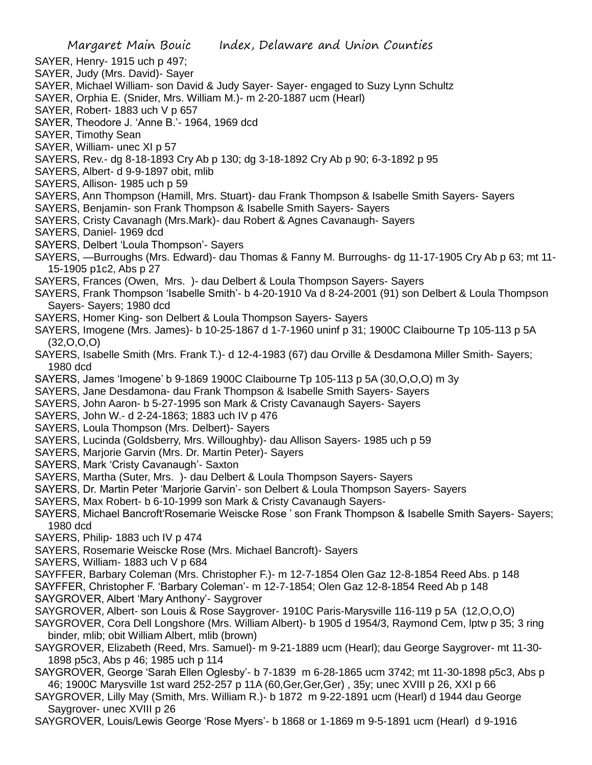- SAYER, Henry- 1915 uch p 497;
- SAYER, Judy (Mrs. David)- Sayer
- SAYER, Michael William- son David & Judy Sayer- Sayer- engaged to Suzy Lynn Schultz
- SAYER, Orphia E. (Snider, Mrs. William M.)- m 2-20-1887 ucm (Hearl)
- SAYER, Robert- 1883 uch V p 657
- SAYER, Theodore J. 'Anne B.'- 1964, 1969 dcd
- SAYER, Timothy Sean
- SAYER, William- unec XI p 57
- SAYERS, Rev.- dg 8-18-1893 Cry Ab p 130; dg 3-18-1892 Cry Ab p 90; 6-3-1892 p 95
- SAYERS, Albert- d 9-9-1897 obit, mlib
- SAYERS, Allison- 1985 uch p 59
- SAYERS, Ann Thompson (Hamill, Mrs. Stuart)- dau Frank Thompson & Isabelle Smith Sayers- Sayers
- SAYERS, Benjamin- son Frank Thompson & Isabelle Smith Sayers- Sayers
- SAYERS, Cristy Cavanagh (Mrs.Mark)- dau Robert & Agnes Cavanaugh- Sayers
- SAYERS, Daniel- 1969 dcd
- SAYERS, Delbert 'Loula Thompson'- Sayers
- SAYERS, —Burroughs (Mrs. Edward)- dau Thomas & Fanny M. Burroughs- dg 11-17-1905 Cry Ab p 63; mt 11- 15-1905 p1c2, Abs p 27
- SAYERS, Frances (Owen, Mrs. )- dau Delbert & Loula Thompson Sayers- Sayers
- SAYERS, Frank Thompson 'Isabelle Smith'- b 4-20-1910 Va d 8-24-2001 (91) son Delbert & Loula Thompson Sayers- Sayers; 1980 dcd
- SAYERS, Homer King- son Delbert & Loula Thompson Sayers- Sayers
- SAYERS, Imogene (Mrs. James)- b 10-25-1867 d 1-7-1960 uninf p 31; 1900C Claibourne Tp 105-113 p 5A  $(32, 0, 0, 0)$
- SAYERS, Isabelle Smith (Mrs. Frank T.)- d 12-4-1983 (67) dau Orville & Desdamona Miller Smith- Sayers; 1980 dcd
- SAYERS, James 'Imogene' b 9-1869 1900C Claibourne Tp 105-113 p 5A (30,O,O,O) m 3y
- SAYERS, Jane Desdamona- dau Frank Thompson & Isabelle Smith Sayers- Sayers
- SAYERS, John Aaron- b 5-27-1995 son Mark & Cristy Cavanaugh Sayers- Sayers
- SAYERS, John W.- d 2-24-1863; 1883 uch IV p 476
- SAYERS, Loula Thompson (Mrs. Delbert)- Sayers
- SAYERS, Lucinda (Goldsberry, Mrs. Willoughby)- dau Allison Sayers- 1985 uch p 59
- SAYERS, Marjorie Garvin (Mrs. Dr. Martin Peter)- Sayers
- SAYERS, Mark 'Cristy Cavanaugh'- Saxton
- SAYERS, Martha (Suter, Mrs. )- dau Delbert & Loula Thompson Sayers- Sayers
- SAYERS, Dr. Martin Peter 'Marjorie Garvin'- son Delbert & Loula Thompson Sayers- Sayers
- SAYERS, Max Robert- b 6-10-1999 son Mark & Cristy Cavanaugh Sayers-
- SAYERS, Michael Bancroft'Rosemarie Weiscke Rose ' son Frank Thompson & Isabelle Smith Sayers- Sayers; 1980 dcd
- SAYERS, Philip- 1883 uch IV p 474
- SAYERS, Rosemarie Weiscke Rose (Mrs. Michael Bancroft)- Sayers
- SAYERS, William- 1883 uch V p 684
- SAYFFER, Barbary Coleman (Mrs. Christopher F.)- m 12-7-1854 Olen Gaz 12-8-1854 Reed Abs. p 148
- SAYFFER, Christopher F. 'Barbary Coleman'- m 12-7-1854; Olen Gaz 12-8-1854 Reed Ab p 148
- SAYGROVER, Albert 'Mary Anthony'- Saygrover
- SAYGROVER, Albert- son Louis & Rose Saygrover- 1910C Paris-Marysville 116-119 p 5A (12,O,O,O)
- SAYGROVER, Cora Dell Longshore (Mrs. William Albert)- b 1905 d 1954/3, Raymond Cem, lptw p 35; 3 ring binder, mlib; obit William Albert, mlib (brown)
- SAYGROVER, Elizabeth (Reed, Mrs. Samuel)- m 9-21-1889 ucm (Hearl); dau George Saygrover- mt 11-30- 1898 p5c3, Abs p 46; 1985 uch p 114
- SAYGROVER, George 'Sarah Ellen Oglesby'- b 7-1839 m 6-28-1865 ucm 3742; mt 11-30-1898 p5c3, Abs p 46; 1900C Marysville 1st ward 252-257 p 11A (60,Ger,Ger,Ger) , 35y; unec XVIII p 26, XXI p 66
- SAYGROVER, Lilly May (Smith, Mrs. William R.)- b 1872 m 9-22-1891 ucm (Hearl) d 1944 dau George Savgrover- unec XVIII p 26
- SAYGROVER, Louis/Lewis George 'Rose Myers'- b 1868 or 1-1869 m 9-5-1891 ucm (Hearl) d 9-1916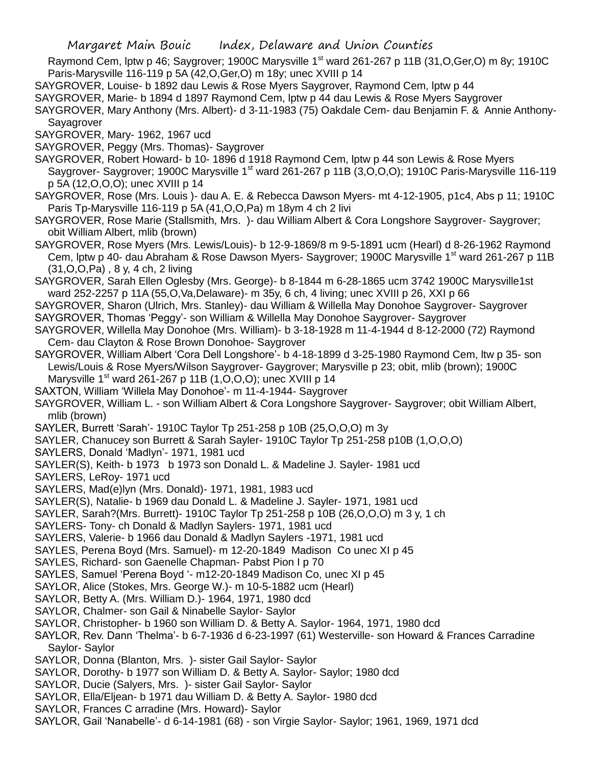Raymond Cem, lptw p 46; Saygrover; 1900C Marysville  $1<sup>st</sup>$  ward 261-267 p 11B (31, O, Ger, O) m 8y; 1910C Paris-Marysville 116-119 p 5A (42,O,Ger,O) m 18y; unec XVIII p 14

SAYGROVER, Louise- b 1892 dau Lewis & Rose Myers Saygrover, Raymond Cem, lptw p 44

SAYGROVER, Marie- b 1894 d 1897 Raymond Cem, lptw p 44 dau Lewis & Rose Myers Saygrover

SAYGROVER, Mary Anthony (Mrs. Albert)- d 3-11-1983 (75) Oakdale Cem- dau Benjamin F. & Annie Anthony-Sayagrover

SAYGROVER, Mary- 1962, 1967 ucd

SAYGROVER, Peggy (Mrs. Thomas)- Saygrover

SAYGROVER, Robert Howard- b 10- 1896 d 1918 Raymond Cem, lptw p 44 son Lewis & Rose Myers Saygrover- Saygrover; 1900C Marysville 1<sup>st</sup> ward 261-267 p 11B (3,O,O,O); 1910C Paris-Marysville 116-119 p 5A (12,O,O,O); unec XVIII p 14

SAYGROVER, Rose (Mrs. Louis )- dau A. E. & Rebecca Dawson Myers- mt 4-12-1905, p1c4, Abs p 11; 1910C Paris Tp-Marysville 116-119 p 5A (41,O,O,Pa) m 18ym 4 ch 2 livi

SAYGROVER, Rose Marie (Stallsmith, Mrs. )- dau William Albert & Cora Longshore Saygrover- Saygrover; obit William Albert, mlib (brown)

SAYGROVER, Rose Myers (Mrs. Lewis/Louis)- b 12-9-1869/8 m 9-5-1891 ucm (Hearl) d 8-26-1962 Raymond Cem, lptw p 40- dau Abraham & Rose Dawson Myers- Saygrover; 1900C Marysville 1<sup>st</sup> ward 261-267 p 11B (31,O,O,Pa) , 8 y, 4 ch, 2 living

SAYGROVER, Sarah Ellen Oglesby (Mrs. George)- b 8-1844 m 6-28-1865 ucm 3742 1900C Marysville1st ward 252-2257 p 11A (55,O,Va,Delaware)- m 35y, 6 ch, 4 living; unec XVIII p 26, XXI p 66

SAYGROVER, Sharon (Ulrich, Mrs. Stanley)- dau William & Willella May Donohoe Saygrover- Saygrover

SAYGROVER, Thomas 'Peggy'- son William & Willella May Donohoe Saygrover- Saygrover

- SAYGROVER, Willella May Donohoe (Mrs. William)- b 3-18-1928 m 11-4-1944 d 8-12-2000 (72) Raymond Cem- dau Clayton & Rose Brown Donohoe- Saygrover
- SAYGROVER, William Albert 'Cora Dell Longshore'- b 4-18-1899 d 3-25-1980 Raymond Cem, ltw p 35- son Lewis/Louis & Rose Myers/Wilson Saygrover- Gaygrover; Marysville p 23; obit, mlib (brown); 1900C Marysville  $1<sup>st</sup>$  ward 261-267 p 11B (1, O, O, O); unec XVIII p 14

SAXTON, William 'Willela May Donohoe'- m 11-4-1944- Saygrover

SAYGROVER, William L. - son William Albert & Cora Longshore Saygrover- Saygrover; obit William Albert, mlib (brown)

SAYLER, Burrett 'Sarah'- 1910C Taylor Tp 251-258 p 10B (25,O,O,O) m 3y

SAYLER, Chanucey son Burrett & Sarah Sayler- 1910C Taylor Tp 251-258 p10B (1,O,O,O)

SAYLERS, Donald 'Madlyn'- 1971, 1981 ucd

SAYLER(S), Keith- b 1973 b 1973 son Donald L. & Madeline J. Sayler- 1981 ucd

SAYLERS, LeRoy- 1971 ucd

SAYLERS, Mad(e)lyn (Mrs. Donald)- 1971, 1981, 1983 ucd

SAYLER(S), Natalie- b 1969 dau Donald L. & Madeline J. Sayler- 1971, 1981 ucd

SAYLER, Sarah?(Mrs. Burrett)- 1910C Taylor Tp 251-258 p 10B (26,O,O,O) m 3 y, 1 ch

SAYLERS- Tony- ch Donald & Madlyn Saylers- 1971, 1981 ucd

SAYLERS, Valerie- b 1966 dau Donald & Madlyn Saylers -1971, 1981 ucd

SAYLES, Perena Boyd (Mrs. Samuel)- m 12-20-1849 Madison Co unec XI p 45

SAYLES, Richard- son Gaenelle Chapman- Pabst Pion I p 70

SAYLES, Samuel 'Perena Boyd '- m12-20-1849 Madison Co, unec XI p 45

SAYLOR, Alice (Stokes, Mrs. George W.)- m 10-5-1882 ucm (Hearl)

- SAYLOR, Betty A. (Mrs. William D.)- 1964, 1971, 1980 dcd
- SAYLOR, Chalmer- son Gail & Ninabelle Saylor- Saylor

SAYLOR, Christopher- b 1960 son William D. & Betty A. Saylor- 1964, 1971, 1980 dcd

SAYLOR, Rev. Dann 'Thelma'- b 6-7-1936 d 6-23-1997 (61) Westerville- son Howard & Frances Carradine Saylor- Saylor

SAYLOR, Donna (Blanton, Mrs. )- sister Gail Saylor- Saylor

SAYLOR, Dorothy- b 1977 son William D. & Betty A. Saylor- Saylor; 1980 dcd

SAYLOR, Ducie (Salyers, Mrs. )- sister Gail Saylor- Saylor

SAYLOR, Ella/Eljean- b 1971 dau William D. & Betty A. Saylor- 1980 dcd

SAYLOR, Frances C arradine (Mrs. Howard)- Saylor

SAYLOR, Gail 'Nanabelle'- d 6-14-1981 (68) - son Virgie Saylor- Saylor; 1961, 1969, 1971 dcd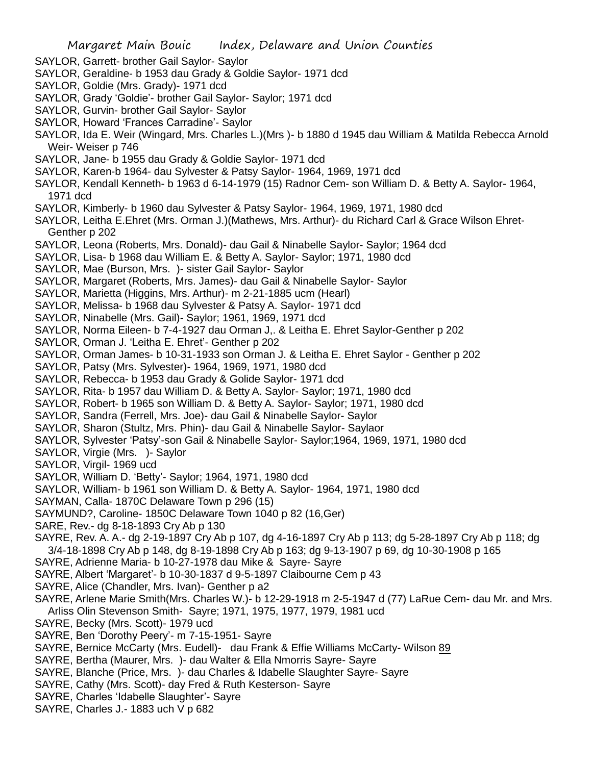- SAYLOR, Garrett- brother Gail Saylor- Saylor
- SAYLOR, Geraldine- b 1953 dau Grady & Goldie Saylor- 1971 dcd
- SAYLOR, Goldie (Mrs. Grady)- 1971 dcd
- SAYLOR, Grady 'Goldie'- brother Gail Saylor- Saylor; 1971 dcd
- SAYLOR, Gurvin- brother Gail Saylor- Saylor
- SAYLOR, Howard 'Frances Carradine'- Saylor
- SAYLOR, Ida E. Weir (Wingard, Mrs. Charles L.)(Mrs )- b 1880 d 1945 dau William & Matilda Rebecca Arnold Weir- Weiser p 746
- SAYLOR, Jane- b 1955 dau Grady & Goldie Saylor- 1971 dcd
- SAYLOR, Karen-b 1964- dau Sylvester & Patsy Saylor- 1964, 1969, 1971 dcd
- SAYLOR, Kendall Kenneth- b 1963 d 6-14-1979 (15) Radnor Cem- son William D. & Betty A. Saylor- 1964, 1971 dcd
- SAYLOR, Kimberly- b 1960 dau Sylvester & Patsy Saylor- 1964, 1969, 1971, 1980 dcd
- SAYLOR, Leitha E.Ehret (Mrs. Orman J.)(Mathews, Mrs. Arthur)- du Richard Carl & Grace Wilson Ehret-Genther p 202
- SAYLOR, Leona (Roberts, Mrs. Donald)- dau Gail & Ninabelle Saylor- Saylor; 1964 dcd
- SAYLOR, Lisa- b 1968 dau William E. & Betty A. Saylor- Saylor; 1971, 1980 dcd
- SAYLOR, Mae (Burson, Mrs. )- sister Gail Saylor- Saylor
- SAYLOR, Margaret (Roberts, Mrs. James)- dau Gail & Ninabelle Saylor- Saylor
- SAYLOR, Marietta (Higgins, Mrs. Arthur)- m 2-21-1885 ucm (Hearl)
- SAYLOR, Melissa- b 1968 dau Sylvester & Patsy A. Saylor- 1971 dcd
- SAYLOR, Ninabelle (Mrs. Gail)- Saylor; 1961, 1969, 1971 dcd
- SAYLOR, Norma Eileen- b 7-4-1927 dau Orman J,. & Leitha E. Ehret Saylor-Genther p 202
- SAYLOR, Orman J. 'Leitha E. Ehret'- Genther p 202
- SAYLOR, Orman James- b 10-31-1933 son Orman J. & Leitha E. Ehret Saylor Genther p 202
- SAYLOR, Patsy (Mrs. Sylvester)- 1964, 1969, 1971, 1980 dcd
- SAYLOR, Rebecca- b 1953 dau Grady & Golide Saylor- 1971 dcd
- SAYLOR, Rita- b 1957 dau William D. & Betty A. Saylor- Saylor; 1971, 1980 dcd
- SAYLOR, Robert- b 1965 son William D. & Betty A. Saylor- Saylor; 1971, 1980 dcd
- SAYLOR, Sandra (Ferrell, Mrs. Joe)- dau Gail & Ninabelle Saylor- Saylor
- SAYLOR, Sharon (Stultz, Mrs. Phin)- dau Gail & Ninabelle Saylor- Saylaor
- SAYLOR, Sylvester 'Patsy'-son Gail & Ninabelle Saylor- Saylor;1964, 1969, 1971, 1980 dcd
- SAYLOR, Virgie (Mrs. )- Saylor
- SAYLOR, Virgil- 1969 ucd
- SAYLOR, William D. 'Betty'- Saylor; 1964, 1971, 1980 dcd
- SAYLOR, William- b 1961 son William D. & Betty A. Saylor- 1964, 1971, 1980 dcd
- SAYMAN, Calla- 1870C Delaware Town p 296 (15)
- SAYMUND?, Caroline- 1850C Delaware Town 1040 p 82 (16,Ger)
- SARE, Rev.- dg 8-18-1893 Cry Ab p 130
- SAYRE, Rev. A. A.- dg 2-19-1897 Cry Ab p 107, dg 4-16-1897 Cry Ab p 113; dg 5-28-1897 Cry Ab p 118; dg 3/4-18-1898 Cry Ab p 148, dg 8-19-1898 Cry Ab p 163; dg 9-13-1907 p 69, dg 10-30-1908 p 165
- SAYRE, Adrienne Maria- b 10-27-1978 dau Mike & Sayre- Sayre
- SAYRE, Albert 'Margaret'- b 10-30-1837 d 9-5-1897 Claibourne Cem p 43
- SAYRE, Alice (Chandler, Mrs. Ivan)- Genther p a2
- SAYRE, Arlene Marie Smith(Mrs. Charles W.)- b 12-29-1918 m 2-5-1947 d (77) LaRue Cem- dau Mr. and Mrs. Arliss Olin Stevenson Smith- Sayre; 1971, 1975, 1977, 1979, 1981 ucd
- SAYRE, Becky (Mrs. Scott)- 1979 ucd
- SAYRE, Ben 'Dorothy Peery'- m 7-15-1951- Sayre
- SAYRE, Bernice McCarty (Mrs. Eudell)- dau Frank & Effie Williams McCarty- Wilson 89
- SAYRE, Bertha (Maurer, Mrs. )- dau Walter & Ella Nmorris Sayre- Sayre
- SAYRE, Blanche (Price, Mrs. )- dau Charles & Idabelle Slaughter Sayre- Sayre
- SAYRE, Cathy (Mrs. Scott)- day Fred & Ruth Kesterson- Sayre
- SAYRE, Charles 'Idabelle Slaughter'- Sayre
- SAYRE, Charles J.- 1883 uch V p 682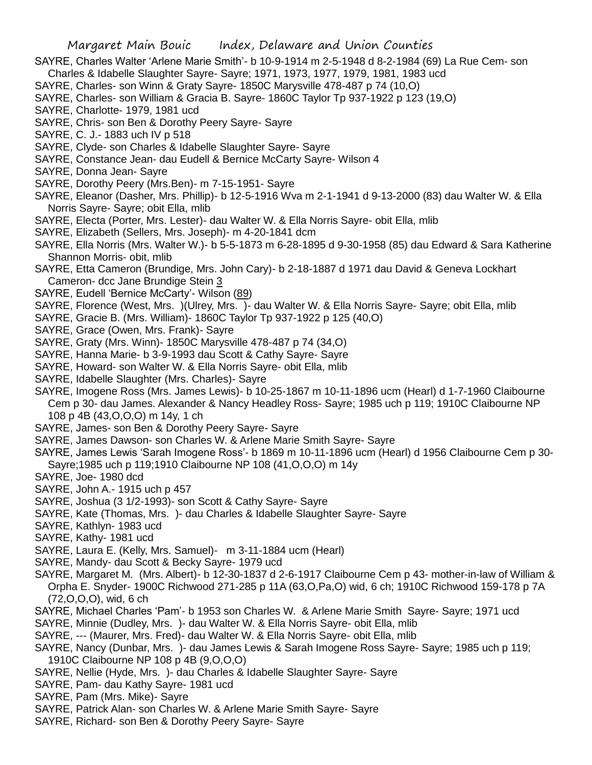SAYRE, Charles Walter 'Arlene Marie Smith'- b 10-9-1914 m 2-5-1948 d 8-2-1984 (69) La Rue Cem- son Charles & Idabelle Slaughter Sayre- Sayre; 1971, 1973, 1977, 1979, 1981, 1983 ucd

- SAYRE, Charles- son Winn & Graty Sayre- 1850C Marysville 478-487 p 74 (10,O)
- SAYRE, Charles- son William & Gracia B. Sayre- 1860C Taylor Tp 937-1922 p 123 (19,O)
- SAYRE, Charlotte- 1979, 1981 ucd
- SAYRE, Chris- son Ben & Dorothy Peery Sayre- Sayre
- SAYRE, C. J.- 1883 uch IV p 518
- SAYRE, Clyde- son Charles & Idabelle Slaughter Sayre- Sayre
- SAYRE, Constance Jean- dau Eudell & Bernice McCarty Sayre- Wilson 4
- SAYRE, Donna Jean- Sayre
- SAYRE, Dorothy Peery (Mrs.Ben)- m 7-15-1951- Sayre
- SAYRE, Eleanor (Dasher, Mrs. Phillip)- b 12-5-1916 Wva m 2-1-1941 d 9-13-2000 (83) dau Walter W. & Ella Norris Sayre- Sayre; obit Ella, mlib
- SAYRE, Electa (Porter, Mrs. Lester)- dau Walter W. & Ella Norris Sayre- obit Ella, mlib
- SAYRE, Elizabeth (Sellers, Mrs. Joseph)- m 4-20-1841 dcm
- SAYRE, Ella Norris (Mrs. Walter W.)- b 5-5-1873 m 6-28-1895 d 9-30-1958 (85) dau Edward & Sara Katherine Shannon Morris- obit, mlib
- SAYRE, Etta Cameron (Brundige, Mrs. John Cary)- b 2-18-1887 d 1971 dau David & Geneva Lockhart Cameron- dcc Jane Brundige Stein 3
- SAYRE, Eudell 'Bernice McCarty'- Wilson (89)
- SAYRE, Florence (West, Mrs. )(Ulrey, Mrs. )- dau Walter W. & Ella Norris Sayre- Sayre; obit Ella, mlib
- SAYRE, Gracie B. (Mrs. William)- 1860C Taylor Tp 937-1922 p 125 (40,O)
- SAYRE, Grace (Owen, Mrs. Frank)- Sayre
- SAYRE, Graty (Mrs. Winn)- 1850C Marysville 478-487 p 74 (34,O)
- SAYRE, Hanna Marie- b 3-9-1993 dau Scott & Cathy Sayre- Sayre
- SAYRE, Howard- son Walter W. & Ella Norris Sayre- obit Ella, mlib
- SAYRE, Idabelle Slaughter (Mrs. Charles)- Sayre
- SAYRE, Imogene Ross (Mrs. James Lewis)- b 10-25-1867 m 10-11-1896 ucm (Hearl) d 1-7-1960 Claibourne Cem p 30- dau James. Alexander & Nancy Headley Ross- Sayre; 1985 uch p 119; 1910C Claibourne NP 108 p 4B (43,O,O,O) m 14y, 1 ch
- SAYRE, James- son Ben & Dorothy Peery Sayre- Sayre
- SAYRE, James Dawson- son Charles W. & Arlene Marie Smith Sayre- Sayre
- SAYRE, James Lewis 'Sarah Imogene Ross'- b 1869 m 10-11-1896 ucm (Hearl) d 1956 Claibourne Cem p 30- Sayre;1985 uch p 119;1910 Claibourne NP 108 (41,O,O,O) m 14y
- SAYRE, Joe- 1980 dcd
- SAYRE, John A.- 1915 uch p 457
- SAYRE, Joshua (3 1/2-1993)- son Scott & Cathy Sayre- Sayre
- SAYRE, Kate (Thomas, Mrs. )- dau Charles & Idabelle Slaughter Sayre- Sayre
- SAYRE, Kathlyn- 1983 ucd
- SAYRE, Kathy- 1981 ucd
- SAYRE, Laura E. (Kelly, Mrs. Samuel)- m 3-11-1884 ucm (Hearl)
- SAYRE, Mandy- dau Scott & Becky Sayre- 1979 ucd
- SAYRE, Margaret M. (Mrs. Albert)- b 12-30-1837 d 2-6-1917 Claibourne Cem p 43- mother-in-law of William & Orpha E. Snyder- 1900C Richwood 271-285 p 11A (63,O,Pa,O) wid, 6 ch; 1910C Richwood 159-178 p 7A (72,O,O,O), wid, 6 ch
- SAYRE, Michael Charles 'Pam'- b 1953 son Charles W. & Arlene Marie Smith Sayre- Sayre; 1971 ucd
- SAYRE, Minnie (Dudley, Mrs. )- dau Walter W. & Ella Norris Sayre- obit Ella, mlib
- SAYRE, --- (Maurer, Mrs. Fred)- dau Walter W. & Ella Norris Sayre- obit Ella, mlib
- SAYRE, Nancy (Dunbar, Mrs. )- dau James Lewis & Sarah Imogene Ross Sayre- Sayre; 1985 uch p 119; 1910C Claibourne NP 108 p 4B (9,O,O,O)
- SAYRE, Nellie (Hyde, Mrs. )- dau Charles & Idabelle Slaughter Sayre- Sayre
- SAYRE, Pam- dau Kathy Sayre- 1981 ucd
- SAYRE, Pam (Mrs. Mike)- Sayre
- SAYRE, Patrick Alan- son Charles W. & Arlene Marie Smith Sayre- Sayre
- SAYRE, Richard- son Ben & Dorothy Peery Sayre- Sayre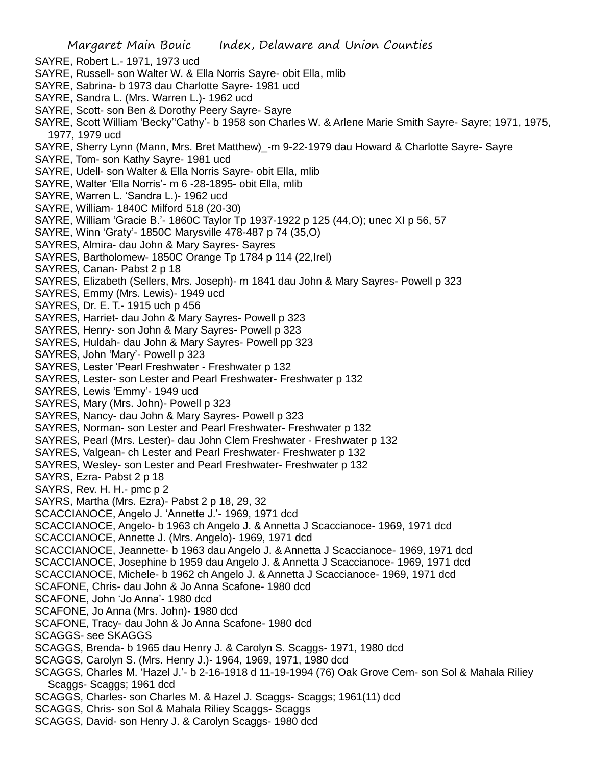SAYRE, Robert L.- 1971, 1973 ucd

- SAYRE, Russell- son Walter W. & Ella Norris Sayre- obit Ella, mlib
- SAYRE, Sabrina- b 1973 dau Charlotte Sayre- 1981 ucd
- SAYRE, Sandra L. (Mrs. Warren L.)- 1962 ucd
- SAYRE, Scott- son Ben & Dorothy Peery Sayre- Sayre
- SAYRE, Scott William 'Becky''Cathy'- b 1958 son Charles W. & Arlene Marie Smith Sayre- Sayre; 1971, 1975, 1977, 1979 ucd
- SAYRE, Sherry Lynn (Mann, Mrs. Bret Matthew) -m 9-22-1979 dau Howard & Charlotte Sayre- Sayre
- SAYRE, Tom- son Kathy Sayre- 1981 ucd
- SAYRE, Udell- son Walter & Ella Norris Sayre- obit Ella, mlib
- SAYRE, Walter 'Ella Norris'- m 6 -28-1895- obit Ella, mlib
- SAYRE, Warren L. 'Sandra L.)- 1962 ucd
- SAYRE, William- 1840C Milford 518 (20-30)
- SAYRE, William 'Gracie B.'- 1860C Taylor Tp 1937-1922 p 125 (44,O); unec XI p 56, 57
- SAYRE, Winn 'Graty'- 1850C Marysville 478-487 p 74 (35,O)
- SAYRES, Almira- dau John & Mary Sayres- Sayres
- SAYRES, Bartholomew- 1850C Orange Tp 1784 p 114 (22,Irel)
- SAYRES, Canan- Pabst 2 p 18
- SAYRES, Elizabeth (Sellers, Mrs. Joseph)- m 1841 dau John & Mary Sayres- Powell p 323
- SAYRES, Emmy (Mrs. Lewis)- 1949 ucd
- SAYRES, Dr. E. T.- 1915 uch p 456
- SAYRES, Harriet- dau John & Mary Sayres- Powell p 323
- SAYRES, Henry- son John & Mary Sayres- Powell p 323
- SAYRES, Huldah- dau John & Mary Sayres- Powell pp 323
- SAYRES, John 'Mary'- Powell p 323
- SAYRES, Lester 'Pearl Freshwater Freshwater p 132
- SAYRES, Lester- son Lester and Pearl Freshwater- Freshwater p 132
- SAYRES, Lewis 'Emmy'- 1949 ucd
- SAYRES, Mary (Mrs. John)- Powell p 323
- SAYRES, Nancy- dau John & Mary Sayres- Powell p 323
- SAYRES, Norman- son Lester and Pearl Freshwater- Freshwater p 132
- SAYRES, Pearl (Mrs. Lester)- dau John Clem Freshwater Freshwater p 132
- SAYRES, Valgean- ch Lester and Pearl Freshwater- Freshwater p 132
- SAYRES, Wesley- son Lester and Pearl Freshwater- Freshwater p 132
- SAYRS, Ezra- Pabst 2 p 18
- SAYRS, Rev. H. H.- pmc p 2
- SAYRS, Martha (Mrs. Ezra)- Pabst 2 p 18, 29, 32
- SCACCIANOCE, Angelo J. 'Annette J.'- 1969, 1971 dcd
- SCACCIANOCE, Angelo- b 1963 ch Angelo J. & Annetta J Scaccianoce- 1969, 1971 dcd
- SCACCIANOCE, Annette J. (Mrs. Angelo)- 1969, 1971 dcd
- SCACCIANOCE, Jeannette- b 1963 dau Angelo J. & Annetta J Scaccianoce- 1969, 1971 dcd
- SCACCIANOCE, Josephine b 1959 dau Angelo J. & Annetta J Scaccianoce- 1969, 1971 dcd
- SCACCIANOCE, Michele- b 1962 ch Angelo J. & Annetta J Scaccianoce- 1969, 1971 dcd
- SCAFONE, Chris- dau John & Jo Anna Scafone- 1980 dcd
- SCAFONE, John 'Jo Anna'- 1980 dcd
- SCAFONE, Jo Anna (Mrs. John)- 1980 dcd
- SCAFONE, Tracy- dau John & Jo Anna Scafone- 1980 dcd
- SCAGGS- see SKAGGS
- SCAGGS, Brenda- b 1965 dau Henry J. & Carolyn S. Scaggs- 1971, 1980 dcd
- SCAGGS, Carolyn S. (Mrs. Henry J.)- 1964, 1969, 1971, 1980 dcd
- SCAGGS, Charles M. 'Hazel J.'- b 2-16-1918 d 11-19-1994 (76) Oak Grove Cem- son Sol & Mahala Riliey Scaggs- Scaggs; 1961 dcd
- SCAGGS, Charles- son Charles M. & Hazel J. Scaggs- Scaggs; 1961(11) dcd
- SCAGGS, Chris- son Sol & Mahala Riliey Scaggs- Scaggs
- SCAGGS, David- son Henry J. & Carolyn Scaggs- 1980 dcd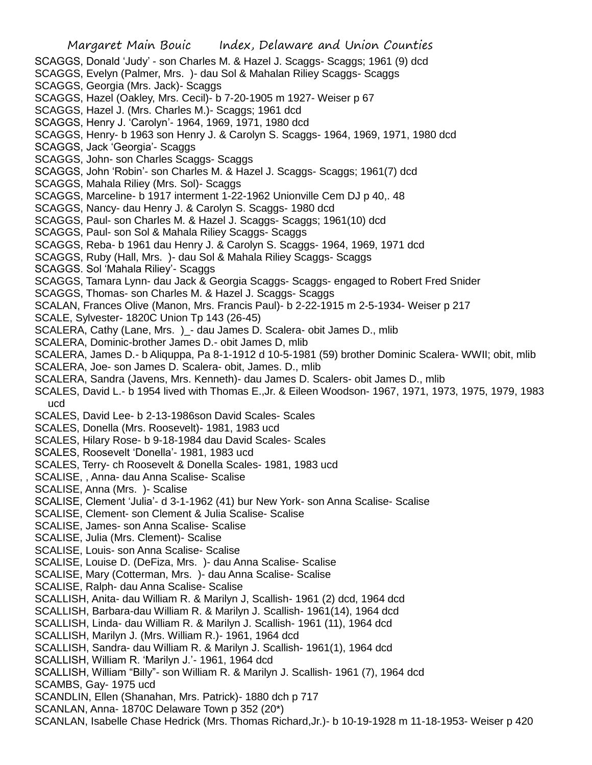Margaret Main Bouic Index, Delaware and Union Counties SCAGGS, Donald 'Judy' - son Charles M. & Hazel J. Scaggs- Scaggs; 1961 (9) dcd SCAGGS, Evelyn (Palmer, Mrs. )- dau Sol & Mahalan Riliey Scaggs- Scaggs SCAGGS, Georgia (Mrs. Jack)- Scaggs SCAGGS, Hazel (Oakley, Mrs. Cecil)- b 7-20-1905 m 1927- Weiser p 67 SCAGGS, Hazel J. (Mrs. Charles M.)- Scaggs; 1961 dcd SCAGGS, Henry J. 'Carolyn'- 1964, 1969, 1971, 1980 dcd SCAGGS, Henry- b 1963 son Henry J. & Carolyn S. Scaggs- 1964, 1969, 1971, 1980 dcd SCAGGS, Jack 'Georgia'- Scaggs SCAGGS, John- son Charles Scaggs- Scaggs SCAGGS, John 'Robin'- son Charles M. & Hazel J. Scaggs- Scaggs; 1961(7) dcd SCAGGS, Mahala Riliey (Mrs. Sol)- Scaggs SCAGGS, Marceline- b 1917 interment 1-22-1962 Unionville Cem DJ p 40,. 48 SCAGGS, Nancy- dau Henry J. & Carolyn S. Scaggs- 1980 dcd SCAGGS, Paul- son Charles M. & Hazel J. Scaggs- Scaggs; 1961(10) dcd SCAGGS, Paul- son Sol & Mahala Riliey Scaggs- Scaggs SCAGGS, Reba- b 1961 dau Henry J. & Carolyn S. Scaggs- 1964, 1969, 1971 dcd SCAGGS, Ruby (Hall, Mrs. )- dau Sol & Mahala Riliey Scaggs- Scaggs SCAGGS. Sol 'Mahala Riliey'- Scaggs SCAGGS, Tamara Lynn- dau Jack & Georgia Scaggs- Scaggs- engaged to Robert Fred Snider SCAGGS, Thomas- son Charles M. & Hazel J. Scaggs- Scaggs SCALAN, Frances Olive (Manon, Mrs. Francis Paul)- b 2-22-1915 m 2-5-1934- Weiser p 217 SCALE, Sylvester- 1820C Union Tp 143 (26-45) SCALERA, Cathy (Lane, Mrs.) - dau James D. Scalera- obit James D., mlib SCALERA, Dominic-brother James D.- obit James D, mlib SCALERA, James D.- b Aliquppa, Pa 8-1-1912 d 10-5-1981 (59) brother Dominic Scalera- WWII; obit, mlib SCALERA, Joe- son James D. Scalera- obit, James. D., mlib SCALERA, Sandra (Javens, Mrs. Kenneth)- dau James D. Scalers- obit James D., mlib SCALES, David L.- b 1954 lived with Thomas E.,Jr. & Eileen Woodson- 1967, 1971, 1973, 1975, 1979, 1983 ucd SCALES, David Lee- b 2-13-1986son David Scales- Scales SCALES, Donella (Mrs. Roosevelt)- 1981, 1983 ucd SCALES, Hilary Rose- b 9-18-1984 dau David Scales- Scales SCALES, Roosevelt 'Donella'- 1981, 1983 ucd SCALES, Terry- ch Roosevelt & Donella Scales- 1981, 1983 ucd SCALISE, , Anna- dau Anna Scalise- Scalise SCALISE, Anna (Mrs. )- Scalise SCALISE, Clement 'Julia'- d 3-1-1962 (41) bur New York- son Anna Scalise- Scalise SCALISE, Clement- son Clement & Julia Scalise- Scalise SCALISE, James- son Anna Scalise- Scalise SCALISE, Julia (Mrs. Clement)- Scalise SCALISE, Louis- son Anna Scalise- Scalise SCALISE, Louise D. (DeFiza, Mrs. )- dau Anna Scalise- Scalise SCALISE, Mary (Cotterman, Mrs. )- dau Anna Scalise- Scalise SCALISE, Ralph- dau Anna Scalise- Scalise

- SCALLISH, Anita- dau William R. & Marilyn J, Scallish- 1961 (2) dcd, 1964 dcd
- SCALLISH, Barbara-dau William R. & Marilyn J. Scallish- 1961(14), 1964 dcd
- SCALLISH, Linda- dau William R. & Marilyn J. Scallish- 1961 (11), 1964 dcd
- SCALLISH, Marilyn J. (Mrs. William R.)- 1961, 1964 dcd
- SCALLISH, Sandra- dau William R. & Marilyn J. Scallish- 1961(1), 1964 dcd
- SCALLISH, William R. 'Marilyn J.'- 1961, 1964 dcd
- SCALLISH, William "Billy"- son William R. & Marilyn J. Scallish- 1961 (7), 1964 dcd
- SCAMBS, Gay- 1975 ucd
- SCANDLIN, Ellen (Shanahan, Mrs. Patrick)- 1880 dch p 717
- SCANLAN, Anna- 1870C Delaware Town p 352 (20\*)
- SCANLAN, Isabelle Chase Hedrick (Mrs. Thomas Richard,Jr.)- b 10-19-1928 m 11-18-1953- Weiser p 420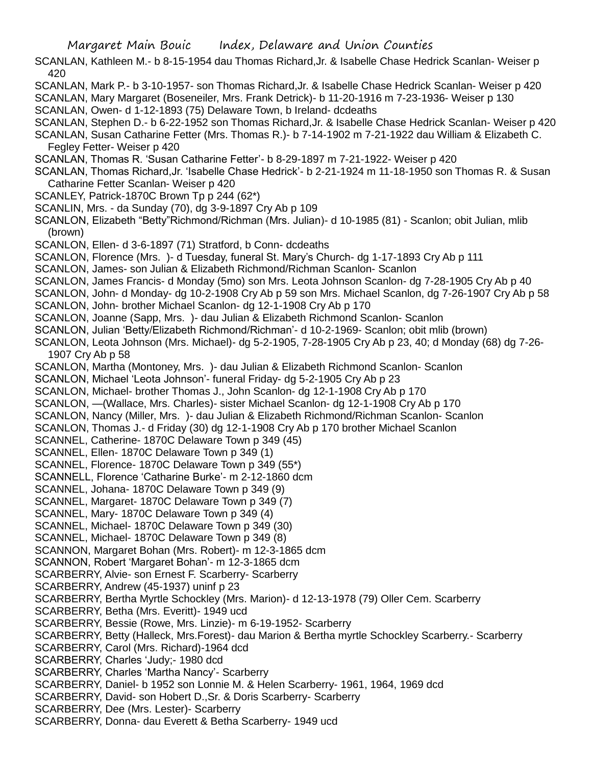SCANLAN, Kathleen M.- b 8-15-1954 dau Thomas Richard,Jr. & Isabelle Chase Hedrick Scanlan- Weiser p 420

- SCANLAN, Mark P.- b 3-10-1957- son Thomas Richard,Jr. & Isabelle Chase Hedrick Scanlan- Weiser p 420 SCANLAN, Mary Margaret (Boseneiler, Mrs. Frank Detrick)- b 11-20-1916 m 7-23-1936- Weiser p 130 SCANLAN, Owen- d 1-12-1893 (75) Delaware Town, b Ireland- dcdeaths
- SCANLAN, Stephen D.- b 6-22-1952 son Thomas Richard,Jr. & Isabelle Chase Hedrick Scanlan- Weiser p 420 SCANLAN, Susan Catharine Fetter (Mrs. Thomas R.)- b 7-14-1902 m 7-21-1922 dau William & Elizabeth C.

Fegley Fetter- Weiser p 420

- SCANLAN, Thomas R. 'Susan Catharine Fetter'- b 8-29-1897 m 7-21-1922- Weiser p 420
- SCANLAN, Thomas Richard,Jr. 'Isabelle Chase Hedrick'- b 2-21-1924 m 11-18-1950 son Thomas R. & Susan Catharine Fetter Scanlan- Weiser p 420
- SCANLEY, Patrick-1870C Brown Tp p 244 (62\*)
- SCANLIN, Mrs. da Sunday (70), dg 3-9-1897 Cry Ab p 109
- SCANLON, Elizabeth "Betty"Richmond/Richman (Mrs. Julian)- d 10-1985 (81) Scanlon; obit Julian, mlib (brown)
- SCANLON, Ellen- d 3-6-1897 (71) Stratford, b Conn- dcdeaths
- SCANLON, Florence (Mrs. )- d Tuesday, funeral St. Mary's Church- dg 1-17-1893 Cry Ab p 111
- SCANLON, James- son Julian & Elizabeth Richmond/Richman Scanlon- Scanlon
- SCANLON, James Francis- d Monday (5mo) son Mrs. Leota Johnson Scanlon- dg 7-28-1905 Cry Ab p 40
- SCANLON, John- d Monday- dg 10-2-1908 Cry Ab p 59 son Mrs. Michael Scanlon, dg 7-26-1907 Cry Ab p 58
- SCANLON, John- brother Michael Scanlon- dg 12-1-1908 Cry Ab p 170
- SCANLON, Joanne (Sapp, Mrs. )- dau Julian & Elizabeth Richmond Scanlon- Scanlon
- SCANLON, Julian 'Betty/Elizabeth Richmond/Richman'- d 10-2-1969- Scanlon; obit mlib (brown)
- SCANLON, Leota Johnson (Mrs. Michael)- dg 5-2-1905, 7-28-1905 Cry Ab p 23, 40; d Monday (68) dg 7-26- 1907 Cry Ab p 58
- SCANLON, Martha (Montoney, Mrs. )- dau Julian & Elizabeth Richmond Scanlon- Scanlon
- SCANLON, Michael 'Leota Johnson'- funeral Friday- dg 5-2-1905 Cry Ab p 23
- SCANLON, Michael- brother Thomas J., John Scanlon- dg 12-1-1908 Cry Ab p 170
- SCANLON, —(Wallace, Mrs. Charles)- sister Michael Scanlon- dg 12-1-1908 Cry Ab p 170
- SCANLON, Nancy (Miller, Mrs. )- dau Julian & Elizabeth Richmond/Richman Scanlon- Scanlon
- SCANLON, Thomas J.- d Friday (30) dg 12-1-1908 Cry Ab p 170 brother Michael Scanlon
- SCANNEL, Catherine- 1870C Delaware Town p 349 (45)
- SCANNEL, Ellen- 1870C Delaware Town p 349 (1)
- SCANNEL, Florence- 1870C Delaware Town p 349 (55\*)
- SCANNELL, Florence 'Catharine Burke'- m 2-12-1860 dcm
- SCANNEL, Johana- 1870C Delaware Town p 349 (9)
- SCANNEL, Margaret- 1870C Delaware Town p 349 (7)
- SCANNEL, Mary- 1870C Delaware Town p 349 (4)
- SCANNEL, Michael- 1870C Delaware Town p 349 (30)
- SCANNEL, Michael- 1870C Delaware Town p 349 (8)
- SCANNON, Margaret Bohan (Mrs. Robert)- m 12-3-1865 dcm
- SCANNON, Robert 'Margaret Bohan'- m 12-3-1865 dcm
- SCARBERRY, Alvie- son Ernest F. Scarberry- Scarberry
- SCARBERRY, Andrew (45-1937) uninf p 23
- SCARBERRY, Bertha Myrtle Schockley (Mrs. Marion)- d 12-13-1978 (79) Oller Cem. Scarberry
- SCARBERRY, Betha (Mrs. Everitt)- 1949 ucd
- SCARBERRY, Bessie (Rowe, Mrs. Linzie)- m 6-19-1952- Scarberry
- SCARBERRY, Betty (Halleck, Mrs.Forest)- dau Marion & Bertha myrtle Schockley Scarberry.- Scarberry
- SCARBERRY, Carol (Mrs. Richard)-1964 dcd
- SCARBERRY, Charles 'Judy;- 1980 dcd
- SCARBERRY, Charles 'Martha Nancy'- Scarberry
- SCARBERRY, Daniel- b 1952 son Lonnie M. & Helen Scarberry- 1961, 1964, 1969 dcd
- SCARBERRY, David- son Hobert D.,Sr. & Doris Scarberry- Scarberry
- SCARBERRY, Dee (Mrs. Lester)- Scarberry
- SCARBERRY, Donna- dau Everett & Betha Scarberry- 1949 ucd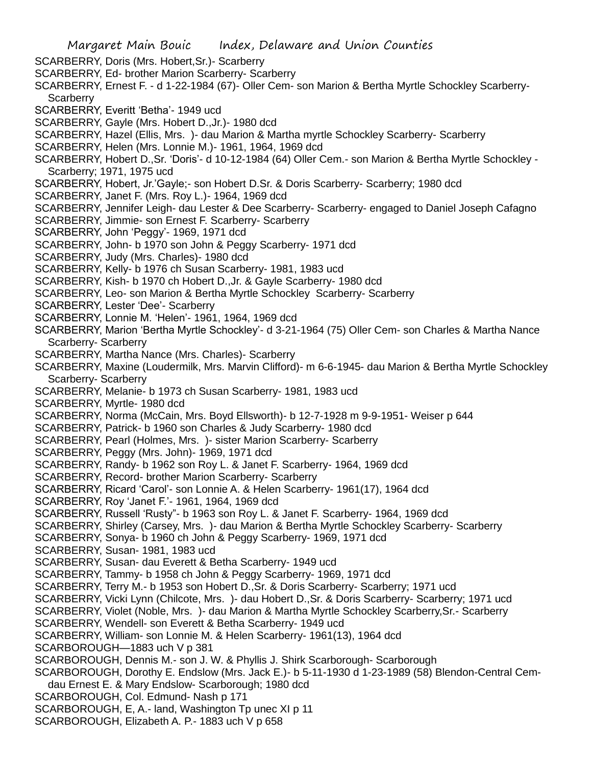Margaret Main Bouic Index, Delaware and Union Counties SCARBERRY, Doris (Mrs. Hobert,Sr.)- Scarberry SCARBERRY, Ed- brother Marion Scarberry- Scarberry SCARBERRY, Ernest F. - d 1-22-1984 (67)- Oller Cem- son Marion & Bertha Myrtle Schockley Scarberry-Scarberry SCARBERRY, Everitt 'Betha'- 1949 ucd SCARBERRY, Gayle (Mrs. Hobert D.,Jr.)- 1980 dcd SCARBERRY, Hazel (Ellis, Mrs. )- dau Marion & Martha myrtle Schockley Scarberry- Scarberry SCARBERRY, Helen (Mrs. Lonnie M.)- 1961, 1964, 1969 dcd SCARBERRY, Hobert D.,Sr. 'Doris'- d 10-12-1984 (64) Oller Cem.- son Marion & Bertha Myrtle Schockley - Scarberry; 1971, 1975 ucd SCARBERRY, Hobert, Jr.'Gayle;- son Hobert D.Sr. & Doris Scarberry- Scarberry; 1980 dcd SCARBERRY, Janet F. (Mrs. Roy L.)- 1964, 1969 dcd SCARBERRY, Jennifer Leigh- dau Lester & Dee Scarberry- Scarberry- engaged to Daniel Joseph Cafagno SCARBERRY, Jimmie- son Ernest F. Scarberry- Scarberry SCARBERRY, John 'Peggy'- 1969, 1971 dcd SCARBERRY, John- b 1970 son John & Peggy Scarberry- 1971 dcd SCARBERRY, Judy (Mrs. Charles)- 1980 dcd SCARBERRY, Kelly- b 1976 ch Susan Scarberry- 1981, 1983 ucd SCARBERRY, Kish- b 1970 ch Hobert D.,Jr. & Gayle Scarberry- 1980 dcd SCARBERRY, Leo- son Marion & Bertha Myrtle Schockley Scarberry- Scarberry SCARBERRY, Lester 'Dee'- Scarberry SCARBERRY, Lonnie M. 'Helen'- 1961, 1964, 1969 dcd SCARBERRY, Marion 'Bertha Myrtle Schockley'- d 3-21-1964 (75) Oller Cem- son Charles & Martha Nance Scarberry- Scarberry SCARBERRY, Martha Nance (Mrs. Charles)- Scarberry SCARBERRY, Maxine (Loudermilk, Mrs. Marvin Clifford)- m 6-6-1945- dau Marion & Bertha Myrtle Schockley Scarberry- Scarberry SCARBERRY, Melanie- b 1973 ch Susan Scarberry- 1981, 1983 ucd SCARBERRY, Myrtle- 1980 dcd SCARBERRY, Norma (McCain, Mrs. Boyd Ellsworth)- b 12-7-1928 m 9-9-1951- Weiser p 644 SCARBERRY, Patrick- b 1960 son Charles & Judy Scarberry- 1980 dcd SCARBERRY, Pearl (Holmes, Mrs. )- sister Marion Scarberry- Scarberry SCARBERRY, Peggy (Mrs. John)- 1969, 1971 dcd SCARBERRY, Randy- b 1962 son Roy L. & Janet F. Scarberry- 1964, 1969 dcd SCARBERRY, Record- brother Marion Scarberry- Scarberry SCARBERRY, Ricard 'Carol'- son Lonnie A. & Helen Scarberry- 1961(17), 1964 dcd SCARBERRY, Roy 'Janet F.'- 1961, 1964, 1969 dcd SCARBERRY, Russell 'Rusty"- b 1963 son Roy L. & Janet F. Scarberry- 1964, 1969 dcd SCARBERRY, Shirley (Carsey, Mrs. )- dau Marion & Bertha Myrtle Schockley Scarberry- Scarberry SCARBERRY, Sonya- b 1960 ch John & Peggy Scarberry- 1969, 1971 dcd SCARBERRY, Susan- 1981, 1983 ucd SCARBERRY, Susan- dau Everett & Betha Scarberry- 1949 ucd SCARBERRY, Tammy- b 1958 ch John & Peggy Scarberry- 1969, 1971 dcd SCARBERRY, Terry M.- b 1953 son Hobert D.,Sr. & Doris Scarberry- Scarberry; 1971 ucd SCARBERRY, Vicki Lynn (Chilcote, Mrs. )- dau Hobert D.,Sr. & Doris Scarberry- Scarberry; 1971 ucd SCARBERRY, Violet (Noble, Mrs. )- dau Marion & Martha Myrtle Schockley Scarberry,Sr.- Scarberry SCARBERRY, Wendell- son Everett & Betha Scarberry- 1949 ucd SCARBERRY, William- son Lonnie M. & Helen Scarberry- 1961(13), 1964 dcd SCARBOROUGH—1883 uch V p 381 SCARBOROUGH, Dennis M.- son J. W. & Phyllis J. Shirk Scarborough- Scarborough SCARBOROUGH, Dorothy E. Endslow (Mrs. Jack E.)- b 5-11-1930 d 1-23-1989 (58) Blendon-Central Cemdau Ernest E. & Mary Endslow- Scarborough; 1980 dcd SCARBOROUGH, Col. Edmund- Nash p 171 SCARBOROUGH, E, A.- land, Washington Tp unec XI p 11 SCARBOROUGH, Elizabeth A. P.- 1883 uch V p 658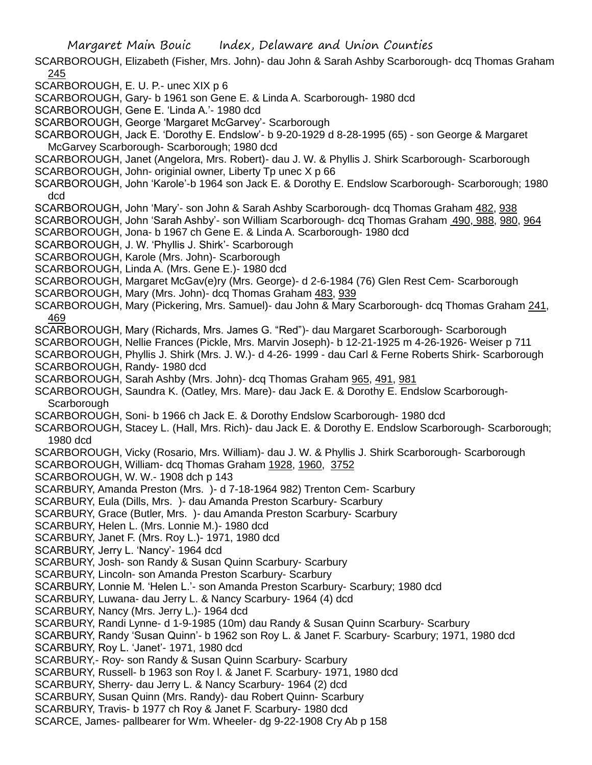SCARBOROUGH, Elizabeth (Fisher, Mrs. John)- dau John & Sarah Ashby Scarborough- dcq Thomas Graham 245

SCARBOROUGH, E. U. P.- unec XIX p 6

SCARBOROUGH, Gary- b 1961 son Gene E. & Linda A. Scarborough- 1980 dcd

SCARBOROUGH, Gene E. 'Linda A.'- 1980 dcd

SCARBOROUGH, George 'Margaret McGarvey'- Scarborough

SCARBOROUGH, Jack E. 'Dorothy E. Endslow'- b 9-20-1929 d 8-28-1995 (65) - son George & Margaret McGarvey Scarborough- Scarborough; 1980 dcd

SCARBOROUGH, Janet (Angelora, Mrs. Robert)- dau J. W. & Phyllis J. Shirk Scarborough- Scarborough SCARBOROUGH, John- originial owner, Liberty Tp unec X p 66

SCARBOROUGH, John 'Karole'-b 1964 son Jack E. & Dorothy E. Endslow Scarborough- Scarborough; 1980 dcd

SCARBOROUGH, John 'Mary'- son John & Sarah Ashby Scarborough- dcq Thomas Graham 482, 938

SCARBOROUGH, John 'Sarah Ashby'- son William Scarborough- dcq Thomas Graham 490, 988, 980, 964

SCARBOROUGH, Jona- b 1967 ch Gene E. & Linda A. Scarborough- 1980 dcd

SCARBOROUGH, J. W. 'Phyllis J. Shirk'- Scarborough

SCARBOROUGH, Karole (Mrs. John)- Scarborough

SCARBOROUGH, Linda A. (Mrs. Gene E.)- 1980 dcd

SCARBOROUGH, Margaret McGav(e)ry (Mrs. George)- d 2-6-1984 (76) Glen Rest Cem- Scarborough SCARBOROUGH, Mary (Mrs. John)- dcq Thomas Graham 483, 939

SCARBOROUGH, Mary (Pickering, Mrs. Samuel)- dau John & Mary Scarborough- dcq Thomas Graham 241,

469

SCARBOROUGH, Mary (Richards, Mrs. James G. "Red")- dau Margaret Scarborough- Scarborough

SCARBOROUGH, Nellie Frances (Pickle, Mrs. Marvin Joseph)- b 12-21-1925 m 4-26-1926- Weiser p 711

SCARBOROUGH, Phyllis J. Shirk (Mrs. J. W.)- d 4-26- 1999 - dau Carl & Ferne Roberts Shirk- Scarborough SCARBOROUGH, Randy- 1980 dcd

SCARBOROUGH, Sarah Ashby (Mrs. John)- dcq Thomas Graham 965, 491, 981

SCARBOROUGH, Saundra K. (Oatley, Mrs. Mare)- dau Jack E. & Dorothy E. Endslow Scarborough-**Scarborough** 

SCARBOROUGH, Soni- b 1966 ch Jack E. & Dorothy Endslow Scarborough- 1980 dcd

SCARBOROUGH, Stacey L. (Hall, Mrs. Rich)- dau Jack E. & Dorothy E. Endslow Scarborough- Scarborough; 1980 dcd

SCARBOROUGH, Vicky (Rosario, Mrs. William)- dau J. W. & Phyllis J. Shirk Scarborough- Scarborough

SCARBOROUGH, William- dcq Thomas Graham 1928, 1960, 3752

SCARBOROUGH, W. W.- 1908 dch p 143

SCARBURY, Amanda Preston (Mrs. )- d 7-18-1964 982) Trenton Cem- Scarbury

SCARBURY, Eula (Dills, Mrs. )- dau Amanda Preston Scarbury- Scarbury

SCARBURY, Grace (Butler, Mrs. )- dau Amanda Preston Scarbury- Scarbury

SCARBURY, Helen L. (Mrs. Lonnie M.)- 1980 dcd

SCARBURY, Janet F. (Mrs. Roy L.)- 1971, 1980 dcd

SCARBURY, Jerry L. 'Nancy'- 1964 dcd

SCARBURY, Josh- son Randy & Susan Quinn Scarbury- Scarbury

SCARBURY, Lincoln- son Amanda Preston Scarbury- Scarbury

SCARBURY, Lonnie M. 'Helen L.'- son Amanda Preston Scarbury- Scarbury; 1980 dcd

SCARBURY, Luwana- dau Jerry L. & Nancy Scarbury- 1964 (4) dcd

SCARBURY, Nancy (Mrs. Jerry L.)- 1964 dcd

SCARBURY, Randi Lynne- d 1-9-1985 (10m) dau Randy & Susan Quinn Scarbury- Scarbury

SCARBURY, Randy 'Susan Quinn'- b 1962 son Roy L. & Janet F. Scarbury- Scarbury; 1971, 1980 dcd

SCARBURY, Roy L. 'Janet'- 1971, 1980 dcd

SCARBURY,- Roy- son Randy & Susan Quinn Scarbury- Scarbury

SCARBURY, Russell- b 1963 son Roy l. & Janet F. Scarbury- 1971, 1980 dcd

SCARBURY, Sherry- dau Jerry L. & Nancy Scarbury- 1964 (2) dcd

SCARBURY, Susan Quinn (Mrs. Randy)- dau Robert Quinn- Scarbury

SCARBURY, Travis- b 1977 ch Roy & Janet F. Scarbury- 1980 dcd

SCARCE, James- pallbearer for Wm. Wheeler- dg 9-22-1908 Cry Ab p 158